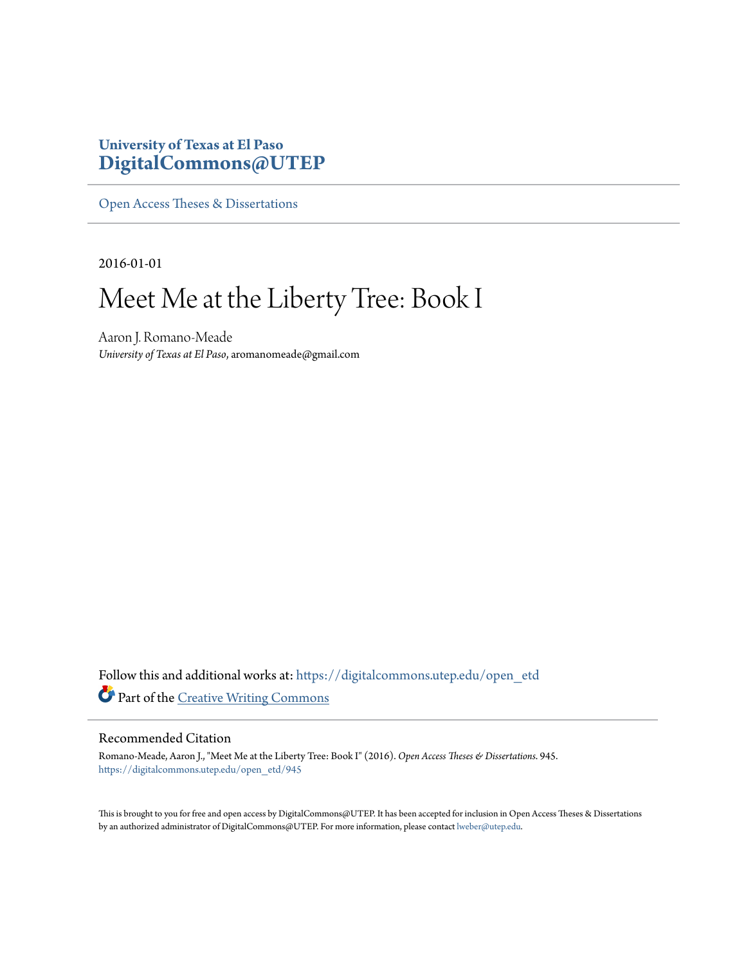# **University of Texas at El Paso [DigitalCommons@UTEP](https://digitalcommons.utep.edu/?utm_source=digitalcommons.utep.edu%2Fopen_etd%2F945&utm_medium=PDF&utm_campaign=PDFCoverPages)**

[Open Access Theses & Dissertations](https://digitalcommons.utep.edu/open_etd?utm_source=digitalcommons.utep.edu%2Fopen_etd%2F945&utm_medium=PDF&utm_campaign=PDFCoverPages)

2016-01-01

# Meet Me at the Liberty Tree: Book I

Aaron J. Romano-Meade *University of Texas at El Paso*, aromanomeade@gmail.com

Follow this and additional works at: [https://digitalcommons.utep.edu/open\\_etd](https://digitalcommons.utep.edu/open_etd?utm_source=digitalcommons.utep.edu%2Fopen_etd%2F945&utm_medium=PDF&utm_campaign=PDFCoverPages) Part of the [Creative Writing Commons](http://network.bepress.com/hgg/discipline/574?utm_source=digitalcommons.utep.edu%2Fopen_etd%2F945&utm_medium=PDF&utm_campaign=PDFCoverPages)

### Recommended Citation

Romano-Meade, Aaron J., "Meet Me at the Liberty Tree: Book I" (2016). *Open Access Theses & Dissertations*. 945. [https://digitalcommons.utep.edu/open\\_etd/945](https://digitalcommons.utep.edu/open_etd/945?utm_source=digitalcommons.utep.edu%2Fopen_etd%2F945&utm_medium=PDF&utm_campaign=PDFCoverPages)

This is brought to you for free and open access by DigitalCommons@UTEP. It has been accepted for inclusion in Open Access Theses & Dissertations by an authorized administrator of DigitalCommons@UTEP. For more information, please contact [lweber@utep.edu.](mailto:lweber@utep.edu)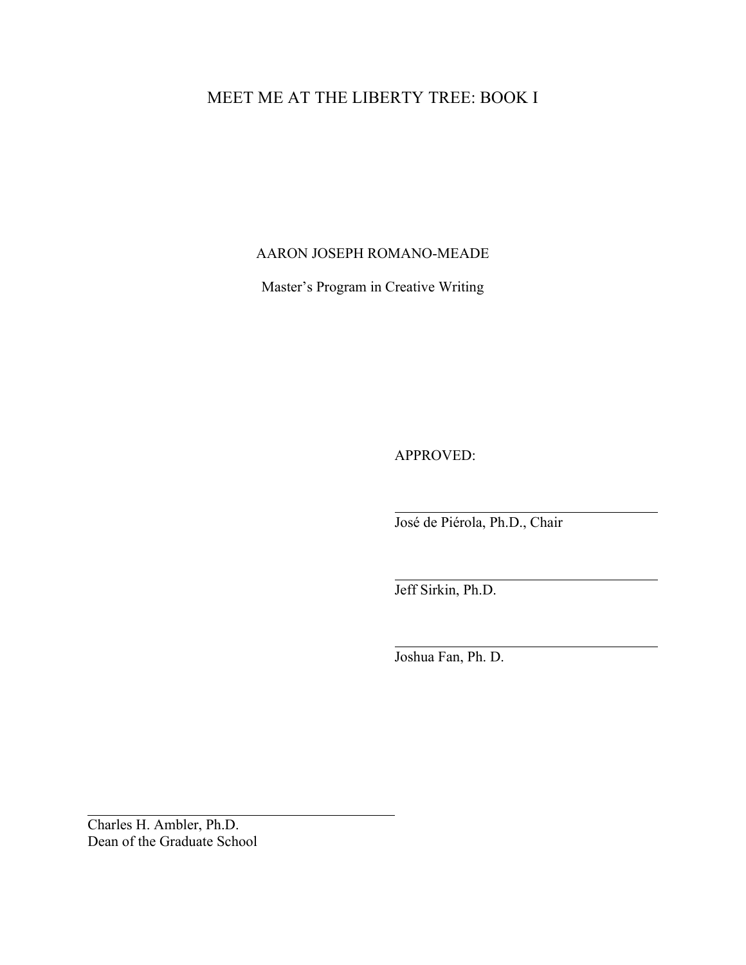# MEET ME AT THE LIBERTY TREE: BOOK I

### AARON JOSEPH ROMANO-MEADE

Master's Program in Creative Writing

APPROVED:

José de Piérola, Ph.D., Chair

Jeff Sirkin, Ph.D.

Joshua Fan, Ph. D.

Charles H. Ambler, Ph.D. Dean of the Graduate School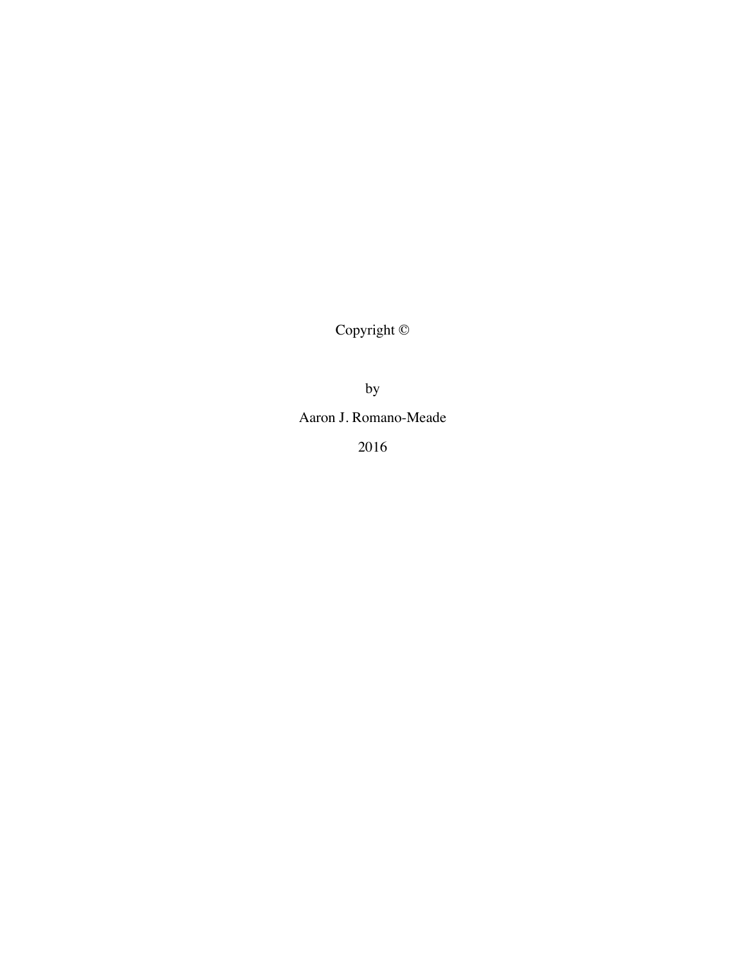Copyright ©

by

Aaron J. Romano-Meade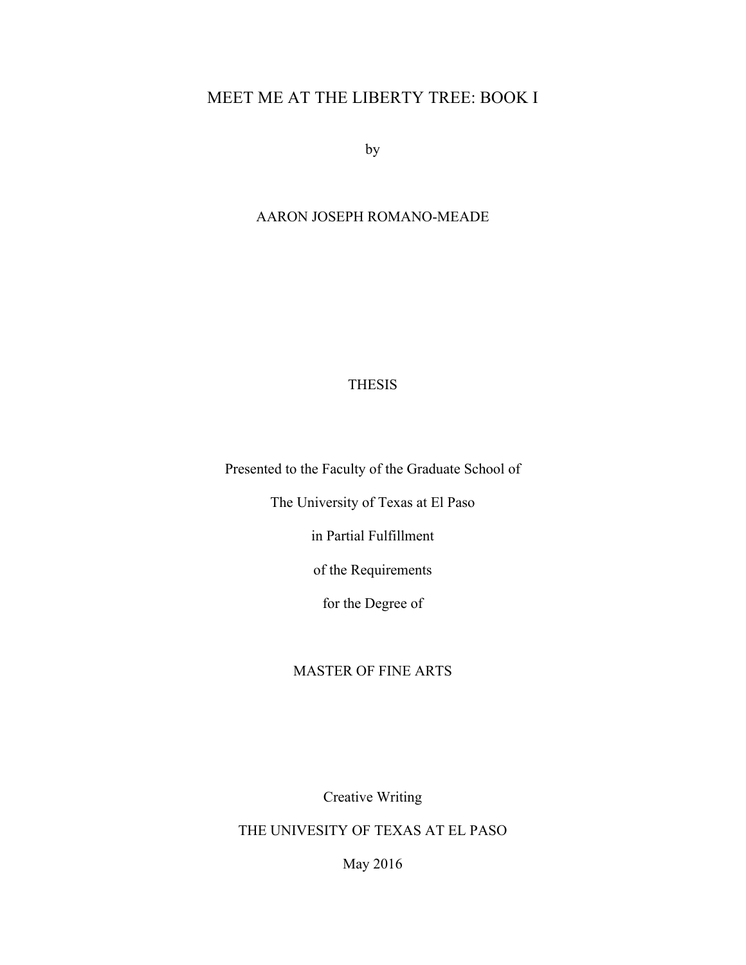# MEET ME AT THE LIBERTY TREE: BOOK I

by

## AARON JOSEPH ROMANO-MEADE

### THESIS

Presented to the Faculty of the Graduate School of

The University of Texas at El Paso

in Partial Fulfillment

of the Requirements

for the Degree of

### MASTER OF FINE ARTS

Creative Writing

THE UNIVESITY OF TEXAS AT EL PASO

May 2016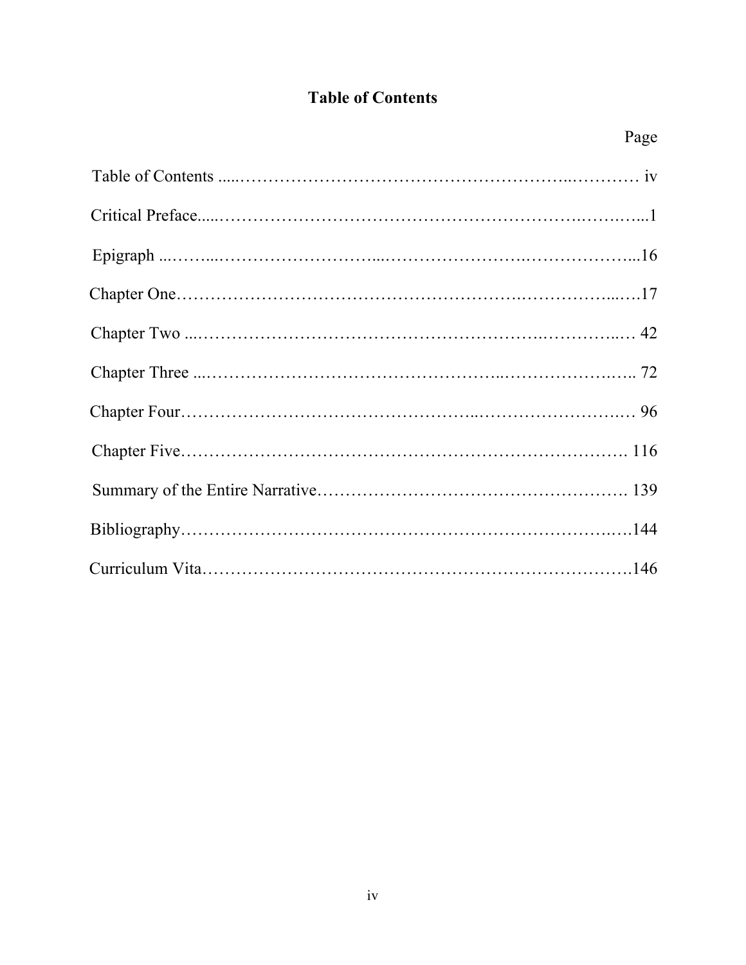# **Table of Contents**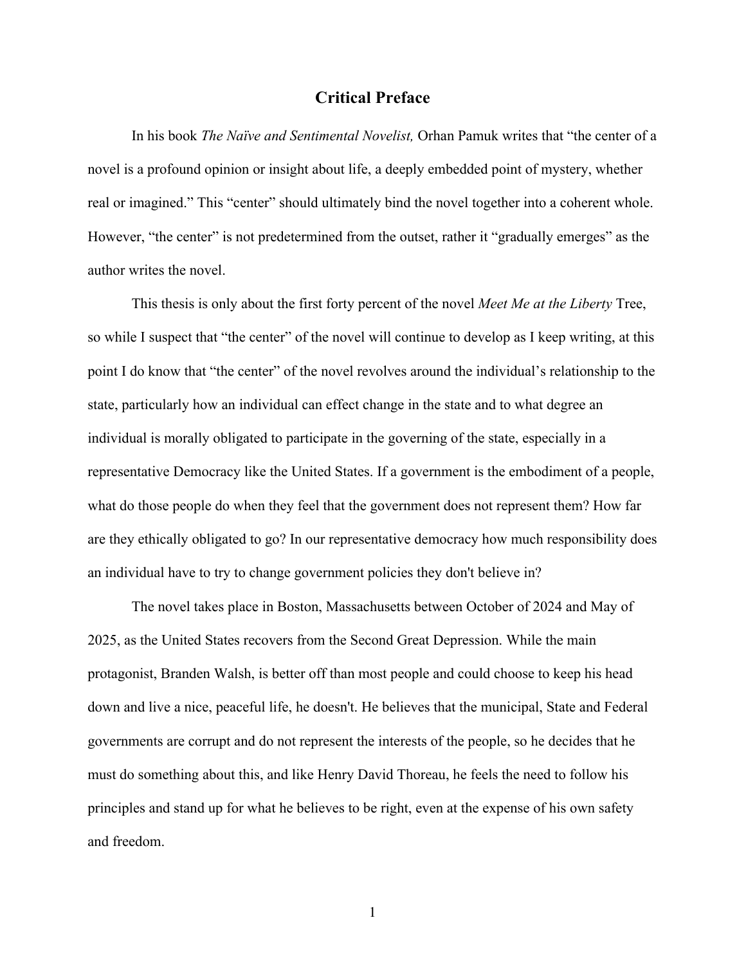### **Critical Preface**

In his book *The Naïve and Sentimental Novelist,* Orhan Pamuk writes that "the center of a novel is a profound opinion or insight about life, a deeply embedded point of mystery, whether real or imagined." This "center" should ultimately bind the novel together into a coherent whole. However, "the center" is not predetermined from the outset, rather it "gradually emerges" as the author writes the novel.

This thesis is only about the first forty percent of the novel *Meet Me at the Liberty* Tree, so while I suspect that "the center" of the novel will continue to develop as I keep writing, at this point I do know that "the center" of the novel revolves around the individual's relationship to the state, particularly how an individual can effect change in the state and to what degree an individual is morally obligated to participate in the governing of the state, especially in a representative Democracy like the United States. If a government is the embodiment of a people, what do those people do when they feel that the government does not represent them? How far are they ethically obligated to go? In our representative democracy how much responsibility does an individual have to try to change government policies they don't believe in?

The novel takes place in Boston, Massachusetts between October of 2024 and May of 2025, as the United States recovers from the Second Great Depression. While the main protagonist, Branden Walsh, is better off than most people and could choose to keep his head down and live a nice, peaceful life, he doesn't. He believes that the municipal, State and Federal governments are corrupt and do not represent the interests of the people, so he decides that he must do something about this, and like Henry David Thoreau, he feels the need to follow his principles and stand up for what he believes to be right, even at the expense of his own safety and freedom.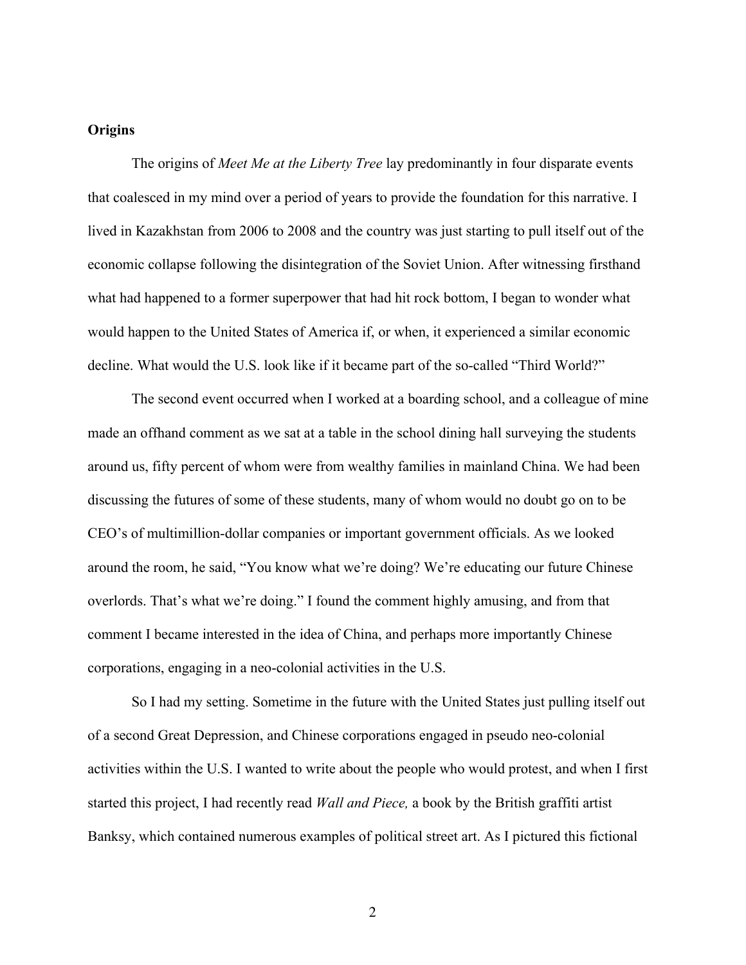### **Origins**

The origins of *Meet Me at the Liberty Tree* lay predominantly in four disparate events that coalesced in my mind over a period of years to provide the foundation for this narrative. I lived in Kazakhstan from 2006 to 2008 and the country was just starting to pull itself out of the economic collapse following the disintegration of the Soviet Union. After witnessing firsthand what had happened to a former superpower that had hit rock bottom, I began to wonder what would happen to the United States of America if, or when, it experienced a similar economic decline. What would the U.S. look like if it became part of the so-called "Third World?"

The second event occurred when I worked at a boarding school, and a colleague of mine made an offhand comment as we sat at a table in the school dining hall surveying the students around us, fifty percent of whom were from wealthy families in mainland China. We had been discussing the futures of some of these students, many of whom would no doubt go on to be CEO's of multimillion-dollar companies or important government officials. As we looked around the room, he said, "You know what we're doing? We're educating our future Chinese overlords. That's what we're doing." I found the comment highly amusing, and from that comment I became interested in the idea of China, and perhaps more importantly Chinese corporations, engaging in a neo-colonial activities in the U.S.

So I had my setting. Sometime in the future with the United States just pulling itself out of a second Great Depression, and Chinese corporations engaged in pseudo neo-colonial activities within the U.S. I wanted to write about the people who would protest, and when I first started this project, I had recently read *Wall and Piece,* a book by the British graffiti artist Banksy, which contained numerous examples of political street art. As I pictured this fictional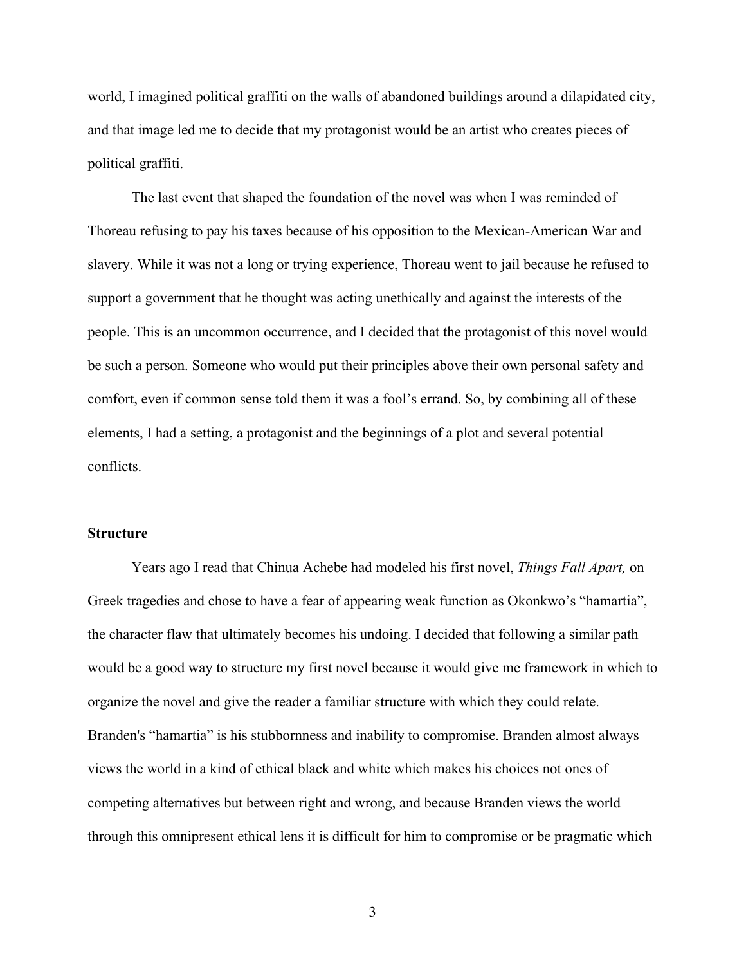world, I imagined political graffiti on the walls of abandoned buildings around a dilapidated city, and that image led me to decide that my protagonist would be an artist who creates pieces of political graffiti.

The last event that shaped the foundation of the novel was when I was reminded of Thoreau refusing to pay his taxes because of his opposition to the Mexican-American War and slavery. While it was not a long or trying experience, Thoreau went to jail because he refused to support a government that he thought was acting unethically and against the interests of the people. This is an uncommon occurrence, and I decided that the protagonist of this novel would be such a person. Someone who would put their principles above their own personal safety and comfort, even if common sense told them it was a fool's errand. So, by combining all of these elements, I had a setting, a protagonist and the beginnings of a plot and several potential conflicts.

#### **Structure**

Years ago I read that Chinua Achebe had modeled his first novel, *Things Fall Apart,* on Greek tragedies and chose to have a fear of appearing weak function as Okonkwo's "hamartia", the character flaw that ultimately becomes his undoing. I decided that following a similar path would be a good way to structure my first novel because it would give me framework in which to organize the novel and give the reader a familiar structure with which they could relate. Branden's "hamartia" is his stubbornness and inability to compromise. Branden almost always views the world in a kind of ethical black and white which makes his choices not ones of competing alternatives but between right and wrong, and because Branden views the world through this omnipresent ethical lens it is difficult for him to compromise or be pragmatic which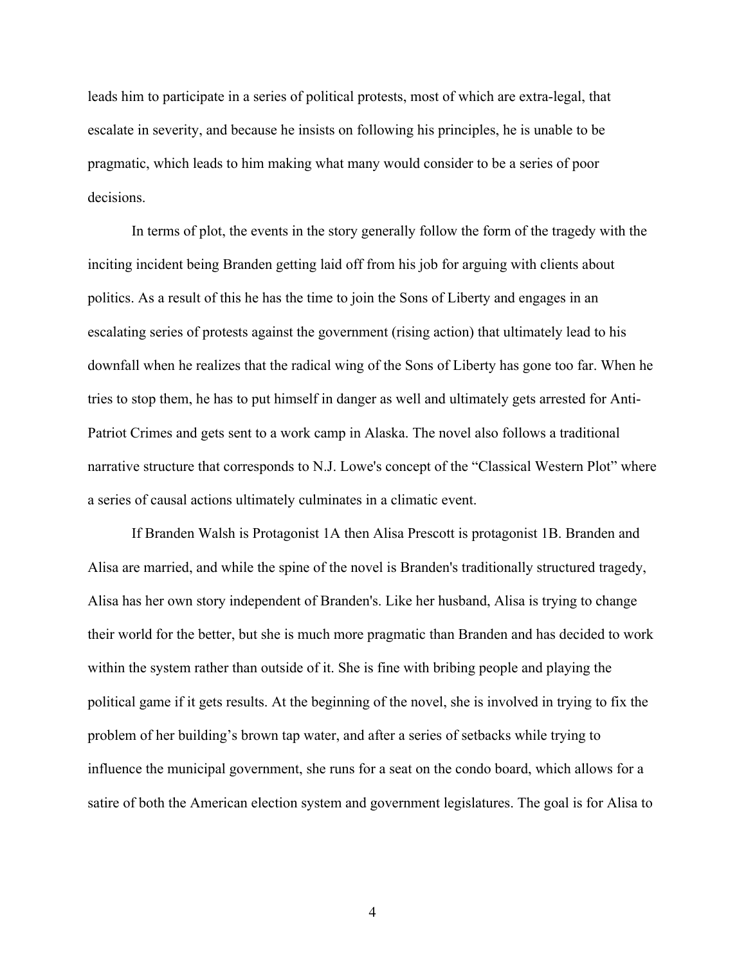leads him to participate in a series of political protests, most of which are extra-legal, that escalate in severity, and because he insists on following his principles, he is unable to be pragmatic, which leads to him making what many would consider to be a series of poor decisions.

In terms of plot, the events in the story generally follow the form of the tragedy with the inciting incident being Branden getting laid off from his job for arguing with clients about politics. As a result of this he has the time to join the Sons of Liberty and engages in an escalating series of protests against the government (rising action) that ultimately lead to his downfall when he realizes that the radical wing of the Sons of Liberty has gone too far. When he tries to stop them, he has to put himself in danger as well and ultimately gets arrested for Anti-Patriot Crimes and gets sent to a work camp in Alaska. The novel also follows a traditional narrative structure that corresponds to N.J. Lowe's concept of the "Classical Western Plot" where a series of causal actions ultimately culminates in a climatic event.

If Branden Walsh is Protagonist 1A then Alisa Prescott is protagonist 1B. Branden and Alisa are married, and while the spine of the novel is Branden's traditionally structured tragedy, Alisa has her own story independent of Branden's. Like her husband, Alisa is trying to change their world for the better, but she is much more pragmatic than Branden and has decided to work within the system rather than outside of it. She is fine with bribing people and playing the political game if it gets results. At the beginning of the novel, she is involved in trying to fix the problem of her building's brown tap water, and after a series of setbacks while trying to influence the municipal government, she runs for a seat on the condo board, which allows for a satire of both the American election system and government legislatures. The goal is for Alisa to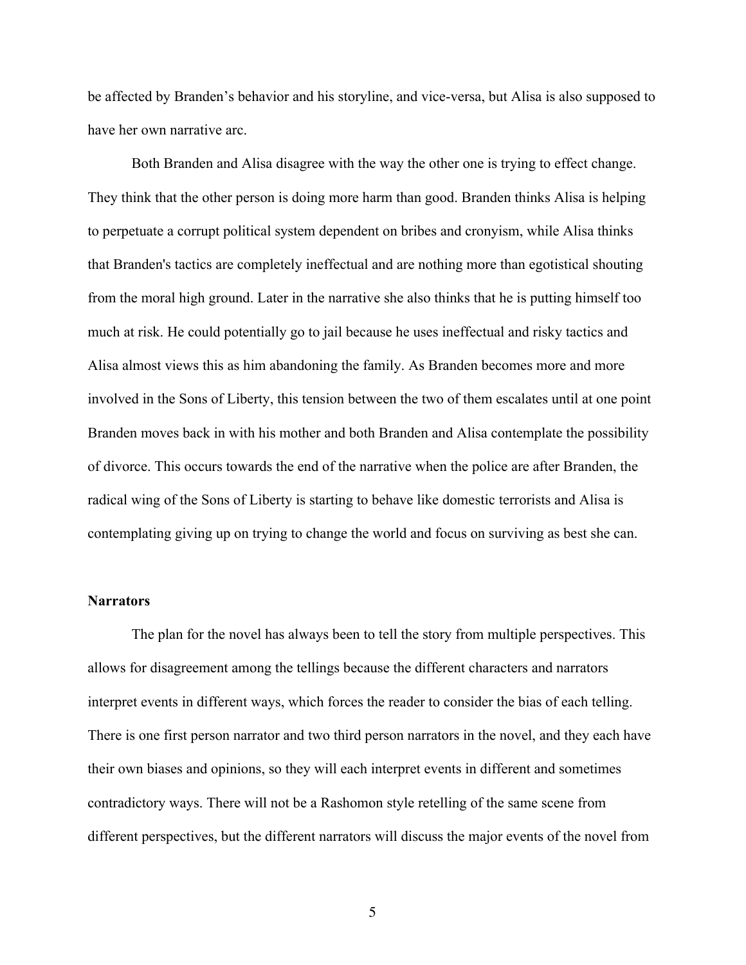be affected by Branden's behavior and his storyline, and vice-versa, but Alisa is also supposed to have her own narrative arc.

Both Branden and Alisa disagree with the way the other one is trying to effect change. They think that the other person is doing more harm than good. Branden thinks Alisa is helping to perpetuate a corrupt political system dependent on bribes and cronyism, while Alisa thinks that Branden's tactics are completely ineffectual and are nothing more than egotistical shouting from the moral high ground. Later in the narrative she also thinks that he is putting himself too much at risk. He could potentially go to jail because he uses ineffectual and risky tactics and Alisa almost views this as him abandoning the family. As Branden becomes more and more involved in the Sons of Liberty, this tension between the two of them escalates until at one point Branden moves back in with his mother and both Branden and Alisa contemplate the possibility of divorce. This occurs towards the end of the narrative when the police are after Branden, the radical wing of the Sons of Liberty is starting to behave like domestic terrorists and Alisa is contemplating giving up on trying to change the world and focus on surviving as best she can.

#### **Narrators**

The plan for the novel has always been to tell the story from multiple perspectives. This allows for disagreement among the tellings because the different characters and narrators interpret events in different ways, which forces the reader to consider the bias of each telling. There is one first person narrator and two third person narrators in the novel, and they each have their own biases and opinions, so they will each interpret events in different and sometimes contradictory ways. There will not be a Rashomon style retelling of the same scene from different perspectives, but the different narrators will discuss the major events of the novel from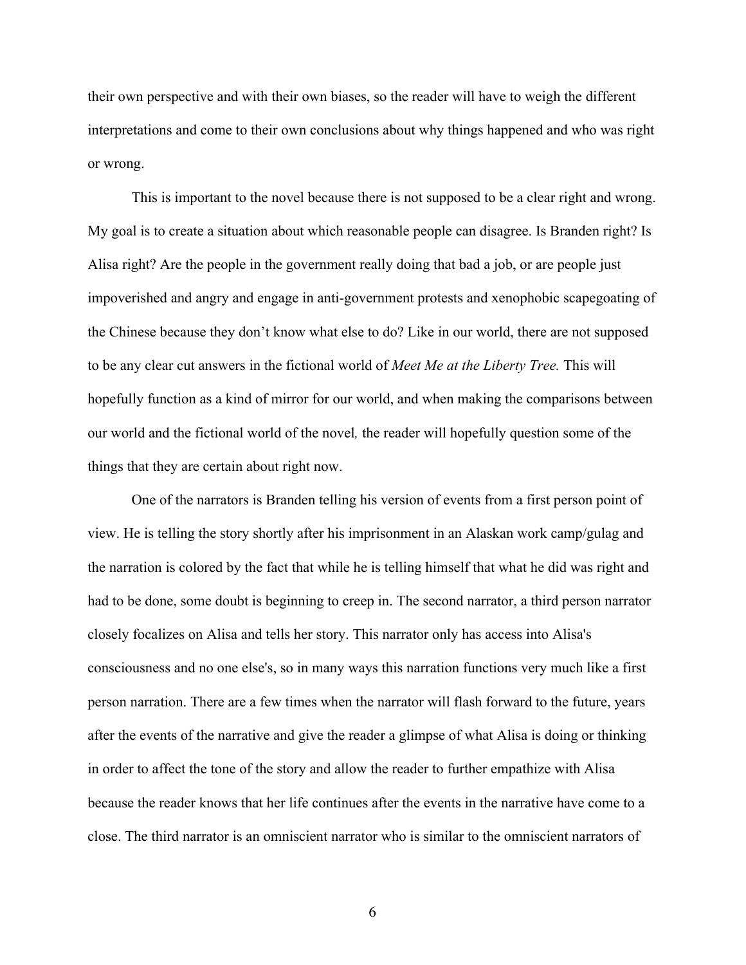their own perspective and with their own biases, so the reader will have to weigh the different interpretations and come to their own conclusions about why things happened and who was right or wrong.

This is important to the novel because there is not supposed to be a clear right and wrong. My goal is to create a situation about which reasonable people can disagree. Is Branden right? Is Alisa right? Are the people in the government really doing that bad a job, or are people just impoverished and angry and engage in anti-government protests and xenophobic scapegoating of the Chinese because they don't know what else to do? Like in our world, there are not supposed to be any clear cut answers in the fictional world of *Meet Me at the Liberty Tree.* This will hopefully function as a kind of mirror for our world, and when making the comparisons between our world and the fictional world of the novel*,* the reader will hopefully question some of the things that they are certain about right now.

One of the narrators is Branden telling his version of events from a first person point of view. He is telling the story shortly after his imprisonment in an Alaskan work camp/gulag and the narration is colored by the fact that while he is telling himself that what he did was right and had to be done, some doubt is beginning to creep in. The second narrator, a third person narrator closely focalizes on Alisa and tells her story. This narrator only has access into Alisa's consciousness and no one else's, so in many ways this narration functions very much like a first person narration. There are a few times when the narrator will flash forward to the future, years after the events of the narrative and give the reader a glimpse of what Alisa is doing or thinking in order to affect the tone of the story and allow the reader to further empathize with Alisa because the reader knows that her life continues after the events in the narrative have come to a close. The third narrator is an omniscient narrator who is similar to the omniscient narrators of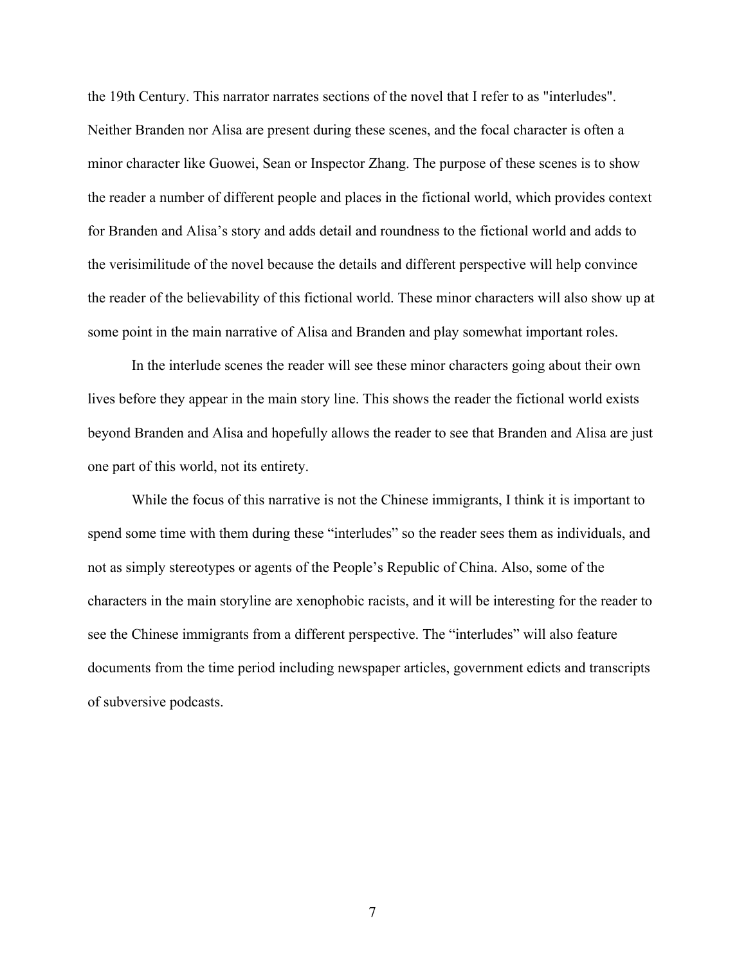the 19th Century. This narrator narrates sections of the novel that I refer to as "interludes". Neither Branden nor Alisa are present during these scenes, and the focal character is often a minor character like Guowei, Sean or Inspector Zhang. The purpose of these scenes is to show the reader a number of different people and places in the fictional world, which provides context for Branden and Alisa's story and adds detail and roundness to the fictional world and adds to the verisimilitude of the novel because the details and different perspective will help convince the reader of the believability of this fictional world. These minor characters will also show up at some point in the main narrative of Alisa and Branden and play somewhat important roles.

In the interlude scenes the reader will see these minor characters going about their own lives before they appear in the main story line. This shows the reader the fictional world exists beyond Branden and Alisa and hopefully allows the reader to see that Branden and Alisa are just one part of this world, not its entirety.

While the focus of this narrative is not the Chinese immigrants, I think it is important to spend some time with them during these "interludes" so the reader sees them as individuals, and not as simply stereotypes or agents of the People's Republic of China. Also, some of the characters in the main storyline are xenophobic racists, and it will be interesting for the reader to see the Chinese immigrants from a different perspective. The "interludes" will also feature documents from the time period including newspaper articles, government edicts and transcripts of subversive podcasts.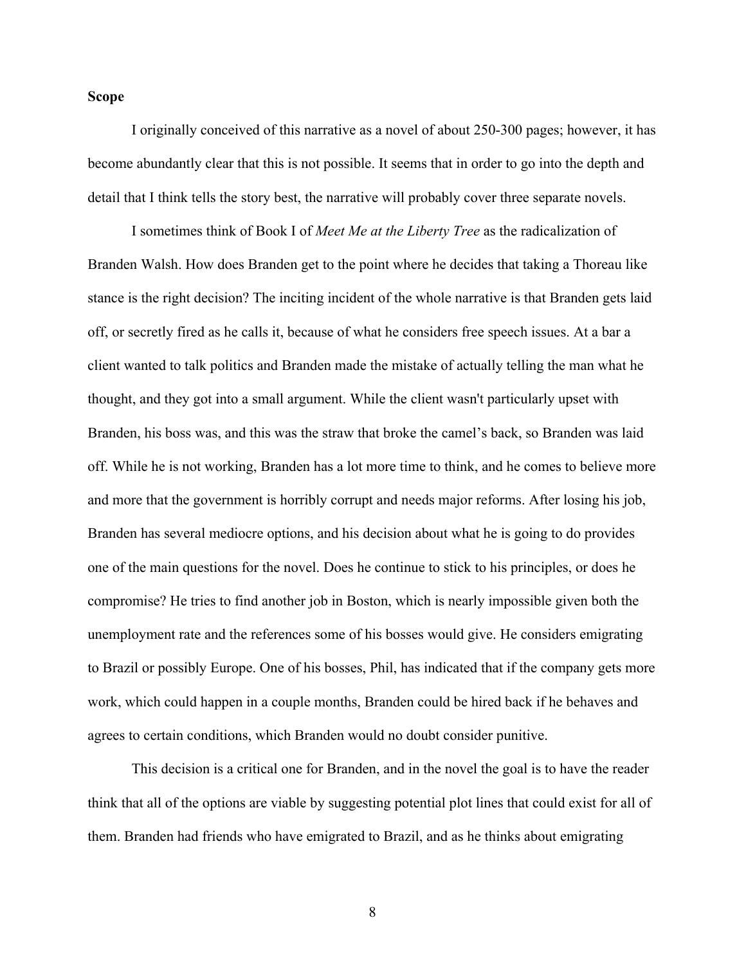### **Scope**

I originally conceived of this narrative as a novel of about 250-300 pages; however, it has become abundantly clear that this is not possible. It seems that in order to go into the depth and detail that I think tells the story best, the narrative will probably cover three separate novels.

I sometimes think of Book I of *Meet Me at the Liberty Tree* as the radicalization of Branden Walsh. How does Branden get to the point where he decides that taking a Thoreau like stance is the right decision? The inciting incident of the whole narrative is that Branden gets laid off, or secretly fired as he calls it, because of what he considers free speech issues. At a bar a client wanted to talk politics and Branden made the mistake of actually telling the man what he thought, and they got into a small argument. While the client wasn't particularly upset with Branden, his boss was, and this was the straw that broke the camel's back, so Branden was laid off. While he is not working, Branden has a lot more time to think, and he comes to believe more and more that the government is horribly corrupt and needs major reforms. After losing his job, Branden has several mediocre options, and his decision about what he is going to do provides one of the main questions for the novel. Does he continue to stick to his principles, or does he compromise? He tries to find another job in Boston, which is nearly impossible given both the unemployment rate and the references some of his bosses would give. He considers emigrating to Brazil or possibly Europe. One of his bosses, Phil, has indicated that if the company gets more work, which could happen in a couple months, Branden could be hired back if he behaves and agrees to certain conditions, which Branden would no doubt consider punitive.

This decision is a critical one for Branden, and in the novel the goal is to have the reader think that all of the options are viable by suggesting potential plot lines that could exist for all of them. Branden had friends who have emigrated to Brazil, and as he thinks about emigrating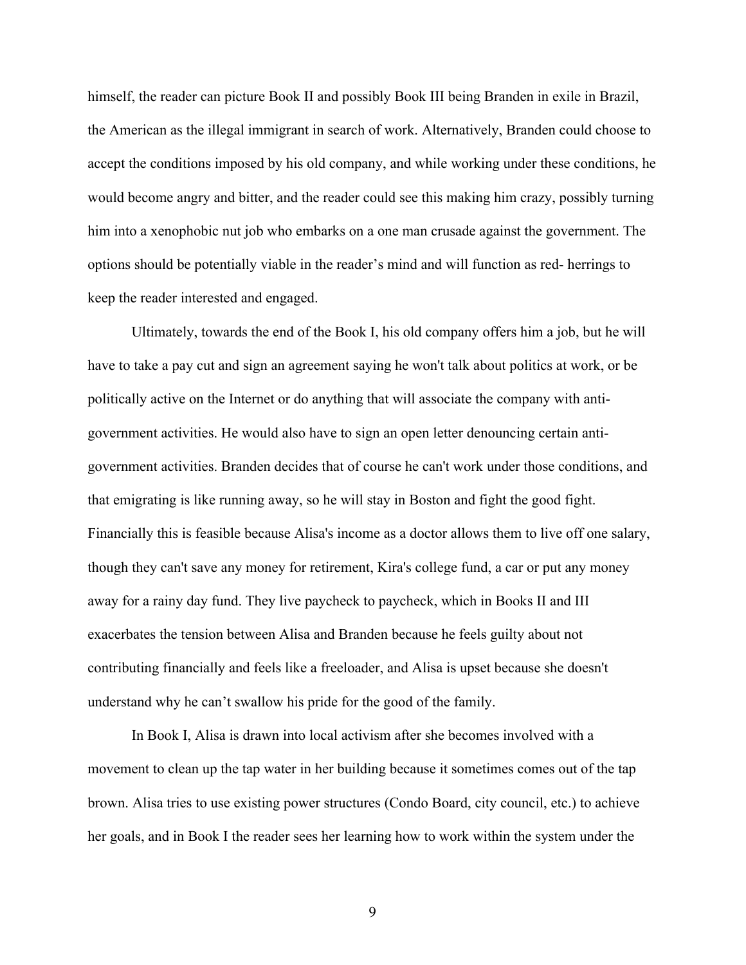himself, the reader can picture Book II and possibly Book III being Branden in exile in Brazil, the American as the illegal immigrant in search of work. Alternatively, Branden could choose to accept the conditions imposed by his old company, and while working under these conditions, he would become angry and bitter, and the reader could see this making him crazy, possibly turning him into a xenophobic nut job who embarks on a one man crusade against the government. The options should be potentially viable in the reader's mind and will function as red- herrings to keep the reader interested and engaged.

Ultimately, towards the end of the Book I, his old company offers him a job, but he will have to take a pay cut and sign an agreement saying he won't talk about politics at work, or be politically active on the Internet or do anything that will associate the company with antigovernment activities. He would also have to sign an open letter denouncing certain antigovernment activities. Branden decides that of course he can't work under those conditions, and that emigrating is like running away, so he will stay in Boston and fight the good fight. Financially this is feasible because Alisa's income as a doctor allows them to live off one salary, though they can't save any money for retirement, Kira's college fund, a car or put any money away for a rainy day fund. They live paycheck to paycheck, which in Books II and III exacerbates the tension between Alisa and Branden because he feels guilty about not contributing financially and feels like a freeloader, and Alisa is upset because she doesn't understand why he can't swallow his pride for the good of the family.

In Book I, Alisa is drawn into local activism after she becomes involved with a movement to clean up the tap water in her building because it sometimes comes out of the tap brown. Alisa tries to use existing power structures (Condo Board, city council, etc.) to achieve her goals, and in Book I the reader sees her learning how to work within the system under the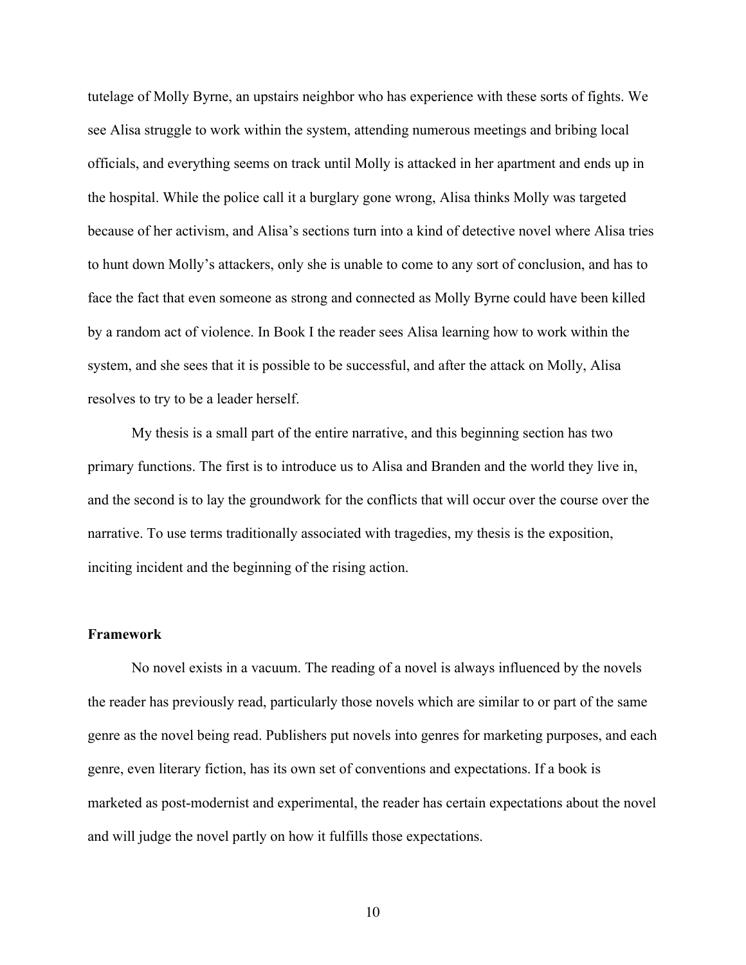tutelage of Molly Byrne, an upstairs neighbor who has experience with these sorts of fights. We see Alisa struggle to work within the system, attending numerous meetings and bribing local officials, and everything seems on track until Molly is attacked in her apartment and ends up in the hospital. While the police call it a burglary gone wrong, Alisa thinks Molly was targeted because of her activism, and Alisa's sections turn into a kind of detective novel where Alisa tries to hunt down Molly's attackers, only she is unable to come to any sort of conclusion, and has to face the fact that even someone as strong and connected as Molly Byrne could have been killed by a random act of violence. In Book I the reader sees Alisa learning how to work within the system, and she sees that it is possible to be successful, and after the attack on Molly, Alisa resolves to try to be a leader herself.

My thesis is a small part of the entire narrative, and this beginning section has two primary functions. The first is to introduce us to Alisa and Branden and the world they live in, and the second is to lay the groundwork for the conflicts that will occur over the course over the narrative. To use terms traditionally associated with tragedies, my thesis is the exposition, inciting incident and the beginning of the rising action.

### **Framework**

No novel exists in a vacuum. The reading of a novel is always influenced by the novels the reader has previously read, particularly those novels which are similar to or part of the same genre as the novel being read. Publishers put novels into genres for marketing purposes, and each genre, even literary fiction, has its own set of conventions and expectations. If a book is marketed as post-modernist and experimental, the reader has certain expectations about the novel and will judge the novel partly on how it fulfills those expectations.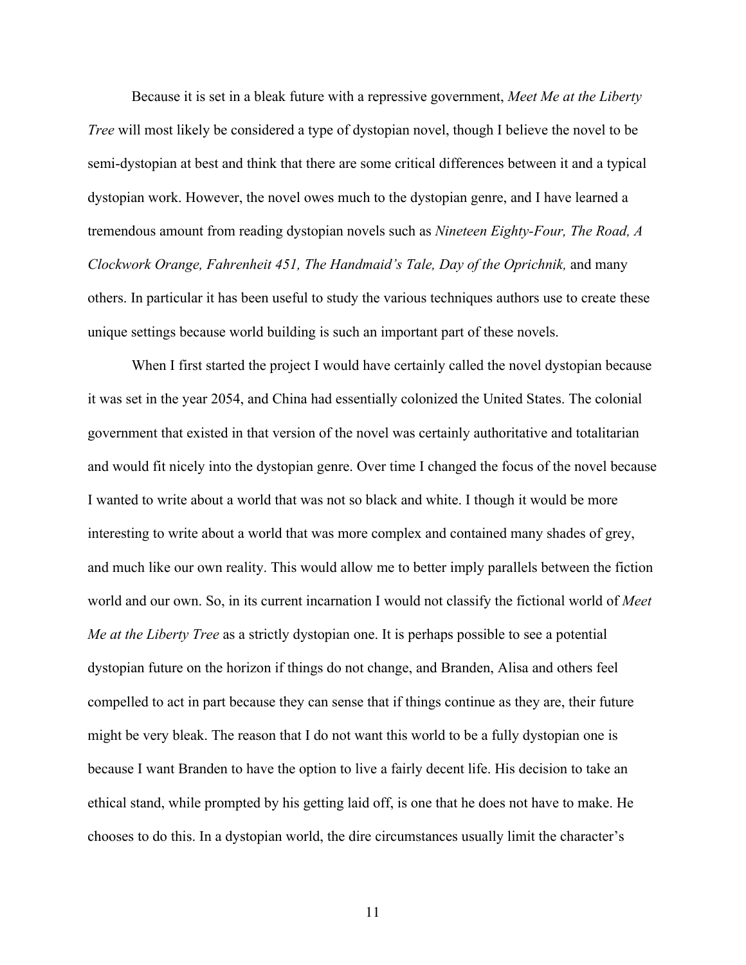Because it is set in a bleak future with a repressive government, *Meet Me at the Liberty Tree* will most likely be considered a type of dystopian novel, though I believe the novel to be semi-dystopian at best and think that there are some critical differences between it and a typical dystopian work. However, the novel owes much to the dystopian genre, and I have learned a tremendous amount from reading dystopian novels such as *Nineteen Eighty-Four, The Road, A Clockwork Orange, Fahrenheit 451, The Handmaid's Tale, Day of the Oprichnik,* and many others. In particular it has been useful to study the various techniques authors use to create these unique settings because world building is such an important part of these novels.

When I first started the project I would have certainly called the novel dystopian because it was set in the year 2054, and China had essentially colonized the United States. The colonial government that existed in that version of the novel was certainly authoritative and totalitarian and would fit nicely into the dystopian genre. Over time I changed the focus of the novel because I wanted to write about a world that was not so black and white. I though it would be more interesting to write about a world that was more complex and contained many shades of grey, and much like our own reality. This would allow me to better imply parallels between the fiction world and our own. So, in its current incarnation I would not classify the fictional world of *Meet Me at the Liberty Tree* as a strictly dystopian one. It is perhaps possible to see a potential dystopian future on the horizon if things do not change, and Branden, Alisa and others feel compelled to act in part because they can sense that if things continue as they are, their future might be very bleak. The reason that I do not want this world to be a fully dystopian one is because I want Branden to have the option to live a fairly decent life. His decision to take an ethical stand, while prompted by his getting laid off, is one that he does not have to make. He chooses to do this. In a dystopian world, the dire circumstances usually limit the character's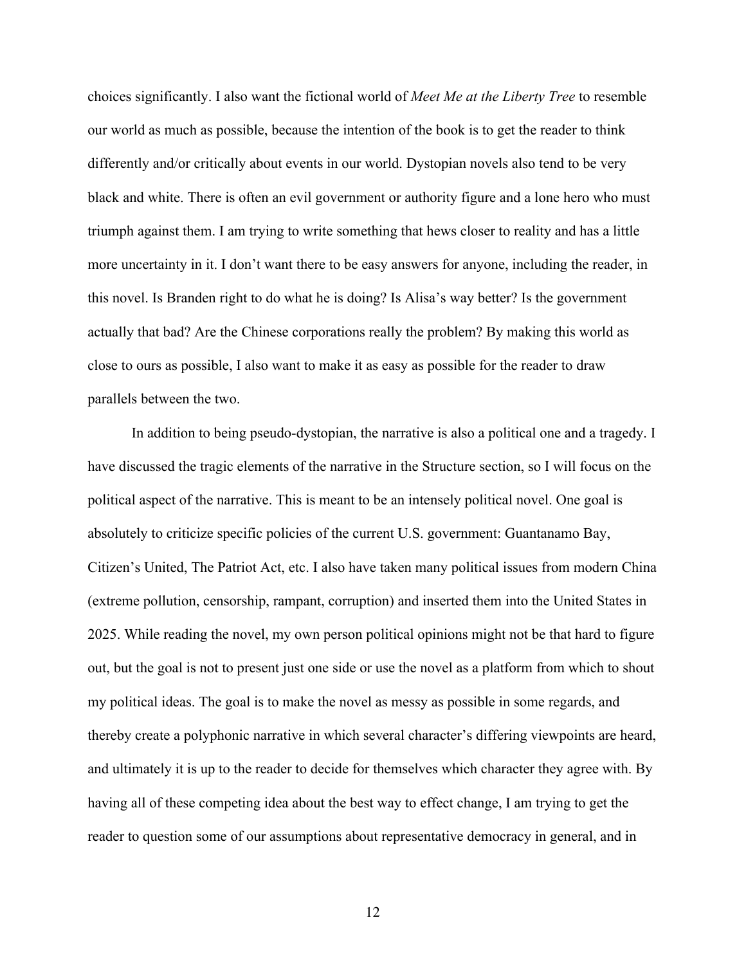choices significantly. I also want the fictional world of *Meet Me at the Liberty Tree* to resemble our world as much as possible, because the intention of the book is to get the reader to think differently and/or critically about events in our world. Dystopian novels also tend to be very black and white. There is often an evil government or authority figure and a lone hero who must triumph against them. I am trying to write something that hews closer to reality and has a little more uncertainty in it. I don't want there to be easy answers for anyone, including the reader, in this novel. Is Branden right to do what he is doing? Is Alisa's way better? Is the government actually that bad? Are the Chinese corporations really the problem? By making this world as close to ours as possible, I also want to make it as easy as possible for the reader to draw parallels between the two.

In addition to being pseudo-dystopian, the narrative is also a political one and a tragedy. I have discussed the tragic elements of the narrative in the Structure section, so I will focus on the political aspect of the narrative. This is meant to be an intensely political novel. One goal is absolutely to criticize specific policies of the current U.S. government: Guantanamo Bay, Citizen's United, The Patriot Act, etc. I also have taken many political issues from modern China (extreme pollution, censorship, rampant, corruption) and inserted them into the United States in 2025. While reading the novel, my own person political opinions might not be that hard to figure out, but the goal is not to present just one side or use the novel as a platform from which to shout my political ideas. The goal is to make the novel as messy as possible in some regards, and thereby create a polyphonic narrative in which several character's differing viewpoints are heard, and ultimately it is up to the reader to decide for themselves which character they agree with. By having all of these competing idea about the best way to effect change, I am trying to get the reader to question some of our assumptions about representative democracy in general, and in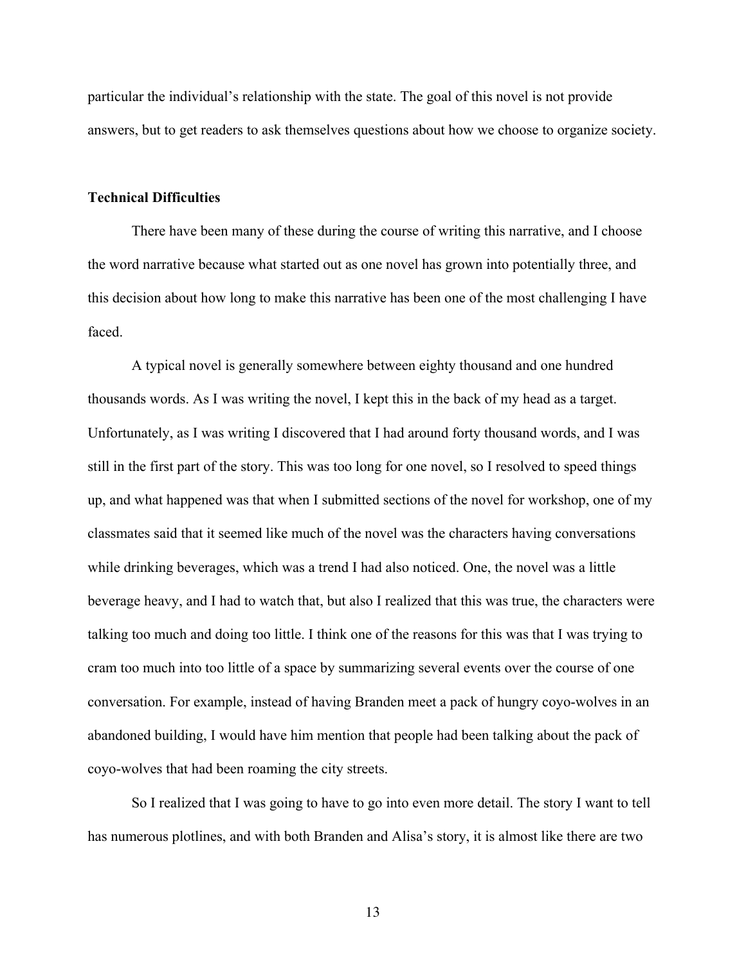particular the individual's relationship with the state. The goal of this novel is not provide answers, but to get readers to ask themselves questions about how we choose to organize society.

#### **Technical Difficulties**

There have been many of these during the course of writing this narrative, and I choose the word narrative because what started out as one novel has grown into potentially three, and this decision about how long to make this narrative has been one of the most challenging I have faced.

A typical novel is generally somewhere between eighty thousand and one hundred thousands words. As I was writing the novel, I kept this in the back of my head as a target. Unfortunately, as I was writing I discovered that I had around forty thousand words, and I was still in the first part of the story. This was too long for one novel, so I resolved to speed things up, and what happened was that when I submitted sections of the novel for workshop, one of my classmates said that it seemed like much of the novel was the characters having conversations while drinking beverages, which was a trend I had also noticed. One, the novel was a little beverage heavy, and I had to watch that, but also I realized that this was true, the characters were talking too much and doing too little. I think one of the reasons for this was that I was trying to cram too much into too little of a space by summarizing several events over the course of one conversation. For example, instead of having Branden meet a pack of hungry coyo-wolves in an abandoned building, I would have him mention that people had been talking about the pack of coyo-wolves that had been roaming the city streets.

So I realized that I was going to have to go into even more detail. The story I want to tell has numerous plotlines, and with both Branden and Alisa's story, it is almost like there are two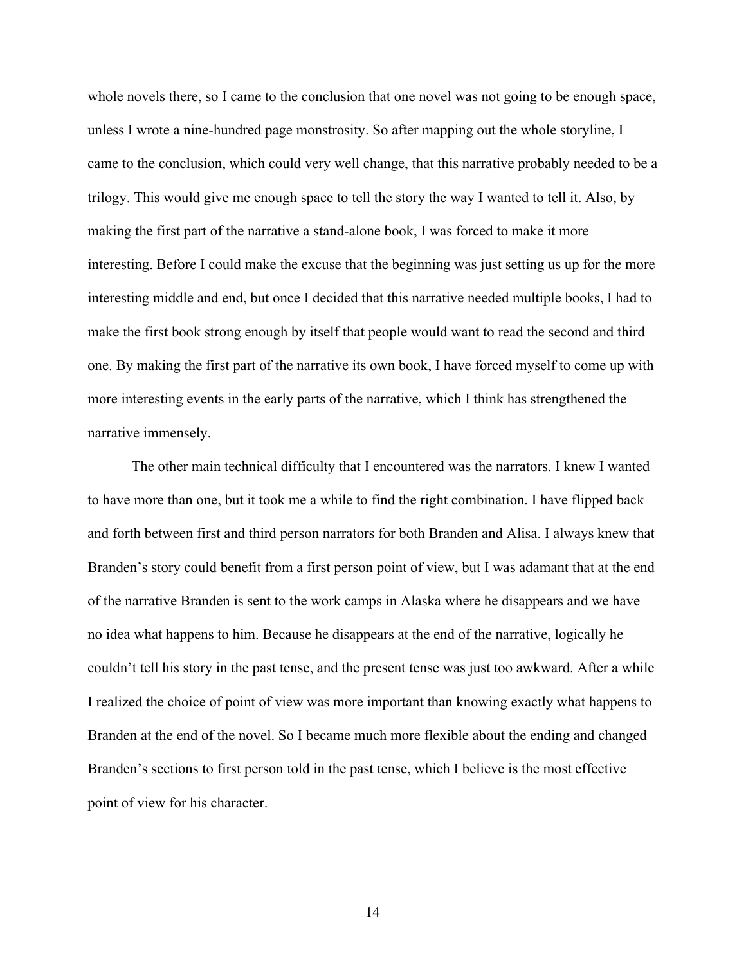whole novels there, so I came to the conclusion that one novel was not going to be enough space, unless I wrote a nine-hundred page monstrosity. So after mapping out the whole storyline, I came to the conclusion, which could very well change, that this narrative probably needed to be a trilogy. This would give me enough space to tell the story the way I wanted to tell it. Also, by making the first part of the narrative a stand-alone book, I was forced to make it more interesting. Before I could make the excuse that the beginning was just setting us up for the more interesting middle and end, but once I decided that this narrative needed multiple books, I had to make the first book strong enough by itself that people would want to read the second and third one. By making the first part of the narrative its own book, I have forced myself to come up with more interesting events in the early parts of the narrative, which I think has strengthened the narrative immensely.

The other main technical difficulty that I encountered was the narrators. I knew I wanted to have more than one, but it took me a while to find the right combination. I have flipped back and forth between first and third person narrators for both Branden and Alisa. I always knew that Branden's story could benefit from a first person point of view, but I was adamant that at the end of the narrative Branden is sent to the work camps in Alaska where he disappears and we have no idea what happens to him. Because he disappears at the end of the narrative, logically he couldn't tell his story in the past tense, and the present tense was just too awkward. After a while I realized the choice of point of view was more important than knowing exactly what happens to Branden at the end of the novel. So I became much more flexible about the ending and changed Branden's sections to first person told in the past tense, which I believe is the most effective point of view for his character.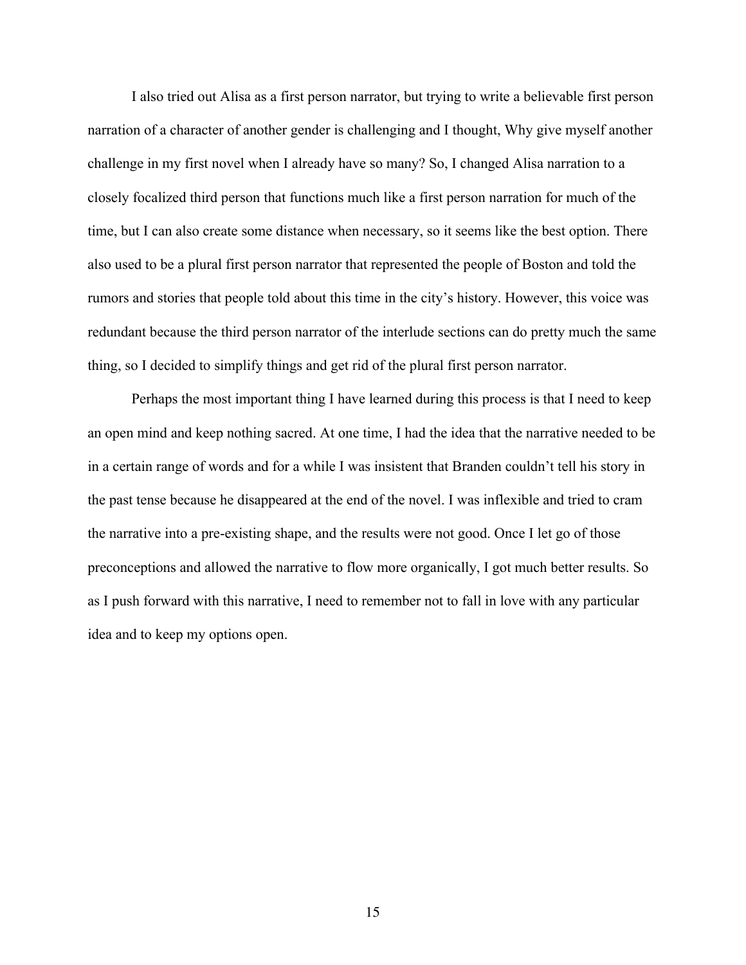I also tried out Alisa as a first person narrator, but trying to write a believable first person narration of a character of another gender is challenging and I thought, Why give myself another challenge in my first novel when I already have so many? So, I changed Alisa narration to a closely focalized third person that functions much like a first person narration for much of the time, but I can also create some distance when necessary, so it seems like the best option. There also used to be a plural first person narrator that represented the people of Boston and told the rumors and stories that people told about this time in the city's history. However, this voice was redundant because the third person narrator of the interlude sections can do pretty much the same thing, so I decided to simplify things and get rid of the plural first person narrator.

Perhaps the most important thing I have learned during this process is that I need to keep an open mind and keep nothing sacred. At one time, I had the idea that the narrative needed to be in a certain range of words and for a while I was insistent that Branden couldn't tell his story in the past tense because he disappeared at the end of the novel. I was inflexible and tried to cram the narrative into a pre-existing shape, and the results were not good. Once I let go of those preconceptions and allowed the narrative to flow more organically, I got much better results. So as I push forward with this narrative, I need to remember not to fall in love with any particular idea and to keep my options open.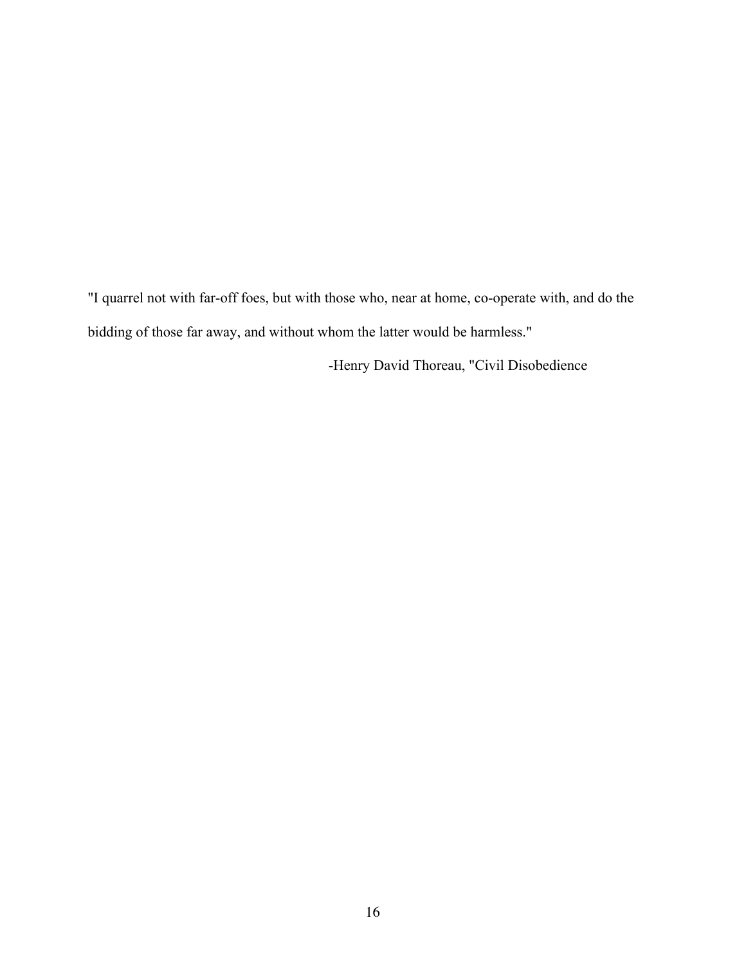"I quarrel not with far-off foes, but with those who, near at home, co-operate with, and do the bidding of those far away, and without whom the latter would be harmless."

-Henry David Thoreau, "Civil Disobedience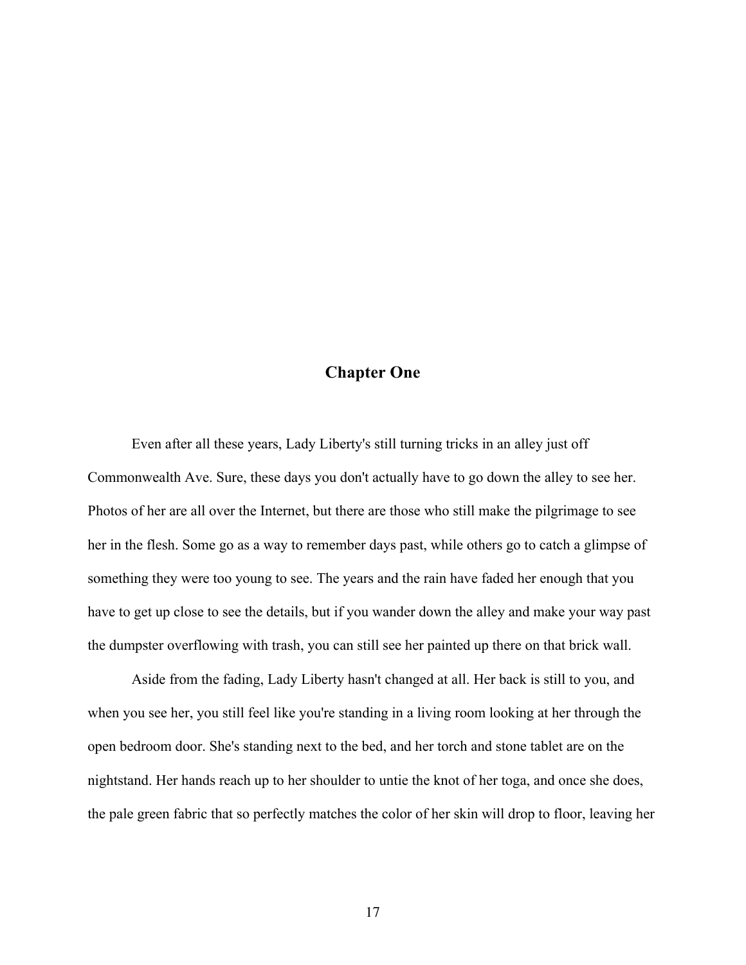# **Chapter One**

Even after all these years, Lady Liberty's still turning tricks in an alley just off Commonwealth Ave. Sure, these days you don't actually have to go down the alley to see her. Photos of her are all over the Internet, but there are those who still make the pilgrimage to see her in the flesh. Some go as a way to remember days past, while others go to catch a glimpse of something they were too young to see. The years and the rain have faded her enough that you have to get up close to see the details, but if you wander down the alley and make your way past the dumpster overflowing with trash, you can still see her painted up there on that brick wall.

Aside from the fading, Lady Liberty hasn't changed at all. Her back is still to you, and when you see her, you still feel like you're standing in a living room looking at her through the open bedroom door. She's standing next to the bed, and her torch and stone tablet are on the nightstand. Her hands reach up to her shoulder to untie the knot of her toga, and once she does, the pale green fabric that so perfectly matches the color of her skin will drop to floor, leaving her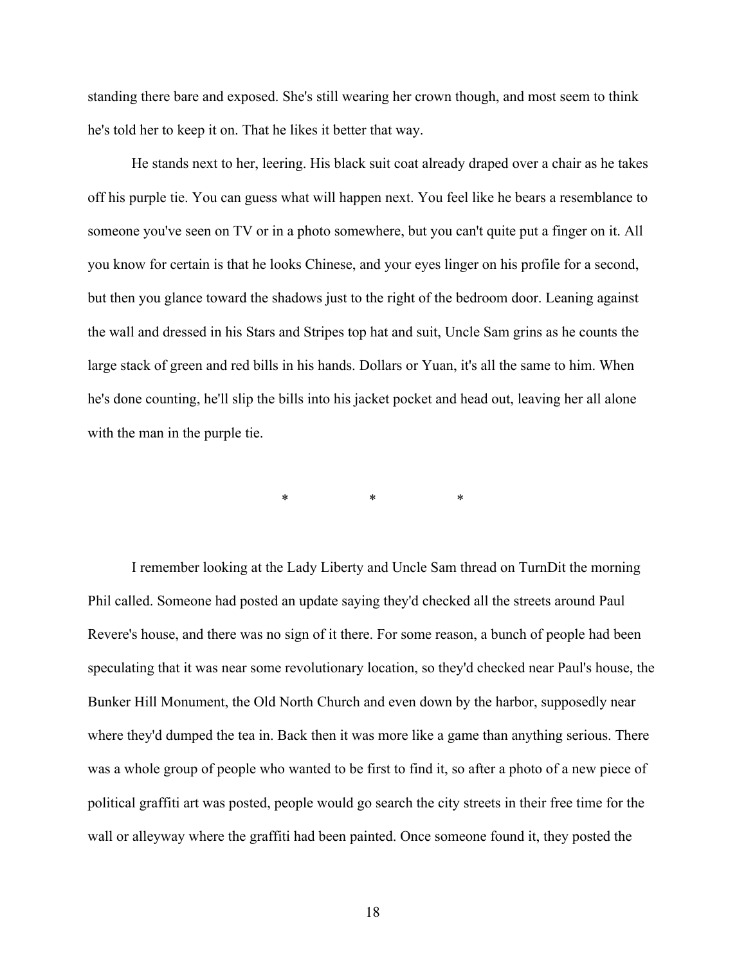standing there bare and exposed. She's still wearing her crown though, and most seem to think he's told her to keep it on. That he likes it better that way.

He stands next to her, leering. His black suit coat already draped over a chair as he takes off his purple tie. You can guess what will happen next. You feel like he bears a resemblance to someone you've seen on TV or in a photo somewhere, but you can't quite put a finger on it. All you know for certain is that he looks Chinese, and your eyes linger on his profile for a second, but then you glance toward the shadows just to the right of the bedroom door. Leaning against the wall and dressed in his Stars and Stripes top hat and suit, Uncle Sam grins as he counts the large stack of green and red bills in his hands. Dollars or Yuan, it's all the same to him. When he's done counting, he'll slip the bills into his jacket pocket and head out, leaving her all alone with the man in the purple tie.

\* \* \* \* \*

I remember looking at the Lady Liberty and Uncle Sam thread on TurnDit the morning Phil called. Someone had posted an update saying they'd checked all the streets around Paul Revere's house, and there was no sign of it there. For some reason, a bunch of people had been speculating that it was near some revolutionary location, so they'd checked near Paul's house, the Bunker Hill Monument, the Old North Church and even down by the harbor, supposedly near where they'd dumped the tea in. Back then it was more like a game than anything serious. There was a whole group of people who wanted to be first to find it, so after a photo of a new piece of political graffiti art was posted, people would go search the city streets in their free time for the wall or alleyway where the graffiti had been painted. Once someone found it, they posted the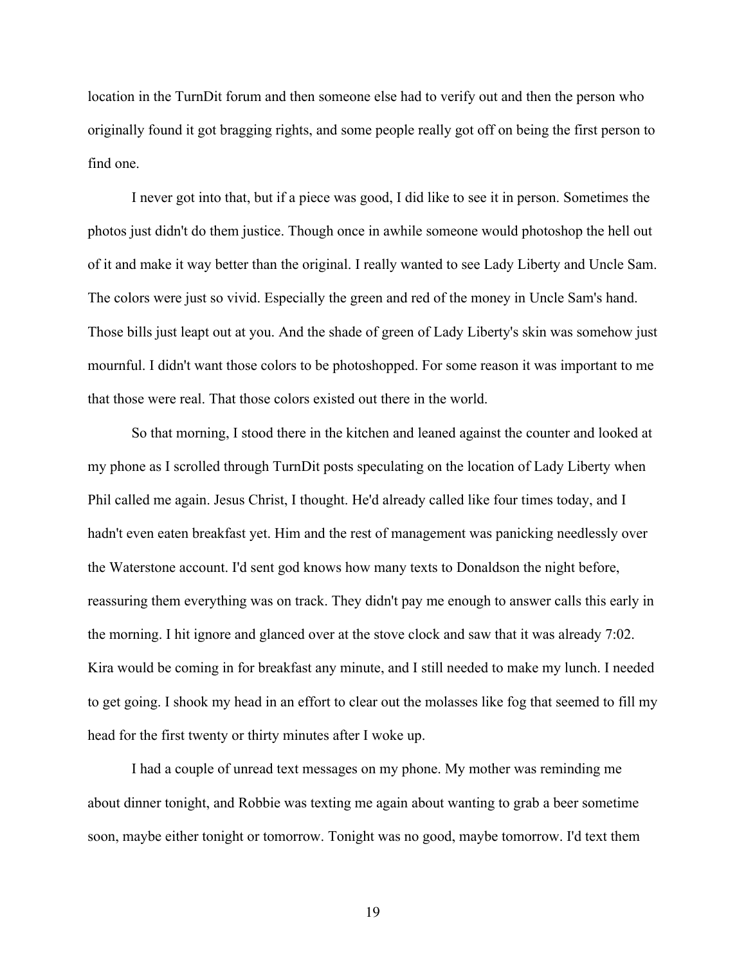location in the TurnDit forum and then someone else had to verify out and then the person who originally found it got bragging rights, and some people really got off on being the first person to find one.

I never got into that, but if a piece was good, I did like to see it in person. Sometimes the photos just didn't do them justice. Though once in awhile someone would photoshop the hell out of it and make it way better than the original. I really wanted to see Lady Liberty and Uncle Sam. The colors were just so vivid. Especially the green and red of the money in Uncle Sam's hand. Those bills just leapt out at you. And the shade of green of Lady Liberty's skin was somehow just mournful. I didn't want those colors to be photoshopped. For some reason it was important to me that those were real. That those colors existed out there in the world.

So that morning, I stood there in the kitchen and leaned against the counter and looked at my phone as I scrolled through TurnDit posts speculating on the location of Lady Liberty when Phil called me again. Jesus Christ, I thought. He'd already called like four times today, and I hadn't even eaten breakfast yet. Him and the rest of management was panicking needlessly over the Waterstone account. I'd sent god knows how many texts to Donaldson the night before, reassuring them everything was on track. They didn't pay me enough to answer calls this early in the morning. I hit ignore and glanced over at the stove clock and saw that it was already 7:02. Kira would be coming in for breakfast any minute, and I still needed to make my lunch. I needed to get going. I shook my head in an effort to clear out the molasses like fog that seemed to fill my head for the first twenty or thirty minutes after I woke up.

I had a couple of unread text messages on my phone. My mother was reminding me about dinner tonight, and Robbie was texting me again about wanting to grab a beer sometime soon, maybe either tonight or tomorrow. Tonight was no good, maybe tomorrow. I'd text them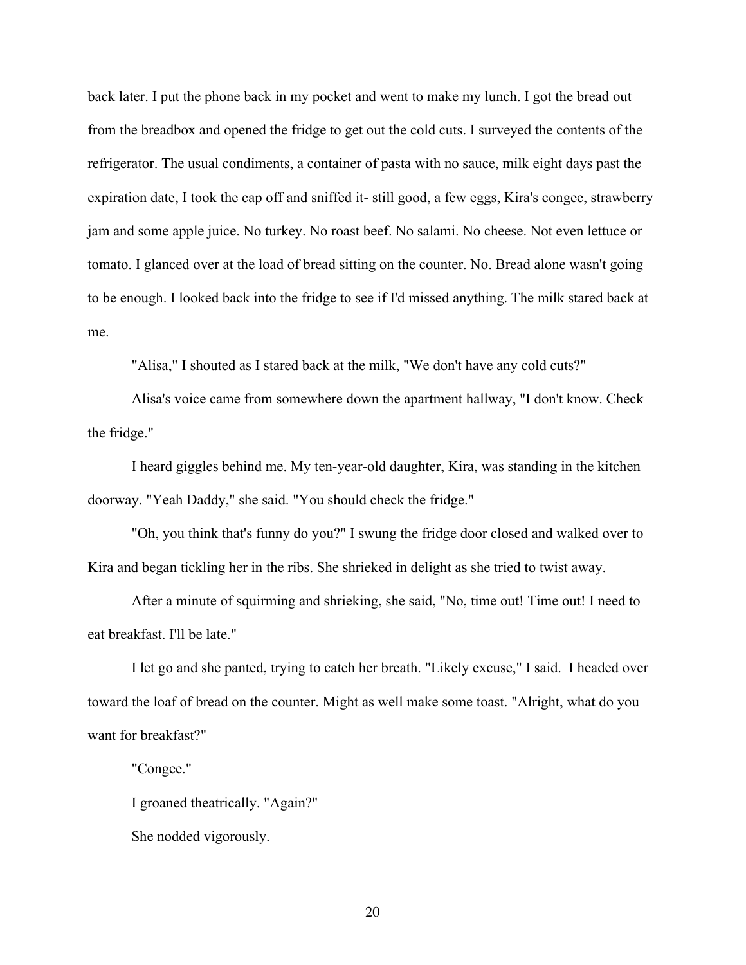back later. I put the phone back in my pocket and went to make my lunch. I got the bread out from the breadbox and opened the fridge to get out the cold cuts. I surveyed the contents of the refrigerator. The usual condiments, a container of pasta with no sauce, milk eight days past the expiration date, I took the cap off and sniffed it- still good, a few eggs, Kira's congee, strawberry jam and some apple juice. No turkey. No roast beef. No salami. No cheese. Not even lettuce or tomato. I glanced over at the load of bread sitting on the counter. No. Bread alone wasn't going to be enough. I looked back into the fridge to see if I'd missed anything. The milk stared back at me.

"Alisa," I shouted as I stared back at the milk, "We don't have any cold cuts?"

Alisa's voice came from somewhere down the apartment hallway, "I don't know. Check the fridge."

I heard giggles behind me. My ten-year-old daughter, Kira, was standing in the kitchen doorway. "Yeah Daddy," she said. "You should check the fridge."

"Oh, you think that's funny do you?" I swung the fridge door closed and walked over to Kira and began tickling her in the ribs. She shrieked in delight as she tried to twist away.

After a minute of squirming and shrieking, she said, "No, time out! Time out! I need to eat breakfast. I'll be late."

I let go and she panted, trying to catch her breath. "Likely excuse," I said. I headed over toward the loaf of bread on the counter. Might as well make some toast. "Alright, what do you want for breakfast?"

"Congee."

I groaned theatrically. "Again?"

She nodded vigorously.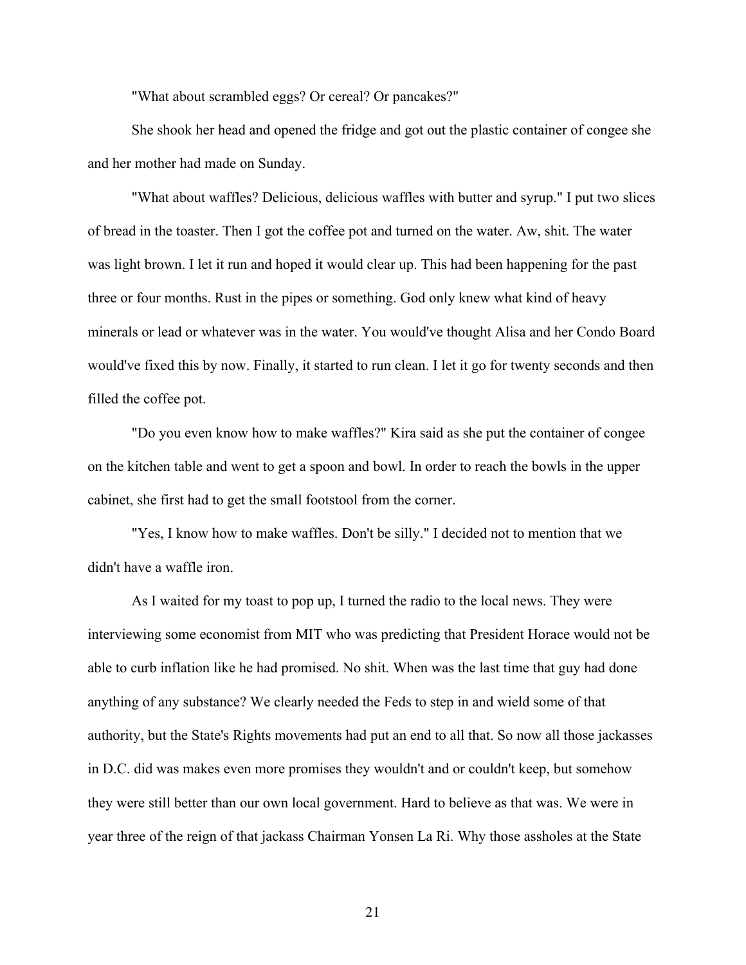"What about scrambled eggs? Or cereal? Or pancakes?"

She shook her head and opened the fridge and got out the plastic container of congee she and her mother had made on Sunday.

"What about waffles? Delicious, delicious waffles with butter and syrup." I put two slices of bread in the toaster. Then I got the coffee pot and turned on the water. Aw, shit. The water was light brown. I let it run and hoped it would clear up. This had been happening for the past three or four months. Rust in the pipes or something. God only knew what kind of heavy minerals or lead or whatever was in the water. You would've thought Alisa and her Condo Board would've fixed this by now. Finally, it started to run clean. I let it go for twenty seconds and then filled the coffee pot.

"Do you even know how to make waffles?" Kira said as she put the container of congee on the kitchen table and went to get a spoon and bowl. In order to reach the bowls in the upper cabinet, she first had to get the small footstool from the corner.

"Yes, I know how to make waffles. Don't be silly." I decided not to mention that we didn't have a waffle iron.

As I waited for my toast to pop up, I turned the radio to the local news. They were interviewing some economist from MIT who was predicting that President Horace would not be able to curb inflation like he had promised. No shit. When was the last time that guy had done anything of any substance? We clearly needed the Feds to step in and wield some of that authority, but the State's Rights movements had put an end to all that. So now all those jackasses in D.C. did was makes even more promises they wouldn't and or couldn't keep, but somehow they were still better than our own local government. Hard to believe as that was. We were in year three of the reign of that jackass Chairman Yonsen La Ri. Why those assholes at the State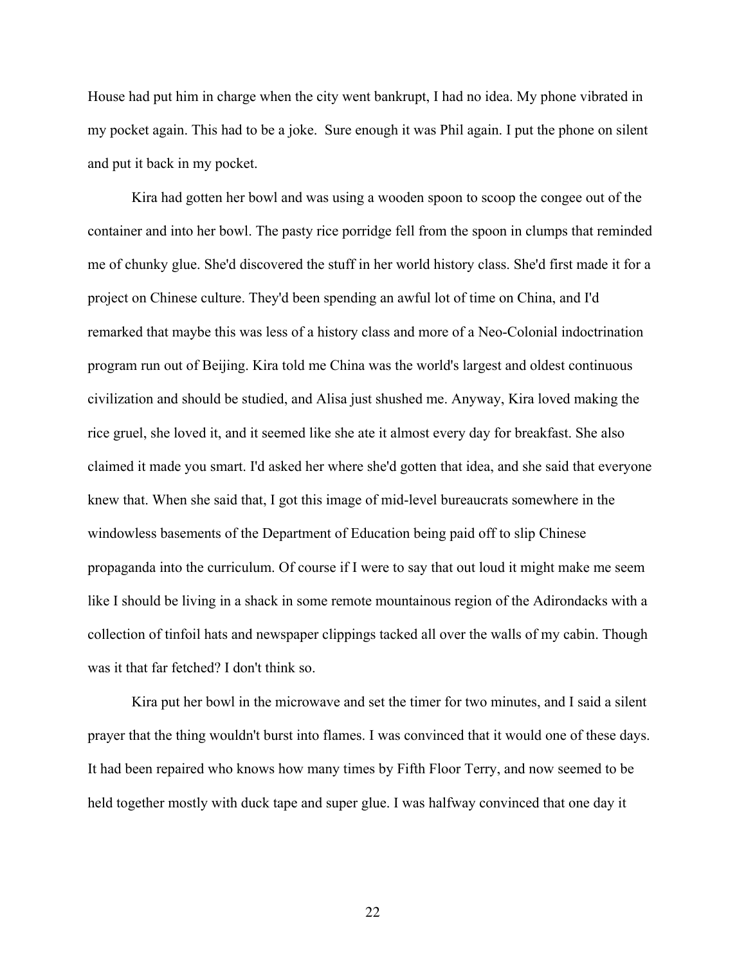House had put him in charge when the city went bankrupt, I had no idea. My phone vibrated in my pocket again. This had to be a joke. Sure enough it was Phil again. I put the phone on silent and put it back in my pocket.

Kira had gotten her bowl and was using a wooden spoon to scoop the congee out of the container and into her bowl. The pasty rice porridge fell from the spoon in clumps that reminded me of chunky glue. She'd discovered the stuff in her world history class. She'd first made it for a project on Chinese culture. They'd been spending an awful lot of time on China, and I'd remarked that maybe this was less of a history class and more of a Neo-Colonial indoctrination program run out of Beijing. Kira told me China was the world's largest and oldest continuous civilization and should be studied, and Alisa just shushed me. Anyway, Kira loved making the rice gruel, she loved it, and it seemed like she ate it almost every day for breakfast. She also claimed it made you smart. I'd asked her where she'd gotten that idea, and she said that everyone knew that. When she said that, I got this image of mid-level bureaucrats somewhere in the windowless basements of the Department of Education being paid off to slip Chinese propaganda into the curriculum. Of course if I were to say that out loud it might make me seem like I should be living in a shack in some remote mountainous region of the Adirondacks with a collection of tinfoil hats and newspaper clippings tacked all over the walls of my cabin. Though was it that far fetched? I don't think so.

Kira put her bowl in the microwave and set the timer for two minutes, and I said a silent prayer that the thing wouldn't burst into flames. I was convinced that it would one of these days. It had been repaired who knows how many times by Fifth Floor Terry, and now seemed to be held together mostly with duck tape and super glue. I was halfway convinced that one day it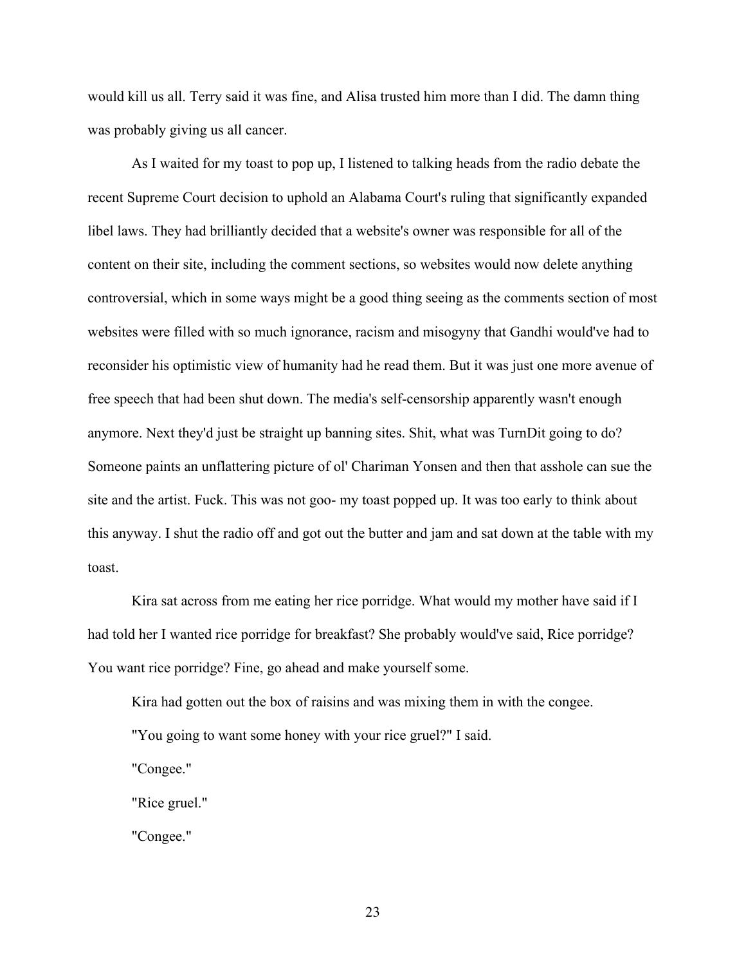would kill us all. Terry said it was fine, and Alisa trusted him more than I did. The damn thing was probably giving us all cancer.

As I waited for my toast to pop up, I listened to talking heads from the radio debate the recent Supreme Court decision to uphold an Alabama Court's ruling that significantly expanded libel laws. They had brilliantly decided that a website's owner was responsible for all of the content on their site, including the comment sections, so websites would now delete anything controversial, which in some ways might be a good thing seeing as the comments section of most websites were filled with so much ignorance, racism and misogyny that Gandhi would've had to reconsider his optimistic view of humanity had he read them. But it was just one more avenue of free speech that had been shut down. The media's self-censorship apparently wasn't enough anymore. Next they'd just be straight up banning sites. Shit, what was TurnDit going to do? Someone paints an unflattering picture of ol' Chariman Yonsen and then that asshole can sue the site and the artist. Fuck. This was not goo- my toast popped up. It was too early to think about this anyway. I shut the radio off and got out the butter and jam and sat down at the table with my toast.

Kira sat across from me eating her rice porridge. What would my mother have said if I had told her I wanted rice porridge for breakfast? She probably would've said, Rice porridge? You want rice porridge? Fine, go ahead and make yourself some.

Kira had gotten out the box of raisins and was mixing them in with the congee. "You going to want some honey with your rice gruel?" I said.

"Congee."

"Rice gruel."

"Congee."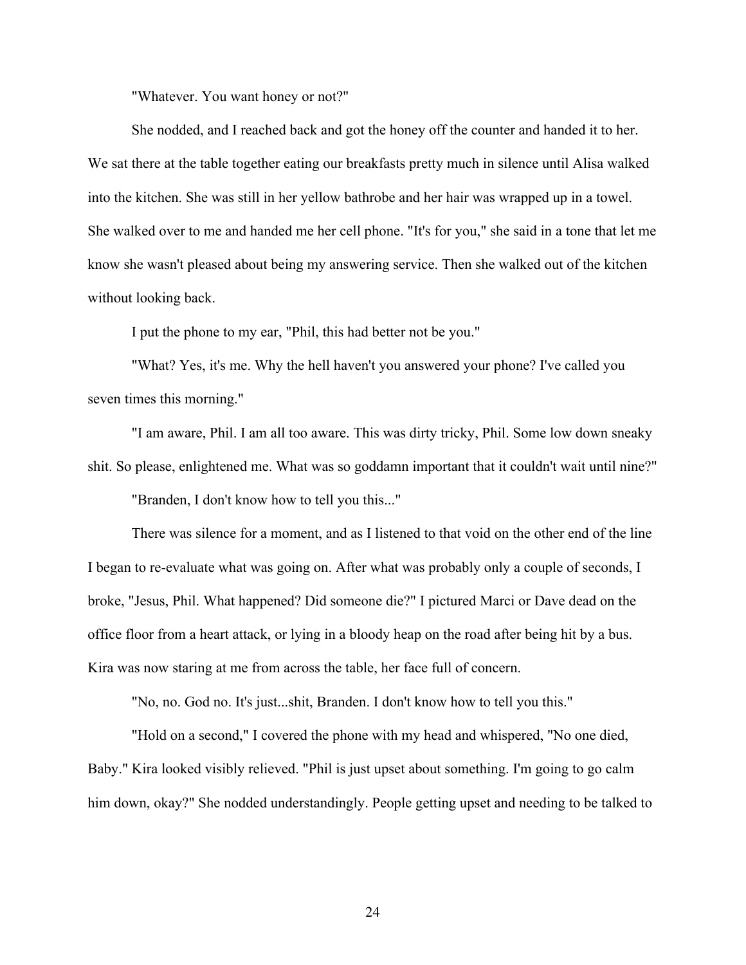"Whatever. You want honey or not?"

She nodded, and I reached back and got the honey off the counter and handed it to her. We sat there at the table together eating our breakfasts pretty much in silence until Alisa walked into the kitchen. She was still in her yellow bathrobe and her hair was wrapped up in a towel. She walked over to me and handed me her cell phone. "It's for you," she said in a tone that let me know she wasn't pleased about being my answering service. Then she walked out of the kitchen without looking back.

I put the phone to my ear, "Phil, this had better not be you."

"What? Yes, it's me. Why the hell haven't you answered your phone? I've called you seven times this morning."

"I am aware, Phil. I am all too aware. This was dirty tricky, Phil. Some low down sneaky shit. So please, enlightened me. What was so goddamn important that it couldn't wait until nine?" "Branden, I don't know how to tell you this..."

There was silence for a moment, and as I listened to that void on the other end of the line

I began to re-evaluate what was going on. After what was probably only a couple of seconds, I broke, "Jesus, Phil. What happened? Did someone die?" I pictured Marci or Dave dead on the office floor from a heart attack, or lying in a bloody heap on the road after being hit by a bus. Kira was now staring at me from across the table, her face full of concern.

"No, no. God no. It's just...shit, Branden. I don't know how to tell you this."

"Hold on a second," I covered the phone with my head and whispered, "No one died, Baby." Kira looked visibly relieved. "Phil is just upset about something. I'm going to go calm him down, okay?" She nodded understandingly. People getting upset and needing to be talked to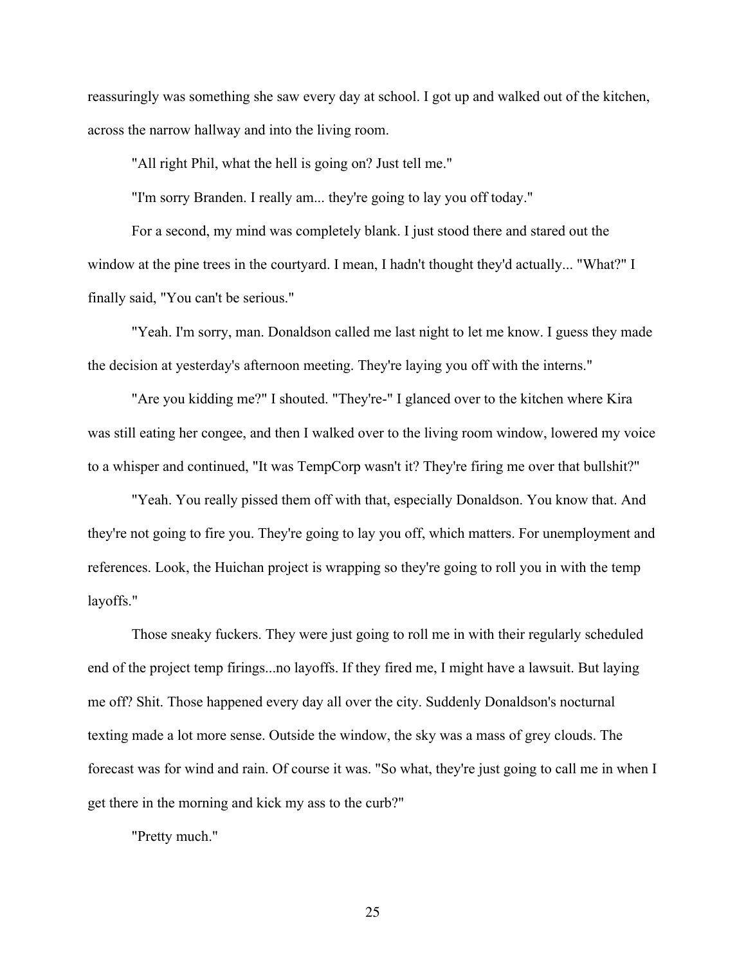reassuringly was something she saw every day at school. I got up and walked out of the kitchen, across the narrow hallway and into the living room.

"All right Phil, what the hell is going on? Just tell me."

"I'm sorry Branden. I really am... they're going to lay you off today."

For a second, my mind was completely blank. I just stood there and stared out the window at the pine trees in the courtyard. I mean, I hadn't thought they'd actually... "What?" I finally said, "You can't be serious."

"Yeah. I'm sorry, man. Donaldson called me last night to let me know. I guess they made the decision at yesterday's afternoon meeting. They're laying you off with the interns."

"Are you kidding me?" I shouted. "They're-" I glanced over to the kitchen where Kira was still eating her congee, and then I walked over to the living room window, lowered my voice to a whisper and continued, "It was TempCorp wasn't it? They're firing me over that bullshit?"

"Yeah. You really pissed them off with that, especially Donaldson. You know that. And they're not going to fire you. They're going to lay you off, which matters. For unemployment and references. Look, the Huichan project is wrapping so they're going to roll you in with the temp layoffs."

Those sneaky fuckers. They were just going to roll me in with their regularly scheduled end of the project temp firings...no layoffs. If they fired me, I might have a lawsuit. But laying me off? Shit. Those happened every day all over the city. Suddenly Donaldson's nocturnal texting made a lot more sense. Outside the window, the sky was a mass of grey clouds. The forecast was for wind and rain. Of course it was. "So what, they're just going to call me in when I get there in the morning and kick my ass to the curb?"

"Pretty much."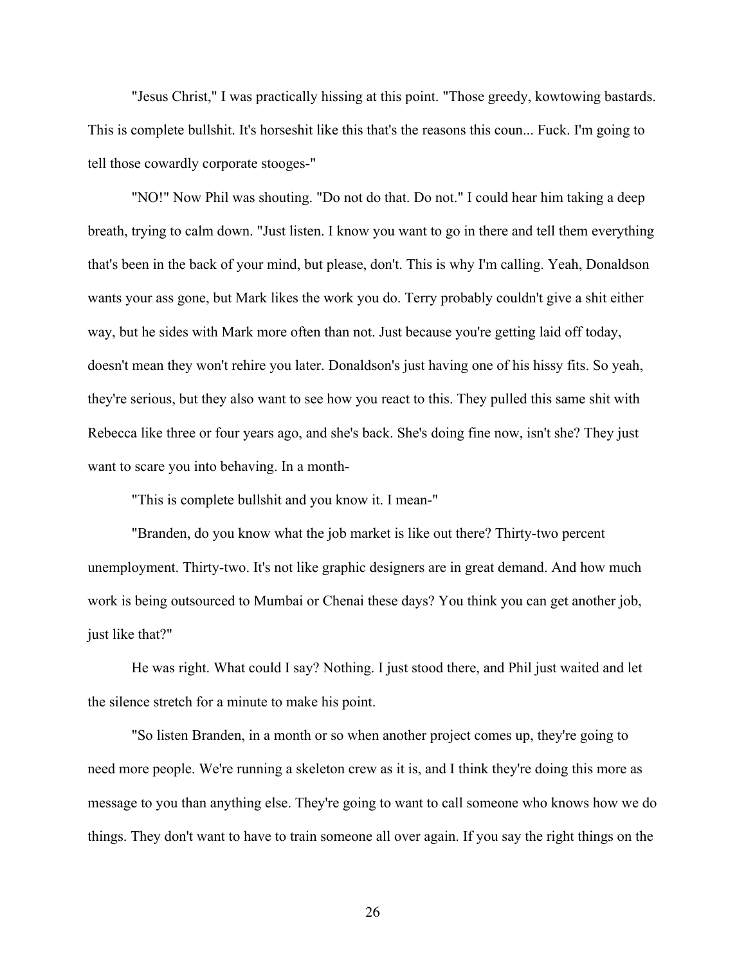"Jesus Christ," I was practically hissing at this point. "Those greedy, kowtowing bastards. This is complete bullshit. It's horseshit like this that's the reasons this coun... Fuck. I'm going to tell those cowardly corporate stooges-"

"NO!" Now Phil was shouting. "Do not do that. Do not." I could hear him taking a deep breath, trying to calm down. "Just listen. I know you want to go in there and tell them everything that's been in the back of your mind, but please, don't. This is why I'm calling. Yeah, Donaldson wants your ass gone, but Mark likes the work you do. Terry probably couldn't give a shit either way, but he sides with Mark more often than not. Just because you're getting laid off today, doesn't mean they won't rehire you later. Donaldson's just having one of his hissy fits. So yeah, they're serious, but they also want to see how you react to this. They pulled this same shit with Rebecca like three or four years ago, and she's back. She's doing fine now, isn't she? They just want to scare you into behaving. In a month-

"This is complete bullshit and you know it. I mean-"

"Branden, do you know what the job market is like out there? Thirty-two percent unemployment. Thirty-two. It's not like graphic designers are in great demand. And how much work is being outsourced to Mumbai or Chenai these days? You think you can get another job, just like that?"

He was right. What could I say? Nothing. I just stood there, and Phil just waited and let the silence stretch for a minute to make his point.

"So listen Branden, in a month or so when another project comes up, they're going to need more people. We're running a skeleton crew as it is, and I think they're doing this more as message to you than anything else. They're going to want to call someone who knows how we do things. They don't want to have to train someone all over again. If you say the right things on the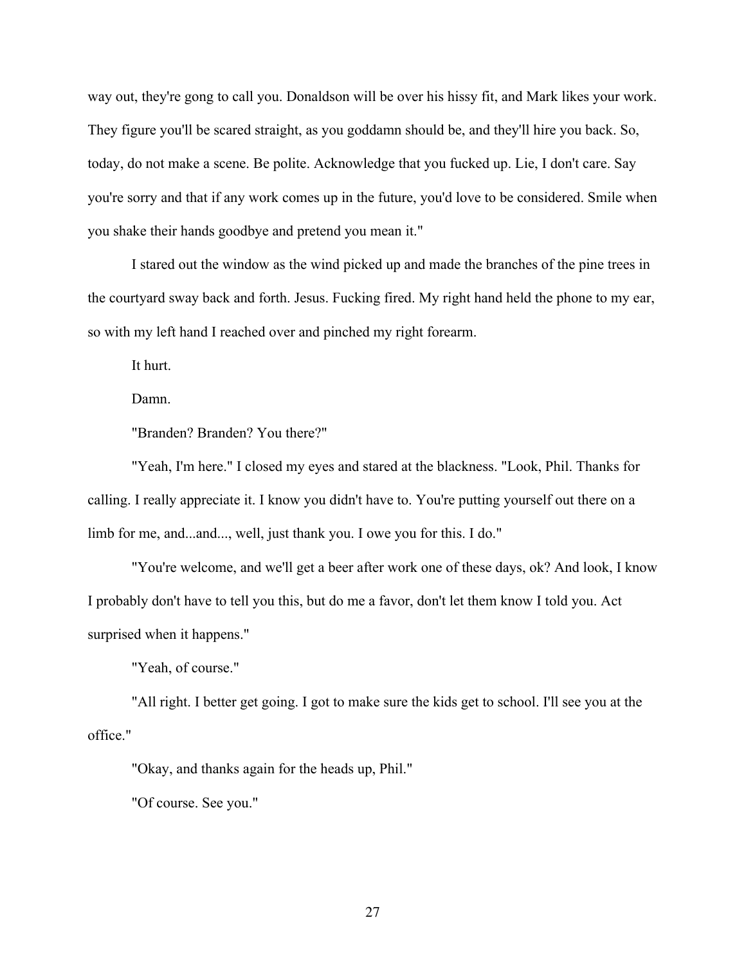way out, they're gong to call you. Donaldson will be over his hissy fit, and Mark likes your work. They figure you'll be scared straight, as you goddamn should be, and they'll hire you back. So, today, do not make a scene. Be polite. Acknowledge that you fucked up. Lie, I don't care. Say you're sorry and that if any work comes up in the future, you'd love to be considered. Smile when you shake their hands goodbye and pretend you mean it."

I stared out the window as the wind picked up and made the branches of the pine trees in the courtyard sway back and forth. Jesus. Fucking fired. My right hand held the phone to my ear, so with my left hand I reached over and pinched my right forearm.

It hurt.

Damn.

"Branden? Branden? You there?"

"Yeah, I'm here." I closed my eyes and stared at the blackness. "Look, Phil. Thanks for calling. I really appreciate it. I know you didn't have to. You're putting yourself out there on a limb for me, and...and..., well, just thank you. I owe you for this. I do."

"You're welcome, and we'll get a beer after work one of these days, ok? And look, I know I probably don't have to tell you this, but do me a favor, don't let them know I told you. Act surprised when it happens."

"Yeah, of course."

"All right. I better get going. I got to make sure the kids get to school. I'll see you at the office."

"Okay, and thanks again for the heads up, Phil."

"Of course. See you."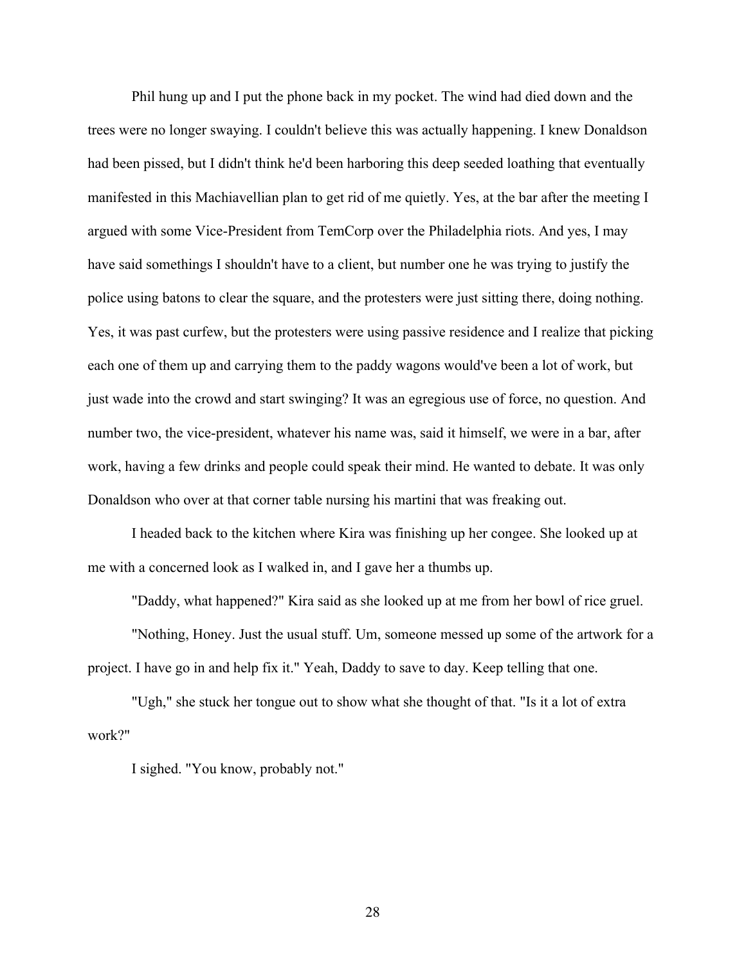Phil hung up and I put the phone back in my pocket. The wind had died down and the trees were no longer swaying. I couldn't believe this was actually happening. I knew Donaldson had been pissed, but I didn't think he'd been harboring this deep seeded loathing that eventually manifested in this Machiavellian plan to get rid of me quietly. Yes, at the bar after the meeting I argued with some Vice-President from TemCorp over the Philadelphia riots. And yes, I may have said somethings I shouldn't have to a client, but number one he was trying to justify the police using batons to clear the square, and the protesters were just sitting there, doing nothing. Yes, it was past curfew, but the protesters were using passive residence and I realize that picking each one of them up and carrying them to the paddy wagons would've been a lot of work, but just wade into the crowd and start swinging? It was an egregious use of force, no question. And number two, the vice-president, whatever his name was, said it himself, we were in a bar, after work, having a few drinks and people could speak their mind. He wanted to debate. It was only Donaldson who over at that corner table nursing his martini that was freaking out.

I headed back to the kitchen where Kira was finishing up her congee. She looked up at me with a concerned look as I walked in, and I gave her a thumbs up.

"Daddy, what happened?" Kira said as she looked up at me from her bowl of rice gruel.

"Nothing, Honey. Just the usual stuff. Um, someone messed up some of the artwork for a project. I have go in and help fix it." Yeah, Daddy to save to day. Keep telling that one.

"Ugh," she stuck her tongue out to show what she thought of that. "Is it a lot of extra work?"

I sighed. "You know, probably not."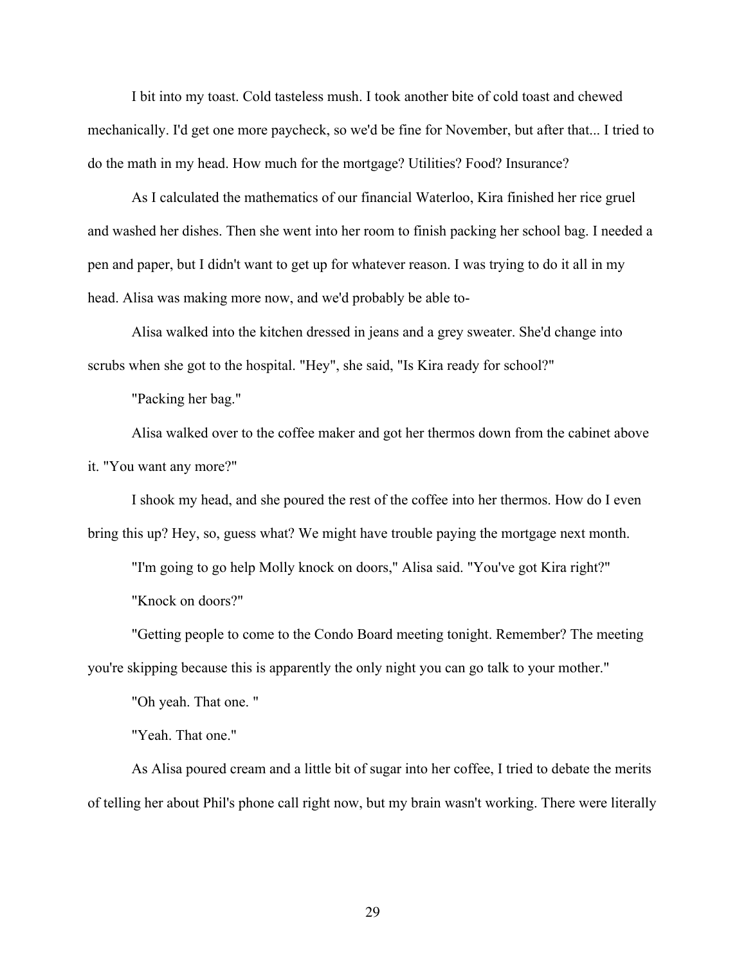I bit into my toast. Cold tasteless mush. I took another bite of cold toast and chewed mechanically. I'd get one more paycheck, so we'd be fine for November, but after that... I tried to do the math in my head. How much for the mortgage? Utilities? Food? Insurance?

As I calculated the mathematics of our financial Waterloo, Kira finished her rice gruel and washed her dishes. Then she went into her room to finish packing her school bag. I needed a pen and paper, but I didn't want to get up for whatever reason. I was trying to do it all in my head. Alisa was making more now, and we'd probably be able to-

Alisa walked into the kitchen dressed in jeans and a grey sweater. She'd change into scrubs when she got to the hospital. "Hey", she said, "Is Kira ready for school?"

"Packing her bag."

Alisa walked over to the coffee maker and got her thermos down from the cabinet above it. "You want any more?"

I shook my head, and she poured the rest of the coffee into her thermos. How do I even bring this up? Hey, so, guess what? We might have trouble paying the mortgage next month.

"I'm going to go help Molly knock on doors," Alisa said. "You've got Kira right?" "Knock on doors?"

"Getting people to come to the Condo Board meeting tonight. Remember? The meeting you're skipping because this is apparently the only night you can go talk to your mother."

"Oh yeah. That one. "

"Yeah. That one."

As Alisa poured cream and a little bit of sugar into her coffee, I tried to debate the merits of telling her about Phil's phone call right now, but my brain wasn't working. There were literally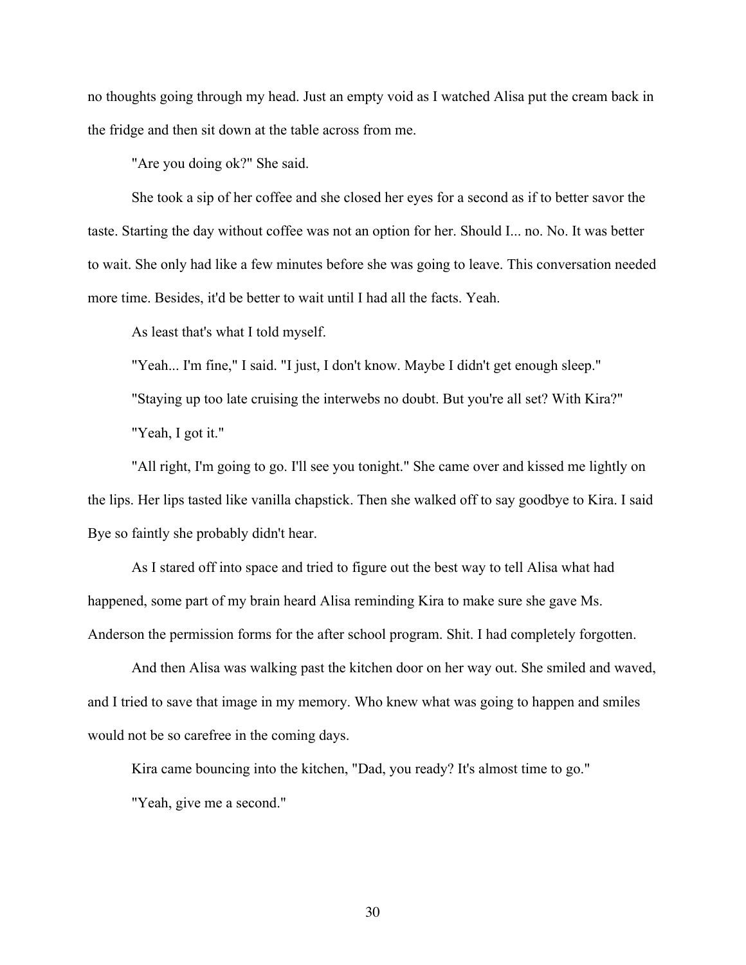no thoughts going through my head. Just an empty void as I watched Alisa put the cream back in the fridge and then sit down at the table across from me.

"Are you doing ok?" She said.

She took a sip of her coffee and she closed her eyes for a second as if to better savor the taste. Starting the day without coffee was not an option for her. Should I... no. No. It was better to wait. She only had like a few minutes before she was going to leave. This conversation needed more time. Besides, it'd be better to wait until I had all the facts. Yeah.

As least that's what I told myself.

"Yeah... I'm fine," I said. "I just, I don't know. Maybe I didn't get enough sleep." "Staying up too late cruising the interwebs no doubt. But you're all set? With Kira?" "Yeah, I got it."

"All right, I'm going to go. I'll see you tonight." She came over and kissed me lightly on the lips. Her lips tasted like vanilla chapstick. Then she walked off to say goodbye to Kira. I said Bye so faintly she probably didn't hear.

As I stared off into space and tried to figure out the best way to tell Alisa what had happened, some part of my brain heard Alisa reminding Kira to make sure she gave Ms. Anderson the permission forms for the after school program. Shit. I had completely forgotten.

And then Alisa was walking past the kitchen door on her way out. She smiled and waved, and I tried to save that image in my memory. Who knew what was going to happen and smiles would not be so carefree in the coming days.

Kira came bouncing into the kitchen, "Dad, you ready? It's almost time to go."

"Yeah, give me a second."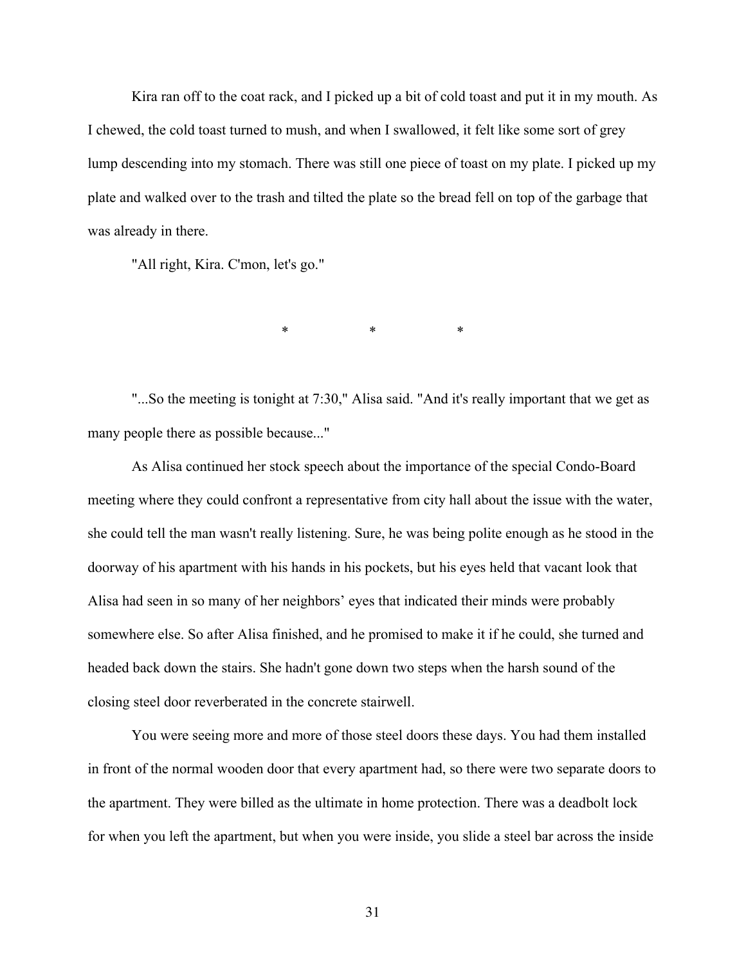Kira ran off to the coat rack, and I picked up a bit of cold toast and put it in my mouth. As I chewed, the cold toast turned to mush, and when I swallowed, it felt like some sort of grey lump descending into my stomach. There was still one piece of toast on my plate. I picked up my plate and walked over to the trash and tilted the plate so the bread fell on top of the garbage that was already in there.

"All right, Kira. C'mon, let's go."

\* \* \* \* \*

"...So the meeting is tonight at 7:30," Alisa said. "And it's really important that we get as many people there as possible because..."

As Alisa continued her stock speech about the importance of the special Condo-Board meeting where they could confront a representative from city hall about the issue with the water, she could tell the man wasn't really listening. Sure, he was being polite enough as he stood in the doorway of his apartment with his hands in his pockets, but his eyes held that vacant look that Alisa had seen in so many of her neighbors' eyes that indicated their minds were probably somewhere else. So after Alisa finished, and he promised to make it if he could, she turned and headed back down the stairs. She hadn't gone down two steps when the harsh sound of the closing steel door reverberated in the concrete stairwell.

You were seeing more and more of those steel doors these days. You had them installed in front of the normal wooden door that every apartment had, so there were two separate doors to the apartment. They were billed as the ultimate in home protection. There was a deadbolt lock for when you left the apartment, but when you were inside, you slide a steel bar across the inside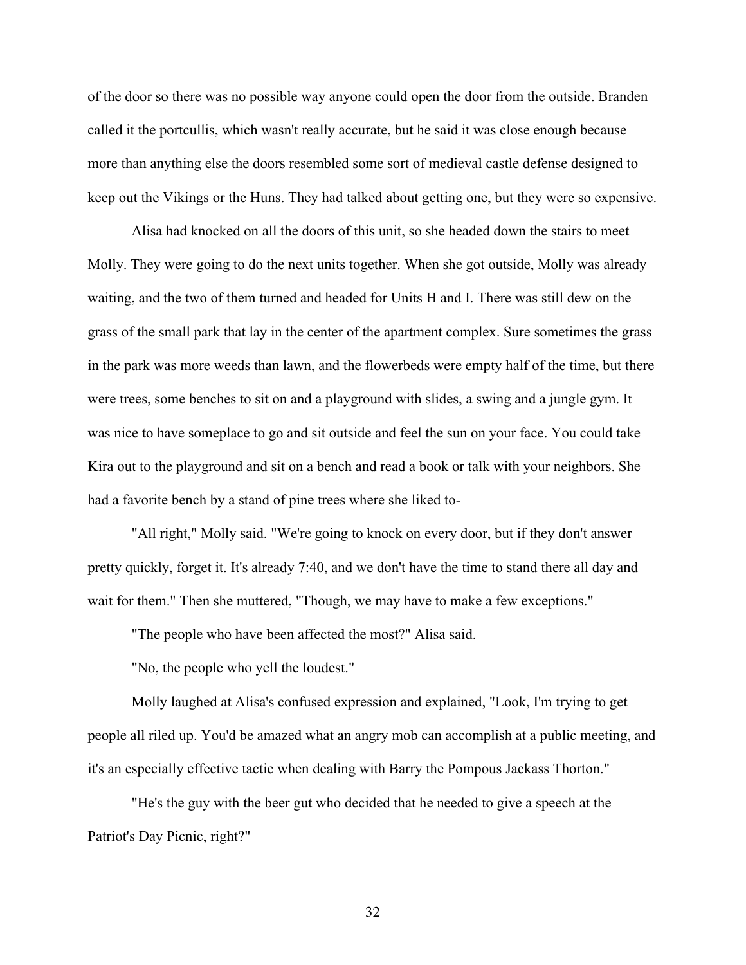of the door so there was no possible way anyone could open the door from the outside. Branden called it the portcullis, which wasn't really accurate, but he said it was close enough because more than anything else the doors resembled some sort of medieval castle defense designed to keep out the Vikings or the Huns. They had talked about getting one, but they were so expensive.

Alisa had knocked on all the doors of this unit, so she headed down the stairs to meet Molly. They were going to do the next units together. When she got outside, Molly was already waiting, and the two of them turned and headed for Units H and I. There was still dew on the grass of the small park that lay in the center of the apartment complex. Sure sometimes the grass in the park was more weeds than lawn, and the flowerbeds were empty half of the time, but there were trees, some benches to sit on and a playground with slides, a swing and a jungle gym. It was nice to have someplace to go and sit outside and feel the sun on your face. You could take Kira out to the playground and sit on a bench and read a book or talk with your neighbors. She had a favorite bench by a stand of pine trees where she liked to-

"All right," Molly said. "We're going to knock on every door, but if they don't answer pretty quickly, forget it. It's already 7:40, and we don't have the time to stand there all day and wait for them." Then she muttered, "Though, we may have to make a few exceptions."

"The people who have been affected the most?" Alisa said.

"No, the people who yell the loudest."

Molly laughed at Alisa's confused expression and explained, "Look, I'm trying to get people all riled up. You'd be amazed what an angry mob can accomplish at a public meeting, and it's an especially effective tactic when dealing with Barry the Pompous Jackass Thorton."

"He's the guy with the beer gut who decided that he needed to give a speech at the Patriot's Day Picnic, right?"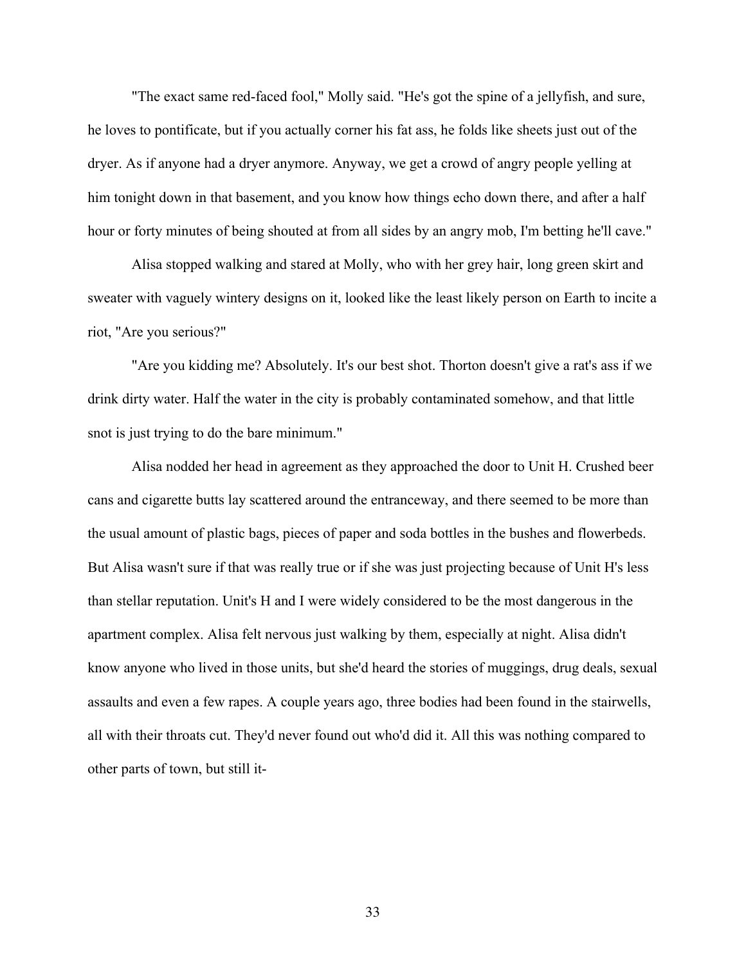"The exact same red-faced fool," Molly said. "He's got the spine of a jellyfish, and sure, he loves to pontificate, but if you actually corner his fat ass, he folds like sheets just out of the dryer. As if anyone had a dryer anymore. Anyway, we get a crowd of angry people yelling at him tonight down in that basement, and you know how things echo down there, and after a half hour or forty minutes of being shouted at from all sides by an angry mob, I'm betting he'll cave."

Alisa stopped walking and stared at Molly, who with her grey hair, long green skirt and sweater with vaguely wintery designs on it, looked like the least likely person on Earth to incite a riot, "Are you serious?"

"Are you kidding me? Absolutely. It's our best shot. Thorton doesn't give a rat's ass if we drink dirty water. Half the water in the city is probably contaminated somehow, and that little snot is just trying to do the bare minimum."

Alisa nodded her head in agreement as they approached the door to Unit H. Crushed beer cans and cigarette butts lay scattered around the entranceway, and there seemed to be more than the usual amount of plastic bags, pieces of paper and soda bottles in the bushes and flowerbeds. But Alisa wasn't sure if that was really true or if she was just projecting because of Unit H's less than stellar reputation. Unit's H and I were widely considered to be the most dangerous in the apartment complex. Alisa felt nervous just walking by them, especially at night. Alisa didn't know anyone who lived in those units, but she'd heard the stories of muggings, drug deals, sexual assaults and even a few rapes. A couple years ago, three bodies had been found in the stairwells, all with their throats cut. They'd never found out who'd did it. All this was nothing compared to other parts of town, but still it-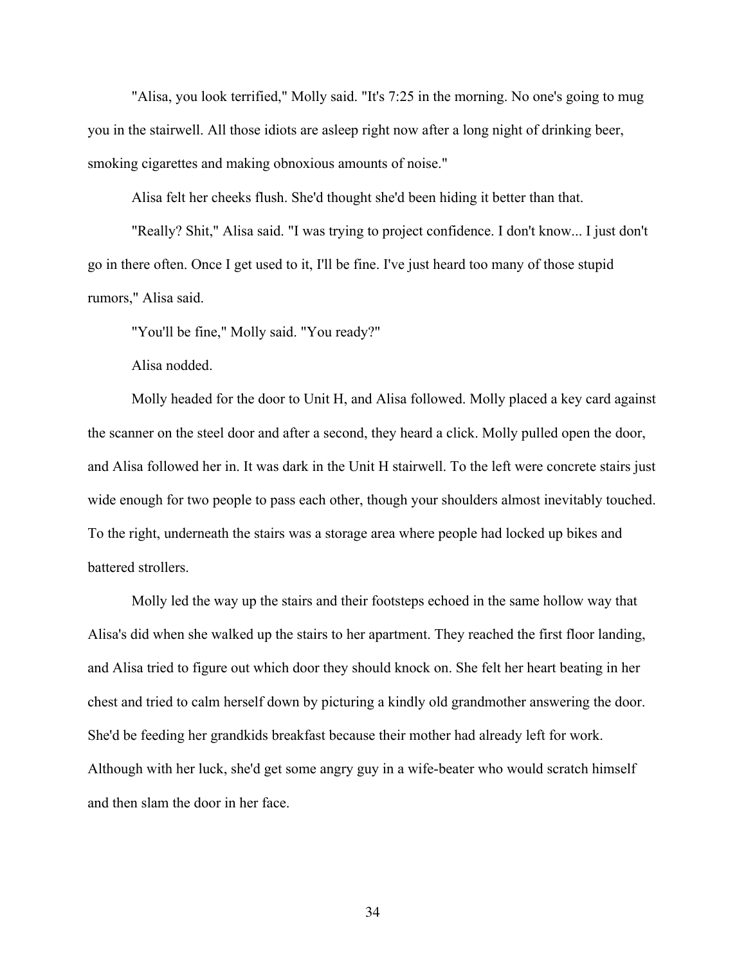"Alisa, you look terrified," Molly said. "It's 7:25 in the morning. No one's going to mug you in the stairwell. All those idiots are asleep right now after a long night of drinking beer, smoking cigarettes and making obnoxious amounts of noise."

Alisa felt her cheeks flush. She'd thought she'd been hiding it better than that.

"Really? Shit," Alisa said. "I was trying to project confidence. I don't know... I just don't go in there often. Once I get used to it, I'll be fine. I've just heard too many of those stupid rumors," Alisa said.

"You'll be fine," Molly said. "You ready?"

Alisa nodded.

Molly headed for the door to Unit H, and Alisa followed. Molly placed a key card against the scanner on the steel door and after a second, they heard a click. Molly pulled open the door, and Alisa followed her in. It was dark in the Unit H stairwell. To the left were concrete stairs just wide enough for two people to pass each other, though your shoulders almost inevitably touched. To the right, underneath the stairs was a storage area where people had locked up bikes and battered strollers.

Molly led the way up the stairs and their footsteps echoed in the same hollow way that Alisa's did when she walked up the stairs to her apartment. They reached the first floor landing, and Alisa tried to figure out which door they should knock on. She felt her heart beating in her chest and tried to calm herself down by picturing a kindly old grandmother answering the door. She'd be feeding her grandkids breakfast because their mother had already left for work. Although with her luck, she'd get some angry guy in a wife-beater who would scratch himself and then slam the door in her face.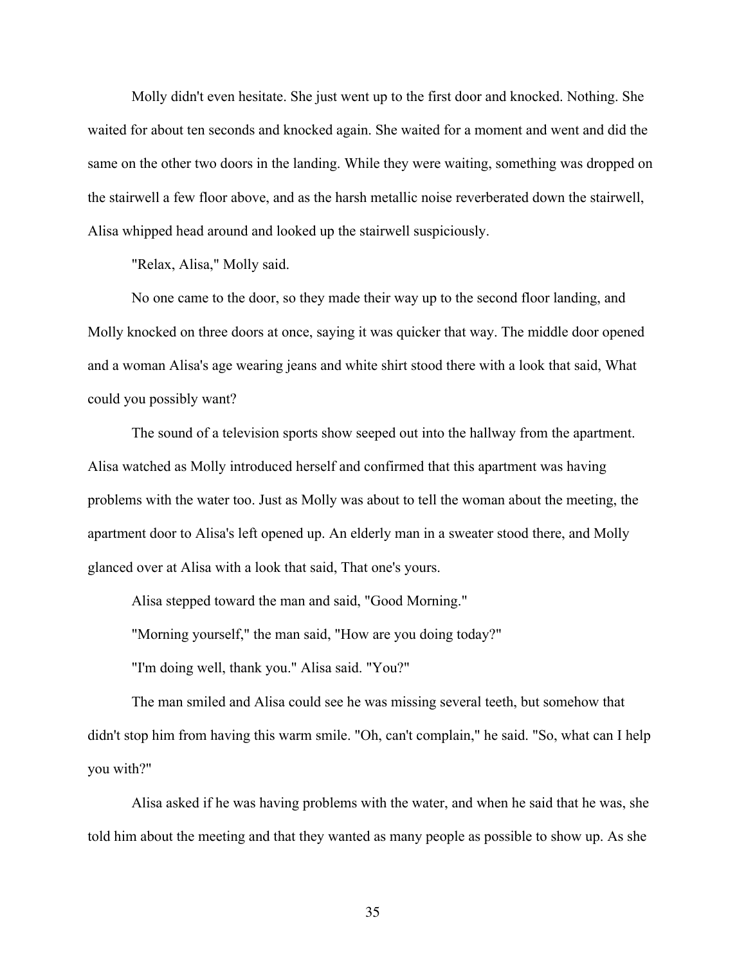Molly didn't even hesitate. She just went up to the first door and knocked. Nothing. She waited for about ten seconds and knocked again. She waited for a moment and went and did the same on the other two doors in the landing. While they were waiting, something was dropped on the stairwell a few floor above, and as the harsh metallic noise reverberated down the stairwell, Alisa whipped head around and looked up the stairwell suspiciously.

"Relax, Alisa," Molly said.

No one came to the door, so they made their way up to the second floor landing, and Molly knocked on three doors at once, saying it was quicker that way. The middle door opened and a woman Alisa's age wearing jeans and white shirt stood there with a look that said, What could you possibly want?

The sound of a television sports show seeped out into the hallway from the apartment. Alisa watched as Molly introduced herself and confirmed that this apartment was having problems with the water too. Just as Molly was about to tell the woman about the meeting, the apartment door to Alisa's left opened up. An elderly man in a sweater stood there, and Molly glanced over at Alisa with a look that said, That one's yours.

Alisa stepped toward the man and said, "Good Morning."

"Morning yourself," the man said, "How are you doing today?"

"I'm doing well, thank you." Alisa said. "You?"

The man smiled and Alisa could see he was missing several teeth, but somehow that didn't stop him from having this warm smile. "Oh, can't complain," he said. "So, what can I help you with?"

Alisa asked if he was having problems with the water, and when he said that he was, she told him about the meeting and that they wanted as many people as possible to show up. As she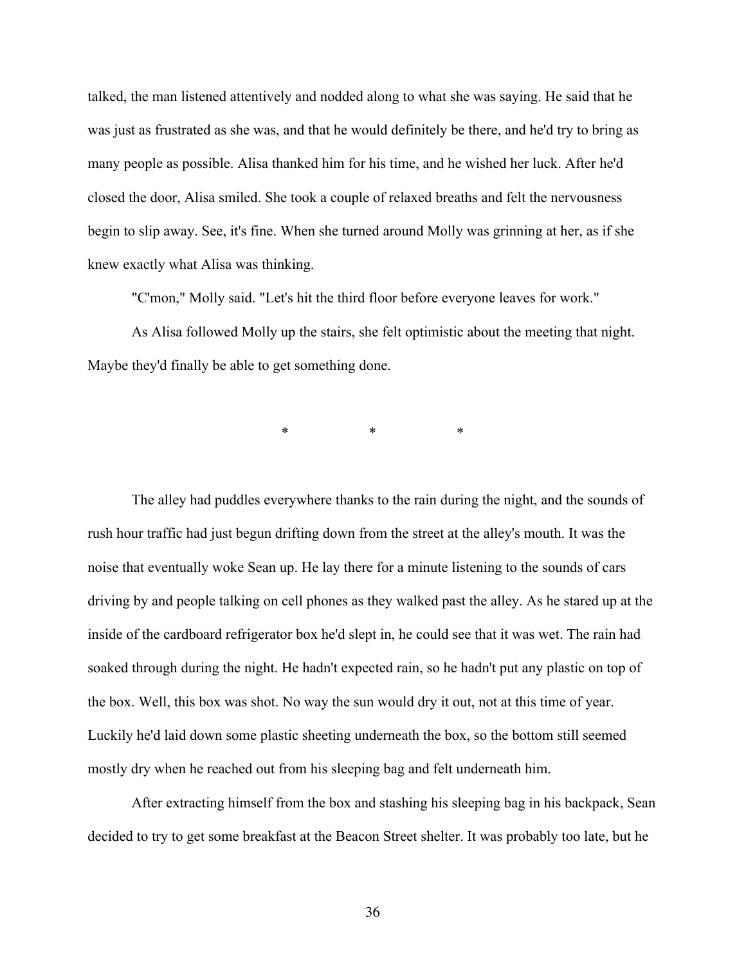talked, the man listened attentively and nodded along to what she was saying. He said that he was just as frustrated as she was, and that he would definitely be there, and he'd try to bring as many people as possible. Alisa thanked him for his time, and he wished her luck. After he'd closed the door, Alisa smiled. She took a couple of relaxed breaths and felt the nervousness begin to slip away. See, it's fine. When she turned around Molly was grinning at her, as if she knew exactly what Alisa was thinking.

"C'mon," Molly said. "Let's hit the third floor before everyone leaves for work."

As Alisa followed Molly up the stairs, she felt optimistic about the meeting that night. Maybe they'd finally be able to get something done.

\* \* \*

The alley had puddles everywhere thanks to the rain during the night, and the sounds of rush hour traffic had just begun drifting down from the street at the alley's mouth. It was the noise that eventually woke Sean up. He lay there for a minute listening to the sounds of cars driving by and people talking on cell phones as they walked past the alley. As he stared up at the inside of the cardboard refrigerator box he'd slept in, he could see that it was wet. The rain had soaked through during the night. He hadn't expected rain, so he hadn't put any plastic on top of the box. Well, this box was shot. No way the sun would dry it out, not at this time of year. Luckily he'd laid down some plastic sheeting underneath the box, so the bottom still seemed mostly dry when he reached out from his sleeping bag and felt underneath him.

After extracting himself from the box and stashing his sleeping bag in his backpack, Sean decided to try to get some breakfast at the Beacon Street shelter. It was probably too late, but he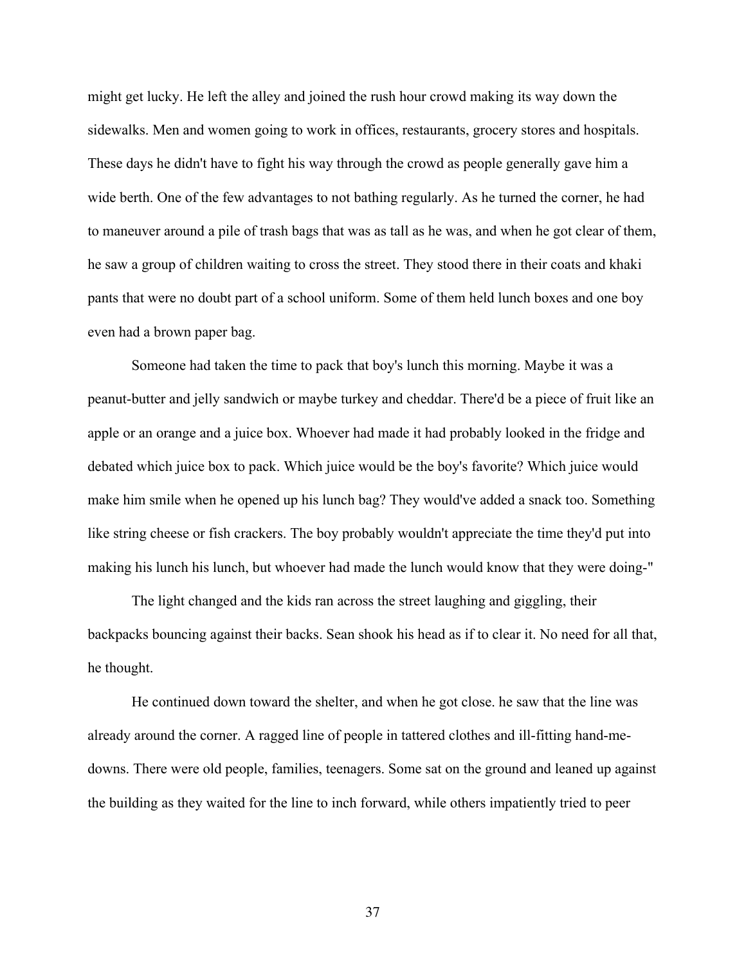might get lucky. He left the alley and joined the rush hour crowd making its way down the sidewalks. Men and women going to work in offices, restaurants, grocery stores and hospitals. These days he didn't have to fight his way through the crowd as people generally gave him a wide berth. One of the few advantages to not bathing regularly. As he turned the corner, he had to maneuver around a pile of trash bags that was as tall as he was, and when he got clear of them, he saw a group of children waiting to cross the street. They stood there in their coats and khaki pants that were no doubt part of a school uniform. Some of them held lunch boxes and one boy even had a brown paper bag.

Someone had taken the time to pack that boy's lunch this morning. Maybe it was a peanut-butter and jelly sandwich or maybe turkey and cheddar. There'd be a piece of fruit like an apple or an orange and a juice box. Whoever had made it had probably looked in the fridge and debated which juice box to pack. Which juice would be the boy's favorite? Which juice would make him smile when he opened up his lunch bag? They would've added a snack too. Something like string cheese or fish crackers. The boy probably wouldn't appreciate the time they'd put into making his lunch his lunch, but whoever had made the lunch would know that they were doing-"

The light changed and the kids ran across the street laughing and giggling, their backpacks bouncing against their backs. Sean shook his head as if to clear it. No need for all that, he thought.

He continued down toward the shelter, and when he got close. he saw that the line was already around the corner. A ragged line of people in tattered clothes and ill-fitting hand-medowns. There were old people, families, teenagers. Some sat on the ground and leaned up against the building as they waited for the line to inch forward, while others impatiently tried to peer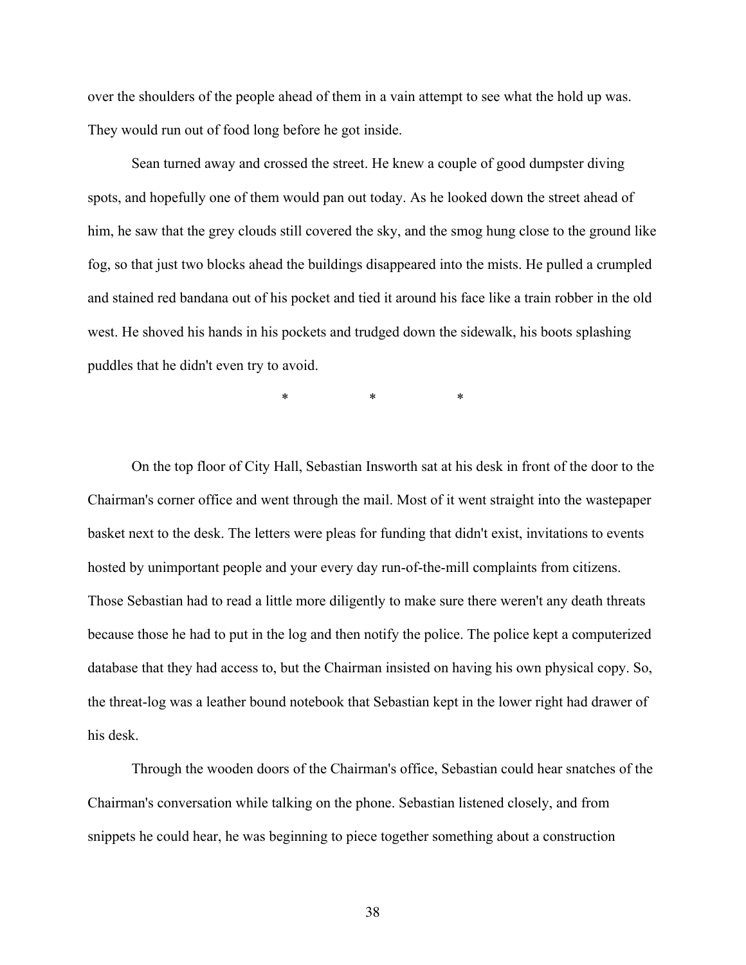over the shoulders of the people ahead of them in a vain attempt to see what the hold up was. They would run out of food long before he got inside.

Sean turned away and crossed the street. He knew a couple of good dumpster diving spots, and hopefully one of them would pan out today. As he looked down the street ahead of him, he saw that the grey clouds still covered the sky, and the smog hung close to the ground like fog, so that just two blocks ahead the buildings disappeared into the mists. He pulled a crumpled and stained red bandana out of his pocket and tied it around his face like a train robber in the old west. He shoved his hands in his pockets and trudged down the sidewalk, his boots splashing puddles that he didn't even try to avoid.

\* \* \*

On the top floor of City Hall, Sebastian Insworth sat at his desk in front of the door to the Chairman's corner office and went through the mail. Most of it went straight into the wastepaper basket next to the desk. The letters were pleas for funding that didn't exist, invitations to events hosted by unimportant people and your every day run-of-the-mill complaints from citizens. Those Sebastian had to read a little more diligently to make sure there weren't any death threats because those he had to put in the log and then notify the police. The police kept a computerized database that they had access to, but the Chairman insisted on having his own physical copy. So, the threat-log was a leather bound notebook that Sebastian kept in the lower right had drawer of his desk.

Through the wooden doors of the Chairman's office, Sebastian could hear snatches of the Chairman's conversation while talking on the phone. Sebastian listened closely, and from snippets he could hear, he was beginning to piece together something about a construction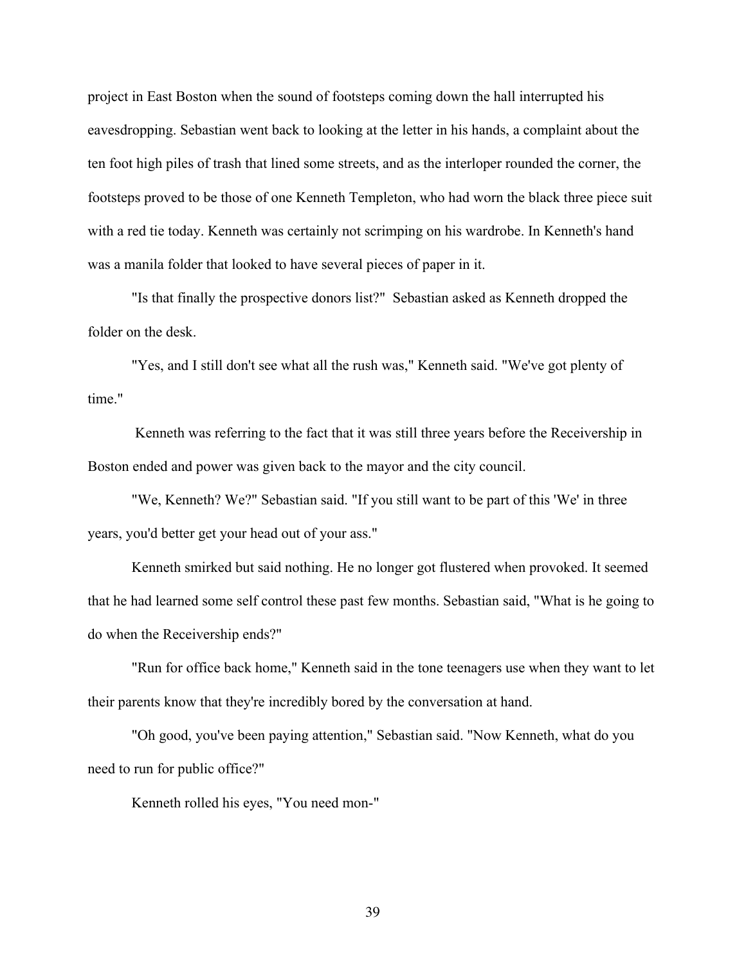project in East Boston when the sound of footsteps coming down the hall interrupted his eavesdropping. Sebastian went back to looking at the letter in his hands, a complaint about the ten foot high piles of trash that lined some streets, and as the interloper rounded the corner, the footsteps proved to be those of one Kenneth Templeton, who had worn the black three piece suit with a red tie today. Kenneth was certainly not scrimping on his wardrobe. In Kenneth's hand was a manila folder that looked to have several pieces of paper in it.

"Is that finally the prospective donors list?" Sebastian asked as Kenneth dropped the folder on the desk.

"Yes, and I still don't see what all the rush was," Kenneth said. "We've got plenty of time."

Kenneth was referring to the fact that it was still three years before the Receivership in Boston ended and power was given back to the mayor and the city council.

"We, Kenneth? We?" Sebastian said. "If you still want to be part of this 'We' in three years, you'd better get your head out of your ass."

Kenneth smirked but said nothing. He no longer got flustered when provoked. It seemed that he had learned some self control these past few months. Sebastian said, "What is he going to do when the Receivership ends?"

"Run for office back home," Kenneth said in the tone teenagers use when they want to let their parents know that they're incredibly bored by the conversation at hand.

"Oh good, you've been paying attention," Sebastian said. "Now Kenneth, what do you need to run for public office?"

Kenneth rolled his eyes, "You need mon-"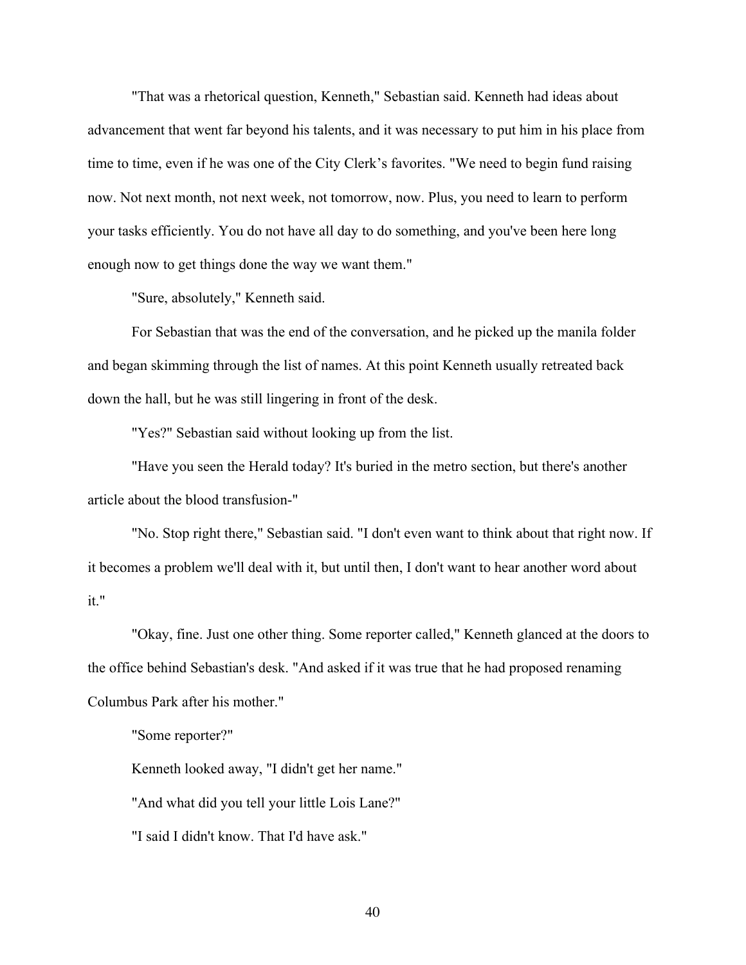"That was a rhetorical question, Kenneth," Sebastian said. Kenneth had ideas about advancement that went far beyond his talents, and it was necessary to put him in his place from time to time, even if he was one of the City Clerk's favorites. "We need to begin fund raising now. Not next month, not next week, not tomorrow, now. Plus, you need to learn to perform your tasks efficiently. You do not have all day to do something, and you've been here long enough now to get things done the way we want them."

"Sure, absolutely," Kenneth said.

For Sebastian that was the end of the conversation, and he picked up the manila folder and began skimming through the list of names. At this point Kenneth usually retreated back down the hall, but he was still lingering in front of the desk.

"Yes?" Sebastian said without looking up from the list.

"Have you seen the Herald today? It's buried in the metro section, but there's another article about the blood transfusion-"

"No. Stop right there," Sebastian said. "I don't even want to think about that right now. If it becomes a problem we'll deal with it, but until then, I don't want to hear another word about it."

"Okay, fine. Just one other thing. Some reporter called," Kenneth glanced at the doors to the office behind Sebastian's desk. "And asked if it was true that he had proposed renaming Columbus Park after his mother."

"Some reporter?"

Kenneth looked away, "I didn't get her name."

"And what did you tell your little Lois Lane?"

"I said I didn't know. That I'd have ask."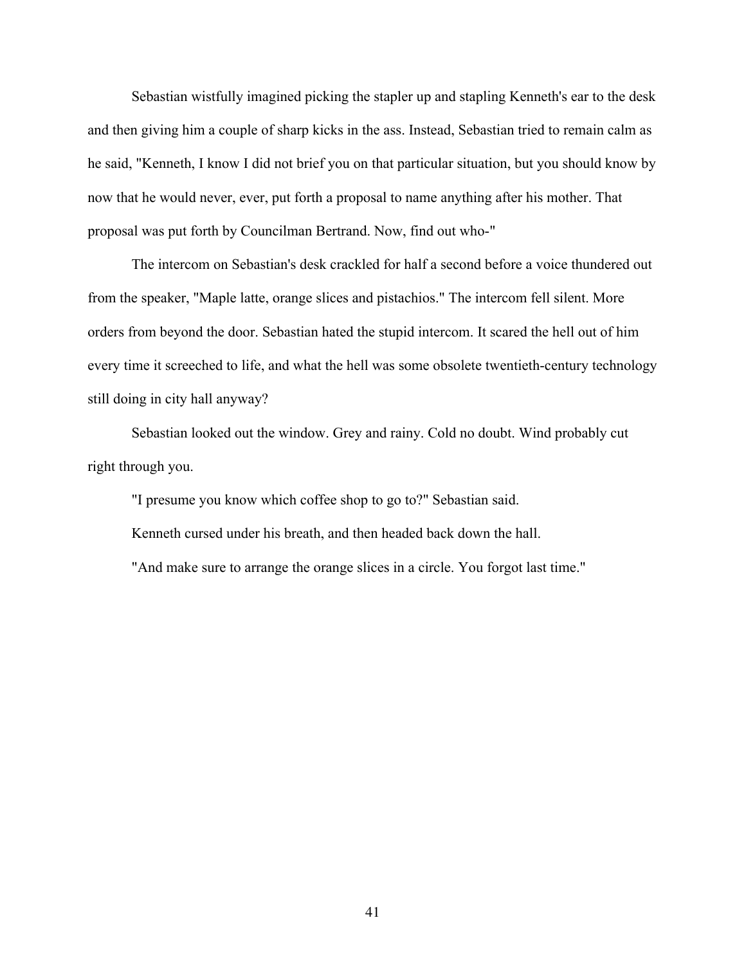Sebastian wistfully imagined picking the stapler up and stapling Kenneth's ear to the desk and then giving him a couple of sharp kicks in the ass. Instead, Sebastian tried to remain calm as he said, "Kenneth, I know I did not brief you on that particular situation, but you should know by now that he would never, ever, put forth a proposal to name anything after his mother. That proposal was put forth by Councilman Bertrand. Now, find out who-"

The intercom on Sebastian's desk crackled for half a second before a voice thundered out from the speaker, "Maple latte, orange slices and pistachios." The intercom fell silent. More orders from beyond the door. Sebastian hated the stupid intercom. It scared the hell out of him every time it screeched to life, and what the hell was some obsolete twentieth-century technology still doing in city hall anyway?

Sebastian looked out the window. Grey and rainy. Cold no doubt. Wind probably cut right through you.

"I presume you know which coffee shop to go to?" Sebastian said.

Kenneth cursed under his breath, and then headed back down the hall.

"And make sure to arrange the orange slices in a circle. You forgot last time."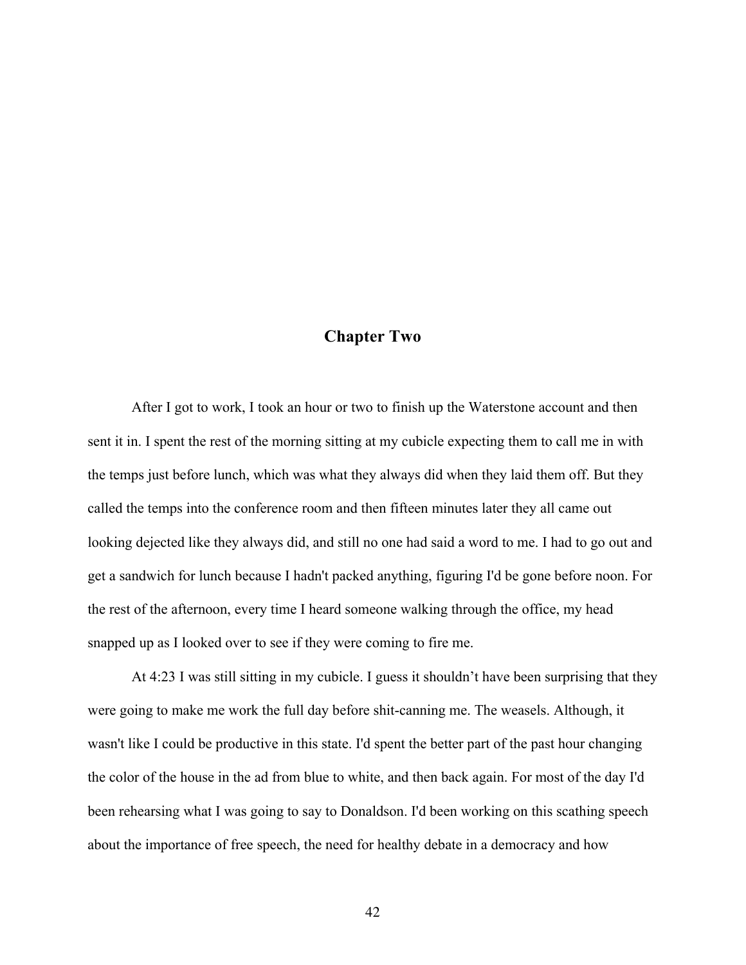## **Chapter Two**

After I got to work, I took an hour or two to finish up the Waterstone account and then sent it in. I spent the rest of the morning sitting at my cubicle expecting them to call me in with the temps just before lunch, which was what they always did when they laid them off. But they called the temps into the conference room and then fifteen minutes later they all came out looking dejected like they always did, and still no one had said a word to me. I had to go out and get a sandwich for lunch because I hadn't packed anything, figuring I'd be gone before noon. For the rest of the afternoon, every time I heard someone walking through the office, my head snapped up as I looked over to see if they were coming to fire me.

At 4:23 I was still sitting in my cubicle. I guess it shouldn't have been surprising that they were going to make me work the full day before shit-canning me. The weasels. Although, it wasn't like I could be productive in this state. I'd spent the better part of the past hour changing the color of the house in the ad from blue to white, and then back again. For most of the day I'd been rehearsing what I was going to say to Donaldson. I'd been working on this scathing speech about the importance of free speech, the need for healthy debate in a democracy and how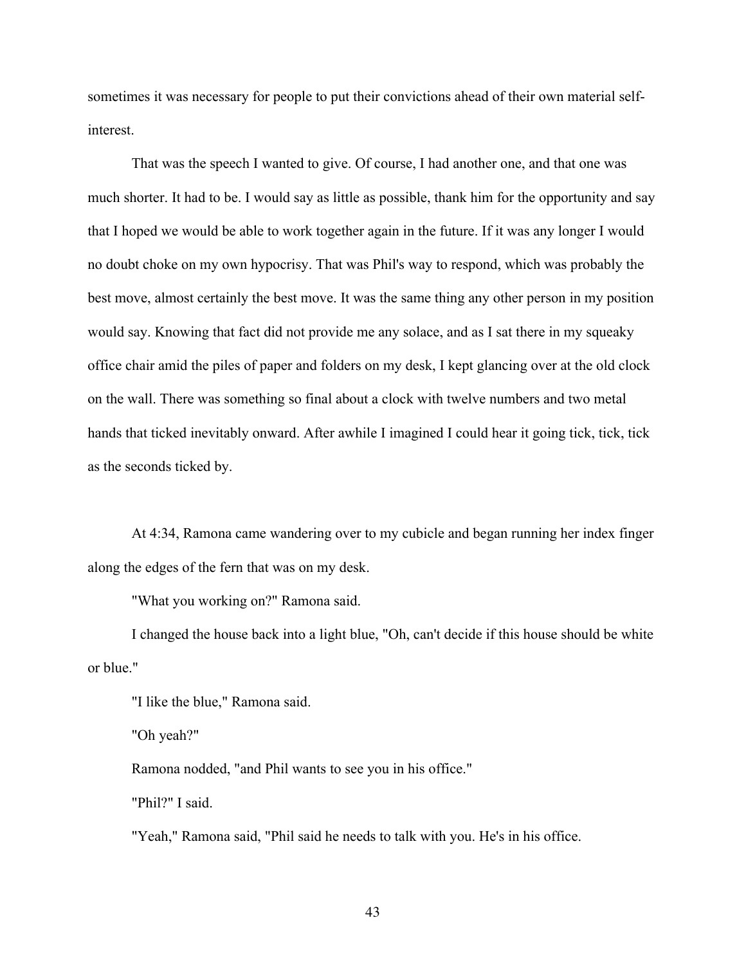sometimes it was necessary for people to put their convictions ahead of their own material selfinterest.

That was the speech I wanted to give. Of course, I had another one, and that one was much shorter. It had to be. I would say as little as possible, thank him for the opportunity and say that I hoped we would be able to work together again in the future. If it was any longer I would no doubt choke on my own hypocrisy. That was Phil's way to respond, which was probably the best move, almost certainly the best move. It was the same thing any other person in my position would say. Knowing that fact did not provide me any solace, and as I sat there in my squeaky office chair amid the piles of paper and folders on my desk, I kept glancing over at the old clock on the wall. There was something so final about a clock with twelve numbers and two metal hands that ticked inevitably onward. After awhile I imagined I could hear it going tick, tick, tick as the seconds ticked by.

At 4:34, Ramona came wandering over to my cubicle and began running her index finger along the edges of the fern that was on my desk.

"What you working on?" Ramona said.

I changed the house back into a light blue, "Oh, can't decide if this house should be white or blue."

"I like the blue," Ramona said.

"Oh yeah?"

Ramona nodded, "and Phil wants to see you in his office."

"Phil?" I said.

"Yeah," Ramona said, "Phil said he needs to talk with you. He's in his office.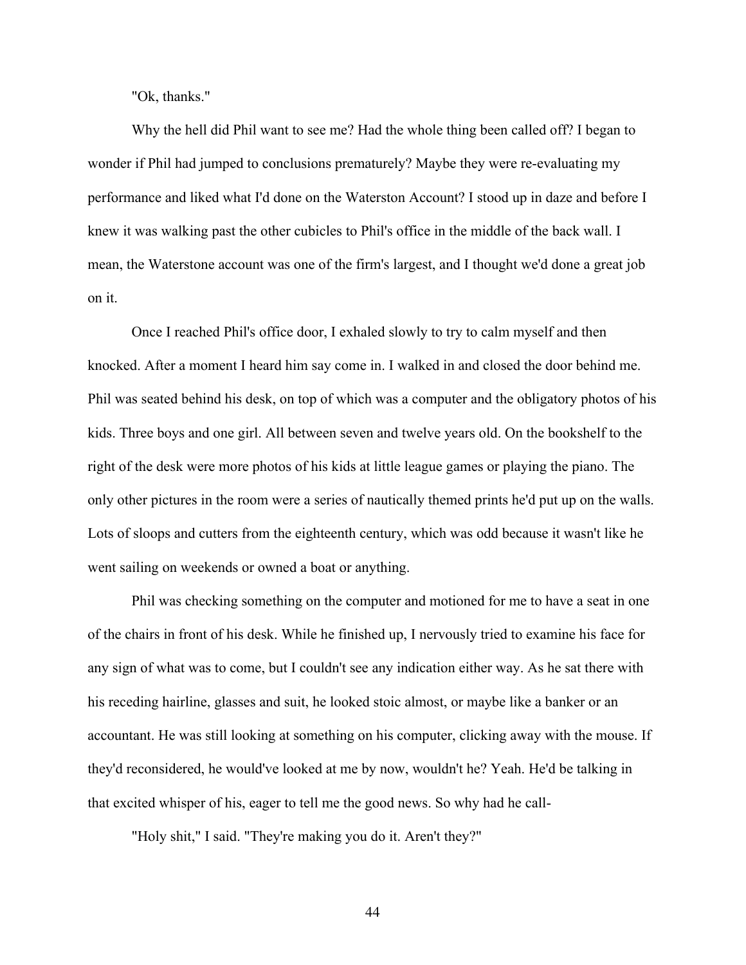"Ok, thanks."

Why the hell did Phil want to see me? Had the whole thing been called off? I began to wonder if Phil had jumped to conclusions prematurely? Maybe they were re-evaluating my performance and liked what I'd done on the Waterston Account? I stood up in daze and before I knew it was walking past the other cubicles to Phil's office in the middle of the back wall. I mean, the Waterstone account was one of the firm's largest, and I thought we'd done a great job on it.

Once I reached Phil's office door, I exhaled slowly to try to calm myself and then knocked. After a moment I heard him say come in. I walked in and closed the door behind me. Phil was seated behind his desk, on top of which was a computer and the obligatory photos of his kids. Three boys and one girl. All between seven and twelve years old. On the bookshelf to the right of the desk were more photos of his kids at little league games or playing the piano. The only other pictures in the room were a series of nautically themed prints he'd put up on the walls. Lots of sloops and cutters from the eighteenth century, which was odd because it wasn't like he went sailing on weekends or owned a boat or anything.

Phil was checking something on the computer and motioned for me to have a seat in one of the chairs in front of his desk. While he finished up, I nervously tried to examine his face for any sign of what was to come, but I couldn't see any indication either way. As he sat there with his receding hairline, glasses and suit, he looked stoic almost, or maybe like a banker or an accountant. He was still looking at something on his computer, clicking away with the mouse. If they'd reconsidered, he would've looked at me by now, wouldn't he? Yeah. He'd be talking in that excited whisper of his, eager to tell me the good news. So why had he call-

"Holy shit," I said. "They're making you do it. Aren't they?"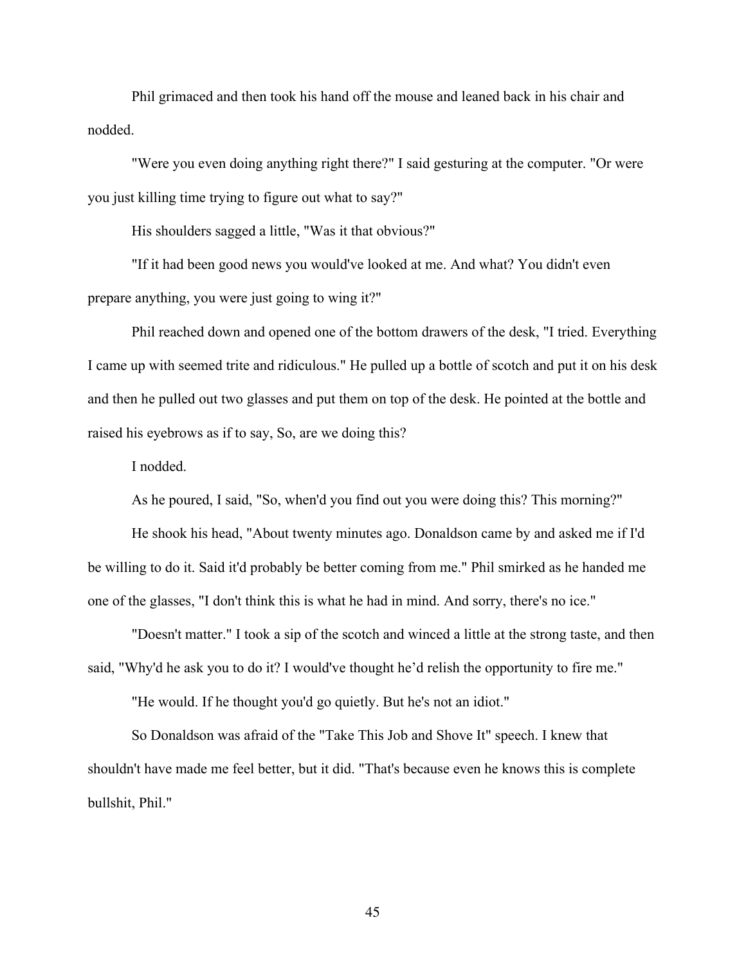Phil grimaced and then took his hand off the mouse and leaned back in his chair and nodded.

"Were you even doing anything right there?" I said gesturing at the computer. "Or were you just killing time trying to figure out what to say?"

His shoulders sagged a little, "Was it that obvious?"

"If it had been good news you would've looked at me. And what? You didn't even prepare anything, you were just going to wing it?"

Phil reached down and opened one of the bottom drawers of the desk, "I tried. Everything I came up with seemed trite and ridiculous." He pulled up a bottle of scotch and put it on his desk and then he pulled out two glasses and put them on top of the desk. He pointed at the bottle and raised his eyebrows as if to say, So, are we doing this?

I nodded.

As he poured, I said, "So, when'd you find out you were doing this? This morning?"

He shook his head, "About twenty minutes ago. Donaldson came by and asked me if I'd be willing to do it. Said it'd probably be better coming from me." Phil smirked as he handed me one of the glasses, "I don't think this is what he had in mind. And sorry, there's no ice."

"Doesn't matter." I took a sip of the scotch and winced a little at the strong taste, and then said, "Why'd he ask you to do it? I would've thought he'd relish the opportunity to fire me."

"He would. If he thought you'd go quietly. But he's not an idiot."

So Donaldson was afraid of the "Take This Job and Shove It" speech. I knew that shouldn't have made me feel better, but it did. "That's because even he knows this is complete bullshit, Phil."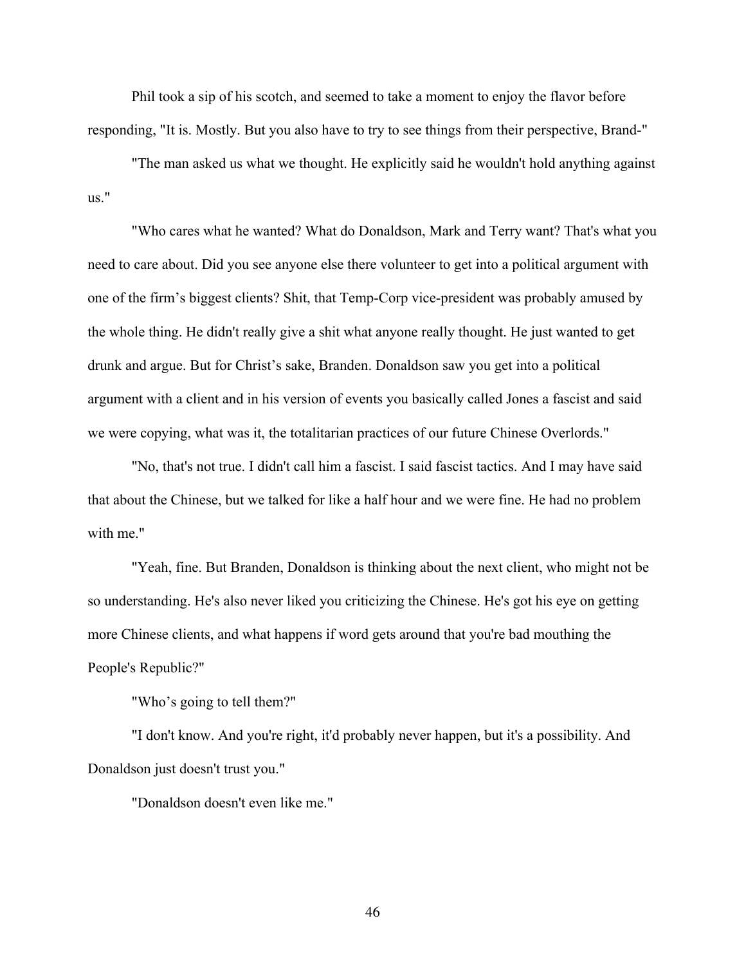Phil took a sip of his scotch, and seemed to take a moment to enjoy the flavor before responding, "It is. Mostly. But you also have to try to see things from their perspective, Brand-"

"The man asked us what we thought. He explicitly said he wouldn't hold anything against us."

"Who cares what he wanted? What do Donaldson, Mark and Terry want? That's what you need to care about. Did you see anyone else there volunteer to get into a political argument with one of the firm's biggest clients? Shit, that Temp-Corp vice-president was probably amused by the whole thing. He didn't really give a shit what anyone really thought. He just wanted to get drunk and argue. But for Christ's sake, Branden. Donaldson saw you get into a political argument with a client and in his version of events you basically called Jones a fascist and said we were copying, what was it, the totalitarian practices of our future Chinese Overlords."

"No, that's not true. I didn't call him a fascist. I said fascist tactics. And I may have said that about the Chinese, but we talked for like a half hour and we were fine. He had no problem with me."

"Yeah, fine. But Branden, Donaldson is thinking about the next client, who might not be so understanding. He's also never liked you criticizing the Chinese. He's got his eye on getting more Chinese clients, and what happens if word gets around that you're bad mouthing the People's Republic?"

"Who's going to tell them?"

"I don't know. And you're right, it'd probably never happen, but it's a possibility. And Donaldson just doesn't trust you."

"Donaldson doesn't even like me."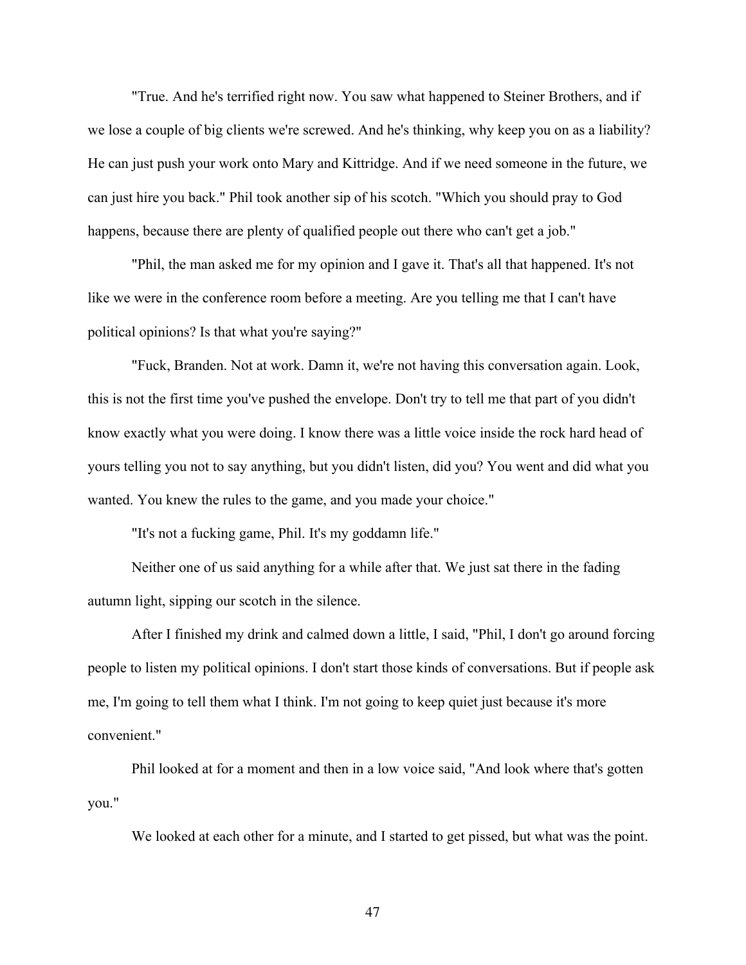"True. And he's terrified right now. You saw what happened to Steiner Brothers, and if we lose a couple of big clients we're screwed. And he's thinking, why keep you on as a liability? He can just push your work onto Mary and Kittridge. And if we need someone in the future, we can just hire you back." Phil took another sip of his scotch. "Which you should pray to God happens, because there are plenty of qualified people out there who can't get a job."

"Phil, the man asked me for my opinion and I gave it. That's all that happened. It's not like we were in the conference room before a meeting. Are you telling me that I can't have political opinions? Is that what you're saying?"

"Fuck, Branden. Not at work. Damn it, we're not having this conversation again. Look, this is not the first time you've pushed the envelope. Don't try to tell me that part of you didn't know exactly what you were doing. I know there was a little voice inside the rock hard head of yours telling you not to say anything, but you didn't listen, did you? You went and did what you wanted. You knew the rules to the game, and you made your choice."

"It's not a fucking game, Phil. It's my goddamn life."

Neither one of us said anything for a while after that. We just sat there in the fading autumn light, sipping our scotch in the silence.

After I finished my drink and calmed down a little, I said, "Phil, I don't go around forcing people to listen my political opinions. I don't start those kinds of conversations. But if people ask me, I'm going to tell them what I think. I'm not going to keep quiet just because it's more convenient."

Phil looked at for a moment and then in a low voice said, "And look where that's gotten you."

We looked at each other for a minute, and I started to get pissed, but what was the point.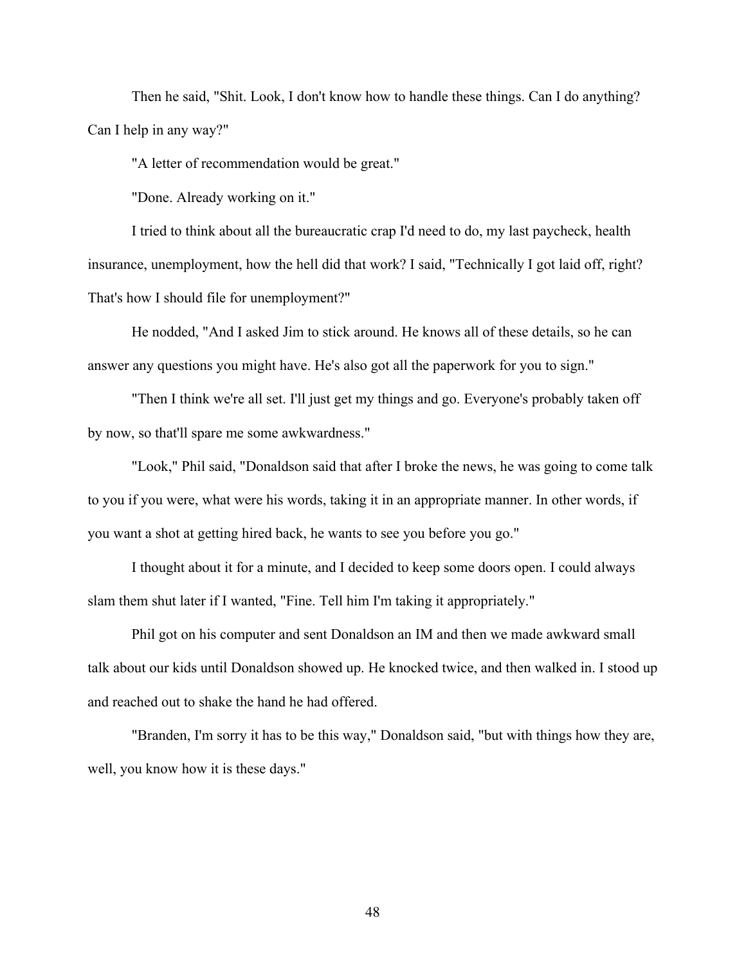Then he said, "Shit. Look, I don't know how to handle these things. Can I do anything? Can I help in any way?"

"A letter of recommendation would be great."

"Done. Already working on it."

I tried to think about all the bureaucratic crap I'd need to do, my last paycheck, health insurance, unemployment, how the hell did that work? I said, "Technically I got laid off, right? That's how I should file for unemployment?"

He nodded, "And I asked Jim to stick around. He knows all of these details, so he can answer any questions you might have. He's also got all the paperwork for you to sign."

"Then I think we're all set. I'll just get my things and go. Everyone's probably taken off by now, so that'll spare me some awkwardness."

"Look," Phil said, "Donaldson said that after I broke the news, he was going to come talk to you if you were, what were his words, taking it in an appropriate manner. In other words, if you want a shot at getting hired back, he wants to see you before you go."

I thought about it for a minute, and I decided to keep some doors open. I could always slam them shut later if I wanted, "Fine. Tell him I'm taking it appropriately."

Phil got on his computer and sent Donaldson an IM and then we made awkward small talk about our kids until Donaldson showed up. He knocked twice, and then walked in. I stood up and reached out to shake the hand he had offered.

"Branden, I'm sorry it has to be this way," Donaldson said, "but with things how they are, well, you know how it is these days."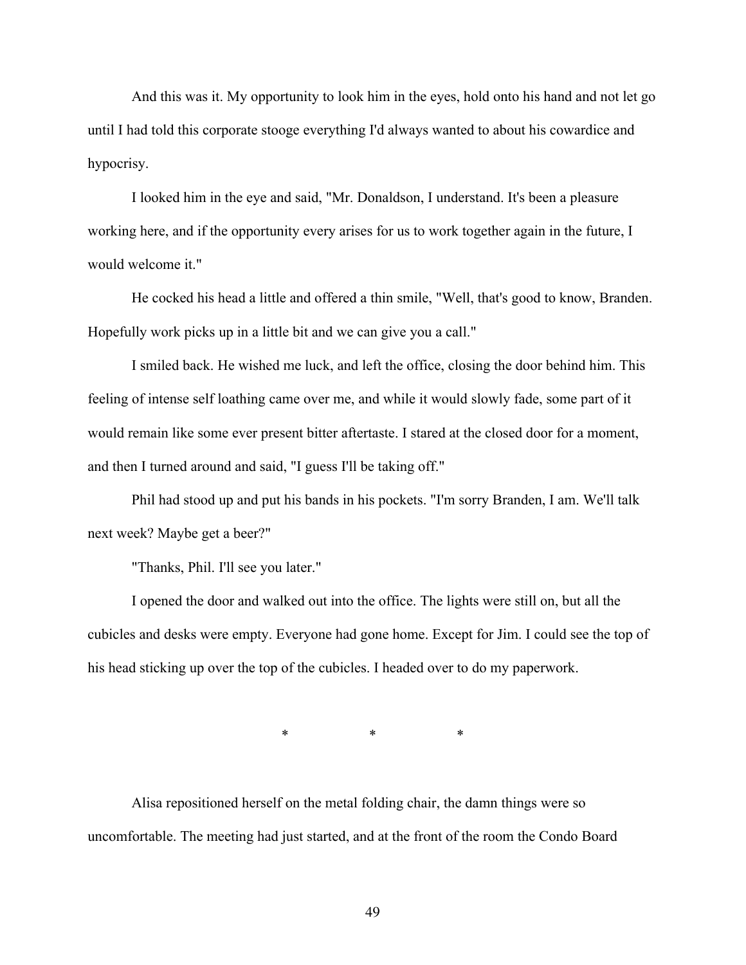And this was it. My opportunity to look him in the eyes, hold onto his hand and not let go until I had told this corporate stooge everything I'd always wanted to about his cowardice and hypocrisy.

I looked him in the eye and said, "Mr. Donaldson, I understand. It's been a pleasure working here, and if the opportunity every arises for us to work together again in the future, I would welcome it."

He cocked his head a little and offered a thin smile, "Well, that's good to know, Branden. Hopefully work picks up in a little bit and we can give you a call."

I smiled back. He wished me luck, and left the office, closing the door behind him. This feeling of intense self loathing came over me, and while it would slowly fade, some part of it would remain like some ever present bitter aftertaste. I stared at the closed door for a moment, and then I turned around and said, "I guess I'll be taking off."

Phil had stood up and put his bands in his pockets. "I'm sorry Branden, I am. We'll talk next week? Maybe get a beer?"

"Thanks, Phil. I'll see you later."

I opened the door and walked out into the office. The lights were still on, but all the cubicles and desks were empty. Everyone had gone home. Except for Jim. I could see the top of his head sticking up over the top of the cubicles. I headed over to do my paperwork.

\* \* \*

Alisa repositioned herself on the metal folding chair, the damn things were so uncomfortable. The meeting had just started, and at the front of the room the Condo Board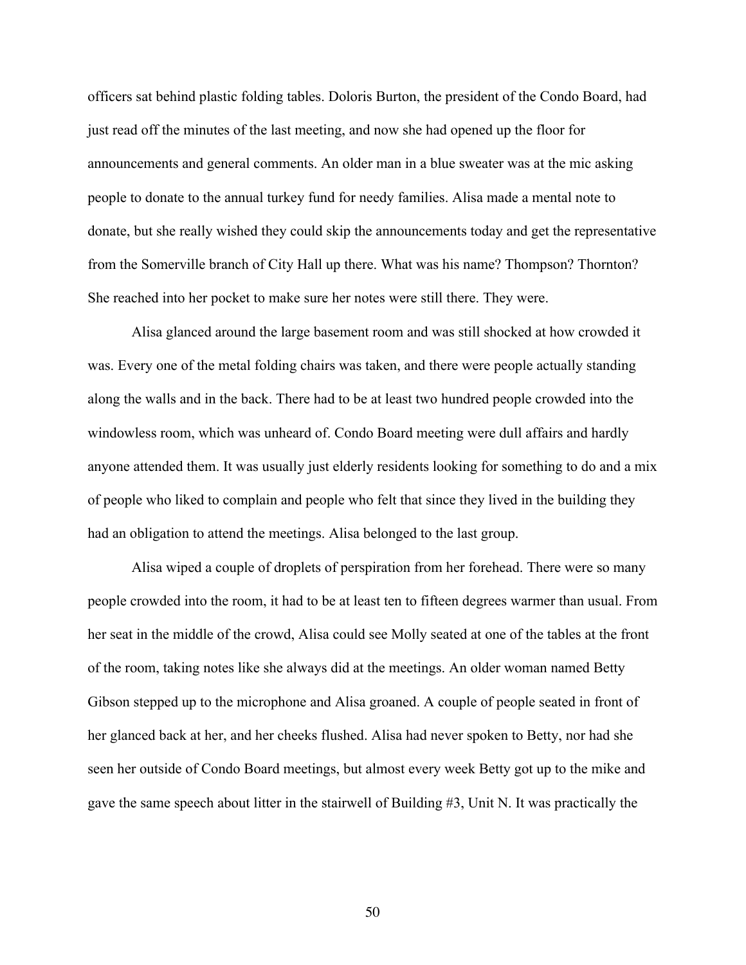officers sat behind plastic folding tables. Doloris Burton, the president of the Condo Board, had just read off the minutes of the last meeting, and now she had opened up the floor for announcements and general comments. An older man in a blue sweater was at the mic asking people to donate to the annual turkey fund for needy families. Alisa made a mental note to donate, but she really wished they could skip the announcements today and get the representative from the Somerville branch of City Hall up there. What was his name? Thompson? Thornton? She reached into her pocket to make sure her notes were still there. They were.

Alisa glanced around the large basement room and was still shocked at how crowded it was. Every one of the metal folding chairs was taken, and there were people actually standing along the walls and in the back. There had to be at least two hundred people crowded into the windowless room, which was unheard of. Condo Board meeting were dull affairs and hardly anyone attended them. It was usually just elderly residents looking for something to do and a mix of people who liked to complain and people who felt that since they lived in the building they had an obligation to attend the meetings. Alisa belonged to the last group.

Alisa wiped a couple of droplets of perspiration from her forehead. There were so many people crowded into the room, it had to be at least ten to fifteen degrees warmer than usual. From her seat in the middle of the crowd, Alisa could see Molly seated at one of the tables at the front of the room, taking notes like she always did at the meetings. An older woman named Betty Gibson stepped up to the microphone and Alisa groaned. A couple of people seated in front of her glanced back at her, and her cheeks flushed. Alisa had never spoken to Betty, nor had she seen her outside of Condo Board meetings, but almost every week Betty got up to the mike and gave the same speech about litter in the stairwell of Building #3, Unit N. It was practically the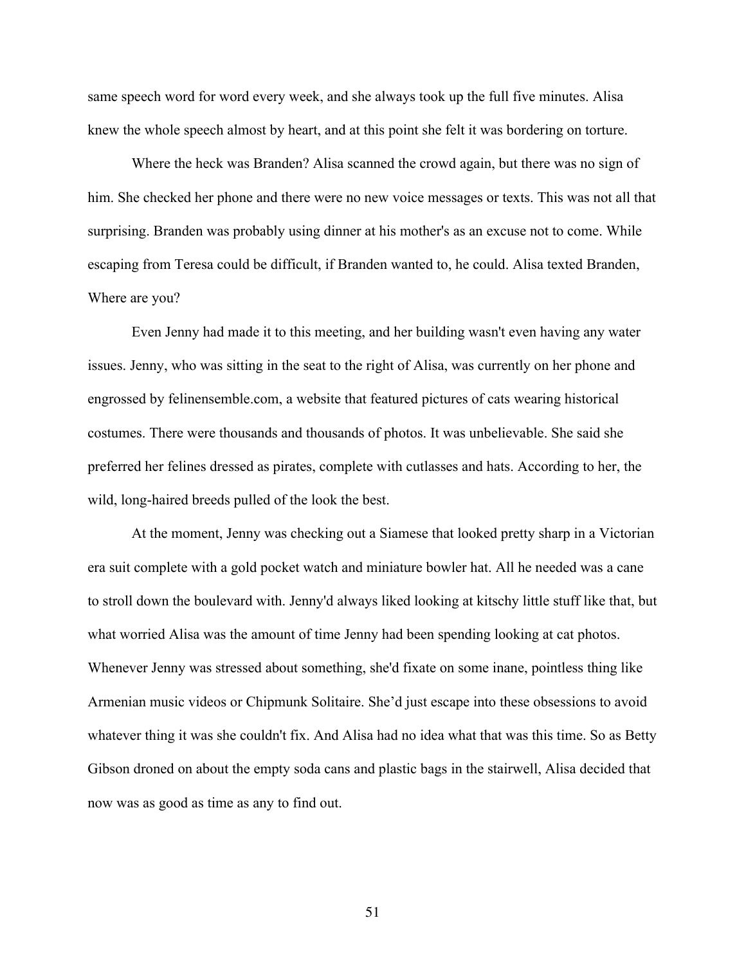same speech word for word every week, and she always took up the full five minutes. Alisa knew the whole speech almost by heart, and at this point she felt it was bordering on torture.

Where the heck was Branden? Alisa scanned the crowd again, but there was no sign of him. She checked her phone and there were no new voice messages or texts. This was not all that surprising. Branden was probably using dinner at his mother's as an excuse not to come. While escaping from Teresa could be difficult, if Branden wanted to, he could. Alisa texted Branden, Where are you?

Even Jenny had made it to this meeting, and her building wasn't even having any water issues. Jenny, who was sitting in the seat to the right of Alisa, was currently on her phone and engrossed by felinensemble.com, a website that featured pictures of cats wearing historical costumes. There were thousands and thousands of photos. It was unbelievable. She said she preferred her felines dressed as pirates, complete with cutlasses and hats. According to her, the wild, long-haired breeds pulled of the look the best.

At the moment, Jenny was checking out a Siamese that looked pretty sharp in a Victorian era suit complete with a gold pocket watch and miniature bowler hat. All he needed was a cane to stroll down the boulevard with. Jenny'd always liked looking at kitschy little stuff like that, but what worried Alisa was the amount of time Jenny had been spending looking at cat photos. Whenever Jenny was stressed about something, she'd fixate on some inane, pointless thing like Armenian music videos or Chipmunk Solitaire. She'd just escape into these obsessions to avoid whatever thing it was she couldn't fix. And Alisa had no idea what that was this time. So as Betty Gibson droned on about the empty soda cans and plastic bags in the stairwell, Alisa decided that now was as good as time as any to find out.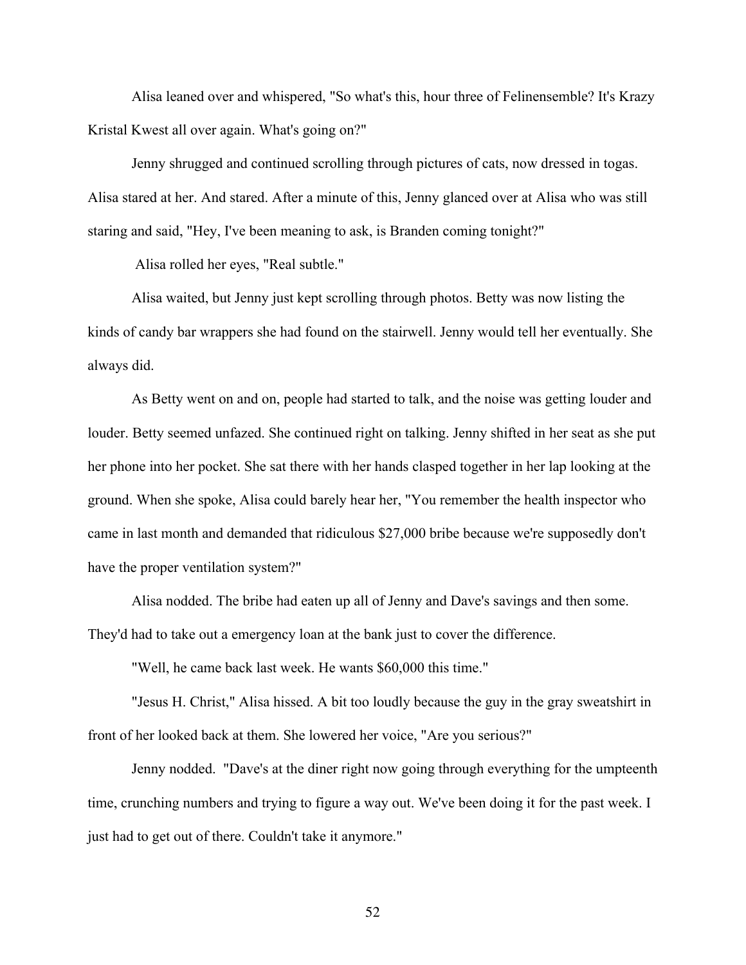Alisa leaned over and whispered, "So what's this, hour three of Felinensemble? It's Krazy Kristal Kwest all over again. What's going on?"

Jenny shrugged and continued scrolling through pictures of cats, now dressed in togas. Alisa stared at her. And stared. After a minute of this, Jenny glanced over at Alisa who was still staring and said, "Hey, I've been meaning to ask, is Branden coming tonight?"

Alisa rolled her eyes, "Real subtle."

Alisa waited, but Jenny just kept scrolling through photos. Betty was now listing the kinds of candy bar wrappers she had found on the stairwell. Jenny would tell her eventually. She always did.

As Betty went on and on, people had started to talk, and the noise was getting louder and louder. Betty seemed unfazed. She continued right on talking. Jenny shifted in her seat as she put her phone into her pocket. She sat there with her hands clasped together in her lap looking at the ground. When she spoke, Alisa could barely hear her, "You remember the health inspector who came in last month and demanded that ridiculous \$27,000 bribe because we're supposedly don't have the proper ventilation system?"

Alisa nodded. The bribe had eaten up all of Jenny and Dave's savings and then some. They'd had to take out a emergency loan at the bank just to cover the difference.

"Well, he came back last week. He wants \$60,000 this time."

"Jesus H. Christ," Alisa hissed. A bit too loudly because the guy in the gray sweatshirt in front of her looked back at them. She lowered her voice, "Are you serious?"

Jenny nodded. "Dave's at the diner right now going through everything for the umpteenth time, crunching numbers and trying to figure a way out. We've been doing it for the past week. I just had to get out of there. Couldn't take it anymore."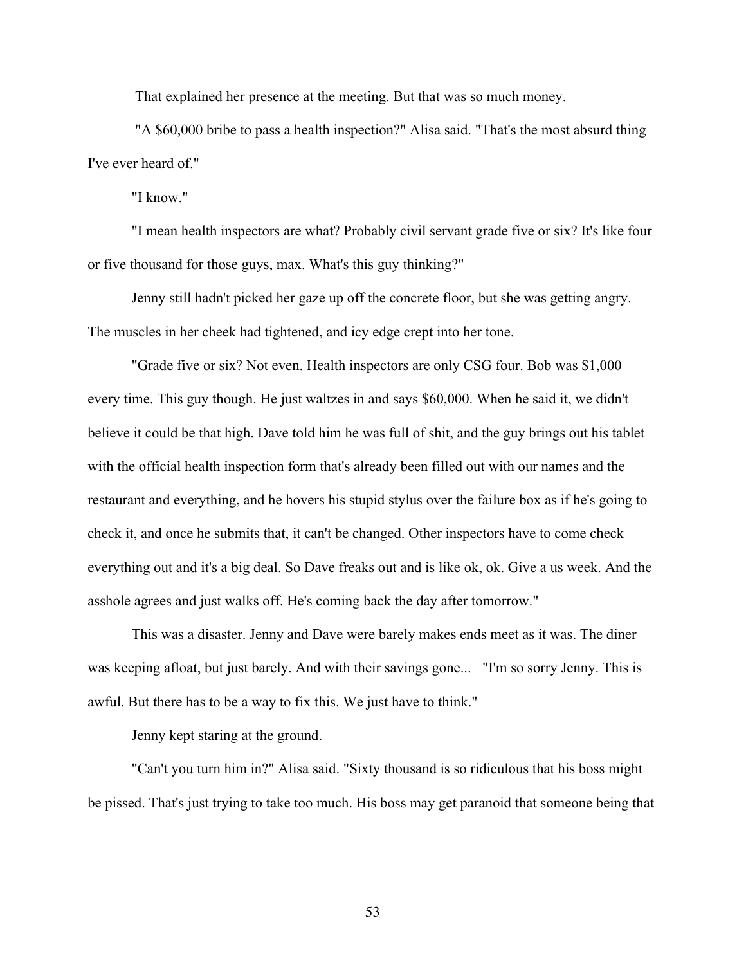That explained her presence at the meeting. But that was so much money.

"A \$60,000 bribe to pass a health inspection?" Alisa said. "That's the most absurd thing I've ever heard of."

"I know."

"I mean health inspectors are what? Probably civil servant grade five or six? It's like four or five thousand for those guys, max. What's this guy thinking?"

Jenny still hadn't picked her gaze up off the concrete floor, but she was getting angry. The muscles in her cheek had tightened, and icy edge crept into her tone.

"Grade five or six? Not even. Health inspectors are only CSG four. Bob was \$1,000 every time. This guy though. He just waltzes in and says \$60,000. When he said it, we didn't believe it could be that high. Dave told him he was full of shit, and the guy brings out his tablet with the official health inspection form that's already been filled out with our names and the restaurant and everything, and he hovers his stupid stylus over the failure box as if he's going to check it, and once he submits that, it can't be changed. Other inspectors have to come check everything out and it's a big deal. So Dave freaks out and is like ok, ok. Give a us week. And the asshole agrees and just walks off. He's coming back the day after tomorrow."

This was a disaster. Jenny and Dave were barely makes ends meet as it was. The diner was keeping afloat, but just barely. And with their savings gone... "I'm so sorry Jenny. This is awful. But there has to be a way to fix this. We just have to think."

Jenny kept staring at the ground.

"Can't you turn him in?" Alisa said. "Sixty thousand is so ridiculous that his boss might be pissed. That's just trying to take too much. His boss may get paranoid that someone being that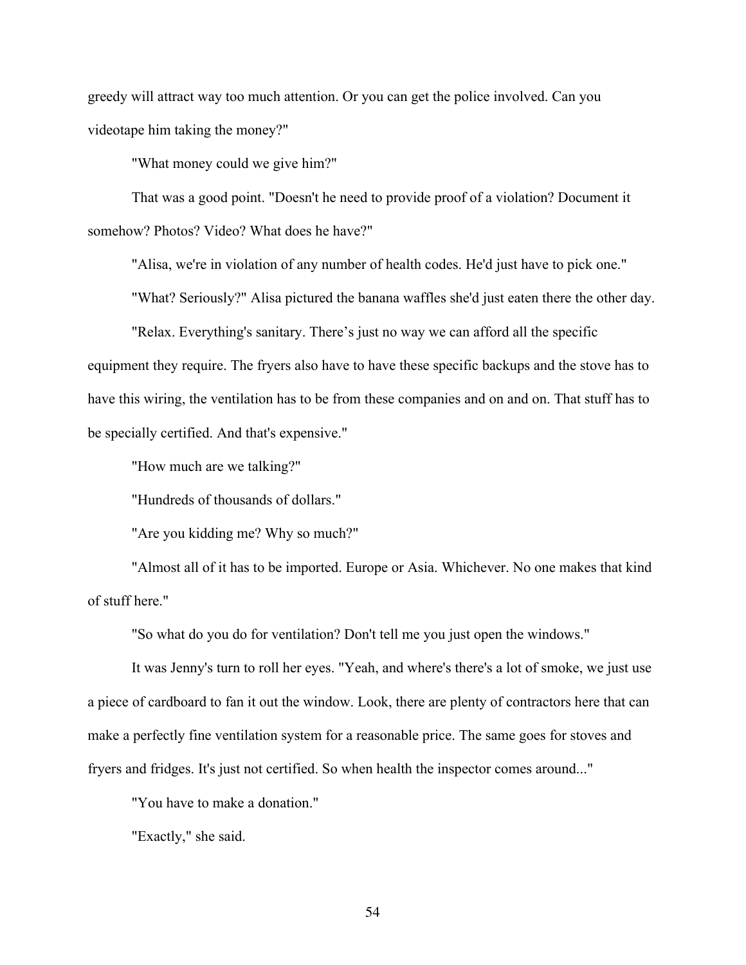greedy will attract way too much attention. Or you can get the police involved. Can you videotape him taking the money?"

"What money could we give him?"

That was a good point. "Doesn't he need to provide proof of a violation? Document it somehow? Photos? Video? What does he have?"

"Alisa, we're in violation of any number of health codes. He'd just have to pick one."

"What? Seriously?" Alisa pictured the banana waffles she'd just eaten there the other day.

"Relax. Everything's sanitary. There's just no way we can afford all the specific equipment they require. The fryers also have to have these specific backups and the stove has to have this wiring, the ventilation has to be from these companies and on and on. That stuff has to be specially certified. And that's expensive."

"How much are we talking?"

"Hundreds of thousands of dollars."

"Are you kidding me? Why so much?"

"Almost all of it has to be imported. Europe or Asia. Whichever. No one makes that kind of stuff here."

"So what do you do for ventilation? Don't tell me you just open the windows."

It was Jenny's turn to roll her eyes. "Yeah, and where's there's a lot of smoke, we just use a piece of cardboard to fan it out the window. Look, there are plenty of contractors here that can make a perfectly fine ventilation system for a reasonable price. The same goes for stoves and fryers and fridges. It's just not certified. So when health the inspector comes around..."

"You have to make a donation."

"Exactly," she said.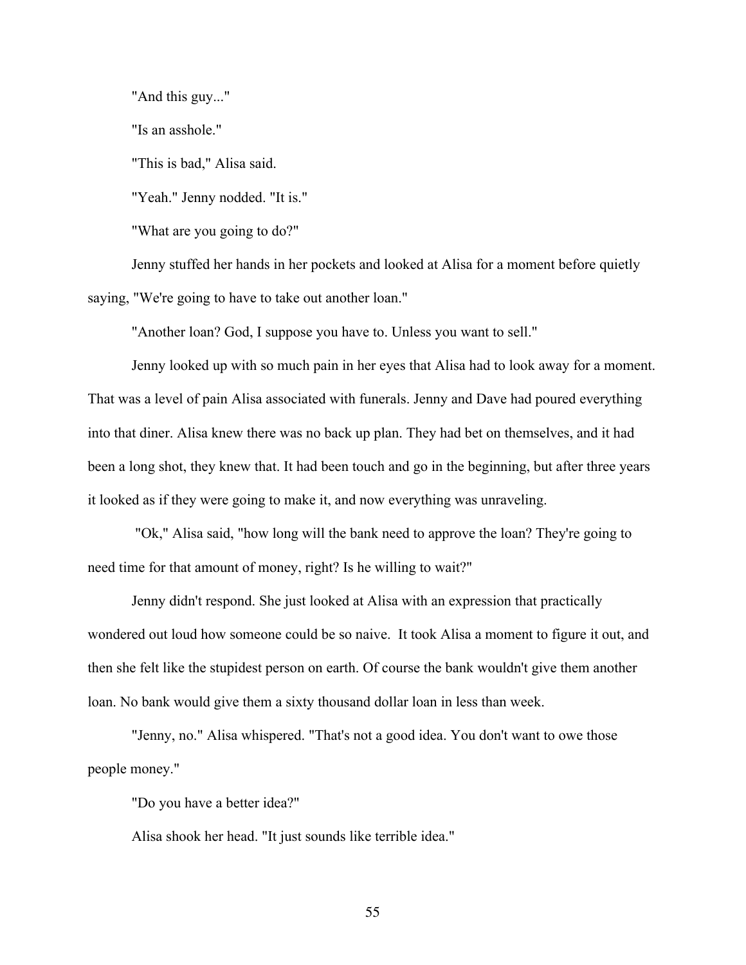"And this guy..."

"Is an asshole."

"This is bad," Alisa said.

"Yeah." Jenny nodded. "It is."

"What are you going to do?"

Jenny stuffed her hands in her pockets and looked at Alisa for a moment before quietly saying, "We're going to have to take out another loan."

"Another loan? God, I suppose you have to. Unless you want to sell."

Jenny looked up with so much pain in her eyes that Alisa had to look away for a moment. That was a level of pain Alisa associated with funerals. Jenny and Dave had poured everything into that diner. Alisa knew there was no back up plan. They had bet on themselves, and it had been a long shot, they knew that. It had been touch and go in the beginning, but after three years it looked as if they were going to make it, and now everything was unraveling.

"Ok," Alisa said, "how long will the bank need to approve the loan? They're going to need time for that amount of money, right? Is he willing to wait?"

Jenny didn't respond. She just looked at Alisa with an expression that practically wondered out loud how someone could be so naive. It took Alisa a moment to figure it out, and then she felt like the stupidest person on earth. Of course the bank wouldn't give them another loan. No bank would give them a sixty thousand dollar loan in less than week.

"Jenny, no." Alisa whispered. "That's not a good idea. You don't want to owe those people money."

"Do you have a better idea?"

Alisa shook her head. "It just sounds like terrible idea."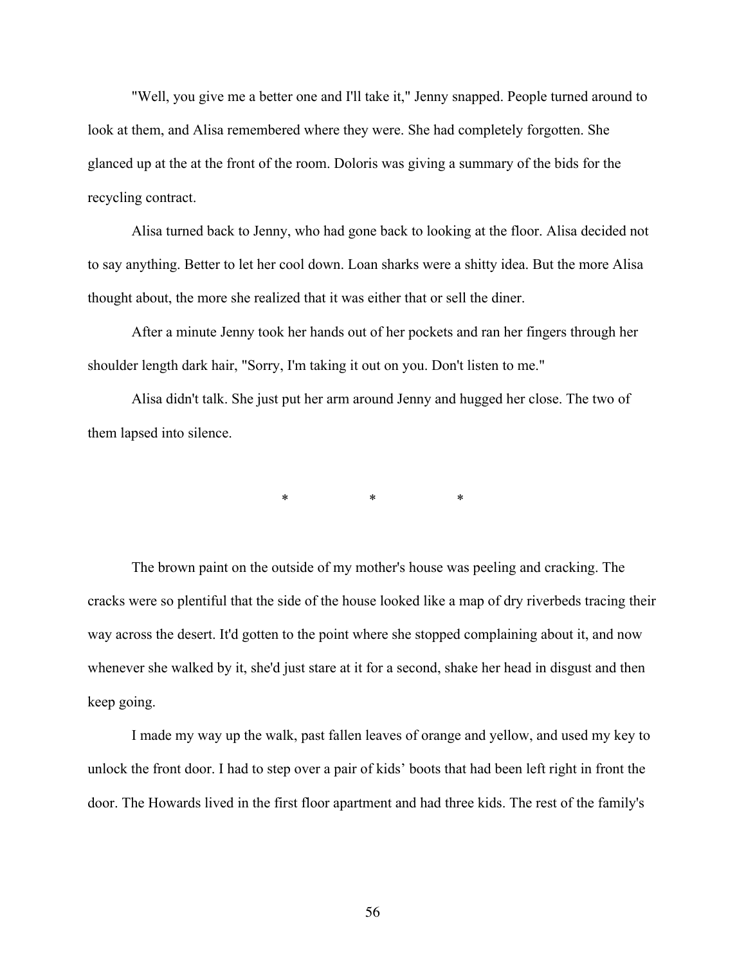"Well, you give me a better one and I'll take it," Jenny snapped. People turned around to look at them, and Alisa remembered where they were. She had completely forgotten. She glanced up at the at the front of the room. Doloris was giving a summary of the bids for the recycling contract.

Alisa turned back to Jenny, who had gone back to looking at the floor. Alisa decided not to say anything. Better to let her cool down. Loan sharks were a shitty idea. But the more Alisa thought about, the more she realized that it was either that or sell the diner.

After a minute Jenny took her hands out of her pockets and ran her fingers through her shoulder length dark hair, "Sorry, I'm taking it out on you. Don't listen to me."

Alisa didn't talk. She just put her arm around Jenny and hugged her close. The two of them lapsed into silence.

\* \* \* \* \*

The brown paint on the outside of my mother's house was peeling and cracking. The cracks were so plentiful that the side of the house looked like a map of dry riverbeds tracing their way across the desert. It'd gotten to the point where she stopped complaining about it, and now whenever she walked by it, she'd just stare at it for a second, shake her head in disgust and then keep going.

I made my way up the walk, past fallen leaves of orange and yellow, and used my key to unlock the front door. I had to step over a pair of kids' boots that had been left right in front the door. The Howards lived in the first floor apartment and had three kids. The rest of the family's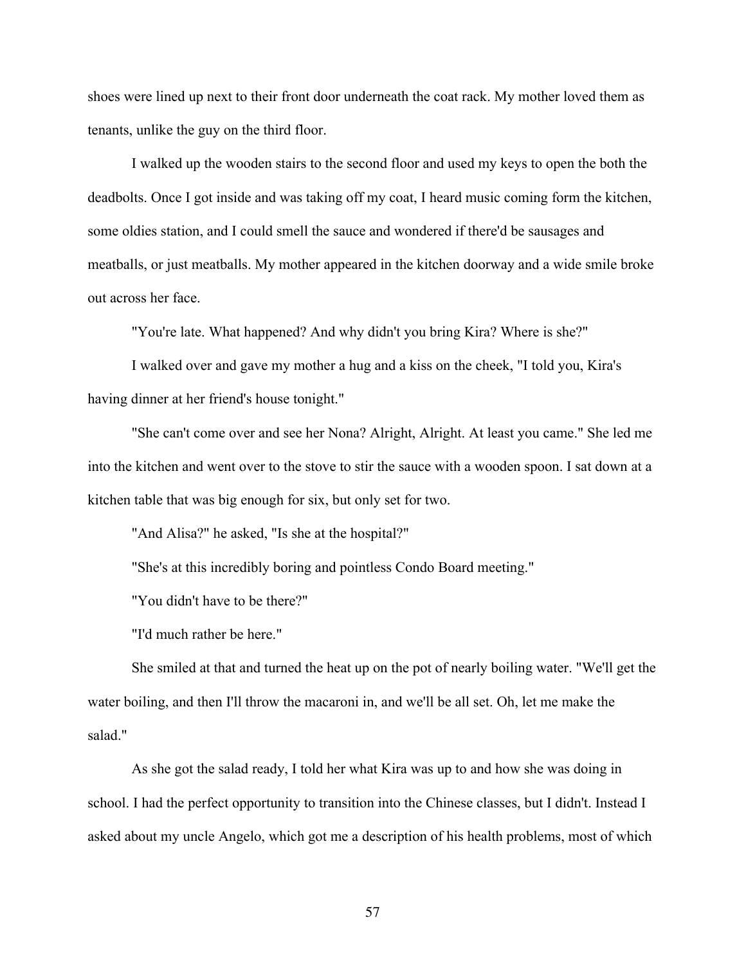shoes were lined up next to their front door underneath the coat rack. My mother loved them as tenants, unlike the guy on the third floor.

I walked up the wooden stairs to the second floor and used my keys to open the both the deadbolts. Once I got inside and was taking off my coat, I heard music coming form the kitchen, some oldies station, and I could smell the sauce and wondered if there'd be sausages and meatballs, or just meatballs. My mother appeared in the kitchen doorway and a wide smile broke out across her face.

"You're late. What happened? And why didn't you bring Kira? Where is she?"

I walked over and gave my mother a hug and a kiss on the cheek, "I told you, Kira's having dinner at her friend's house tonight."

"She can't come over and see her Nona? Alright, Alright. At least you came." She led me into the kitchen and went over to the stove to stir the sauce with a wooden spoon. I sat down at a kitchen table that was big enough for six, but only set for two.

"And Alisa?" he asked, "Is she at the hospital?"

"She's at this incredibly boring and pointless Condo Board meeting."

"You didn't have to be there?"

"I'd much rather be here."

She smiled at that and turned the heat up on the pot of nearly boiling water. "We'll get the water boiling, and then I'll throw the macaroni in, and we'll be all set. Oh, let me make the salad."

As she got the salad ready, I told her what Kira was up to and how she was doing in school. I had the perfect opportunity to transition into the Chinese classes, but I didn't. Instead I asked about my uncle Angelo, which got me a description of his health problems, most of which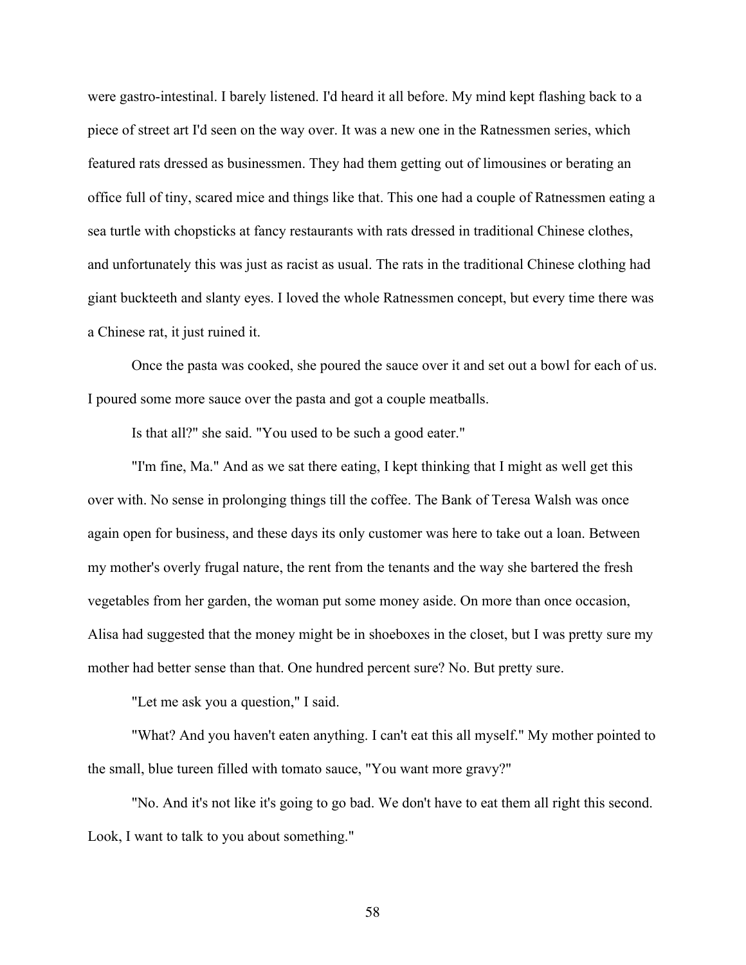were gastro-intestinal. I barely listened. I'd heard it all before. My mind kept flashing back to a piece of street art I'd seen on the way over. It was a new one in the Ratnessmen series, which featured rats dressed as businessmen. They had them getting out of limousines or berating an office full of tiny, scared mice and things like that. This one had a couple of Ratnessmen eating a sea turtle with chopsticks at fancy restaurants with rats dressed in traditional Chinese clothes, and unfortunately this was just as racist as usual. The rats in the traditional Chinese clothing had giant buckteeth and slanty eyes. I loved the whole Ratnessmen concept, but every time there was a Chinese rat, it just ruined it.

Once the pasta was cooked, she poured the sauce over it and set out a bowl for each of us. I poured some more sauce over the pasta and got a couple meatballs.

Is that all?" she said. "You used to be such a good eater."

"I'm fine, Ma." And as we sat there eating, I kept thinking that I might as well get this over with. No sense in prolonging things till the coffee. The Bank of Teresa Walsh was once again open for business, and these days its only customer was here to take out a loan. Between my mother's overly frugal nature, the rent from the tenants and the way she bartered the fresh vegetables from her garden, the woman put some money aside. On more than once occasion, Alisa had suggested that the money might be in shoeboxes in the closet, but I was pretty sure my mother had better sense than that. One hundred percent sure? No. But pretty sure.

"Let me ask you a question," I said.

"What? And you haven't eaten anything. I can't eat this all myself." My mother pointed to the small, blue tureen filled with tomato sauce, "You want more gravy?"

"No. And it's not like it's going to go bad. We don't have to eat them all right this second. Look, I want to talk to you about something."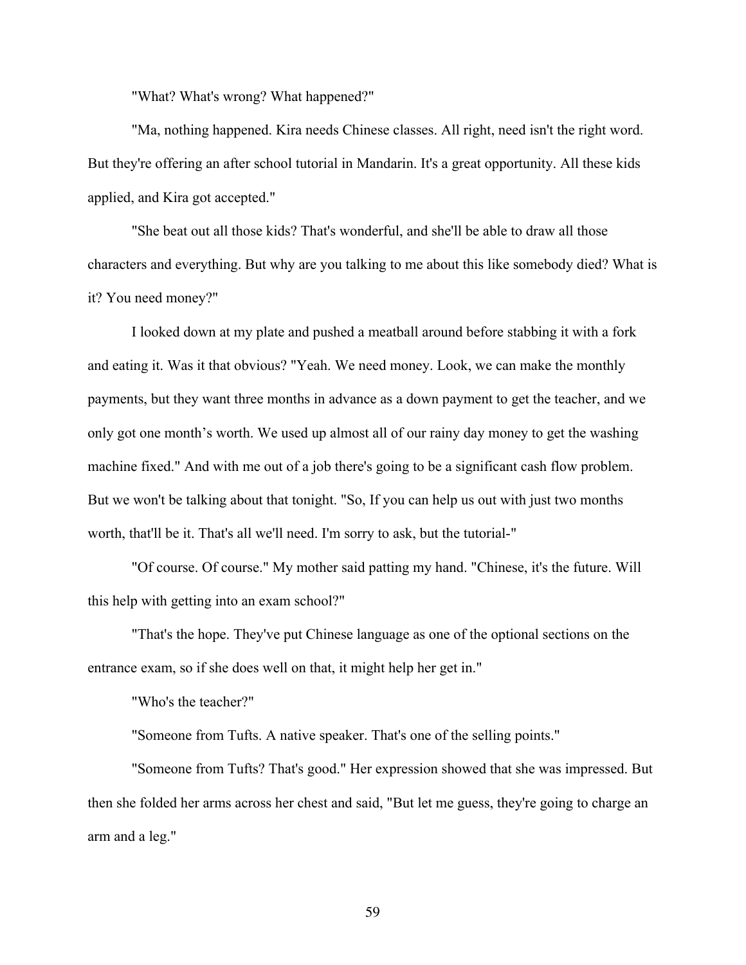"What? What's wrong? What happened?"

"Ma, nothing happened. Kira needs Chinese classes. All right, need isn't the right word. But they're offering an after school tutorial in Mandarin. It's a great opportunity. All these kids applied, and Kira got accepted."

"She beat out all those kids? That's wonderful, and she'll be able to draw all those characters and everything. But why are you talking to me about this like somebody died? What is it? You need money?"

I looked down at my plate and pushed a meatball around before stabbing it with a fork and eating it. Was it that obvious? "Yeah. We need money. Look, we can make the monthly payments, but they want three months in advance as a down payment to get the teacher, and we only got one month's worth. We used up almost all of our rainy day money to get the washing machine fixed." And with me out of a job there's going to be a significant cash flow problem. But we won't be talking about that tonight. "So, If you can help us out with just two months worth, that'll be it. That's all we'll need. I'm sorry to ask, but the tutorial-"

"Of course. Of course." My mother said patting my hand. "Chinese, it's the future. Will this help with getting into an exam school?"

"That's the hope. They've put Chinese language as one of the optional sections on the entrance exam, so if she does well on that, it might help her get in."

"Who's the teacher?"

"Someone from Tufts. A native speaker. That's one of the selling points."

"Someone from Tufts? That's good." Her expression showed that she was impressed. But then she folded her arms across her chest and said, "But let me guess, they're going to charge an arm and a leg."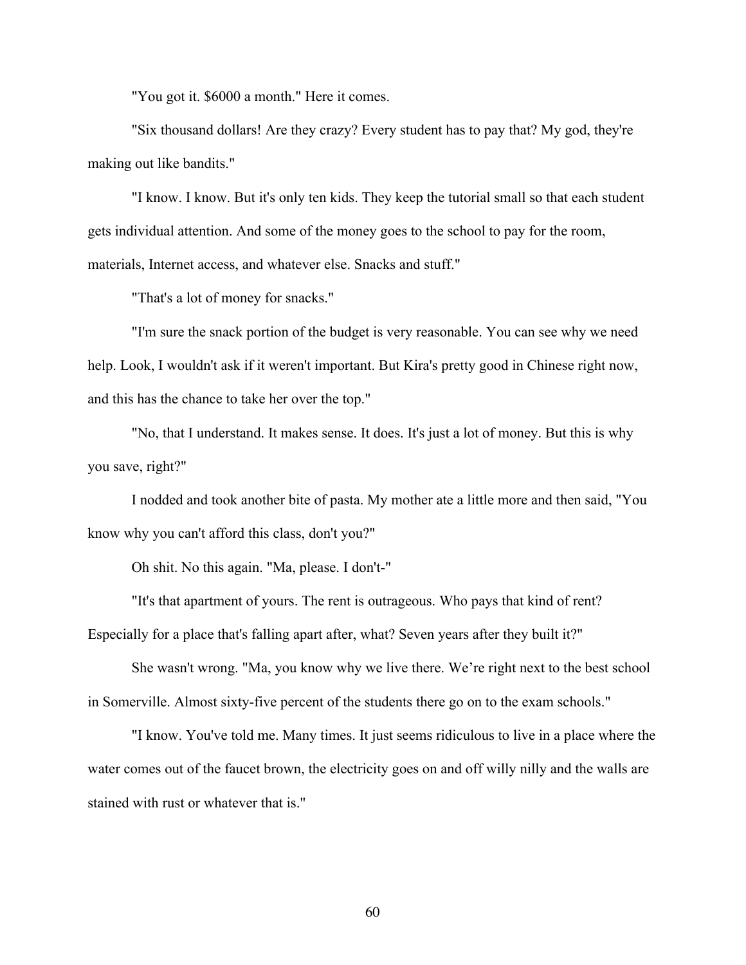"You got it. \$6000 a month." Here it comes.

"Six thousand dollars! Are they crazy? Every student has to pay that? My god, they're making out like bandits."

"I know. I know. But it's only ten kids. They keep the tutorial small so that each student gets individual attention. And some of the money goes to the school to pay for the room, materials, Internet access, and whatever else. Snacks and stuff."

"That's a lot of money for snacks."

"I'm sure the snack portion of the budget is very reasonable. You can see why we need help. Look, I wouldn't ask if it weren't important. But Kira's pretty good in Chinese right now, and this has the chance to take her over the top."

"No, that I understand. It makes sense. It does. It's just a lot of money. But this is why you save, right?"

I nodded and took another bite of pasta. My mother ate a little more and then said, "You know why you can't afford this class, don't you?"

Oh shit. No this again. "Ma, please. I don't-"

"It's that apartment of yours. The rent is outrageous. Who pays that kind of rent?

Especially for a place that's falling apart after, what? Seven years after they built it?"

She wasn't wrong. "Ma, you know why we live there. We're right next to the best school in Somerville. Almost sixty-five percent of the students there go on to the exam schools."

"I know. You've told me. Many times. It just seems ridiculous to live in a place where the water comes out of the faucet brown, the electricity goes on and off willy nilly and the walls are stained with rust or whatever that is."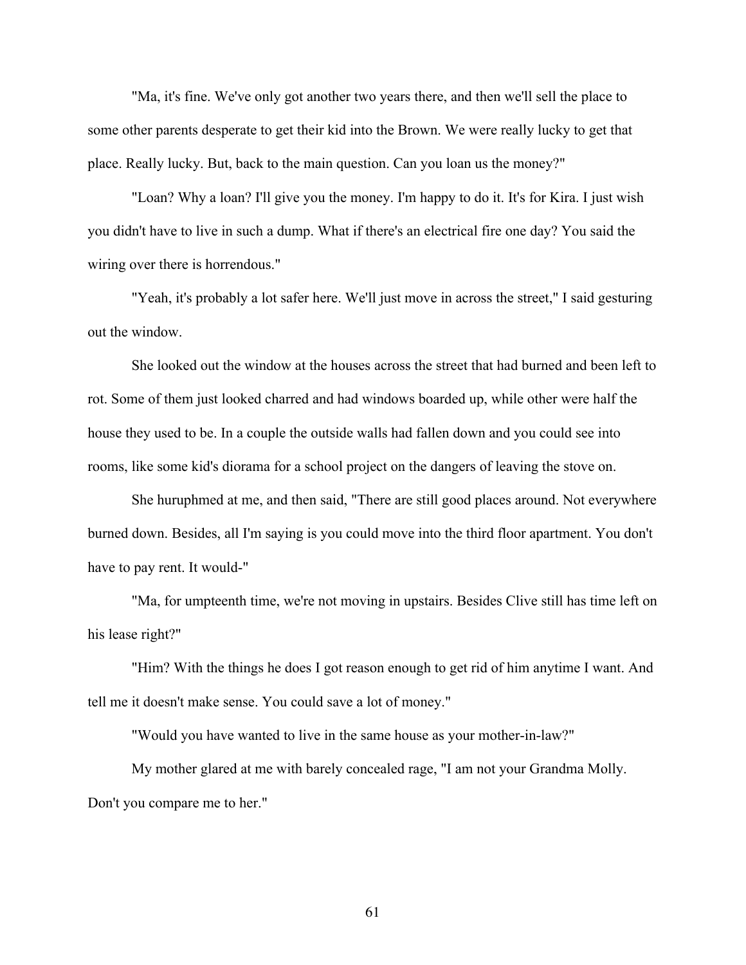"Ma, it's fine. We've only got another two years there, and then we'll sell the place to some other parents desperate to get their kid into the Brown. We were really lucky to get that place. Really lucky. But, back to the main question. Can you loan us the money?"

"Loan? Why a loan? I'll give you the money. I'm happy to do it. It's for Kira. I just wish you didn't have to live in such a dump. What if there's an electrical fire one day? You said the wiring over there is horrendous."

"Yeah, it's probably a lot safer here. We'll just move in across the street," I said gesturing out the window.

She looked out the window at the houses across the street that had burned and been left to rot. Some of them just looked charred and had windows boarded up, while other were half the house they used to be. In a couple the outside walls had fallen down and you could see into rooms, like some kid's diorama for a school project on the dangers of leaving the stove on.

She huruphmed at me, and then said, "There are still good places around. Not everywhere burned down. Besides, all I'm saying is you could move into the third floor apartment. You don't have to pay rent. It would-"

"Ma, for umpteenth time, we're not moving in upstairs. Besides Clive still has time left on his lease right?"

"Him? With the things he does I got reason enough to get rid of him anytime I want. And tell me it doesn't make sense. You could save a lot of money."

"Would you have wanted to live in the same house as your mother-in-law?"

My mother glared at me with barely concealed rage, "I am not your Grandma Molly. Don't you compare me to her."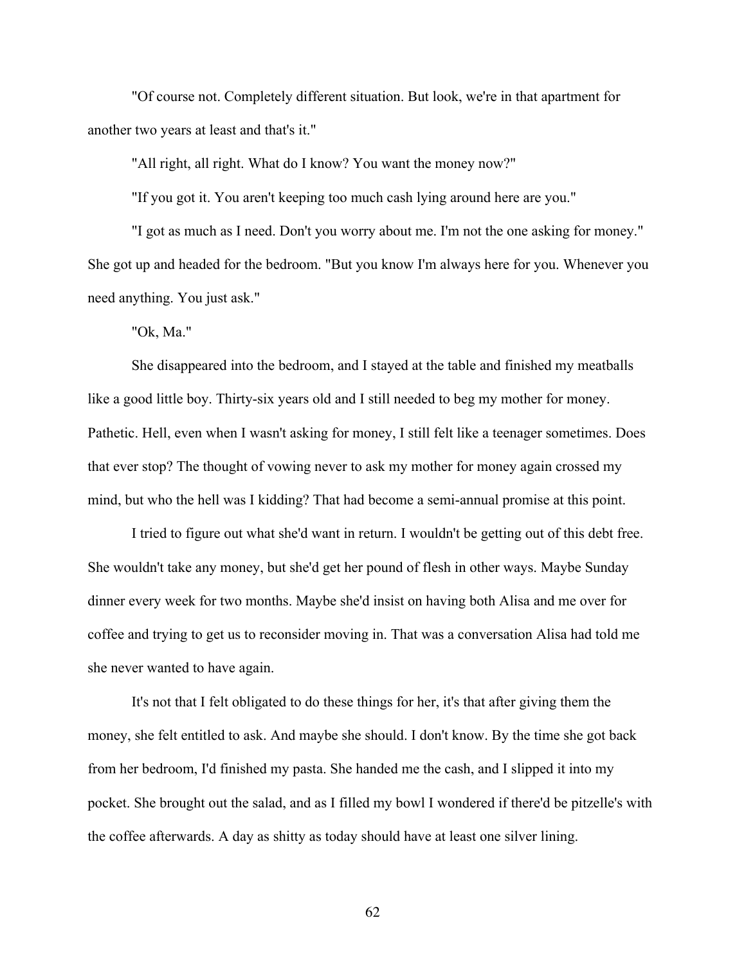"Of course not. Completely different situation. But look, we're in that apartment for another two years at least and that's it."

"All right, all right. What do I know? You want the money now?"

"If you got it. You aren't keeping too much cash lying around here are you."

"I got as much as I need. Don't you worry about me. I'm not the one asking for money." She got up and headed for the bedroom. "But you know I'm always here for you. Whenever you need anything. You just ask."

"Ok, Ma."

She disappeared into the bedroom, and I stayed at the table and finished my meatballs like a good little boy. Thirty-six years old and I still needed to beg my mother for money. Pathetic. Hell, even when I wasn't asking for money, I still felt like a teenager sometimes. Does that ever stop? The thought of vowing never to ask my mother for money again crossed my mind, but who the hell was I kidding? That had become a semi-annual promise at this point.

I tried to figure out what she'd want in return. I wouldn't be getting out of this debt free. She wouldn't take any money, but she'd get her pound of flesh in other ways. Maybe Sunday dinner every week for two months. Maybe she'd insist on having both Alisa and me over for coffee and trying to get us to reconsider moving in. That was a conversation Alisa had told me she never wanted to have again.

It's not that I felt obligated to do these things for her, it's that after giving them the money, she felt entitled to ask. And maybe she should. I don't know. By the time she got back from her bedroom, I'd finished my pasta. She handed me the cash, and I slipped it into my pocket. She brought out the salad, and as I filled my bowl I wondered if there'd be pitzelle's with the coffee afterwards. A day as shitty as today should have at least one silver lining.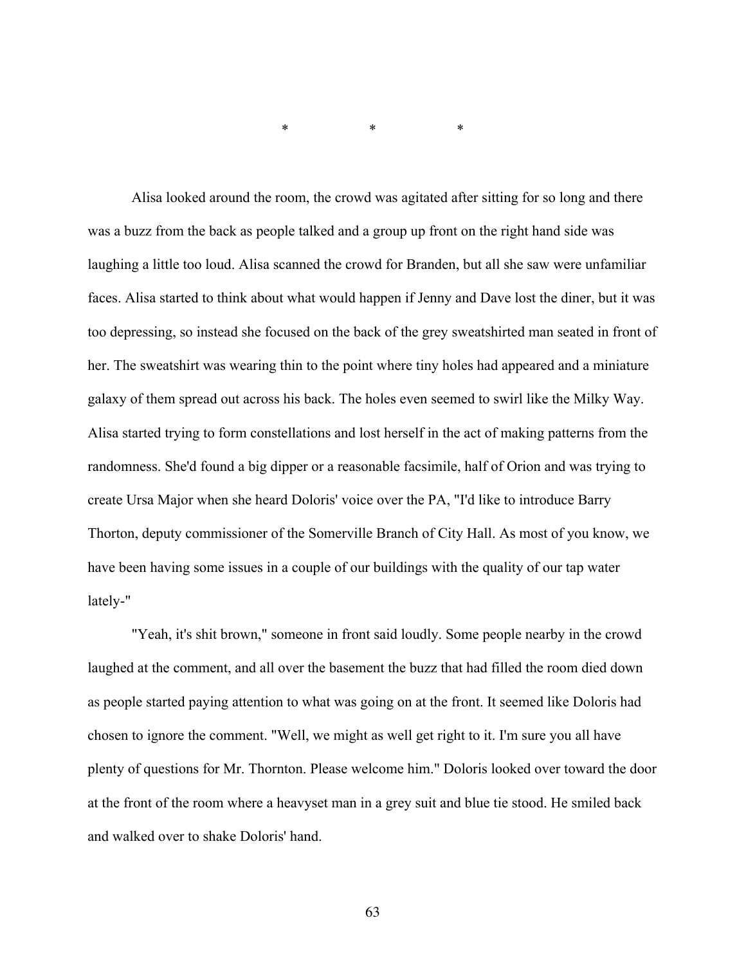\* \* \*

Alisa looked around the room, the crowd was agitated after sitting for so long and there was a buzz from the back as people talked and a group up front on the right hand side was laughing a little too loud. Alisa scanned the crowd for Branden, but all she saw were unfamiliar faces. Alisa started to think about what would happen if Jenny and Dave lost the diner, but it was too depressing, so instead she focused on the back of the grey sweatshirted man seated in front of her. The sweatshirt was wearing thin to the point where tiny holes had appeared and a miniature galaxy of them spread out across his back. The holes even seemed to swirl like the Milky Way. Alisa started trying to form constellations and lost herself in the act of making patterns from the randomness. She'd found a big dipper or a reasonable facsimile, half of Orion and was trying to create Ursa Major when she heard Doloris' voice over the PA, "I'd like to introduce Barry Thorton, deputy commissioner of the Somerville Branch of City Hall. As most of you know, we have been having some issues in a couple of our buildings with the quality of our tap water lately-"

"Yeah, it's shit brown," someone in front said loudly. Some people nearby in the crowd laughed at the comment, and all over the basement the buzz that had filled the room died down as people started paying attention to what was going on at the front. It seemed like Doloris had chosen to ignore the comment. "Well, we might as well get right to it. I'm sure you all have plenty of questions for Mr. Thornton. Please welcome him." Doloris looked over toward the door at the front of the room where a heavyset man in a grey suit and blue tie stood. He smiled back and walked over to shake Doloris' hand.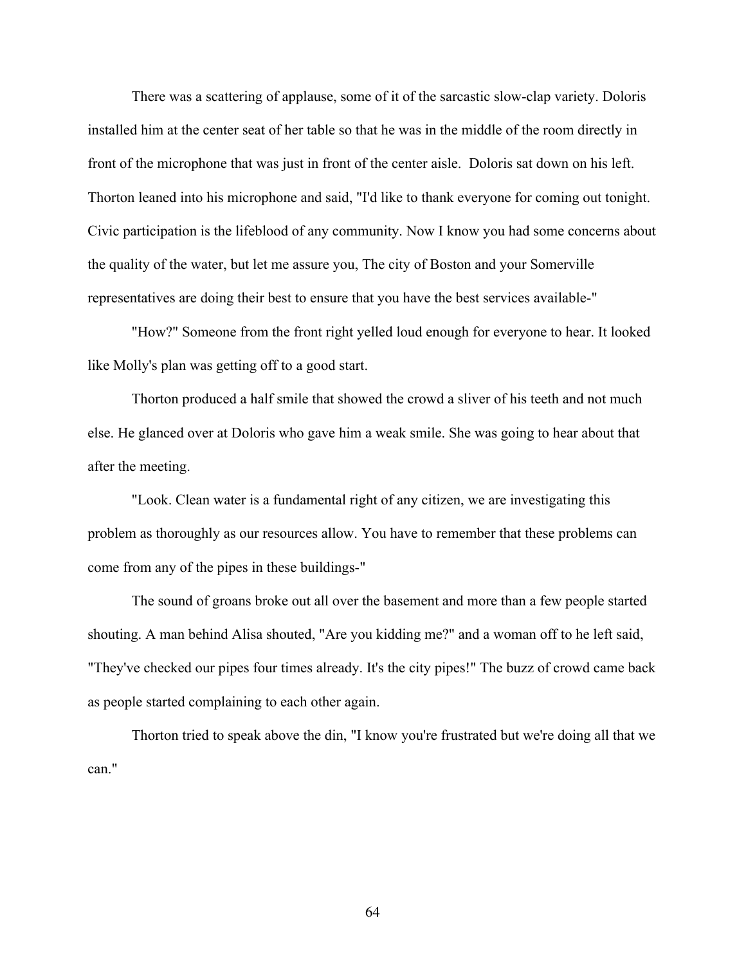There was a scattering of applause, some of it of the sarcastic slow-clap variety. Doloris installed him at the center seat of her table so that he was in the middle of the room directly in front of the microphone that was just in front of the center aisle. Doloris sat down on his left. Thorton leaned into his microphone and said, "I'd like to thank everyone for coming out tonight. Civic participation is the lifeblood of any community. Now I know you had some concerns about the quality of the water, but let me assure you, The city of Boston and your Somerville representatives are doing their best to ensure that you have the best services available-"

"How?" Someone from the front right yelled loud enough for everyone to hear. It looked like Molly's plan was getting off to a good start.

Thorton produced a half smile that showed the crowd a sliver of his teeth and not much else. He glanced over at Doloris who gave him a weak smile. She was going to hear about that after the meeting.

"Look. Clean water is a fundamental right of any citizen, we are investigating this problem as thoroughly as our resources allow. You have to remember that these problems can come from any of the pipes in these buildings-"

The sound of groans broke out all over the basement and more than a few people started shouting. A man behind Alisa shouted, "Are you kidding me?" and a woman off to he left said, "They've checked our pipes four times already. It's the city pipes!" The buzz of crowd came back as people started complaining to each other again.

Thorton tried to speak above the din, "I know you're frustrated but we're doing all that we can."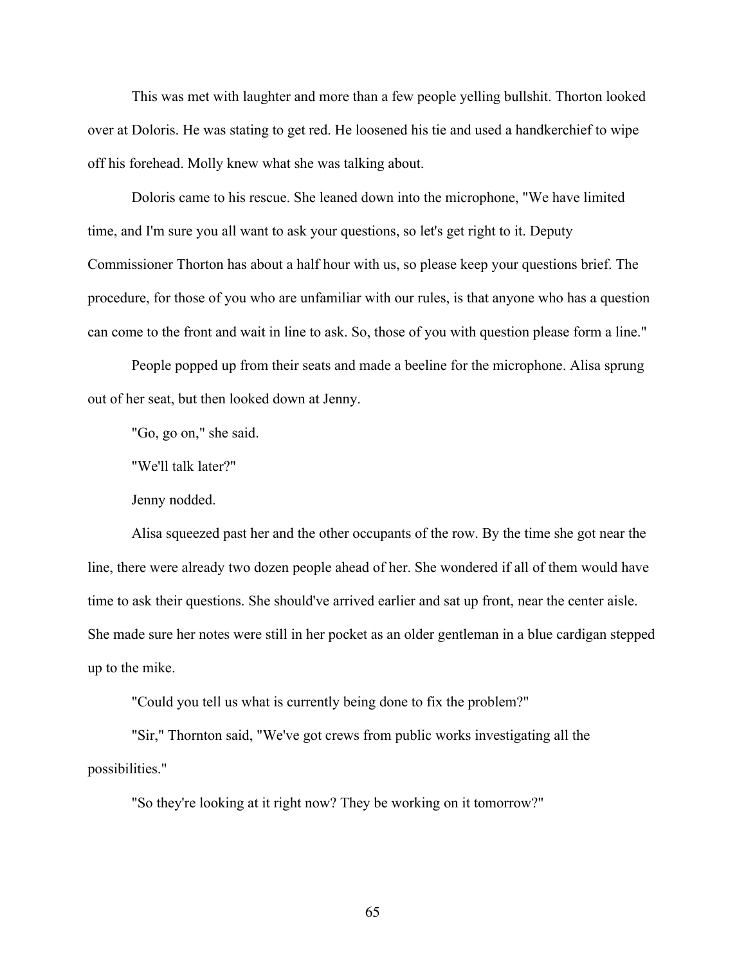This was met with laughter and more than a few people yelling bullshit. Thorton looked over at Doloris. He was stating to get red. He loosened his tie and used a handkerchief to wipe off his forehead. Molly knew what she was talking about.

Doloris came to his rescue. She leaned down into the microphone, "We have limited time, and I'm sure you all want to ask your questions, so let's get right to it. Deputy Commissioner Thorton has about a half hour with us, so please keep your questions brief. The procedure, for those of you who are unfamiliar with our rules, is that anyone who has a question can come to the front and wait in line to ask. So, those of you with question please form a line."

People popped up from their seats and made a beeline for the microphone. Alisa sprung out of her seat, but then looked down at Jenny.

"Go, go on," she said.

"We'll talk later?"

Jenny nodded.

Alisa squeezed past her and the other occupants of the row. By the time she got near the line, there were already two dozen people ahead of her. She wondered if all of them would have time to ask their questions. She should've arrived earlier and sat up front, near the center aisle. She made sure her notes were still in her pocket as an older gentleman in a blue cardigan stepped up to the mike.

"Could you tell us what is currently being done to fix the problem?"

"Sir," Thornton said, "We've got crews from public works investigating all the possibilities."

"So they're looking at it right now? They be working on it tomorrow?"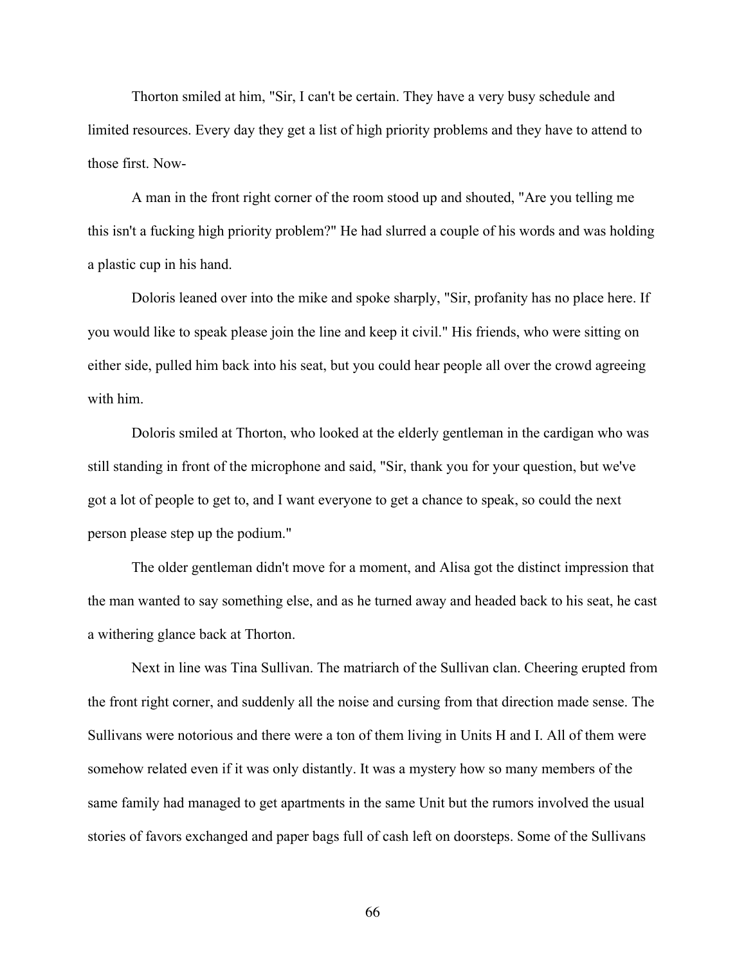Thorton smiled at him, "Sir, I can't be certain. They have a very busy schedule and limited resources. Every day they get a list of high priority problems and they have to attend to those first. Now-

A man in the front right corner of the room stood up and shouted, "Are you telling me this isn't a fucking high priority problem?" He had slurred a couple of his words and was holding a plastic cup in his hand.

Doloris leaned over into the mike and spoke sharply, "Sir, profanity has no place here. If you would like to speak please join the line and keep it civil." His friends, who were sitting on either side, pulled him back into his seat, but you could hear people all over the crowd agreeing with him.

Doloris smiled at Thorton, who looked at the elderly gentleman in the cardigan who was still standing in front of the microphone and said, "Sir, thank you for your question, but we've got a lot of people to get to, and I want everyone to get a chance to speak, so could the next person please step up the podium."

The older gentleman didn't move for a moment, and Alisa got the distinct impression that the man wanted to say something else, and as he turned away and headed back to his seat, he cast a withering glance back at Thorton.

Next in line was Tina Sullivan. The matriarch of the Sullivan clan. Cheering erupted from the front right corner, and suddenly all the noise and cursing from that direction made sense. The Sullivans were notorious and there were a ton of them living in Units H and I. All of them were somehow related even if it was only distantly. It was a mystery how so many members of the same family had managed to get apartments in the same Unit but the rumors involved the usual stories of favors exchanged and paper bags full of cash left on doorsteps. Some of the Sullivans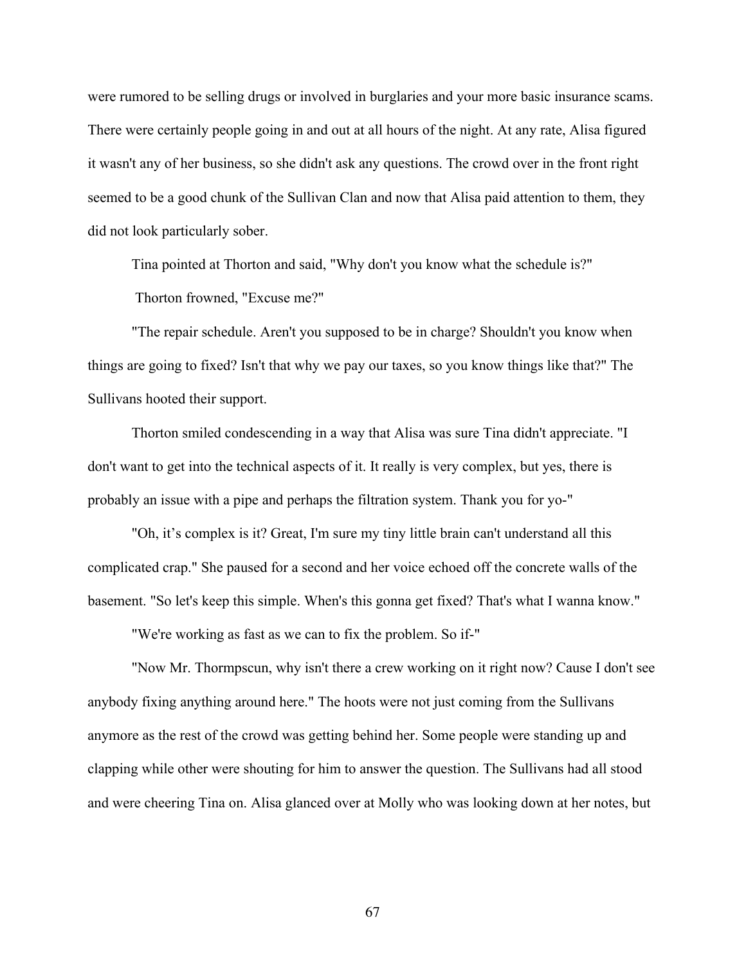were rumored to be selling drugs or involved in burglaries and your more basic insurance scams. There were certainly people going in and out at all hours of the night. At any rate, Alisa figured it wasn't any of her business, so she didn't ask any questions. The crowd over in the front right seemed to be a good chunk of the Sullivan Clan and now that Alisa paid attention to them, they did not look particularly sober.

Tina pointed at Thorton and said, "Why don't you know what the schedule is?" Thorton frowned, "Excuse me?"

"The repair schedule. Aren't you supposed to be in charge? Shouldn't you know when things are going to fixed? Isn't that why we pay our taxes, so you know things like that?" The Sullivans hooted their support.

Thorton smiled condescending in a way that Alisa was sure Tina didn't appreciate. "I don't want to get into the technical aspects of it. It really is very complex, but yes, there is probably an issue with a pipe and perhaps the filtration system. Thank you for yo-"

"Oh, it's complex is it? Great, I'm sure my tiny little brain can't understand all this complicated crap." She paused for a second and her voice echoed off the concrete walls of the basement. "So let's keep this simple. When's this gonna get fixed? That's what I wanna know."

"We're working as fast as we can to fix the problem. So if-"

"Now Mr. Thormpscun, why isn't there a crew working on it right now? Cause I don't see anybody fixing anything around here." The hoots were not just coming from the Sullivans anymore as the rest of the crowd was getting behind her. Some people were standing up and clapping while other were shouting for him to answer the question. The Sullivans had all stood and were cheering Tina on. Alisa glanced over at Molly who was looking down at her notes, but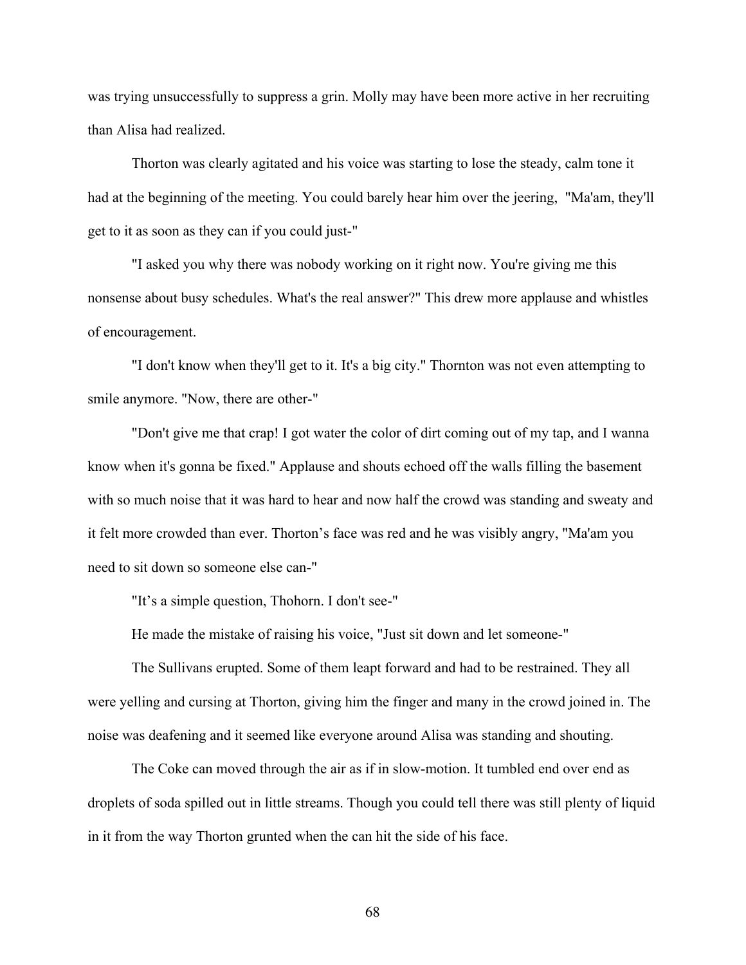was trying unsuccessfully to suppress a grin. Molly may have been more active in her recruiting than Alisa had realized.

Thorton was clearly agitated and his voice was starting to lose the steady, calm tone it had at the beginning of the meeting. You could barely hear him over the jeering, "Ma'am, they'll get to it as soon as they can if you could just-"

"I asked you why there was nobody working on it right now. You're giving me this nonsense about busy schedules. What's the real answer?" This drew more applause and whistles of encouragement.

"I don't know when they'll get to it. It's a big city." Thornton was not even attempting to smile anymore. "Now, there are other-"

"Don't give me that crap! I got water the color of dirt coming out of my tap, and I wanna know when it's gonna be fixed." Applause and shouts echoed off the walls filling the basement with so much noise that it was hard to hear and now half the crowd was standing and sweaty and it felt more crowded than ever. Thorton's face was red and he was visibly angry, "Ma'am you need to sit down so someone else can-"

"It's a simple question, Thohorn. I don't see-"

He made the mistake of raising his voice, "Just sit down and let someone-"

The Sullivans erupted. Some of them leapt forward and had to be restrained. They all were yelling and cursing at Thorton, giving him the finger and many in the crowd joined in. The noise was deafening and it seemed like everyone around Alisa was standing and shouting.

The Coke can moved through the air as if in slow-motion. It tumbled end over end as droplets of soda spilled out in little streams. Though you could tell there was still plenty of liquid in it from the way Thorton grunted when the can hit the side of his face.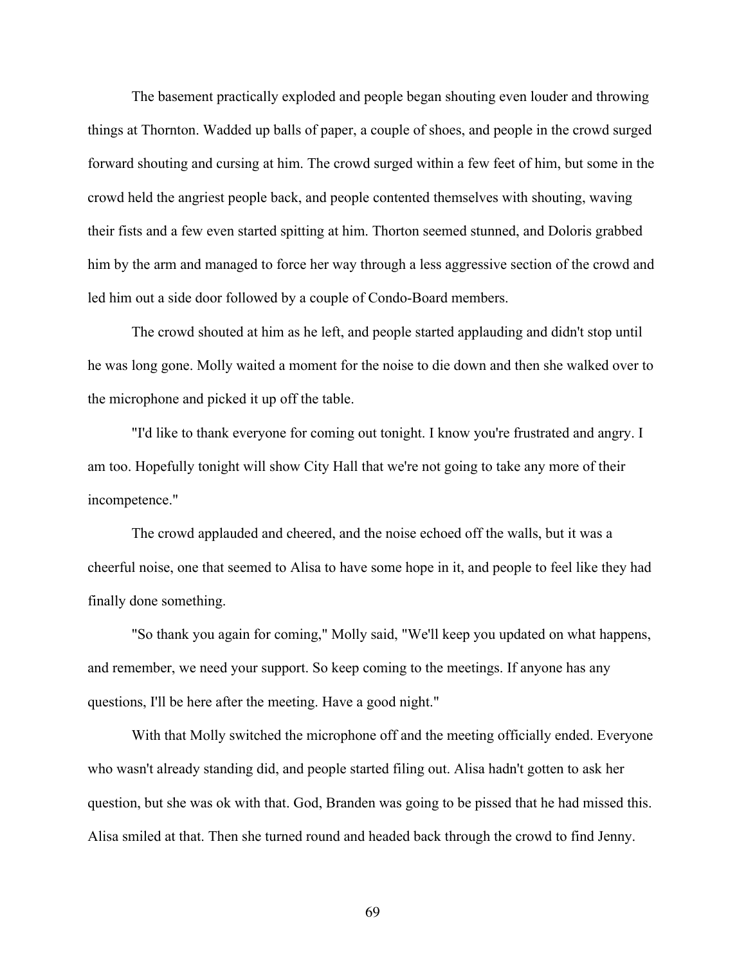The basement practically exploded and people began shouting even louder and throwing things at Thornton. Wadded up balls of paper, a couple of shoes, and people in the crowd surged forward shouting and cursing at him. The crowd surged within a few feet of him, but some in the crowd held the angriest people back, and people contented themselves with shouting, waving their fists and a few even started spitting at him. Thorton seemed stunned, and Doloris grabbed him by the arm and managed to force her way through a less aggressive section of the crowd and led him out a side door followed by a couple of Condo-Board members.

The crowd shouted at him as he left, and people started applauding and didn't stop until he was long gone. Molly waited a moment for the noise to die down and then she walked over to the microphone and picked it up off the table.

"I'd like to thank everyone for coming out tonight. I know you're frustrated and angry. I am too. Hopefully tonight will show City Hall that we're not going to take any more of their incompetence."

The crowd applauded and cheered, and the noise echoed off the walls, but it was a cheerful noise, one that seemed to Alisa to have some hope in it, and people to feel like they had finally done something.

"So thank you again for coming," Molly said, "We'll keep you updated on what happens, and remember, we need your support. So keep coming to the meetings. If anyone has any questions, I'll be here after the meeting. Have a good night."

With that Molly switched the microphone off and the meeting officially ended. Everyone who wasn't already standing did, and people started filing out. Alisa hadn't gotten to ask her question, but she was ok with that. God, Branden was going to be pissed that he had missed this. Alisa smiled at that. Then she turned round and headed back through the crowd to find Jenny.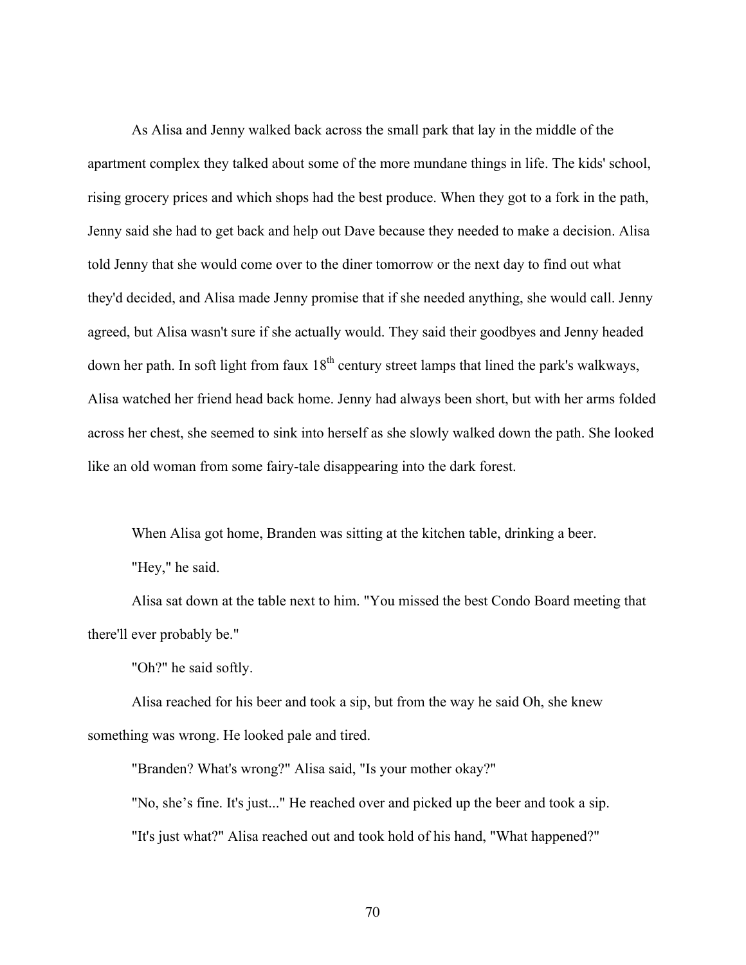As Alisa and Jenny walked back across the small park that lay in the middle of the apartment complex they talked about some of the more mundane things in life. The kids' school, rising grocery prices and which shops had the best produce. When they got to a fork in the path, Jenny said she had to get back and help out Dave because they needed to make a decision. Alisa told Jenny that she would come over to the diner tomorrow or the next day to find out what they'd decided, and Alisa made Jenny promise that if she needed anything, she would call. Jenny agreed, but Alisa wasn't sure if she actually would. They said their goodbyes and Jenny headed down her path. In soft light from faux 18<sup>th</sup> century street lamps that lined the park's walkways, Alisa watched her friend head back home. Jenny had always been short, but with her arms folded across her chest, she seemed to sink into herself as she slowly walked down the path. She looked like an old woman from some fairy-tale disappearing into the dark forest.

When Alisa got home, Branden was sitting at the kitchen table, drinking a beer.

"Hey," he said.

Alisa sat down at the table next to him. "You missed the best Condo Board meeting that there'll ever probably be."

"Oh?" he said softly.

Alisa reached for his beer and took a sip, but from the way he said Oh, she knew something was wrong. He looked pale and tired.

"Branden? What's wrong?" Alisa said, "Is your mother okay?"

"No, she's fine. It's just..." He reached over and picked up the beer and took a sip. "It's just what?" Alisa reached out and took hold of his hand, "What happened?"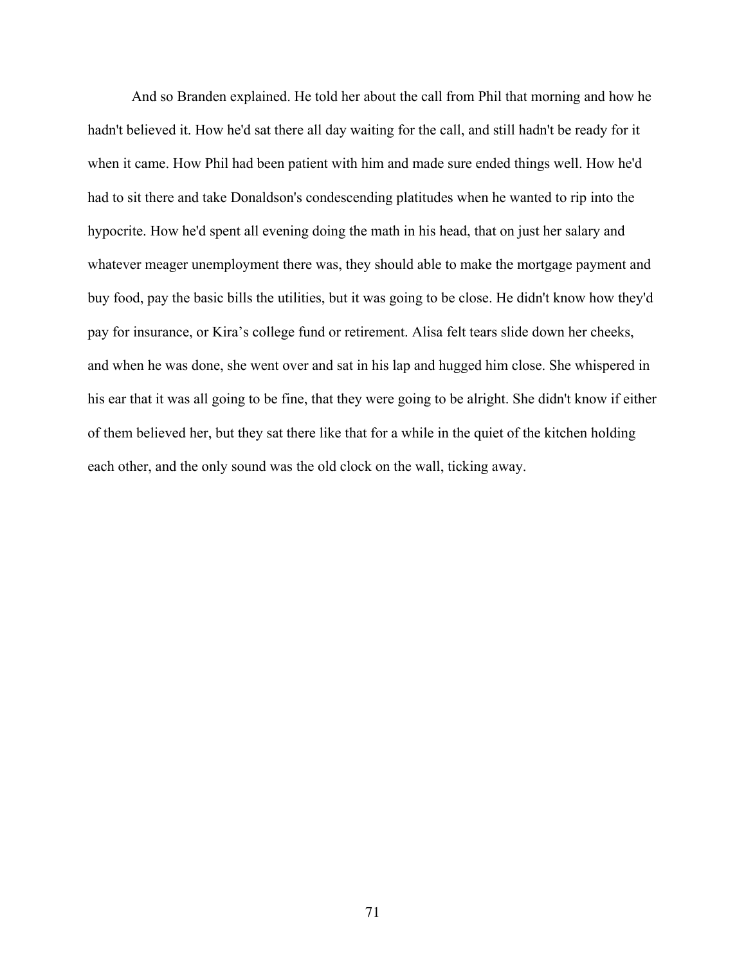And so Branden explained. He told her about the call from Phil that morning and how he hadn't believed it. How he'd sat there all day waiting for the call, and still hadn't be ready for it when it came. How Phil had been patient with him and made sure ended things well. How he'd had to sit there and take Donaldson's condescending platitudes when he wanted to rip into the hypocrite. How he'd spent all evening doing the math in his head, that on just her salary and whatever meager unemployment there was, they should able to make the mortgage payment and buy food, pay the basic bills the utilities, but it was going to be close. He didn't know how they'd pay for insurance, or Kira's college fund or retirement. Alisa felt tears slide down her cheeks, and when he was done, she went over and sat in his lap and hugged him close. She whispered in his ear that it was all going to be fine, that they were going to be alright. She didn't know if either of them believed her, but they sat there like that for a while in the quiet of the kitchen holding each other, and the only sound was the old clock on the wall, ticking away.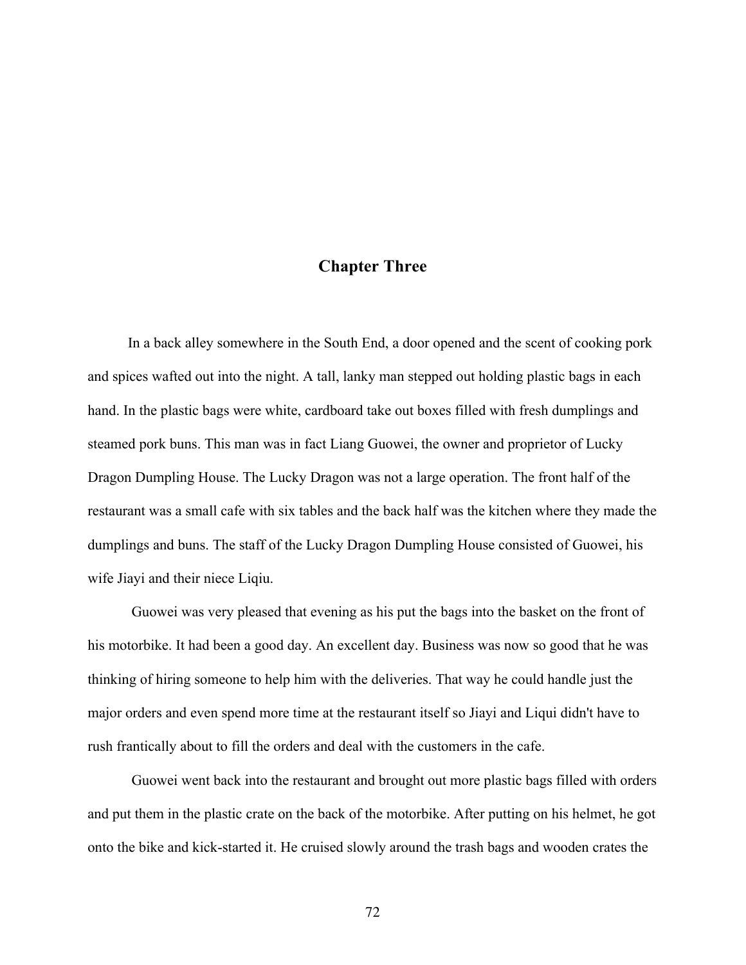## **Chapter Three**

 In a back alley somewhere in the South End, a door opened and the scent of cooking pork and spices wafted out into the night. A tall, lanky man stepped out holding plastic bags in each hand. In the plastic bags were white, cardboard take out boxes filled with fresh dumplings and steamed pork buns. This man was in fact Liang Guowei, the owner and proprietor of Lucky Dragon Dumpling House. The Lucky Dragon was not a large operation. The front half of the restaurant was a small cafe with six tables and the back half was the kitchen where they made the dumplings and buns. The staff of the Lucky Dragon Dumpling House consisted of Guowei, his wife Jiayi and their niece Liqiu.

Guowei was very pleased that evening as his put the bags into the basket on the front of his motorbike. It had been a good day. An excellent day. Business was now so good that he was thinking of hiring someone to help him with the deliveries. That way he could handle just the major orders and even spend more time at the restaurant itself so Jiayi and Liqui didn't have to rush frantically about to fill the orders and deal with the customers in the cafe.

Guowei went back into the restaurant and brought out more plastic bags filled with orders and put them in the plastic crate on the back of the motorbike. After putting on his helmet, he got onto the bike and kick-started it. He cruised slowly around the trash bags and wooden crates the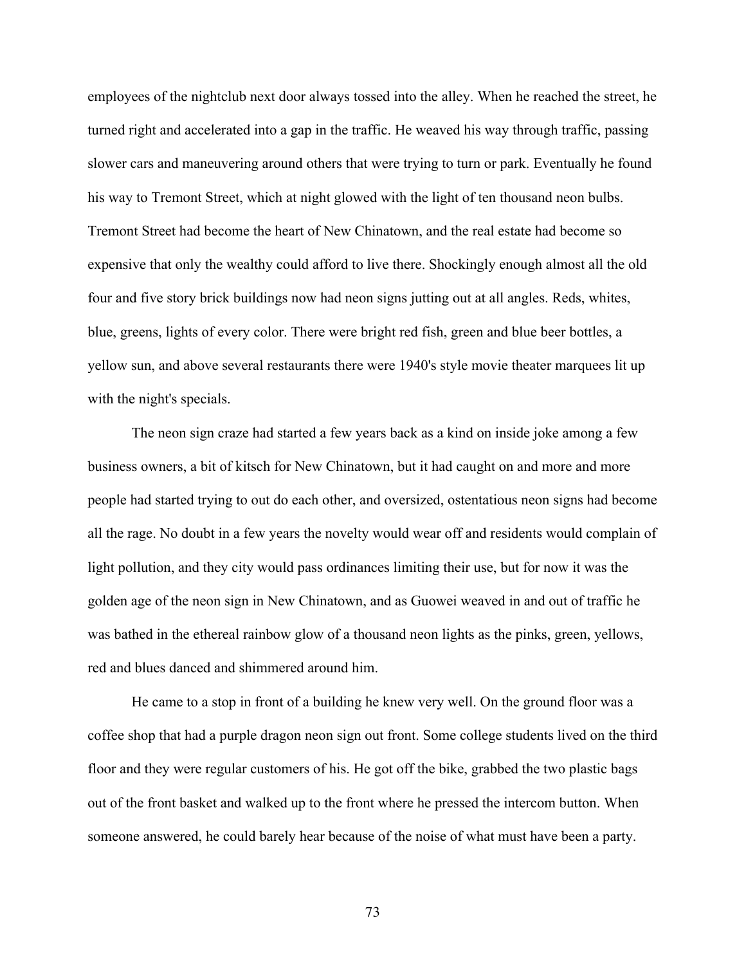employees of the nightclub next door always tossed into the alley. When he reached the street, he turned right and accelerated into a gap in the traffic. He weaved his way through traffic, passing slower cars and maneuvering around others that were trying to turn or park. Eventually he found his way to Tremont Street, which at night glowed with the light of ten thousand neon bulbs. Tremont Street had become the heart of New Chinatown, and the real estate had become so expensive that only the wealthy could afford to live there. Shockingly enough almost all the old four and five story brick buildings now had neon signs jutting out at all angles. Reds, whites, blue, greens, lights of every color. There were bright red fish, green and blue beer bottles, a yellow sun, and above several restaurants there were 1940's style movie theater marquees lit up with the night's specials.

The neon sign craze had started a few years back as a kind on inside joke among a few business owners, a bit of kitsch for New Chinatown, but it had caught on and more and more people had started trying to out do each other, and oversized, ostentatious neon signs had become all the rage. No doubt in a few years the novelty would wear off and residents would complain of light pollution, and they city would pass ordinances limiting their use, but for now it was the golden age of the neon sign in New Chinatown, and as Guowei weaved in and out of traffic he was bathed in the ethereal rainbow glow of a thousand neon lights as the pinks, green, yellows, red and blues danced and shimmered around him.

He came to a stop in front of a building he knew very well. On the ground floor was a coffee shop that had a purple dragon neon sign out front. Some college students lived on the third floor and they were regular customers of his. He got off the bike, grabbed the two plastic bags out of the front basket and walked up to the front where he pressed the intercom button. When someone answered, he could barely hear because of the noise of what must have been a party.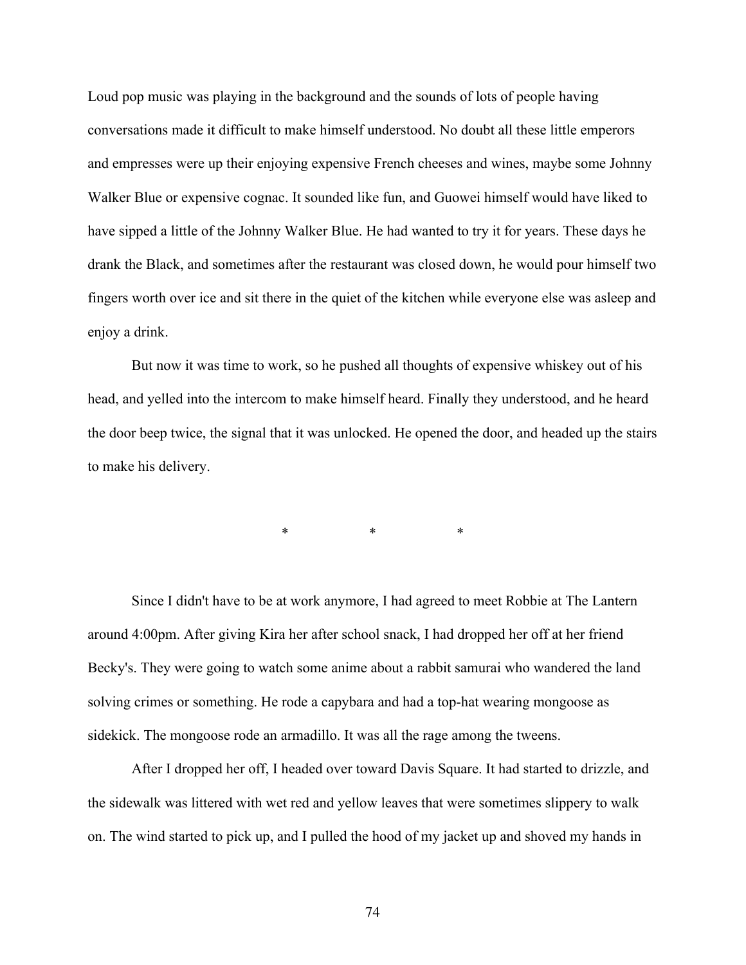Loud pop music was playing in the background and the sounds of lots of people having conversations made it difficult to make himself understood. No doubt all these little emperors and empresses were up their enjoying expensive French cheeses and wines, maybe some Johnny Walker Blue or expensive cognac. It sounded like fun, and Guowei himself would have liked to have sipped a little of the Johnny Walker Blue. He had wanted to try it for years. These days he drank the Black, and sometimes after the restaurant was closed down, he would pour himself two fingers worth over ice and sit there in the quiet of the kitchen while everyone else was asleep and enjoy a drink.

But now it was time to work, so he pushed all thoughts of expensive whiskey out of his head, and yelled into the intercom to make himself heard. Finally they understood, and he heard the door beep twice, the signal that it was unlocked. He opened the door, and headed up the stairs to make his delivery.

\* \* \*

Since I didn't have to be at work anymore, I had agreed to meet Robbie at The Lantern around 4:00pm. After giving Kira her after school snack, I had dropped her off at her friend Becky's. They were going to watch some anime about a rabbit samurai who wandered the land solving crimes or something. He rode a capybara and had a top-hat wearing mongoose as sidekick. The mongoose rode an armadillo. It was all the rage among the tweens.

After I dropped her off, I headed over toward Davis Square. It had started to drizzle, and the sidewalk was littered with wet red and yellow leaves that were sometimes slippery to walk on. The wind started to pick up, and I pulled the hood of my jacket up and shoved my hands in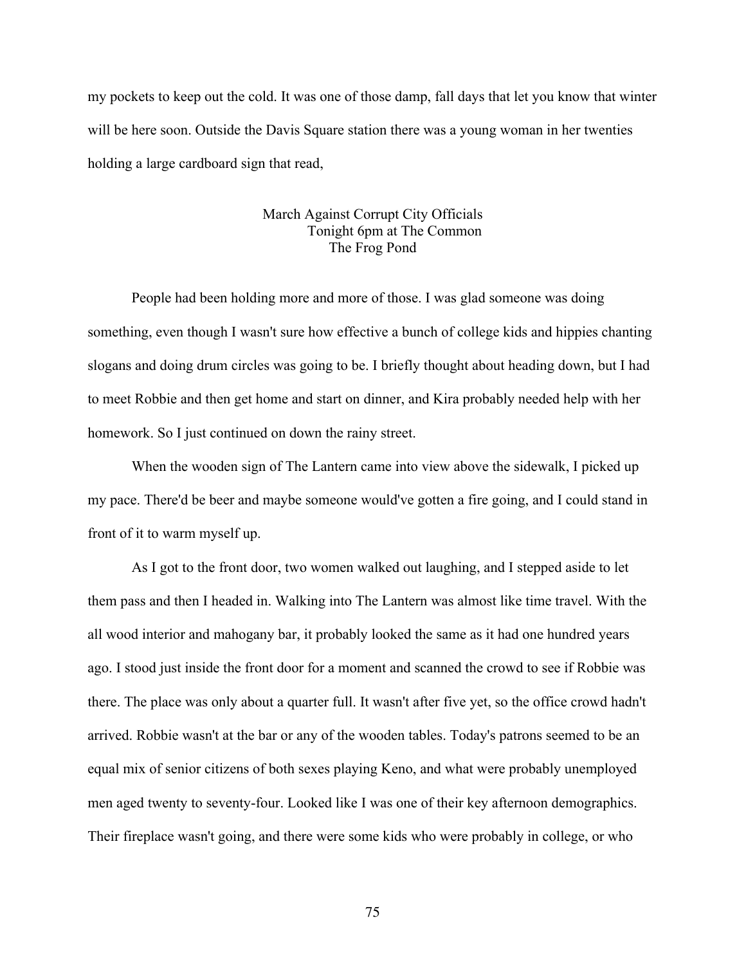my pockets to keep out the cold. It was one of those damp, fall days that let you know that winter will be here soon. Outside the Davis Square station there was a young woman in her twenties holding a large cardboard sign that read,

## March Against Corrupt City Officials Tonight 6pm at The Common The Frog Pond

People had been holding more and more of those. I was glad someone was doing something, even though I wasn't sure how effective a bunch of college kids and hippies chanting slogans and doing drum circles was going to be. I briefly thought about heading down, but I had to meet Robbie and then get home and start on dinner, and Kira probably needed help with her homework. So I just continued on down the rainy street.

When the wooden sign of The Lantern came into view above the sidewalk, I picked up my pace. There'd be beer and maybe someone would've gotten a fire going, and I could stand in front of it to warm myself up.

As I got to the front door, two women walked out laughing, and I stepped aside to let them pass and then I headed in. Walking into The Lantern was almost like time travel. With the all wood interior and mahogany bar, it probably looked the same as it had one hundred years ago. I stood just inside the front door for a moment and scanned the crowd to see if Robbie was there. The place was only about a quarter full. It wasn't after five yet, so the office crowd hadn't arrived. Robbie wasn't at the bar or any of the wooden tables. Today's patrons seemed to be an equal mix of senior citizens of both sexes playing Keno, and what were probably unemployed men aged twenty to seventy-four. Looked like I was one of their key afternoon demographics. Their fireplace wasn't going, and there were some kids who were probably in college, or who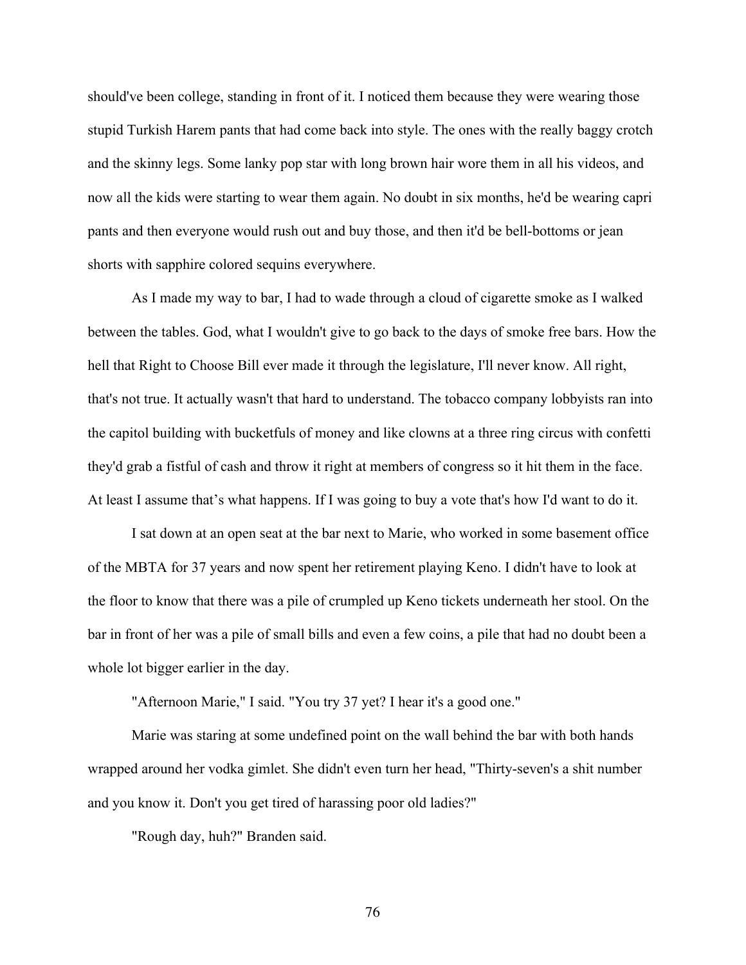should've been college, standing in front of it. I noticed them because they were wearing those stupid Turkish Harem pants that had come back into style. The ones with the really baggy crotch and the skinny legs. Some lanky pop star with long brown hair wore them in all his videos, and now all the kids were starting to wear them again. No doubt in six months, he'd be wearing capri pants and then everyone would rush out and buy those, and then it'd be bell-bottoms or jean shorts with sapphire colored sequins everywhere.

As I made my way to bar, I had to wade through a cloud of cigarette smoke as I walked between the tables. God, what I wouldn't give to go back to the days of smoke free bars. How the hell that Right to Choose Bill ever made it through the legislature, I'll never know. All right, that's not true. It actually wasn't that hard to understand. The tobacco company lobbyists ran into the capitol building with bucketfuls of money and like clowns at a three ring circus with confetti they'd grab a fistful of cash and throw it right at members of congress so it hit them in the face. At least I assume that's what happens. If I was going to buy a vote that's how I'd want to do it.

I sat down at an open seat at the bar next to Marie, who worked in some basement office of the MBTA for 37 years and now spent her retirement playing Keno. I didn't have to look at the floor to know that there was a pile of crumpled up Keno tickets underneath her stool. On the bar in front of her was a pile of small bills and even a few coins, a pile that had no doubt been a whole lot bigger earlier in the day.

"Afternoon Marie," I said. "You try 37 yet? I hear it's a good one."

Marie was staring at some undefined point on the wall behind the bar with both hands wrapped around her vodka gimlet. She didn't even turn her head, "Thirty-seven's a shit number and you know it. Don't you get tired of harassing poor old ladies?"

"Rough day, huh?" Branden said.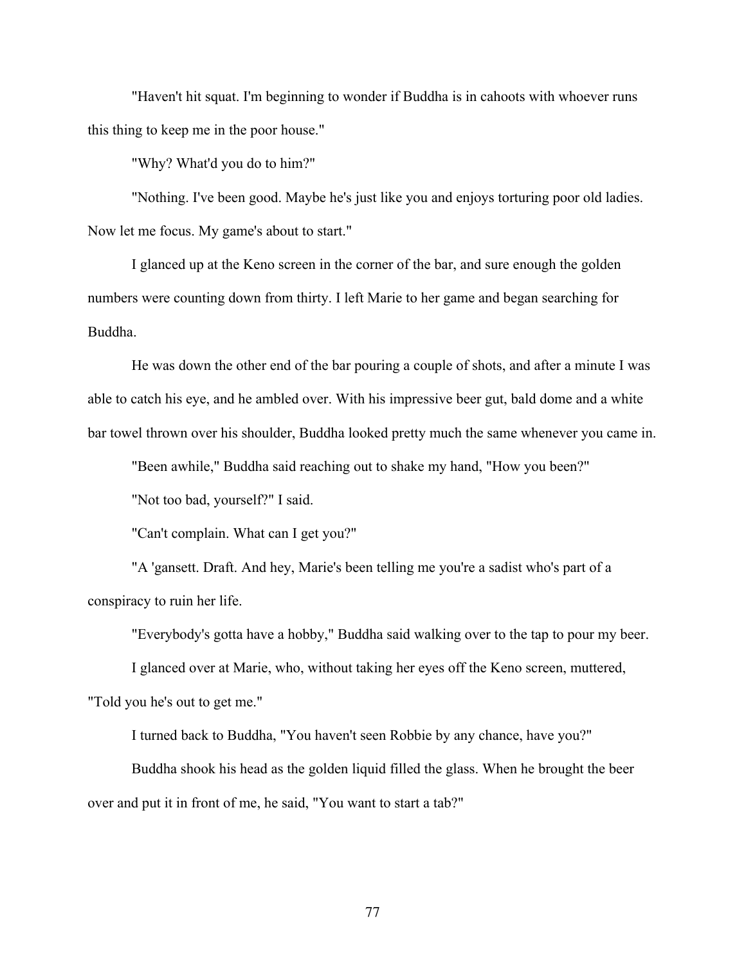"Haven't hit squat. I'm beginning to wonder if Buddha is in cahoots with whoever runs this thing to keep me in the poor house."

"Why? What'd you do to him?"

"Nothing. I've been good. Maybe he's just like you and enjoys torturing poor old ladies. Now let me focus. My game's about to start."

I glanced up at the Keno screen in the corner of the bar, and sure enough the golden numbers were counting down from thirty. I left Marie to her game and began searching for Buddha.

He was down the other end of the bar pouring a couple of shots, and after a minute I was able to catch his eye, and he ambled over. With his impressive beer gut, bald dome and a white bar towel thrown over his shoulder, Buddha looked pretty much the same whenever you came in.

"Been awhile," Buddha said reaching out to shake my hand, "How you been?"

"Not too bad, yourself?" I said.

"Can't complain. What can I get you?"

"A 'gansett. Draft. And hey, Marie's been telling me you're a sadist who's part of a conspiracy to ruin her life.

"Everybody's gotta have a hobby," Buddha said walking over to the tap to pour my beer.

I glanced over at Marie, who, without taking her eyes off the Keno screen, muttered,

"Told you he's out to get me."

I turned back to Buddha, "You haven't seen Robbie by any chance, have you?"

Buddha shook his head as the golden liquid filled the glass. When he brought the beer over and put it in front of me, he said, "You want to start a tab?"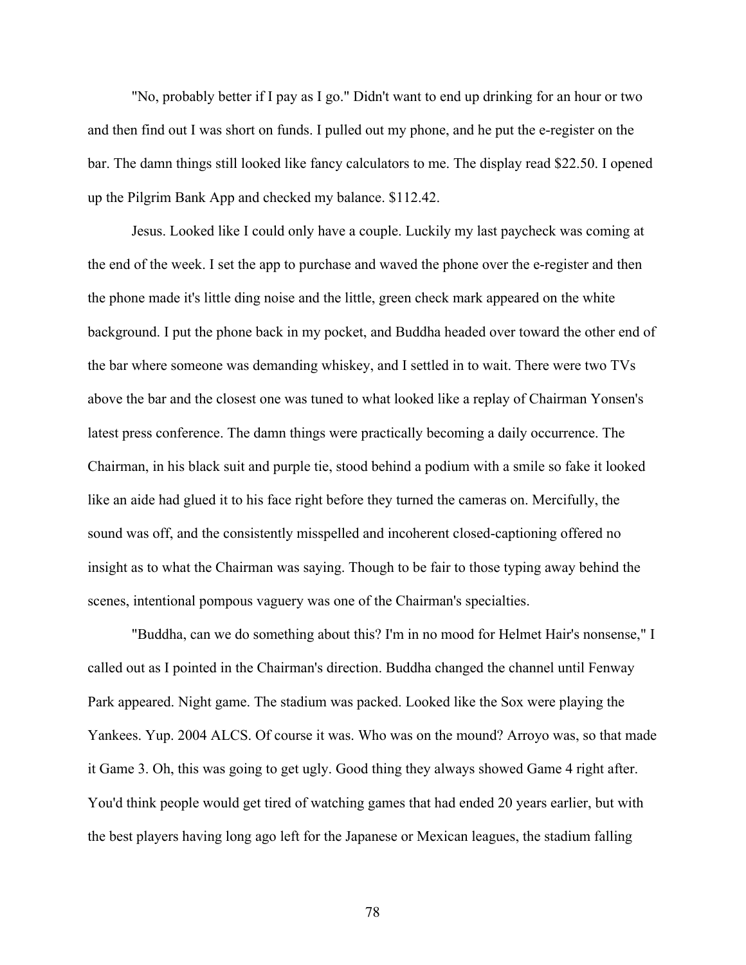"No, probably better if I pay as I go." Didn't want to end up drinking for an hour or two and then find out I was short on funds. I pulled out my phone, and he put the e-register on the bar. The damn things still looked like fancy calculators to me. The display read \$22.50. I opened up the Pilgrim Bank App and checked my balance. \$112.42.

Jesus. Looked like I could only have a couple. Luckily my last paycheck was coming at the end of the week. I set the app to purchase and waved the phone over the e-register and then the phone made it's little ding noise and the little, green check mark appeared on the white background. I put the phone back in my pocket, and Buddha headed over toward the other end of the bar where someone was demanding whiskey, and I settled in to wait. There were two TVs above the bar and the closest one was tuned to what looked like a replay of Chairman Yonsen's latest press conference. The damn things were practically becoming a daily occurrence. The Chairman, in his black suit and purple tie, stood behind a podium with a smile so fake it looked like an aide had glued it to his face right before they turned the cameras on. Mercifully, the sound was off, and the consistently misspelled and incoherent closed-captioning offered no insight as to what the Chairman was saying. Though to be fair to those typing away behind the scenes, intentional pompous vaguery was one of the Chairman's specialties.

"Buddha, can we do something about this? I'm in no mood for Helmet Hair's nonsense," I called out as I pointed in the Chairman's direction. Buddha changed the channel until Fenway Park appeared. Night game. The stadium was packed. Looked like the Sox were playing the Yankees. Yup. 2004 ALCS. Of course it was. Who was on the mound? Arroyo was, so that made it Game 3. Oh, this was going to get ugly. Good thing they always showed Game 4 right after. You'd think people would get tired of watching games that had ended 20 years earlier, but with the best players having long ago left for the Japanese or Mexican leagues, the stadium falling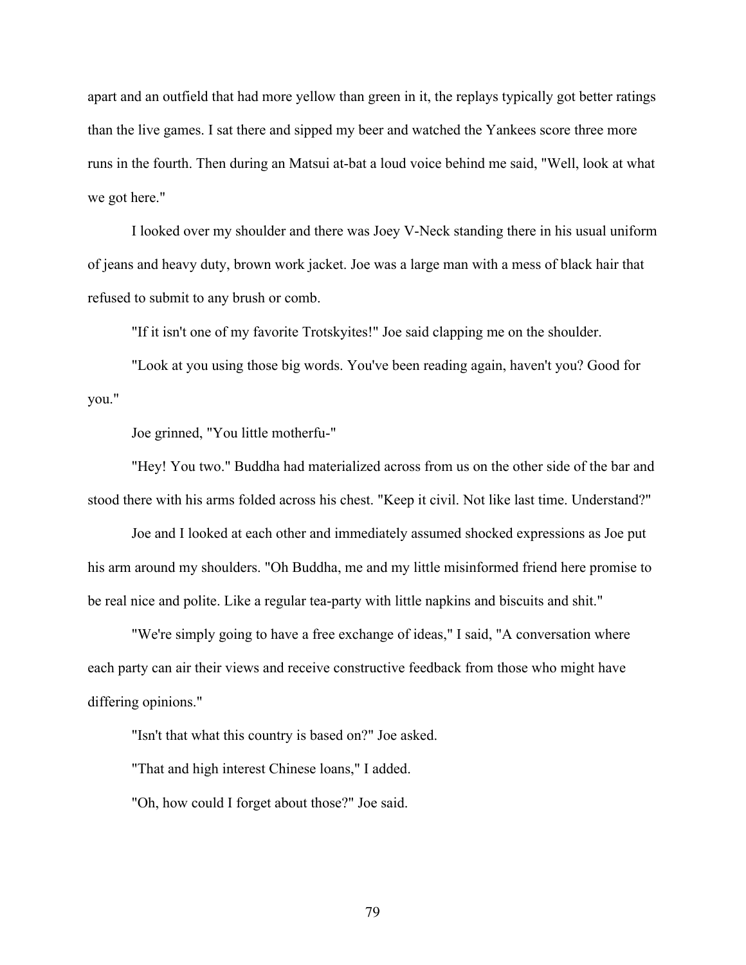apart and an outfield that had more yellow than green in it, the replays typically got better ratings than the live games. I sat there and sipped my beer and watched the Yankees score three more runs in the fourth. Then during an Matsui at-bat a loud voice behind me said, "Well, look at what we got here."

I looked over my shoulder and there was Joey V-Neck standing there in his usual uniform of jeans and heavy duty, brown work jacket. Joe was a large man with a mess of black hair that refused to submit to any brush or comb.

"If it isn't one of my favorite Trotskyites!" Joe said clapping me on the shoulder.

"Look at you using those big words. You've been reading again, haven't you? Good for you."

Joe grinned, "You little motherfu-"

"Hey! You two." Buddha had materialized across from us on the other side of the bar and stood there with his arms folded across his chest. "Keep it civil. Not like last time. Understand?"

Joe and I looked at each other and immediately assumed shocked expressions as Joe put his arm around my shoulders. "Oh Buddha, me and my little misinformed friend here promise to be real nice and polite. Like a regular tea-party with little napkins and biscuits and shit."

"We're simply going to have a free exchange of ideas," I said, "A conversation where each party can air their views and receive constructive feedback from those who might have differing opinions."

"Isn't that what this country is based on?" Joe asked.

"That and high interest Chinese loans," I added.

"Oh, how could I forget about those?" Joe said.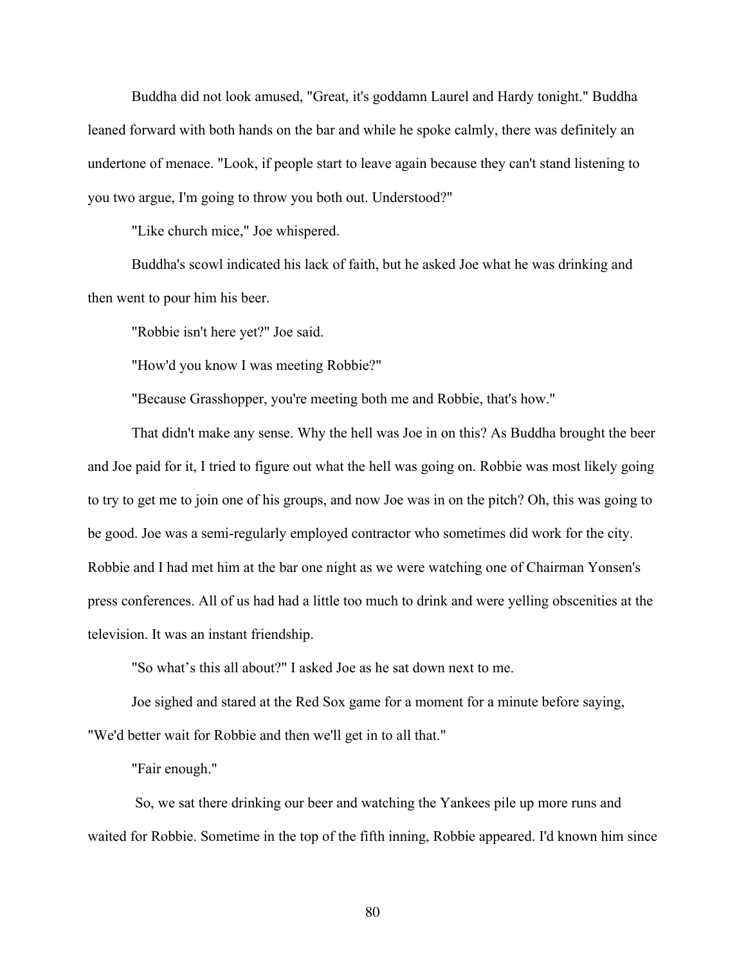Buddha did not look amused, "Great, it's goddamn Laurel and Hardy tonight." Buddha leaned forward with both hands on the bar and while he spoke calmly, there was definitely an undertone of menace. "Look, if people start to leave again because they can't stand listening to you two argue, I'm going to throw you both out. Understood?"

"Like church mice," Joe whispered.

Buddha's scowl indicated his lack of faith, but he asked Joe what he was drinking and then went to pour him his beer.

"Robbie isn't here yet?" Joe said.

"How'd you know I was meeting Robbie?"

"Because Grasshopper, you're meeting both me and Robbie, that's how."

That didn't make any sense. Why the hell was Joe in on this? As Buddha brought the beer and Joe paid for it, I tried to figure out what the hell was going on. Robbie was most likely going to try to get me to join one of his groups, and now Joe was in on the pitch? Oh, this was going to be good. Joe was a semi-regularly employed contractor who sometimes did work for the city. Robbie and I had met him at the bar one night as we were watching one of Chairman Yonsen's press conferences. All of us had had a little too much to drink and were yelling obscenities at the television. It was an instant friendship.

"So what's this all about?" I asked Joe as he sat down next to me.

Joe sighed and stared at the Red Sox game for a moment for a minute before saying, "We'd better wait for Robbie and then we'll get in to all that."

"Fair enough."

So, we sat there drinking our beer and watching the Yankees pile up more runs and waited for Robbie. Sometime in the top of the fifth inning, Robbie appeared. I'd known him since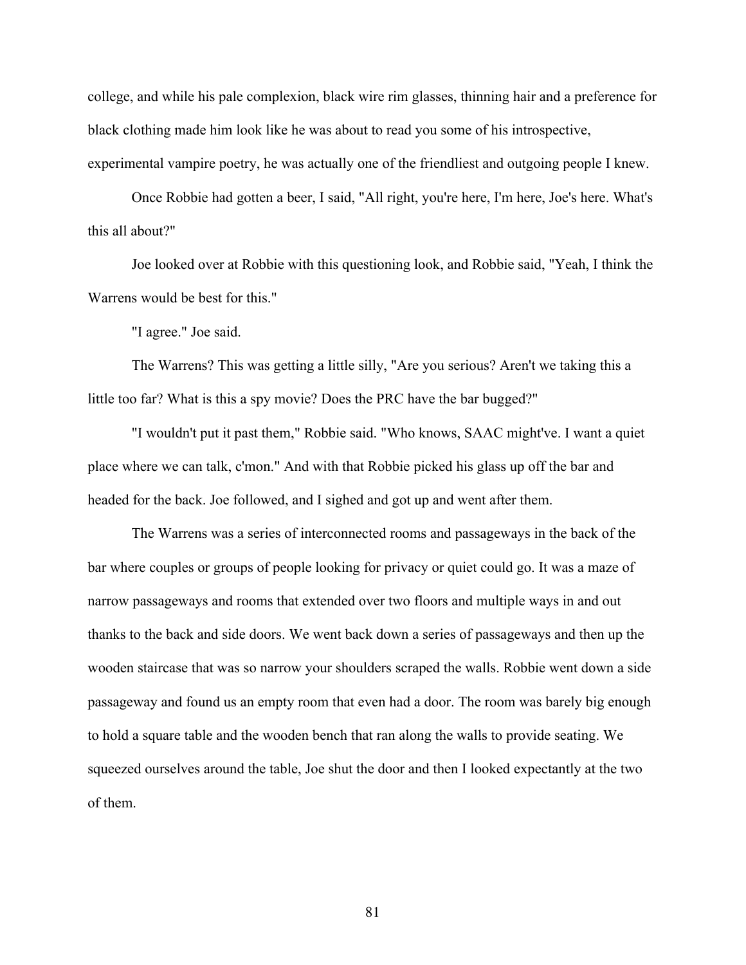college, and while his pale complexion, black wire rim glasses, thinning hair and a preference for black clothing made him look like he was about to read you some of his introspective, experimental vampire poetry, he was actually one of the friendliest and outgoing people I knew.

Once Robbie had gotten a beer, I said, "All right, you're here, I'm here, Joe's here. What's this all about?"

Joe looked over at Robbie with this questioning look, and Robbie said, "Yeah, I think the Warrens would be best for this."

"I agree." Joe said.

The Warrens? This was getting a little silly, "Are you serious? Aren't we taking this a little too far? What is this a spy movie? Does the PRC have the bar bugged?"

"I wouldn't put it past them," Robbie said. "Who knows, SAAC might've. I want a quiet place where we can talk, c'mon." And with that Robbie picked his glass up off the bar and headed for the back. Joe followed, and I sighed and got up and went after them.

The Warrens was a series of interconnected rooms and passageways in the back of the bar where couples or groups of people looking for privacy or quiet could go. It was a maze of narrow passageways and rooms that extended over two floors and multiple ways in and out thanks to the back and side doors. We went back down a series of passageways and then up the wooden staircase that was so narrow your shoulders scraped the walls. Robbie went down a side passageway and found us an empty room that even had a door. The room was barely big enough to hold a square table and the wooden bench that ran along the walls to provide seating. We squeezed ourselves around the table, Joe shut the door and then I looked expectantly at the two of them.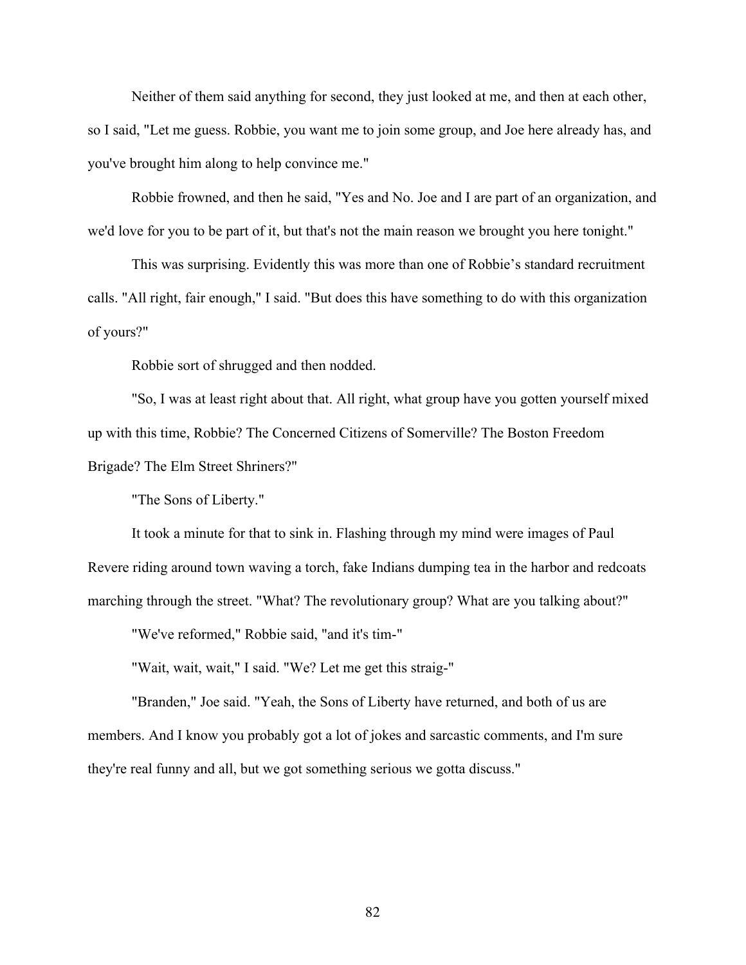Neither of them said anything for second, they just looked at me, and then at each other, so I said, "Let me guess. Robbie, you want me to join some group, and Joe here already has, and you've brought him along to help convince me."

Robbie frowned, and then he said, "Yes and No. Joe and I are part of an organization, and we'd love for you to be part of it, but that's not the main reason we brought you here tonight."

This was surprising. Evidently this was more than one of Robbie's standard recruitment calls. "All right, fair enough," I said. "But does this have something to do with this organization of yours?"

Robbie sort of shrugged and then nodded.

"So, I was at least right about that. All right, what group have you gotten yourself mixed up with this time, Robbie? The Concerned Citizens of Somerville? The Boston Freedom Brigade? The Elm Street Shriners?"

"The Sons of Liberty."

It took a minute for that to sink in. Flashing through my mind were images of Paul Revere riding around town waving a torch, fake Indians dumping tea in the harbor and redcoats marching through the street. "What? The revolutionary group? What are you talking about?"

"We've reformed," Robbie said, "and it's tim-"

"Wait, wait, wait," I said. "We? Let me get this straig-"

"Branden," Joe said. "Yeah, the Sons of Liberty have returned, and both of us are members. And I know you probably got a lot of jokes and sarcastic comments, and I'm sure they're real funny and all, but we got something serious we gotta discuss."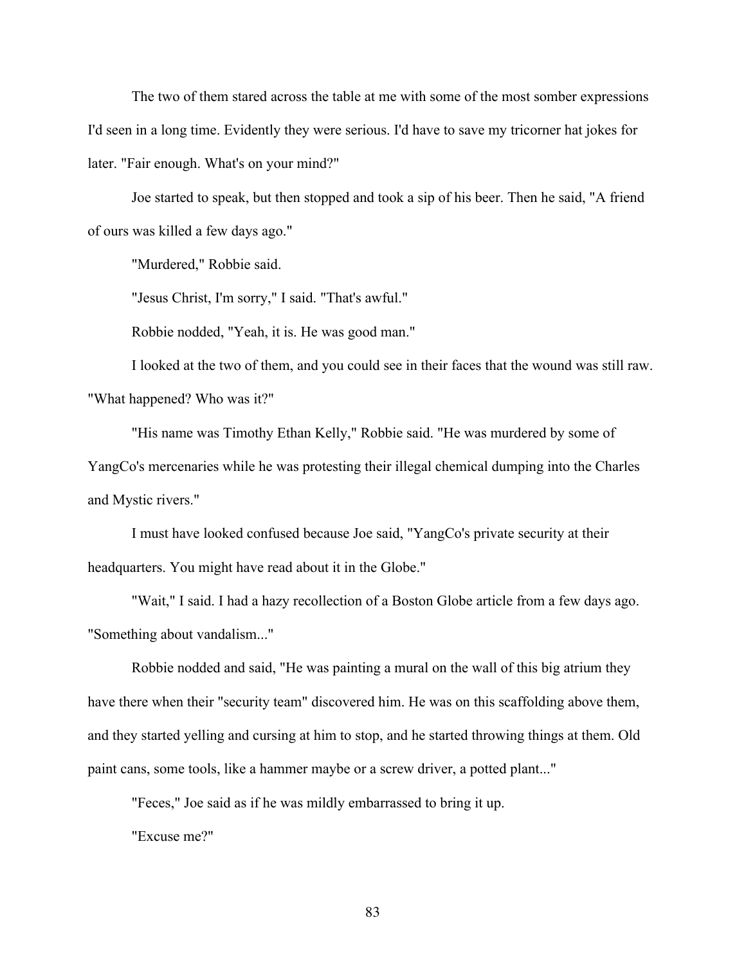The two of them stared across the table at me with some of the most somber expressions I'd seen in a long time. Evidently they were serious. I'd have to save my tricorner hat jokes for later. "Fair enough. What's on your mind?"

Joe started to speak, but then stopped and took a sip of his beer. Then he said, "A friend of ours was killed a few days ago."

"Murdered," Robbie said.

"Jesus Christ, I'm sorry," I said. "That's awful."

Robbie nodded, "Yeah, it is. He was good man."

I looked at the two of them, and you could see in their faces that the wound was still raw. "What happened? Who was it?"

"His name was Timothy Ethan Kelly," Robbie said. "He was murdered by some of YangCo's mercenaries while he was protesting their illegal chemical dumping into the Charles and Mystic rivers."

I must have looked confused because Joe said, "YangCo's private security at their headquarters. You might have read about it in the Globe."

"Wait," I said. I had a hazy recollection of a Boston Globe article from a few days ago. "Something about vandalism..."

Robbie nodded and said, "He was painting a mural on the wall of this big atrium they have there when their "security team" discovered him. He was on this scaffolding above them, and they started yelling and cursing at him to stop, and he started throwing things at them. Old paint cans, some tools, like a hammer maybe or a screw driver, a potted plant..."

"Feces," Joe said as if he was mildly embarrassed to bring it up.

"Excuse me?"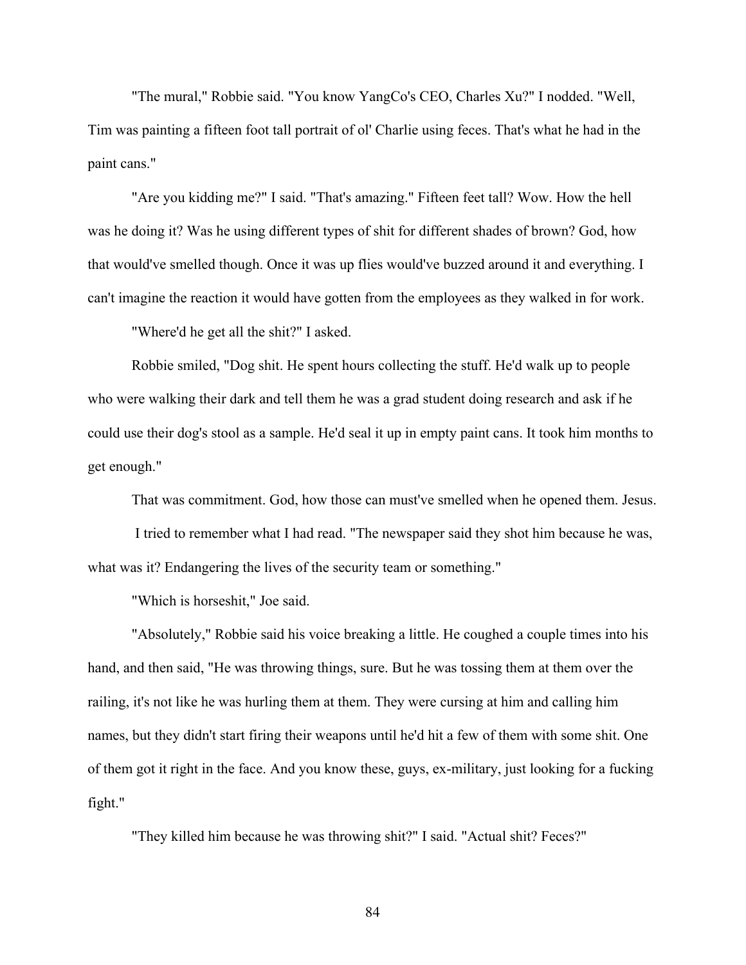"The mural," Robbie said. "You know YangCo's CEO, Charles Xu?" I nodded. "Well, Tim was painting a fifteen foot tall portrait of ol' Charlie using feces. That's what he had in the paint cans."

"Are you kidding me?" I said. "That's amazing." Fifteen feet tall? Wow. How the hell was he doing it? Was he using different types of shit for different shades of brown? God, how that would've smelled though. Once it was up flies would've buzzed around it and everything. I can't imagine the reaction it would have gotten from the employees as they walked in for work.

"Where'd he get all the shit?" I asked.

Robbie smiled, "Dog shit. He spent hours collecting the stuff. He'd walk up to people who were walking their dark and tell them he was a grad student doing research and ask if he could use their dog's stool as a sample. He'd seal it up in empty paint cans. It took him months to get enough."

That was commitment. God, how those can must've smelled when he opened them. Jesus.

I tried to remember what I had read. "The newspaper said they shot him because he was, what was it? Endangering the lives of the security team or something."

"Which is horseshit," Joe said.

"Absolutely," Robbie said his voice breaking a little. He coughed a couple times into his hand, and then said, "He was throwing things, sure. But he was tossing them at them over the railing, it's not like he was hurling them at them. They were cursing at him and calling him names, but they didn't start firing their weapons until he'd hit a few of them with some shit. One of them got it right in the face. And you know these, guys, ex-military, just looking for a fucking fight."

"They killed him because he was throwing shit?" I said. "Actual shit? Feces?"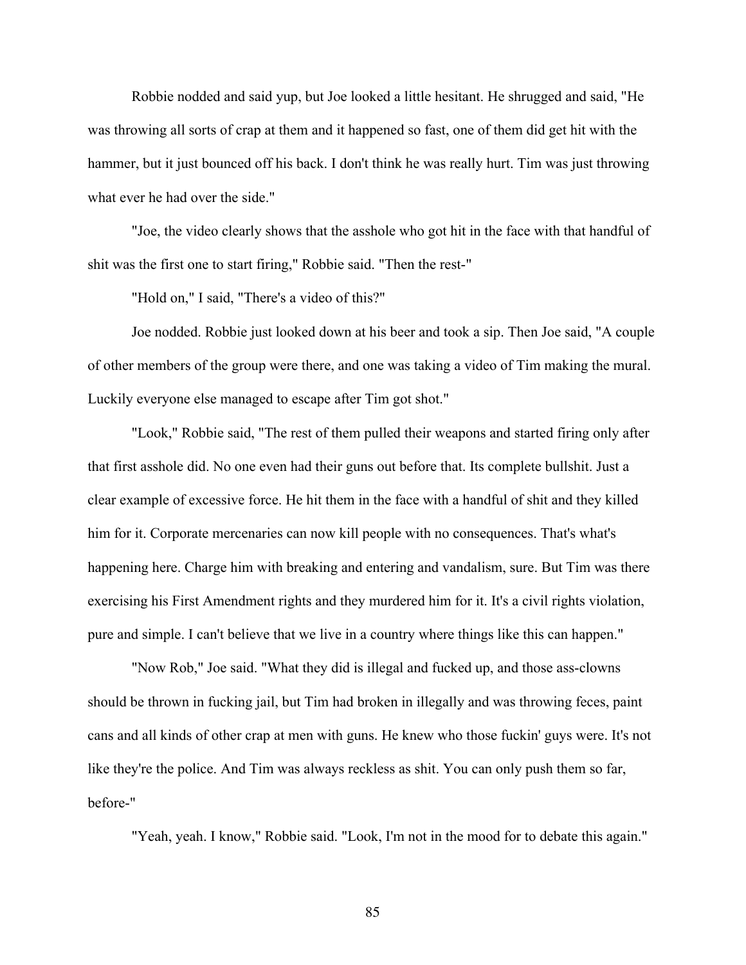Robbie nodded and said yup, but Joe looked a little hesitant. He shrugged and said, "He was throwing all sorts of crap at them and it happened so fast, one of them did get hit with the hammer, but it just bounced off his back. I don't think he was really hurt. Tim was just throwing what ever he had over the side."

"Joe, the video clearly shows that the asshole who got hit in the face with that handful of shit was the first one to start firing," Robbie said. "Then the rest-"

"Hold on," I said, "There's a video of this?"

Joe nodded. Robbie just looked down at his beer and took a sip. Then Joe said, "A couple of other members of the group were there, and one was taking a video of Tim making the mural. Luckily everyone else managed to escape after Tim got shot."

"Look," Robbie said, "The rest of them pulled their weapons and started firing only after that first asshole did. No one even had their guns out before that. Its complete bullshit. Just a clear example of excessive force. He hit them in the face with a handful of shit and they killed him for it. Corporate mercenaries can now kill people with no consequences. That's what's happening here. Charge him with breaking and entering and vandalism, sure. But Tim was there exercising his First Amendment rights and they murdered him for it. It's a civil rights violation, pure and simple. I can't believe that we live in a country where things like this can happen."

"Now Rob," Joe said. "What they did is illegal and fucked up, and those ass-clowns should be thrown in fucking jail, but Tim had broken in illegally and was throwing feces, paint cans and all kinds of other crap at men with guns. He knew who those fuckin' guys were. It's not like they're the police. And Tim was always reckless as shit. You can only push them so far, before-"

"Yeah, yeah. I know," Robbie said. "Look, I'm not in the mood for to debate this again."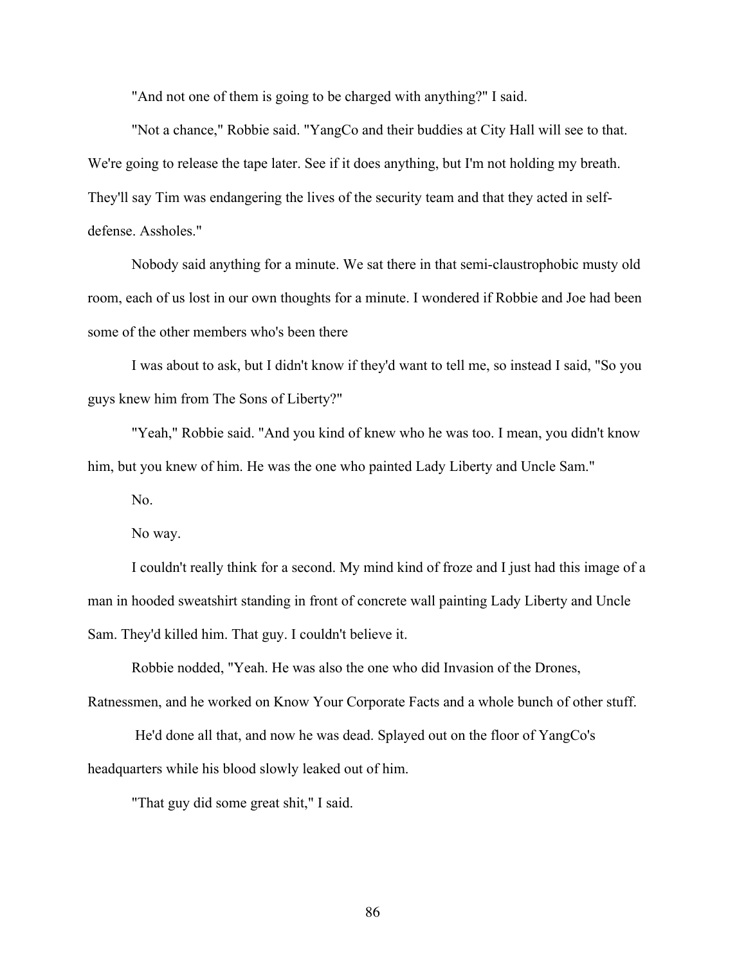"And not one of them is going to be charged with anything?" I said.

"Not a chance," Robbie said. "YangCo and their buddies at City Hall will see to that. We're going to release the tape later. See if it does anything, but I'm not holding my breath. They'll say Tim was endangering the lives of the security team and that they acted in selfdefense. Assholes."

Nobody said anything for a minute. We sat there in that semi-claustrophobic musty old room, each of us lost in our own thoughts for a minute. I wondered if Robbie and Joe had been some of the other members who's been there

I was about to ask, but I didn't know if they'd want to tell me, so instead I said, "So you guys knew him from The Sons of Liberty?"

"Yeah," Robbie said. "And you kind of knew who he was too. I mean, you didn't know him, but you knew of him. He was the one who painted Lady Liberty and Uncle Sam."

No.

No way.

I couldn't really think for a second. My mind kind of froze and I just had this image of a man in hooded sweatshirt standing in front of concrete wall painting Lady Liberty and Uncle Sam. They'd killed him. That guy. I couldn't believe it.

Robbie nodded, "Yeah. He was also the one who did Invasion of the Drones,

Ratnessmen, and he worked on Know Your Corporate Facts and a whole bunch of other stuff.

He'd done all that, and now he was dead. Splayed out on the floor of YangCo's headquarters while his blood slowly leaked out of him.

"That guy did some great shit," I said.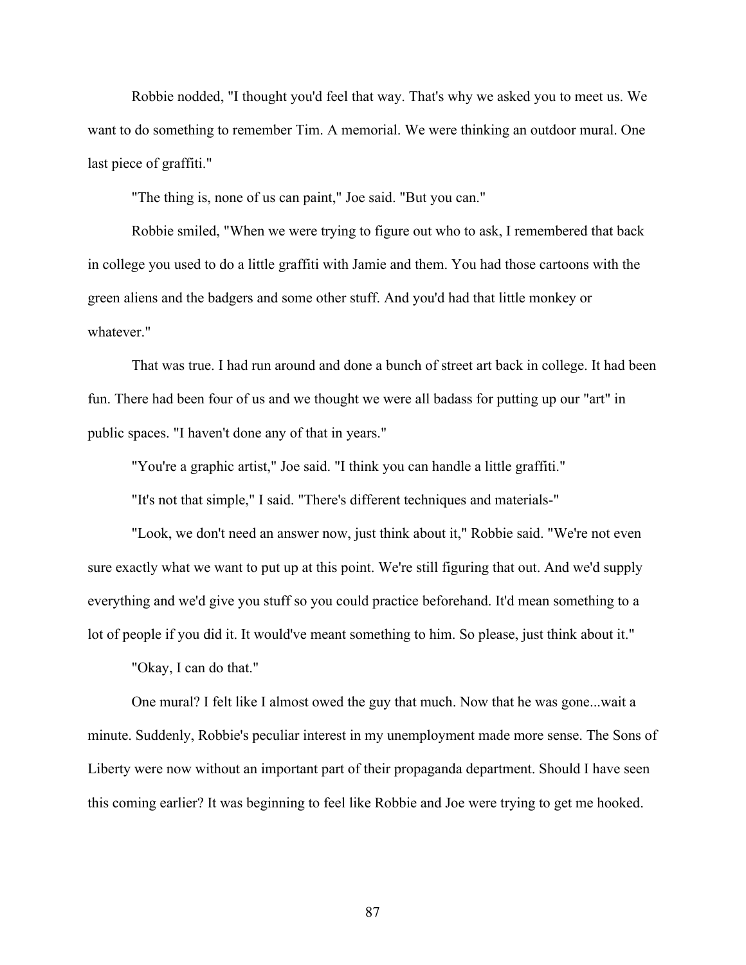Robbie nodded, "I thought you'd feel that way. That's why we asked you to meet us. We want to do something to remember Tim. A memorial. We were thinking an outdoor mural. One last piece of graffiti."

"The thing is, none of us can paint," Joe said. "But you can."

Robbie smiled, "When we were trying to figure out who to ask, I remembered that back in college you used to do a little graffiti with Jamie and them. You had those cartoons with the green aliens and the badgers and some other stuff. And you'd had that little monkey or whatever."

That was true. I had run around and done a bunch of street art back in college. It had been fun. There had been four of us and we thought we were all badass for putting up our "art" in public spaces. "I haven't done any of that in years."

"You're a graphic artist," Joe said. "I think you can handle a little graffiti."

"It's not that simple," I said. "There's different techniques and materials-"

"Look, we don't need an answer now, just think about it," Robbie said. "We're not even sure exactly what we want to put up at this point. We're still figuring that out. And we'd supply everything and we'd give you stuff so you could practice beforehand. It'd mean something to a lot of people if you did it. It would've meant something to him. So please, just think about it."

"Okay, I can do that."

One mural? I felt like I almost owed the guy that much. Now that he was gone...wait a minute. Suddenly, Robbie's peculiar interest in my unemployment made more sense. The Sons of Liberty were now without an important part of their propaganda department. Should I have seen this coming earlier? It was beginning to feel like Robbie and Joe were trying to get me hooked.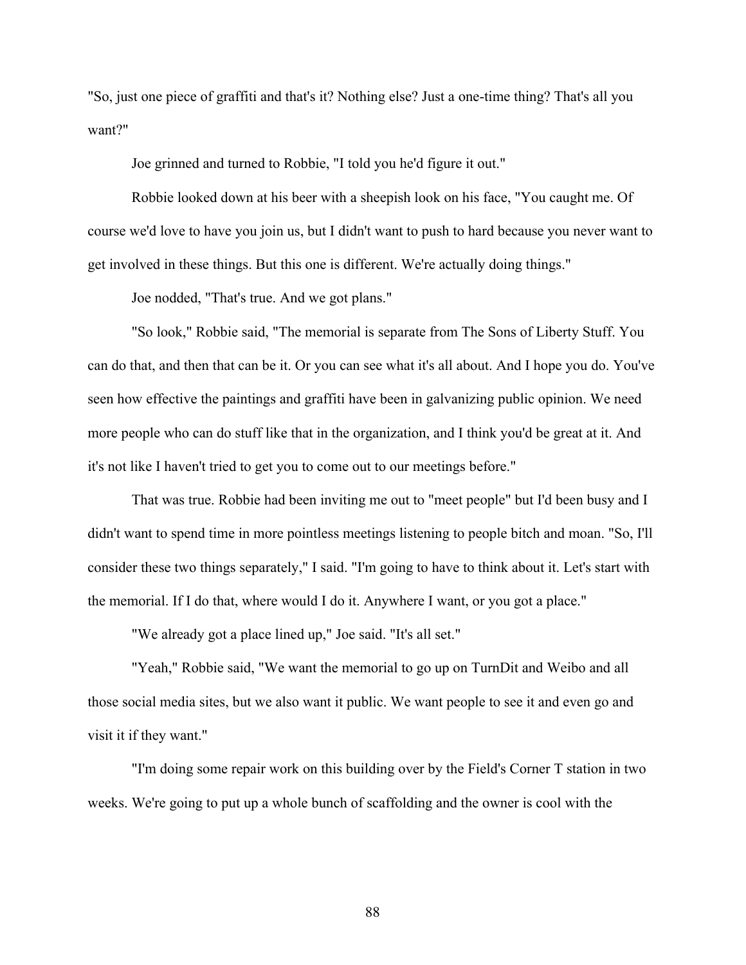"So, just one piece of graffiti and that's it? Nothing else? Just a one-time thing? That's all you want?"

Joe grinned and turned to Robbie, "I told you he'd figure it out."

Robbie looked down at his beer with a sheepish look on his face, "You caught me. Of course we'd love to have you join us, but I didn't want to push to hard because you never want to get involved in these things. But this one is different. We're actually doing things."

Joe nodded, "That's true. And we got plans."

"So look," Robbie said, "The memorial is separate from The Sons of Liberty Stuff. You can do that, and then that can be it. Or you can see what it's all about. And I hope you do. You've seen how effective the paintings and graffiti have been in galvanizing public opinion. We need more people who can do stuff like that in the organization, and I think you'd be great at it. And it's not like I haven't tried to get you to come out to our meetings before."

That was true. Robbie had been inviting me out to "meet people" but I'd been busy and I didn't want to spend time in more pointless meetings listening to people bitch and moan. "So, I'll consider these two things separately," I said. "I'm going to have to think about it. Let's start with the memorial. If I do that, where would I do it. Anywhere I want, or you got a place."

"We already got a place lined up," Joe said. "It's all set."

"Yeah," Robbie said, "We want the memorial to go up on TurnDit and Weibo and all those social media sites, but we also want it public. We want people to see it and even go and visit it if they want."

"I'm doing some repair work on this building over by the Field's Corner T station in two weeks. We're going to put up a whole bunch of scaffolding and the owner is cool with the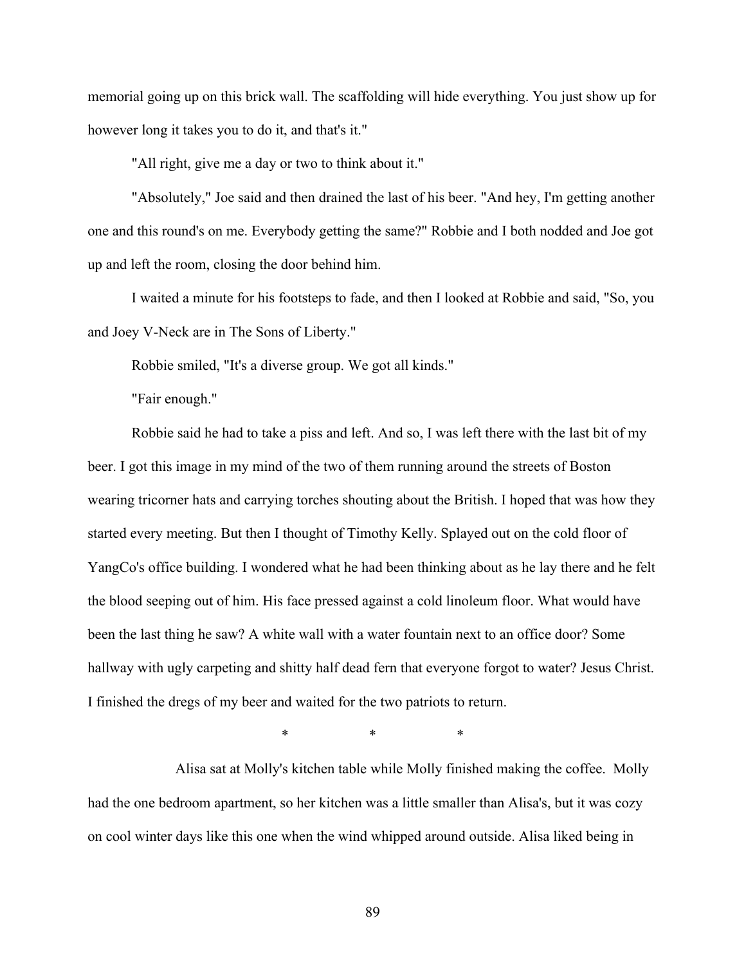memorial going up on this brick wall. The scaffolding will hide everything. You just show up for however long it takes you to do it, and that's it."

"All right, give me a day or two to think about it."

"Absolutely," Joe said and then drained the last of his beer. "And hey, I'm getting another one and this round's on me. Everybody getting the same?" Robbie and I both nodded and Joe got up and left the room, closing the door behind him.

I waited a minute for his footsteps to fade, and then I looked at Robbie and said, "So, you and Joey V-Neck are in The Sons of Liberty."

Robbie smiled, "It's a diverse group. We got all kinds."

"Fair enough."

Robbie said he had to take a piss and left. And so, I was left there with the last bit of my beer. I got this image in my mind of the two of them running around the streets of Boston wearing tricorner hats and carrying torches shouting about the British. I hoped that was how they started every meeting. But then I thought of Timothy Kelly. Splayed out on the cold floor of YangCo's office building. I wondered what he had been thinking about as he lay there and he felt the blood seeping out of him. His face pressed against a cold linoleum floor. What would have been the last thing he saw? A white wall with a water fountain next to an office door? Some hallway with ugly carpeting and shitty half dead fern that everyone forgot to water? Jesus Christ. I finished the dregs of my beer and waited for the two patriots to return.

\* \* \*

Alisa sat at Molly's kitchen table while Molly finished making the coffee. Molly had the one bedroom apartment, so her kitchen was a little smaller than Alisa's, but it was cozy on cool winter days like this one when the wind whipped around outside. Alisa liked being in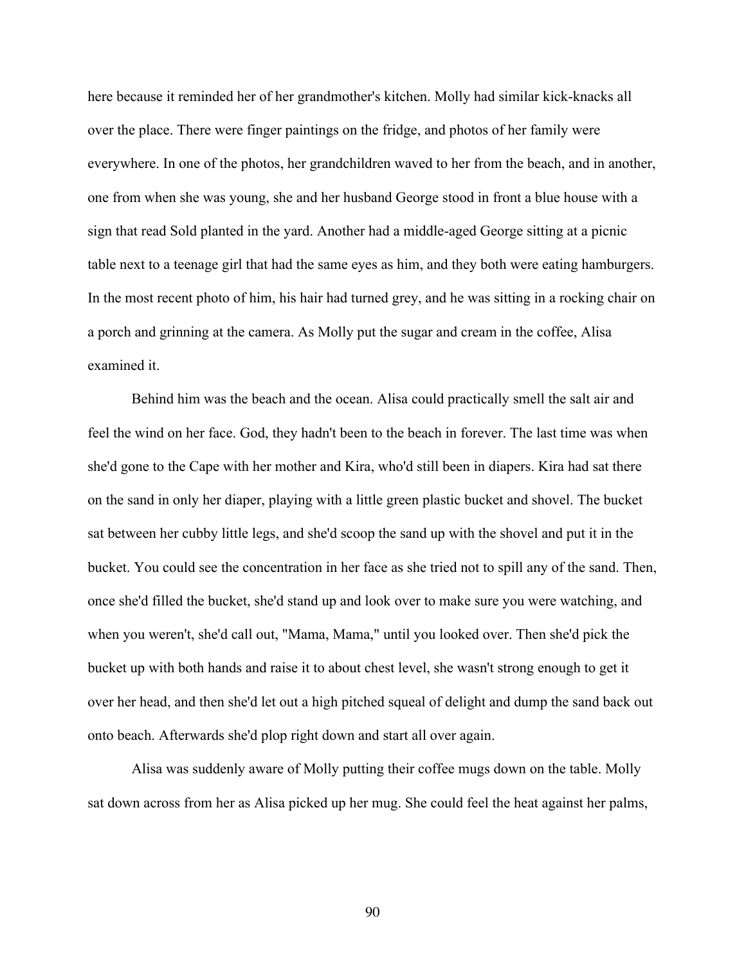here because it reminded her of her grandmother's kitchen. Molly had similar kick-knacks all over the place. There were finger paintings on the fridge, and photos of her family were everywhere. In one of the photos, her grandchildren waved to her from the beach, and in another, one from when she was young, she and her husband George stood in front a blue house with a sign that read Sold planted in the yard. Another had a middle-aged George sitting at a picnic table next to a teenage girl that had the same eyes as him, and they both were eating hamburgers. In the most recent photo of him, his hair had turned grey, and he was sitting in a rocking chair on a porch and grinning at the camera. As Molly put the sugar and cream in the coffee, Alisa examined it.

Behind him was the beach and the ocean. Alisa could practically smell the salt air and feel the wind on her face. God, they hadn't been to the beach in forever. The last time was when she'd gone to the Cape with her mother and Kira, who'd still been in diapers. Kira had sat there on the sand in only her diaper, playing with a little green plastic bucket and shovel. The bucket sat between her cubby little legs, and she'd scoop the sand up with the shovel and put it in the bucket. You could see the concentration in her face as she tried not to spill any of the sand. Then, once she'd filled the bucket, she'd stand up and look over to make sure you were watching, and when you weren't, she'd call out, "Mama, Mama," until you looked over. Then she'd pick the bucket up with both hands and raise it to about chest level, she wasn't strong enough to get it over her head, and then she'd let out a high pitched squeal of delight and dump the sand back out onto beach. Afterwards she'd plop right down and start all over again.

Alisa was suddenly aware of Molly putting their coffee mugs down on the table. Molly sat down across from her as Alisa picked up her mug. She could feel the heat against her palms,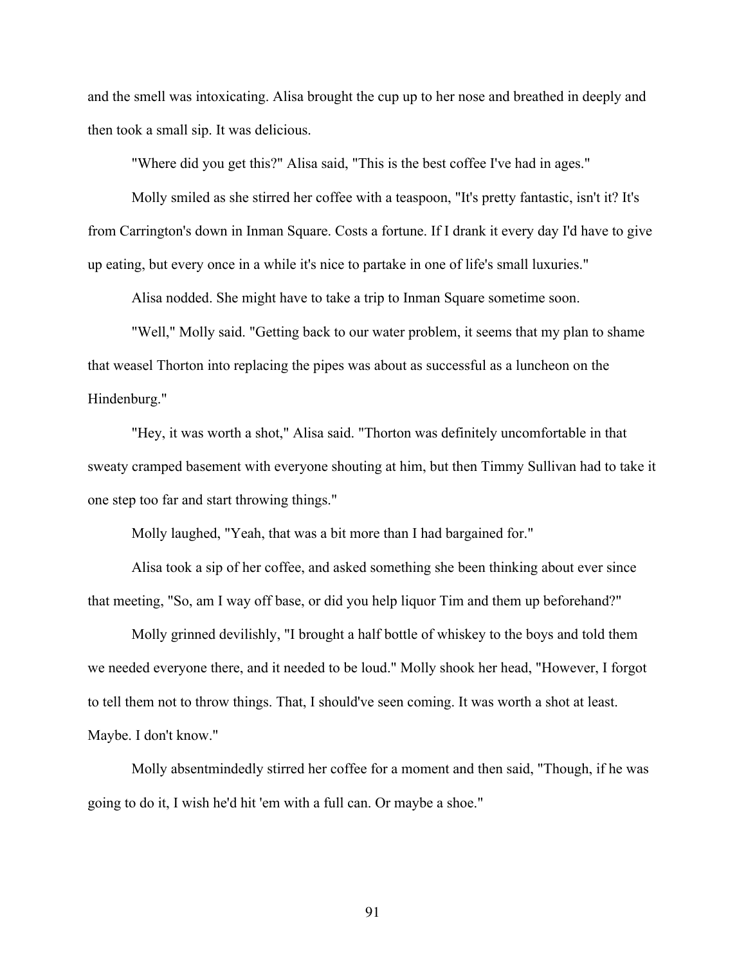and the smell was intoxicating. Alisa brought the cup up to her nose and breathed in deeply and then took a small sip. It was delicious.

"Where did you get this?" Alisa said, "This is the best coffee I've had in ages."

Molly smiled as she stirred her coffee with a teaspoon, "It's pretty fantastic, isn't it? It's from Carrington's down in Inman Square. Costs a fortune. If I drank it every day I'd have to give up eating, but every once in a while it's nice to partake in one of life's small luxuries."

Alisa nodded. She might have to take a trip to Inman Square sometime soon.

"Well," Molly said. "Getting back to our water problem, it seems that my plan to shame that weasel Thorton into replacing the pipes was about as successful as a luncheon on the Hindenburg."

"Hey, it was worth a shot," Alisa said. "Thorton was definitely uncomfortable in that sweaty cramped basement with everyone shouting at him, but then Timmy Sullivan had to take it one step too far and start throwing things."

Molly laughed, "Yeah, that was a bit more than I had bargained for."

Alisa took a sip of her coffee, and asked something she been thinking about ever since that meeting, "So, am I way off base, or did you help liquor Tim and them up beforehand?"

Molly grinned devilishly, "I brought a half bottle of whiskey to the boys and told them we needed everyone there, and it needed to be loud." Molly shook her head, "However, I forgot to tell them not to throw things. That, I should've seen coming. It was worth a shot at least. Maybe. I don't know."

Molly absentmindedly stirred her coffee for a moment and then said, "Though, if he was going to do it, I wish he'd hit 'em with a full can. Or maybe a shoe."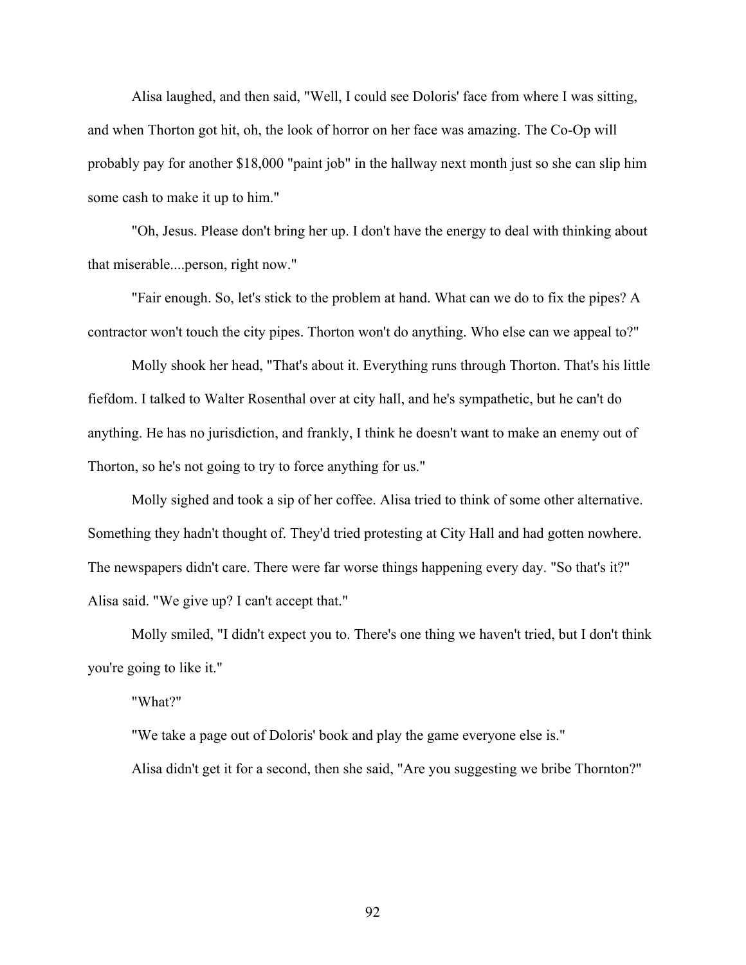Alisa laughed, and then said, "Well, I could see Doloris' face from where I was sitting, and when Thorton got hit, oh, the look of horror on her face was amazing. The Co-Op will probably pay for another \$18,000 "paint job" in the hallway next month just so she can slip him some cash to make it up to him."

"Oh, Jesus. Please don't bring her up. I don't have the energy to deal with thinking about that miserable....person, right now."

"Fair enough. So, let's stick to the problem at hand. What can we do to fix the pipes? A contractor won't touch the city pipes. Thorton won't do anything. Who else can we appeal to?"

Molly shook her head, "That's about it. Everything runs through Thorton. That's his little fiefdom. I talked to Walter Rosenthal over at city hall, and he's sympathetic, but he can't do anything. He has no jurisdiction, and frankly, I think he doesn't want to make an enemy out of Thorton, so he's not going to try to force anything for us."

Molly sighed and took a sip of her coffee. Alisa tried to think of some other alternative. Something they hadn't thought of. They'd tried protesting at City Hall and had gotten nowhere. The newspapers didn't care. There were far worse things happening every day. "So that's it?" Alisa said. "We give up? I can't accept that."

Molly smiled, "I didn't expect you to. There's one thing we haven't tried, but I don't think you're going to like it."

"What?"

"We take a page out of Doloris' book and play the game everyone else is." Alisa didn't get it for a second, then she said, "Are you suggesting we bribe Thornton?"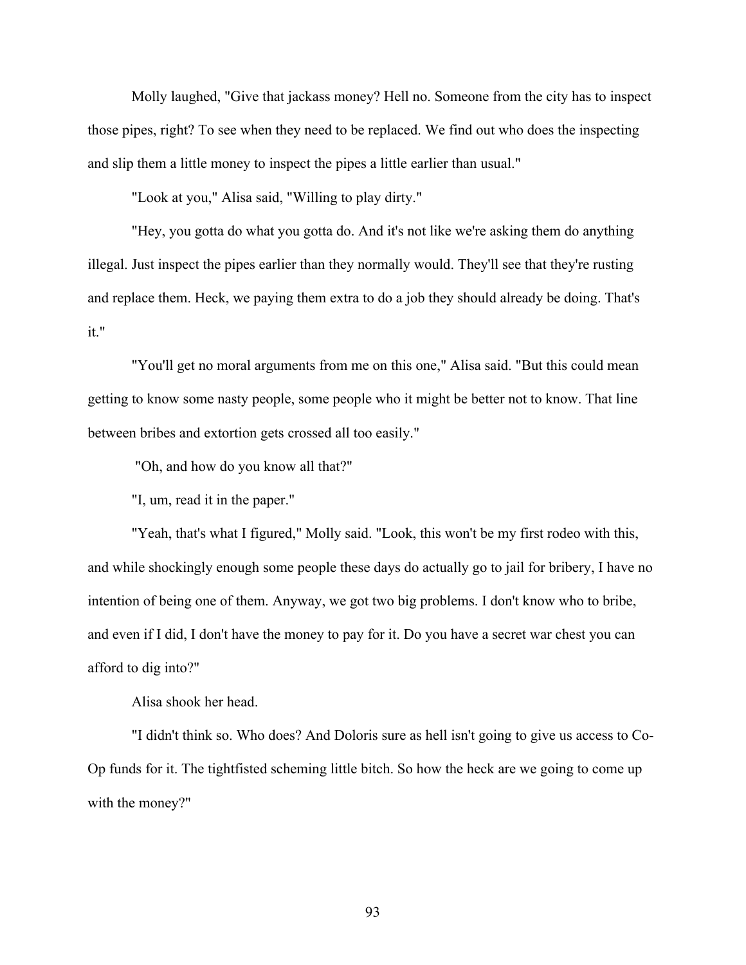Molly laughed, "Give that jackass money? Hell no. Someone from the city has to inspect those pipes, right? To see when they need to be replaced. We find out who does the inspecting and slip them a little money to inspect the pipes a little earlier than usual."

"Look at you," Alisa said, "Willing to play dirty."

"Hey, you gotta do what you gotta do. And it's not like we're asking them do anything illegal. Just inspect the pipes earlier than they normally would. They'll see that they're rusting and replace them. Heck, we paying them extra to do a job they should already be doing. That's it."

"You'll get no moral arguments from me on this one," Alisa said. "But this could mean getting to know some nasty people, some people who it might be better not to know. That line between bribes and extortion gets crossed all too easily."

"Oh, and how do you know all that?"

"I, um, read it in the paper."

"Yeah, that's what I figured," Molly said. "Look, this won't be my first rodeo with this, and while shockingly enough some people these days do actually go to jail for bribery, I have no intention of being one of them. Anyway, we got two big problems. I don't know who to bribe, and even if I did, I don't have the money to pay for it. Do you have a secret war chest you can afford to dig into?"

Alisa shook her head.

"I didn't think so. Who does? And Doloris sure as hell isn't going to give us access to Co-Op funds for it. The tightfisted scheming little bitch. So how the heck are we going to come up with the money?"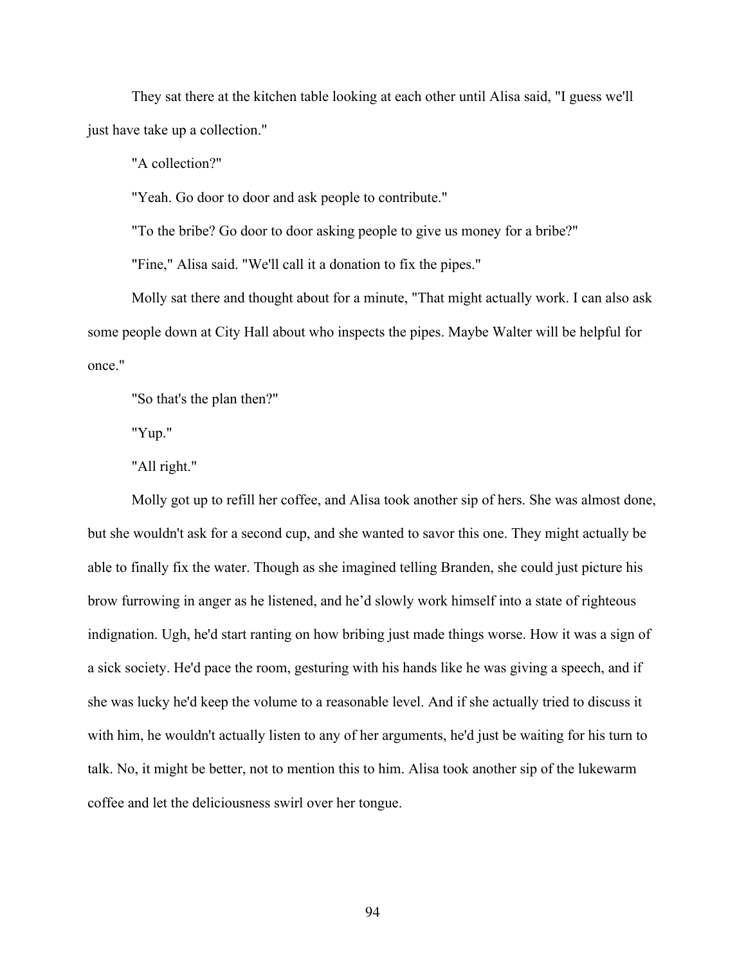They sat there at the kitchen table looking at each other until Alisa said, "I guess we'll just have take up a collection."

"A collection?"

"Yeah. Go door to door and ask people to contribute."

"To the bribe? Go door to door asking people to give us money for a bribe?"

"Fine," Alisa said. "We'll call it a donation to fix the pipes."

Molly sat there and thought about for a minute, "That might actually work. I can also ask some people down at City Hall about who inspects the pipes. Maybe Walter will be helpful for once."

"So that's the plan then?"

"Yup."

"All right."

Molly got up to refill her coffee, and Alisa took another sip of hers. She was almost done, but she wouldn't ask for a second cup, and she wanted to savor this one. They might actually be able to finally fix the water. Though as she imagined telling Branden, she could just picture his brow furrowing in anger as he listened, and he'd slowly work himself into a state of righteous indignation. Ugh, he'd start ranting on how bribing just made things worse. How it was a sign of a sick society. He'd pace the room, gesturing with his hands like he was giving a speech, and if she was lucky he'd keep the volume to a reasonable level. And if she actually tried to discuss it with him, he wouldn't actually listen to any of her arguments, he'd just be waiting for his turn to talk. No, it might be better, not to mention this to him. Alisa took another sip of the lukewarm coffee and let the deliciousness swirl over her tongue.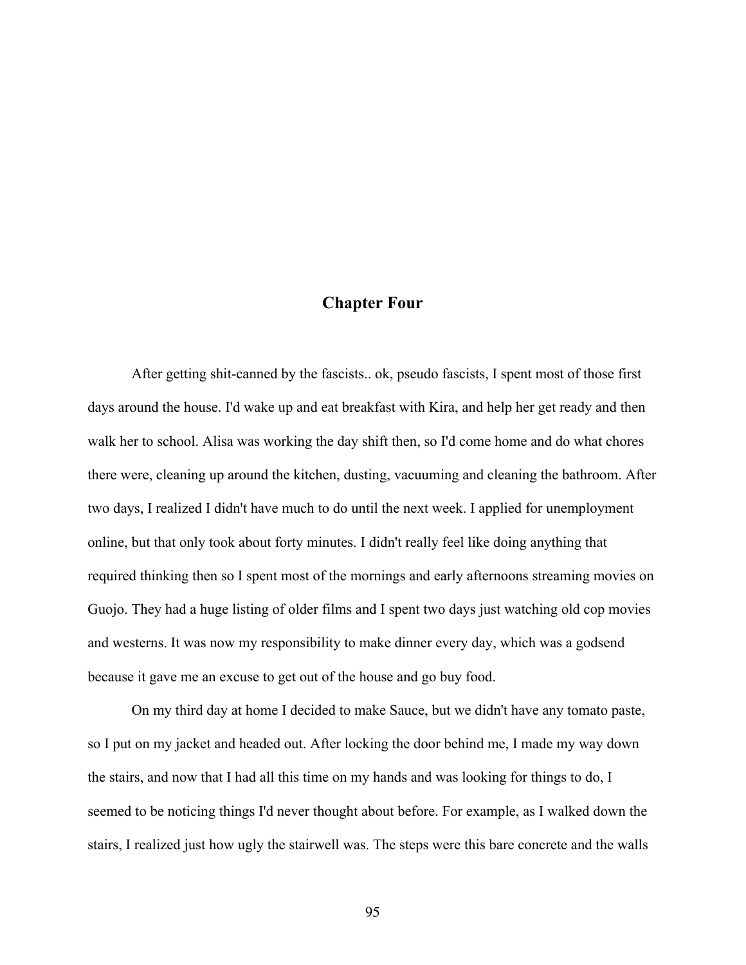## **Chapter Four**

After getting shit-canned by the fascists.. ok, pseudo fascists, I spent most of those first days around the house. I'd wake up and eat breakfast with Kira, and help her get ready and then walk her to school. Alisa was working the day shift then, so I'd come home and do what chores there were, cleaning up around the kitchen, dusting, vacuuming and cleaning the bathroom. After two days, I realized I didn't have much to do until the next week. I applied for unemployment online, but that only took about forty minutes. I didn't really feel like doing anything that required thinking then so I spent most of the mornings and early afternoons streaming movies on Guojo. They had a huge listing of older films and I spent two days just watching old cop movies and westerns. It was now my responsibility to make dinner every day, which was a godsend because it gave me an excuse to get out of the house and go buy food.

On my third day at home I decided to make Sauce, but we didn't have any tomato paste, so I put on my jacket and headed out. After locking the door behind me, I made my way down the stairs, and now that I had all this time on my hands and was looking for things to do, I seemed to be noticing things I'd never thought about before. For example, as I walked down the stairs, I realized just how ugly the stairwell was. The steps were this bare concrete and the walls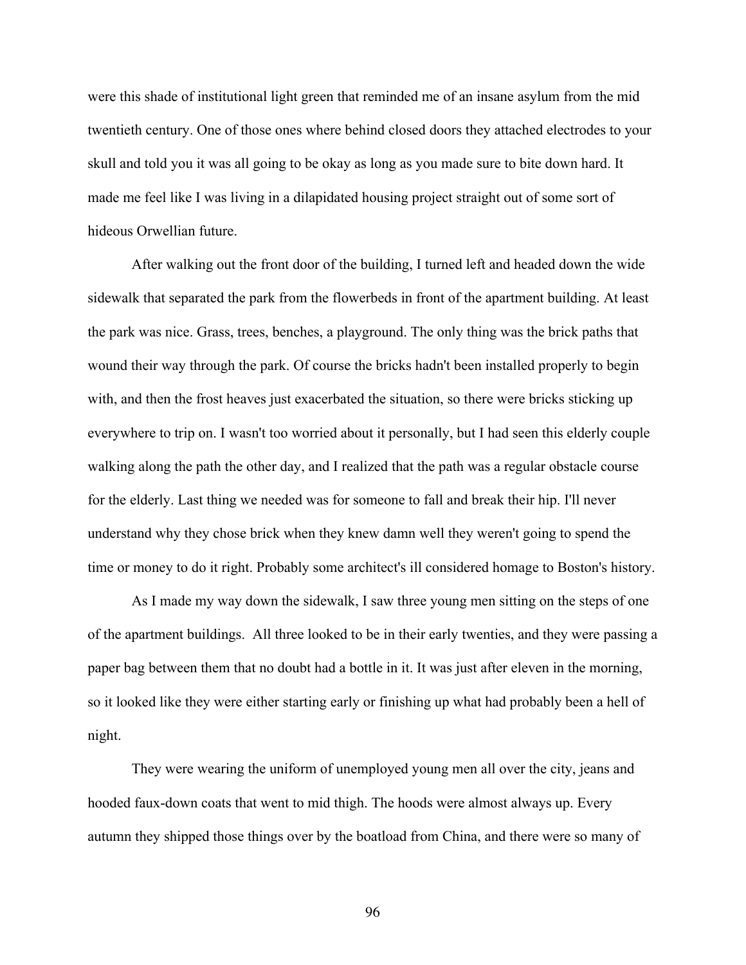were this shade of institutional light green that reminded me of an insane asylum from the mid twentieth century. One of those ones where behind closed doors they attached electrodes to your skull and told you it was all going to be okay as long as you made sure to bite down hard. It made me feel like I was living in a dilapidated housing project straight out of some sort of hideous Orwellian future.

After walking out the front door of the building, I turned left and headed down the wide sidewalk that separated the park from the flowerbeds in front of the apartment building. At least the park was nice. Grass, trees, benches, a playground. The only thing was the brick paths that wound their way through the park. Of course the bricks hadn't been installed properly to begin with, and then the frost heaves just exacerbated the situation, so there were bricks sticking up everywhere to trip on. I wasn't too worried about it personally, but I had seen this elderly couple walking along the path the other day, and I realized that the path was a regular obstacle course for the elderly. Last thing we needed was for someone to fall and break their hip. I'll never understand why they chose brick when they knew damn well they weren't going to spend the time or money to do it right. Probably some architect's ill considered homage to Boston's history.

As I made my way down the sidewalk, I saw three young men sitting on the steps of one of the apartment buildings. All three looked to be in their early twenties, and they were passing a paper bag between them that no doubt had a bottle in it. It was just after eleven in the morning, so it looked like they were either starting early or finishing up what had probably been a hell of night.

They were wearing the uniform of unemployed young men all over the city, jeans and hooded faux-down coats that went to mid thigh. The hoods were almost always up. Every autumn they shipped those things over by the boatload from China, and there were so many of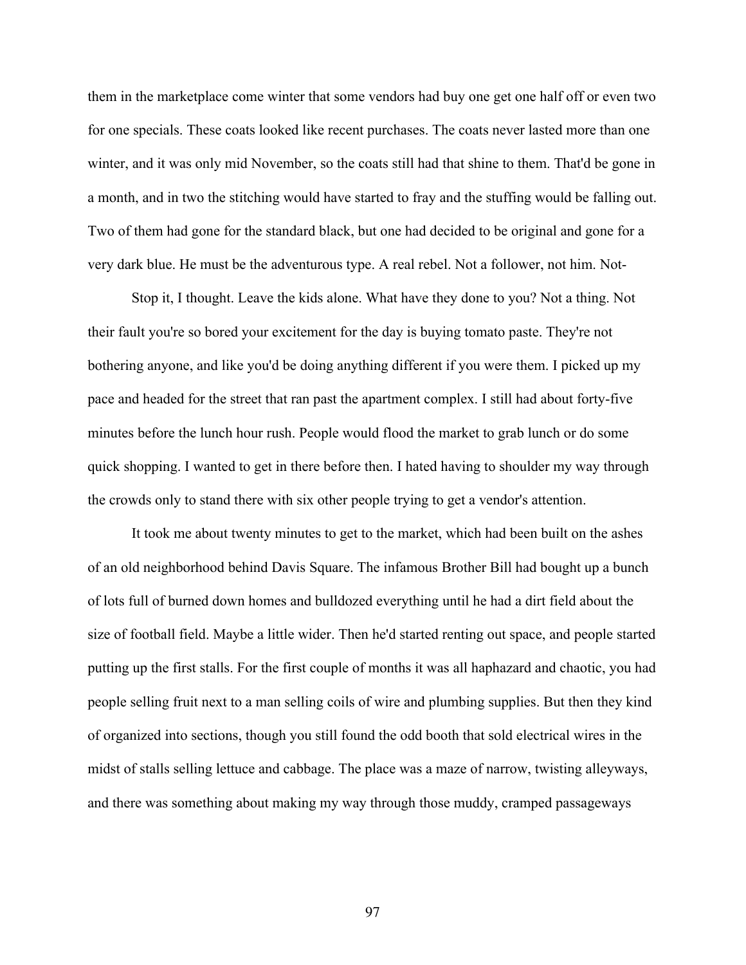them in the marketplace come winter that some vendors had buy one get one half off or even two for one specials. These coats looked like recent purchases. The coats never lasted more than one winter, and it was only mid November, so the coats still had that shine to them. That'd be gone in a month, and in two the stitching would have started to fray and the stuffing would be falling out. Two of them had gone for the standard black, but one had decided to be original and gone for a very dark blue. He must be the adventurous type. A real rebel. Not a follower, not him. Not-

Stop it, I thought. Leave the kids alone. What have they done to you? Not a thing. Not their fault you're so bored your excitement for the day is buying tomato paste. They're not bothering anyone, and like you'd be doing anything different if you were them. I picked up my pace and headed for the street that ran past the apartment complex. I still had about forty-five minutes before the lunch hour rush. People would flood the market to grab lunch or do some quick shopping. I wanted to get in there before then. I hated having to shoulder my way through the crowds only to stand there with six other people trying to get a vendor's attention.

It took me about twenty minutes to get to the market, which had been built on the ashes of an old neighborhood behind Davis Square. The infamous Brother Bill had bought up a bunch of lots full of burned down homes and bulldozed everything until he had a dirt field about the size of football field. Maybe a little wider. Then he'd started renting out space, and people started putting up the first stalls. For the first couple of months it was all haphazard and chaotic, you had people selling fruit next to a man selling coils of wire and plumbing supplies. But then they kind of organized into sections, though you still found the odd booth that sold electrical wires in the midst of stalls selling lettuce and cabbage. The place was a maze of narrow, twisting alleyways, and there was something about making my way through those muddy, cramped passageways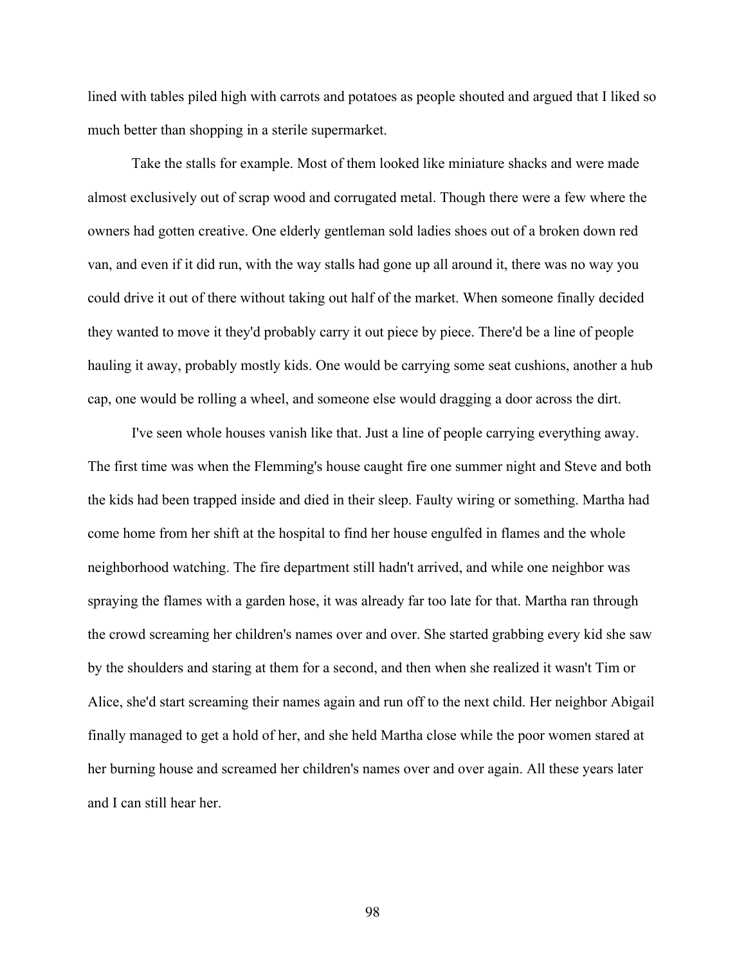lined with tables piled high with carrots and potatoes as people shouted and argued that I liked so much better than shopping in a sterile supermarket.

Take the stalls for example. Most of them looked like miniature shacks and were made almost exclusively out of scrap wood and corrugated metal. Though there were a few where the owners had gotten creative. One elderly gentleman sold ladies shoes out of a broken down red van, and even if it did run, with the way stalls had gone up all around it, there was no way you could drive it out of there without taking out half of the market. When someone finally decided they wanted to move it they'd probably carry it out piece by piece. There'd be a line of people hauling it away, probably mostly kids. One would be carrying some seat cushions, another a hub cap, one would be rolling a wheel, and someone else would dragging a door across the dirt.

I've seen whole houses vanish like that. Just a line of people carrying everything away. The first time was when the Flemming's house caught fire one summer night and Steve and both the kids had been trapped inside and died in their sleep. Faulty wiring or something. Martha had come home from her shift at the hospital to find her house engulfed in flames and the whole neighborhood watching. The fire department still hadn't arrived, and while one neighbor was spraying the flames with a garden hose, it was already far too late for that. Martha ran through the crowd screaming her children's names over and over. She started grabbing every kid she saw by the shoulders and staring at them for a second, and then when she realized it wasn't Tim or Alice, she'd start screaming their names again and run off to the next child. Her neighbor Abigail finally managed to get a hold of her, and she held Martha close while the poor women stared at her burning house and screamed her children's names over and over again. All these years later and I can still hear her.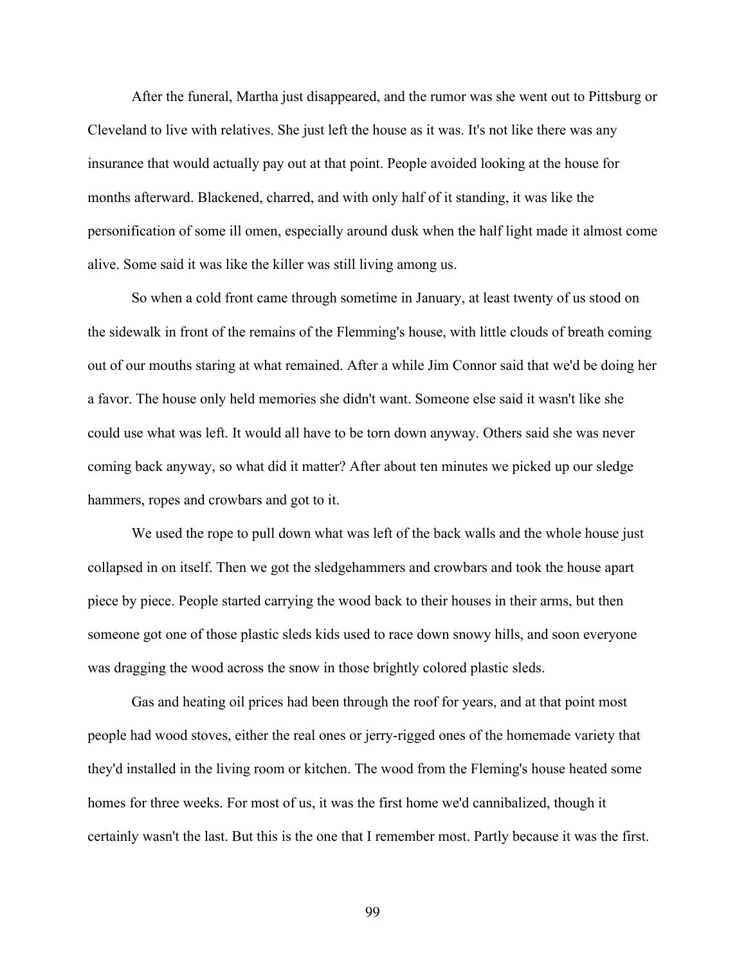After the funeral, Martha just disappeared, and the rumor was she went out to Pittsburg or Cleveland to live with relatives. She just left the house as it was. It's not like there was any insurance that would actually pay out at that point. People avoided looking at the house for months afterward. Blackened, charred, and with only half of it standing, it was like the personification of some ill omen, especially around dusk when the half light made it almost come alive. Some said it was like the killer was still living among us.

So when a cold front came through sometime in January, at least twenty of us stood on the sidewalk in front of the remains of the Flemming's house, with little clouds of breath coming out of our mouths staring at what remained. After a while Jim Connor said that we'd be doing her a favor. The house only held memories she didn't want. Someone else said it wasn't like she could use what was left. It would all have to be torn down anyway. Others said she was never coming back anyway, so what did it matter? After about ten minutes we picked up our sledge hammers, ropes and crowbars and got to it.

We used the rope to pull down what was left of the back walls and the whole house just collapsed in on itself. Then we got the sledgehammers and crowbars and took the house apart piece by piece. People started carrying the wood back to their houses in their arms, but then someone got one of those plastic sleds kids used to race down snowy hills, and soon everyone was dragging the wood across the snow in those brightly colored plastic sleds.

Gas and heating oil prices had been through the roof for years, and at that point most people had wood stoves, either the real ones or jerry-rigged ones of the homemade variety that they'd installed in the living room or kitchen. The wood from the Fleming's house heated some homes for three weeks. For most of us, it was the first home we'd cannibalized, though it certainly wasn't the last. But this is the one that I remember most. Partly because it was the first.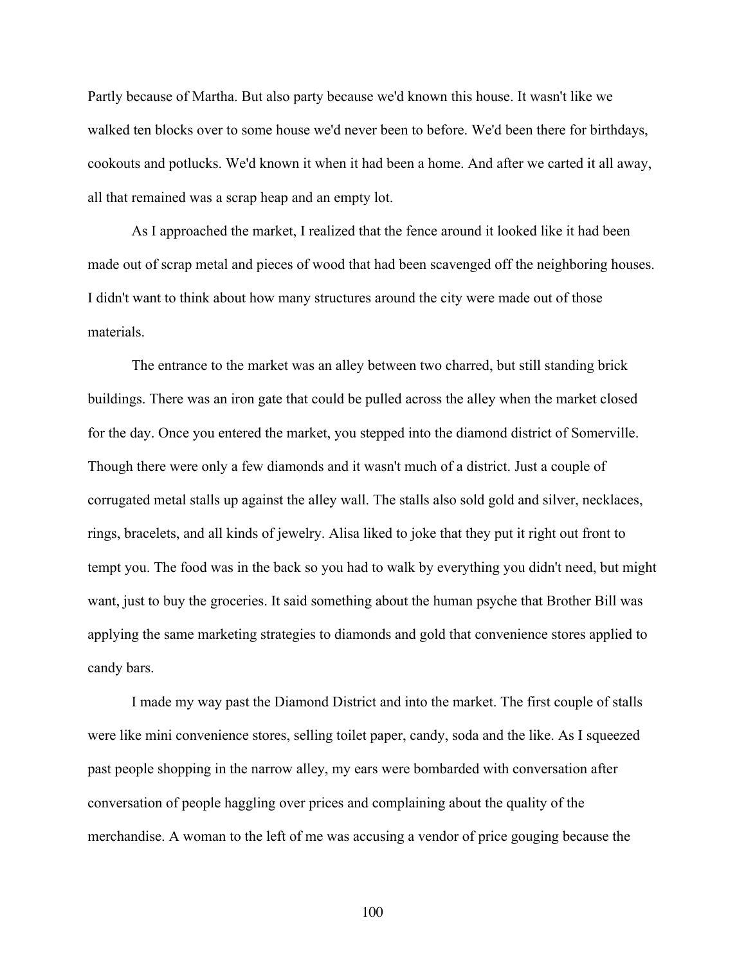Partly because of Martha. But also party because we'd known this house. It wasn't like we walked ten blocks over to some house we'd never been to before. We'd been there for birthdays, cookouts and potlucks. We'd known it when it had been a home. And after we carted it all away, all that remained was a scrap heap and an empty lot.

As I approached the market, I realized that the fence around it looked like it had been made out of scrap metal and pieces of wood that had been scavenged off the neighboring houses. I didn't want to think about how many structures around the city were made out of those materials.

The entrance to the market was an alley between two charred, but still standing brick buildings. There was an iron gate that could be pulled across the alley when the market closed for the day. Once you entered the market, you stepped into the diamond district of Somerville. Though there were only a few diamonds and it wasn't much of a district. Just a couple of corrugated metal stalls up against the alley wall. The stalls also sold gold and silver, necklaces, rings, bracelets, and all kinds of jewelry. Alisa liked to joke that they put it right out front to tempt you. The food was in the back so you had to walk by everything you didn't need, but might want, just to buy the groceries. It said something about the human psyche that Brother Bill was applying the same marketing strategies to diamonds and gold that convenience stores applied to candy bars.

I made my way past the Diamond District and into the market. The first couple of stalls were like mini convenience stores, selling toilet paper, candy, soda and the like. As I squeezed past people shopping in the narrow alley, my ears were bombarded with conversation after conversation of people haggling over prices and complaining about the quality of the merchandise. A woman to the left of me was accusing a vendor of price gouging because the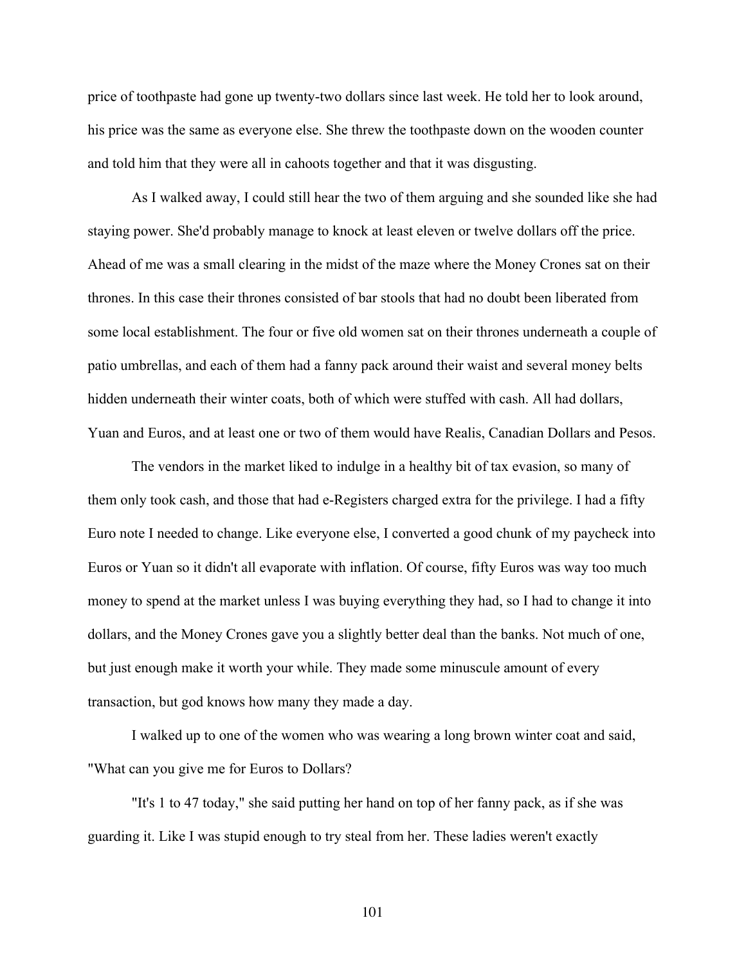price of toothpaste had gone up twenty-two dollars since last week. He told her to look around, his price was the same as everyone else. She threw the toothpaste down on the wooden counter and told him that they were all in cahoots together and that it was disgusting.

As I walked away, I could still hear the two of them arguing and she sounded like she had staying power. She'd probably manage to knock at least eleven or twelve dollars off the price. Ahead of me was a small clearing in the midst of the maze where the Money Crones sat on their thrones. In this case their thrones consisted of bar stools that had no doubt been liberated from some local establishment. The four or five old women sat on their thrones underneath a couple of patio umbrellas, and each of them had a fanny pack around their waist and several money belts hidden underneath their winter coats, both of which were stuffed with cash. All had dollars, Yuan and Euros, and at least one or two of them would have Realis, Canadian Dollars and Pesos.

The vendors in the market liked to indulge in a healthy bit of tax evasion, so many of them only took cash, and those that had e-Registers charged extra for the privilege. I had a fifty Euro note I needed to change. Like everyone else, I converted a good chunk of my paycheck into Euros or Yuan so it didn't all evaporate with inflation. Of course, fifty Euros was way too much money to spend at the market unless I was buying everything they had, so I had to change it into dollars, and the Money Crones gave you a slightly better deal than the banks. Not much of one, but just enough make it worth your while. They made some minuscule amount of every transaction, but god knows how many they made a day.

I walked up to one of the women who was wearing a long brown winter coat and said, "What can you give me for Euros to Dollars?

"It's 1 to 47 today," she said putting her hand on top of her fanny pack, as if she was guarding it. Like I was stupid enough to try steal from her. These ladies weren't exactly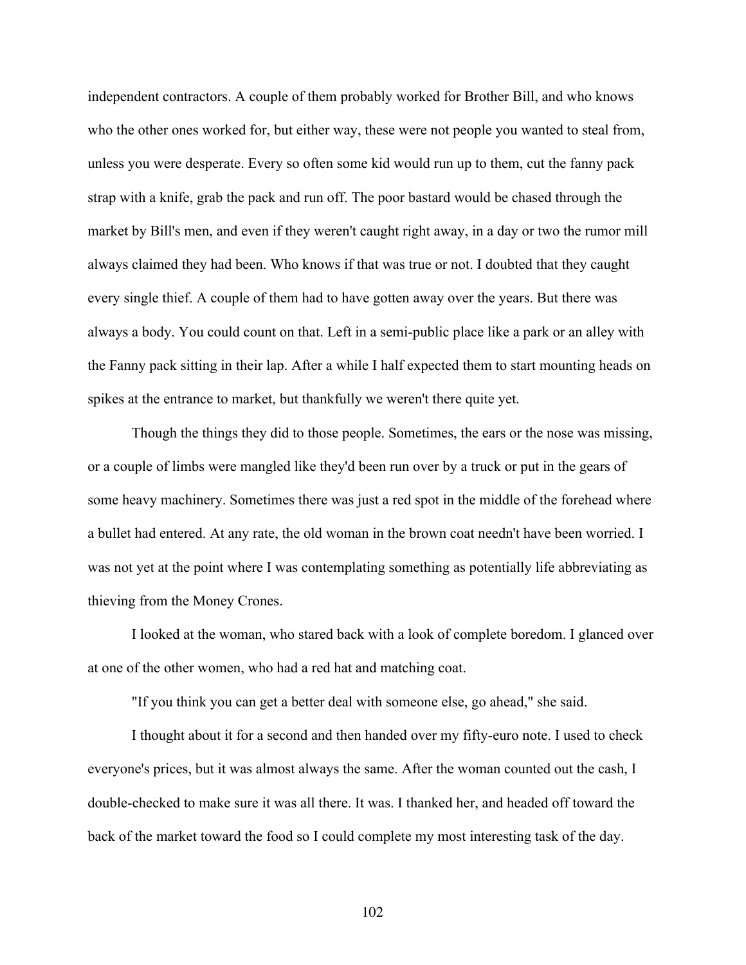independent contractors. A couple of them probably worked for Brother Bill, and who knows who the other ones worked for, but either way, these were not people you wanted to steal from, unless you were desperate. Every so often some kid would run up to them, cut the fanny pack strap with a knife, grab the pack and run off. The poor bastard would be chased through the market by Bill's men, and even if they weren't caught right away, in a day or two the rumor mill always claimed they had been. Who knows if that was true or not. I doubted that they caught every single thief. A couple of them had to have gotten away over the years. But there was always a body. You could count on that. Left in a semi-public place like a park or an alley with the Fanny pack sitting in their lap. After a while I half expected them to start mounting heads on spikes at the entrance to market, but thankfully we weren't there quite yet.

Though the things they did to those people. Sometimes, the ears or the nose was missing, or a couple of limbs were mangled like they'd been run over by a truck or put in the gears of some heavy machinery. Sometimes there was just a red spot in the middle of the forehead where a bullet had entered. At any rate, the old woman in the brown coat needn't have been worried. I was not yet at the point where I was contemplating something as potentially life abbreviating as thieving from the Money Crones.

I looked at the woman, who stared back with a look of complete boredom. I glanced over at one of the other women, who had a red hat and matching coat.

"If you think you can get a better deal with someone else, go ahead," she said.

I thought about it for a second and then handed over my fifty-euro note. I used to check everyone's prices, but it was almost always the same. After the woman counted out the cash, I double-checked to make sure it was all there. It was. I thanked her, and headed off toward the back of the market toward the food so I could complete my most interesting task of the day.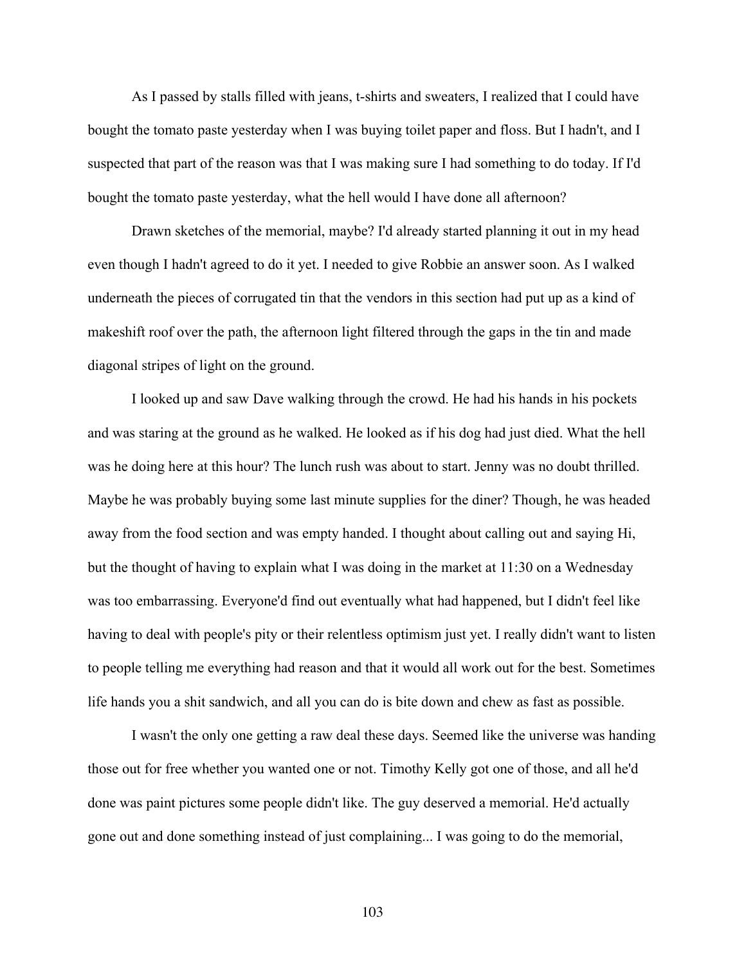As I passed by stalls filled with jeans, t-shirts and sweaters, I realized that I could have bought the tomato paste yesterday when I was buying toilet paper and floss. But I hadn't, and I suspected that part of the reason was that I was making sure I had something to do today. If I'd bought the tomato paste yesterday, what the hell would I have done all afternoon?

Drawn sketches of the memorial, maybe? I'd already started planning it out in my head even though I hadn't agreed to do it yet. I needed to give Robbie an answer soon. As I walked underneath the pieces of corrugated tin that the vendors in this section had put up as a kind of makeshift roof over the path, the afternoon light filtered through the gaps in the tin and made diagonal stripes of light on the ground.

I looked up and saw Dave walking through the crowd. He had his hands in his pockets and was staring at the ground as he walked. He looked as if his dog had just died. What the hell was he doing here at this hour? The lunch rush was about to start. Jenny was no doubt thrilled. Maybe he was probably buying some last minute supplies for the diner? Though, he was headed away from the food section and was empty handed. I thought about calling out and saying Hi, but the thought of having to explain what I was doing in the market at 11:30 on a Wednesday was too embarrassing. Everyone'd find out eventually what had happened, but I didn't feel like having to deal with people's pity or their relentless optimism just yet. I really didn't want to listen to people telling me everything had reason and that it would all work out for the best. Sometimes life hands you a shit sandwich, and all you can do is bite down and chew as fast as possible.

I wasn't the only one getting a raw deal these days. Seemed like the universe was handing those out for free whether you wanted one or not. Timothy Kelly got one of those, and all he'd done was paint pictures some people didn't like. The guy deserved a memorial. He'd actually gone out and done something instead of just complaining... I was going to do the memorial,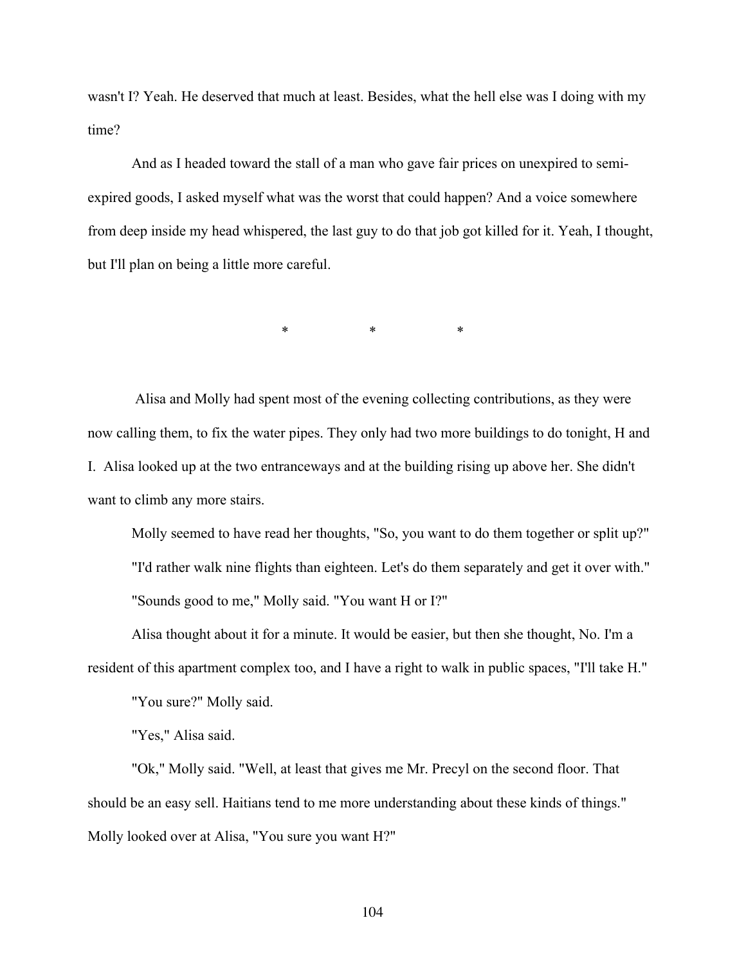wasn't I? Yeah. He deserved that much at least. Besides, what the hell else was I doing with my time?

And as I headed toward the stall of a man who gave fair prices on unexpired to semiexpired goods, I asked myself what was the worst that could happen? And a voice somewhere from deep inside my head whispered, the last guy to do that job got killed for it. Yeah, I thought, but I'll plan on being a little more careful.

 $*$  \* \* \*

Alisa and Molly had spent most of the evening collecting contributions, as they were now calling them, to fix the water pipes. They only had two more buildings to do tonight, H and I. Alisa looked up at the two entranceways and at the building rising up above her. She didn't want to climb any more stairs.

Molly seemed to have read her thoughts, "So, you want to do them together or split up?" "I'd rather walk nine flights than eighteen. Let's do them separately and get it over with." "Sounds good to me," Molly said. "You want H or I?"

Alisa thought about it for a minute. It would be easier, but then she thought, No. I'm a resident of this apartment complex too, and I have a right to walk in public spaces, "I'll take H."

"You sure?" Molly said.

"Yes," Alisa said.

"Ok," Molly said. "Well, at least that gives me Mr. Precyl on the second floor. That should be an easy sell. Haitians tend to me more understanding about these kinds of things." Molly looked over at Alisa, "You sure you want H?"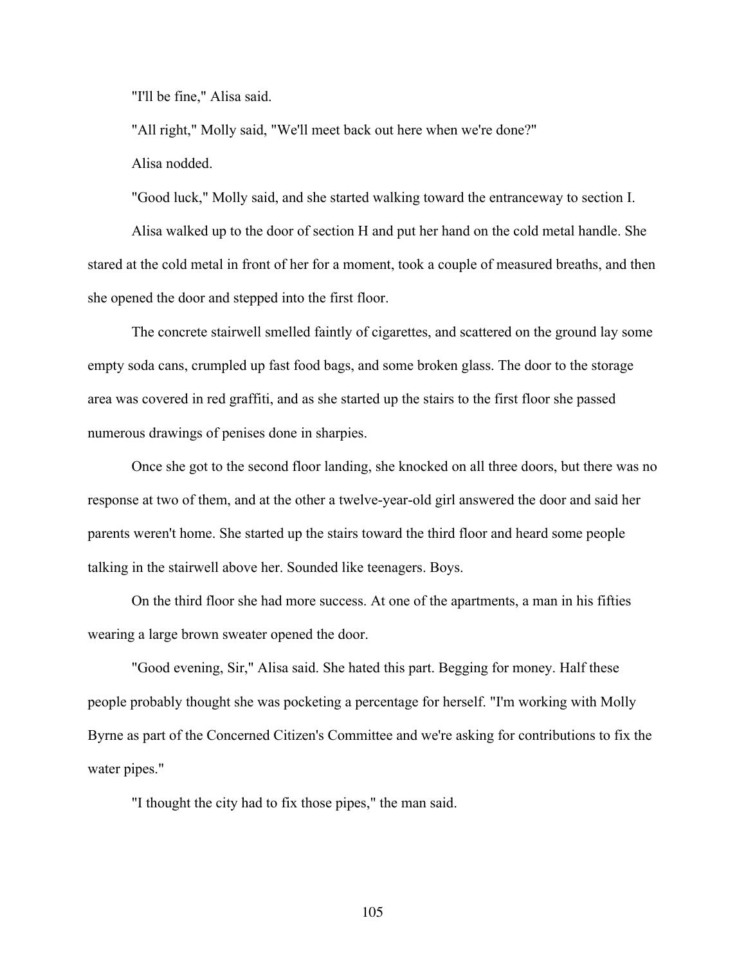"I'll be fine," Alisa said.

"All right," Molly said, "We'll meet back out here when we're done?" Alisa nodded.

"Good luck," Molly said, and she started walking toward the entranceway to section I.

Alisa walked up to the door of section H and put her hand on the cold metal handle. She stared at the cold metal in front of her for a moment, took a couple of measured breaths, and then she opened the door and stepped into the first floor.

The concrete stairwell smelled faintly of cigarettes, and scattered on the ground lay some empty soda cans, crumpled up fast food bags, and some broken glass. The door to the storage area was covered in red graffiti, and as she started up the stairs to the first floor she passed numerous drawings of penises done in sharpies.

Once she got to the second floor landing, she knocked on all three doors, but there was no response at two of them, and at the other a twelve-year-old girl answered the door and said her parents weren't home. She started up the stairs toward the third floor and heard some people talking in the stairwell above her. Sounded like teenagers. Boys.

On the third floor she had more success. At one of the apartments, a man in his fifties wearing a large brown sweater opened the door.

"Good evening, Sir," Alisa said. She hated this part. Begging for money. Half these people probably thought she was pocketing a percentage for herself. "I'm working with Molly Byrne as part of the Concerned Citizen's Committee and we're asking for contributions to fix the water pipes."

"I thought the city had to fix those pipes," the man said.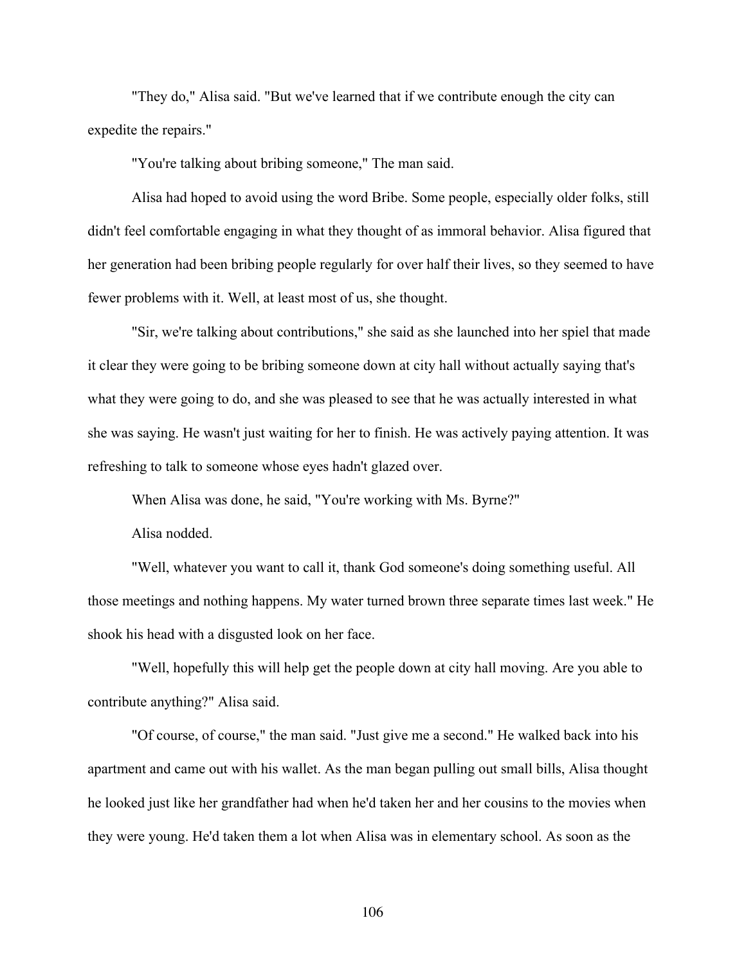"They do," Alisa said. "But we've learned that if we contribute enough the city can expedite the repairs."

"You're talking about bribing someone," The man said.

Alisa had hoped to avoid using the word Bribe. Some people, especially older folks, still didn't feel comfortable engaging in what they thought of as immoral behavior. Alisa figured that her generation had been bribing people regularly for over half their lives, so they seemed to have fewer problems with it. Well, at least most of us, she thought.

"Sir, we're talking about contributions," she said as she launched into her spiel that made it clear they were going to be bribing someone down at city hall without actually saying that's what they were going to do, and she was pleased to see that he was actually interested in what she was saying. He wasn't just waiting for her to finish. He was actively paying attention. It was refreshing to talk to someone whose eyes hadn't glazed over.

When Alisa was done, he said, "You're working with Ms. Byrne?"

Alisa nodded.

"Well, whatever you want to call it, thank God someone's doing something useful. All those meetings and nothing happens. My water turned brown three separate times last week." He shook his head with a disgusted look on her face.

"Well, hopefully this will help get the people down at city hall moving. Are you able to contribute anything?" Alisa said.

"Of course, of course," the man said. "Just give me a second." He walked back into his apartment and came out with his wallet. As the man began pulling out small bills, Alisa thought he looked just like her grandfather had when he'd taken her and her cousins to the movies when they were young. He'd taken them a lot when Alisa was in elementary school. As soon as the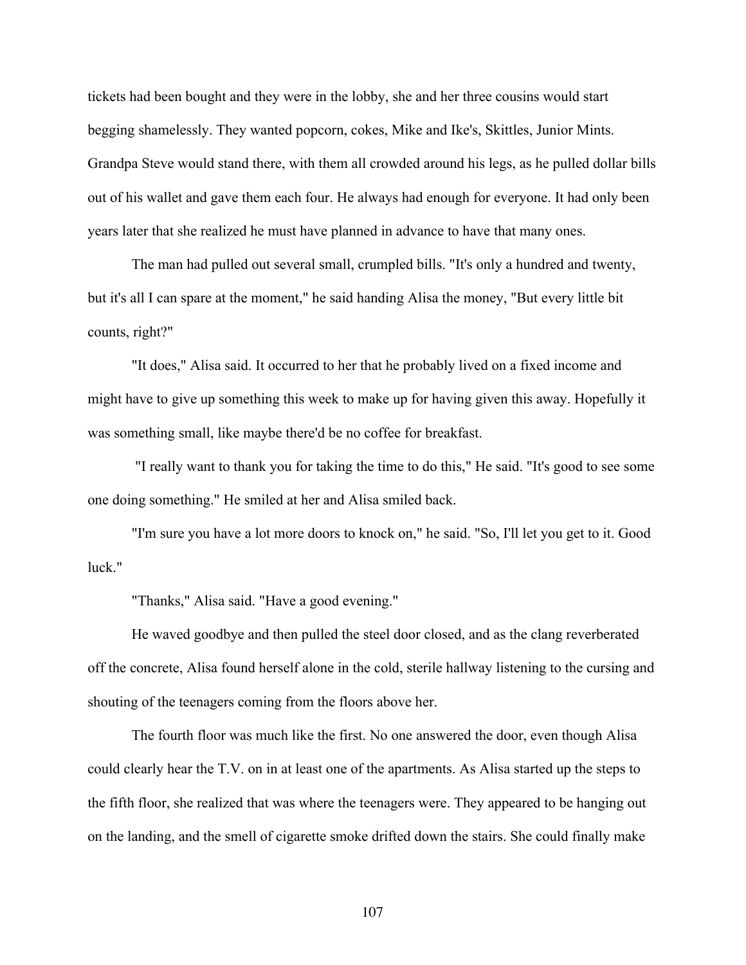tickets had been bought and they were in the lobby, she and her three cousins would start begging shamelessly. They wanted popcorn, cokes, Mike and Ike's, Skittles, Junior Mints. Grandpa Steve would stand there, with them all crowded around his legs, as he pulled dollar bills out of his wallet and gave them each four. He always had enough for everyone. It had only been years later that she realized he must have planned in advance to have that many ones.

The man had pulled out several small, crumpled bills. "It's only a hundred and twenty, but it's all I can spare at the moment," he said handing Alisa the money, "But every little bit counts, right?"

"It does," Alisa said. It occurred to her that he probably lived on a fixed income and might have to give up something this week to make up for having given this away. Hopefully it was something small, like maybe there'd be no coffee for breakfast.

"I really want to thank you for taking the time to do this," He said. "It's good to see some one doing something." He smiled at her and Alisa smiled back.

"I'm sure you have a lot more doors to knock on," he said. "So, I'll let you get to it. Good luck."

"Thanks," Alisa said. "Have a good evening."

He waved goodbye and then pulled the steel door closed, and as the clang reverberated off the concrete, Alisa found herself alone in the cold, sterile hallway listening to the cursing and shouting of the teenagers coming from the floors above her.

The fourth floor was much like the first. No one answered the door, even though Alisa could clearly hear the T.V. on in at least one of the apartments. As Alisa started up the steps to the fifth floor, she realized that was where the teenagers were. They appeared to be hanging out on the landing, and the smell of cigarette smoke drifted down the stairs. She could finally make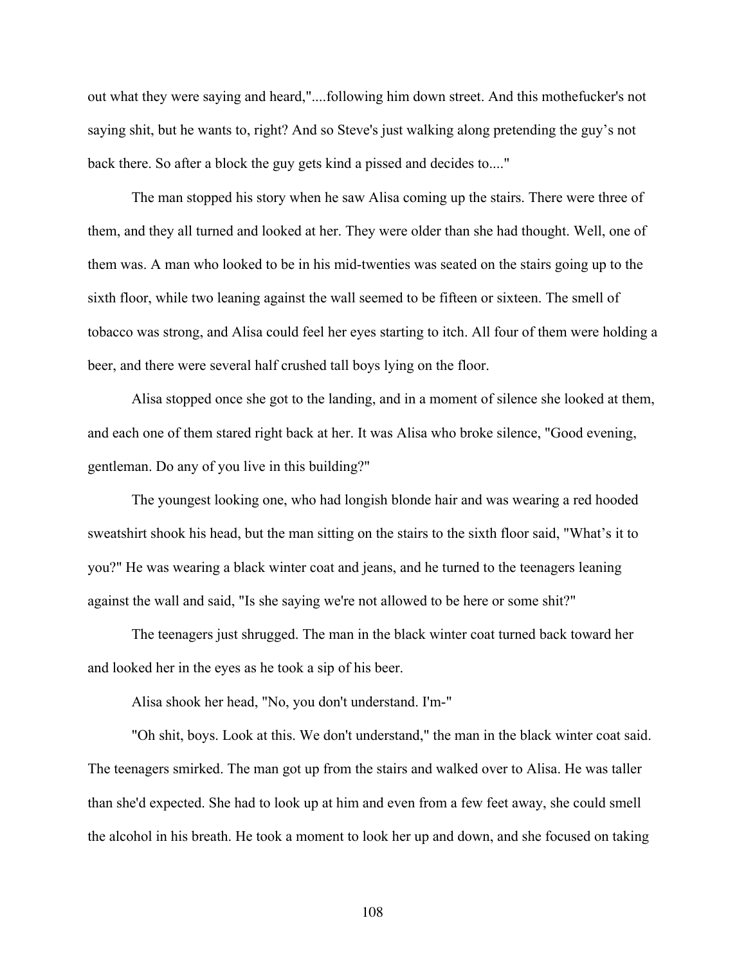out what they were saying and heard,"....following him down street. And this mothefucker's not saying shit, but he wants to, right? And so Steve's just walking along pretending the guy's not back there. So after a block the guy gets kind a pissed and decides to...."

The man stopped his story when he saw Alisa coming up the stairs. There were three of them, and they all turned and looked at her. They were older than she had thought. Well, one of them was. A man who looked to be in his mid-twenties was seated on the stairs going up to the sixth floor, while two leaning against the wall seemed to be fifteen or sixteen. The smell of tobacco was strong, and Alisa could feel her eyes starting to itch. All four of them were holding a beer, and there were several half crushed tall boys lying on the floor.

Alisa stopped once she got to the landing, and in a moment of silence she looked at them, and each one of them stared right back at her. It was Alisa who broke silence, "Good evening, gentleman. Do any of you live in this building?"

The youngest looking one, who had longish blonde hair and was wearing a red hooded sweatshirt shook his head, but the man sitting on the stairs to the sixth floor said, "What's it to you?" He was wearing a black winter coat and jeans, and he turned to the teenagers leaning against the wall and said, "Is she saying we're not allowed to be here or some shit?"

The teenagers just shrugged. The man in the black winter coat turned back toward her and looked her in the eyes as he took a sip of his beer.

Alisa shook her head, "No, you don't understand. I'm-"

"Oh shit, boys. Look at this. We don't understand," the man in the black winter coat said. The teenagers smirked. The man got up from the stairs and walked over to Alisa. He was taller than she'd expected. She had to look up at him and even from a few feet away, she could smell the alcohol in his breath. He took a moment to look her up and down, and she focused on taking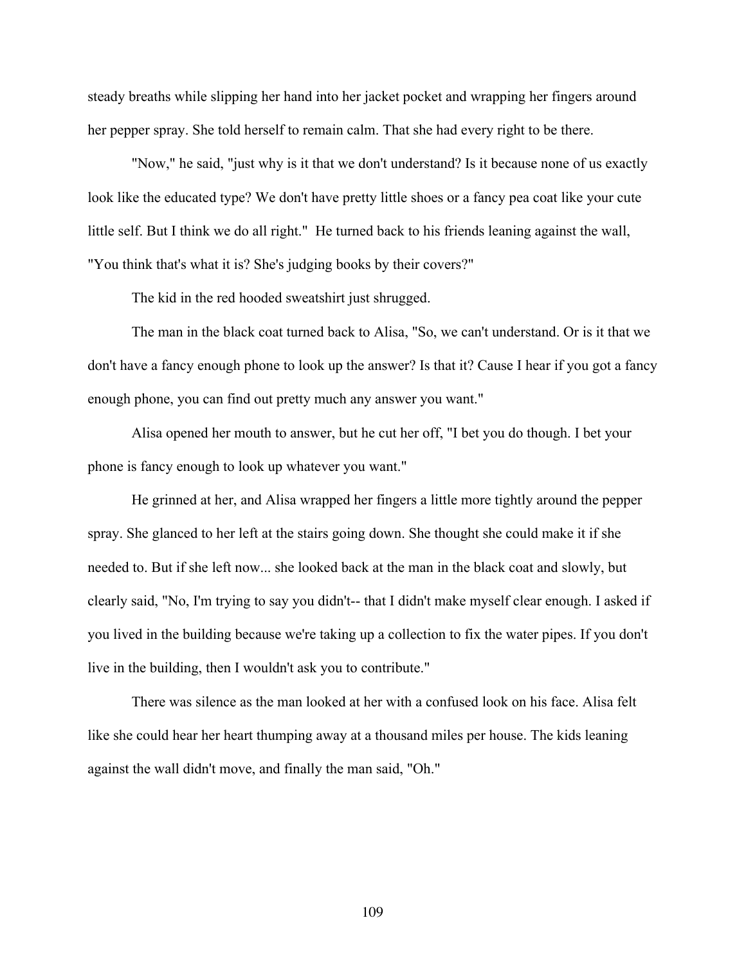steady breaths while slipping her hand into her jacket pocket and wrapping her fingers around her pepper spray. She told herself to remain calm. That she had every right to be there.

"Now," he said, "just why is it that we don't understand? Is it because none of us exactly look like the educated type? We don't have pretty little shoes or a fancy pea coat like your cute little self. But I think we do all right." He turned back to his friends leaning against the wall, "You think that's what it is? She's judging books by their covers?"

The kid in the red hooded sweatshirt just shrugged.

The man in the black coat turned back to Alisa, "So, we can't understand. Or is it that we don't have a fancy enough phone to look up the answer? Is that it? Cause I hear if you got a fancy enough phone, you can find out pretty much any answer you want."

Alisa opened her mouth to answer, but he cut her off, "I bet you do though. I bet your phone is fancy enough to look up whatever you want."

He grinned at her, and Alisa wrapped her fingers a little more tightly around the pepper spray. She glanced to her left at the stairs going down. She thought she could make it if she needed to. But if she left now... she looked back at the man in the black coat and slowly, but clearly said, "No, I'm trying to say you didn't-- that I didn't make myself clear enough. I asked if you lived in the building because we're taking up a collection to fix the water pipes. If you don't live in the building, then I wouldn't ask you to contribute."

There was silence as the man looked at her with a confused look on his face. Alisa felt like she could hear her heart thumping away at a thousand miles per house. The kids leaning against the wall didn't move, and finally the man said, "Oh."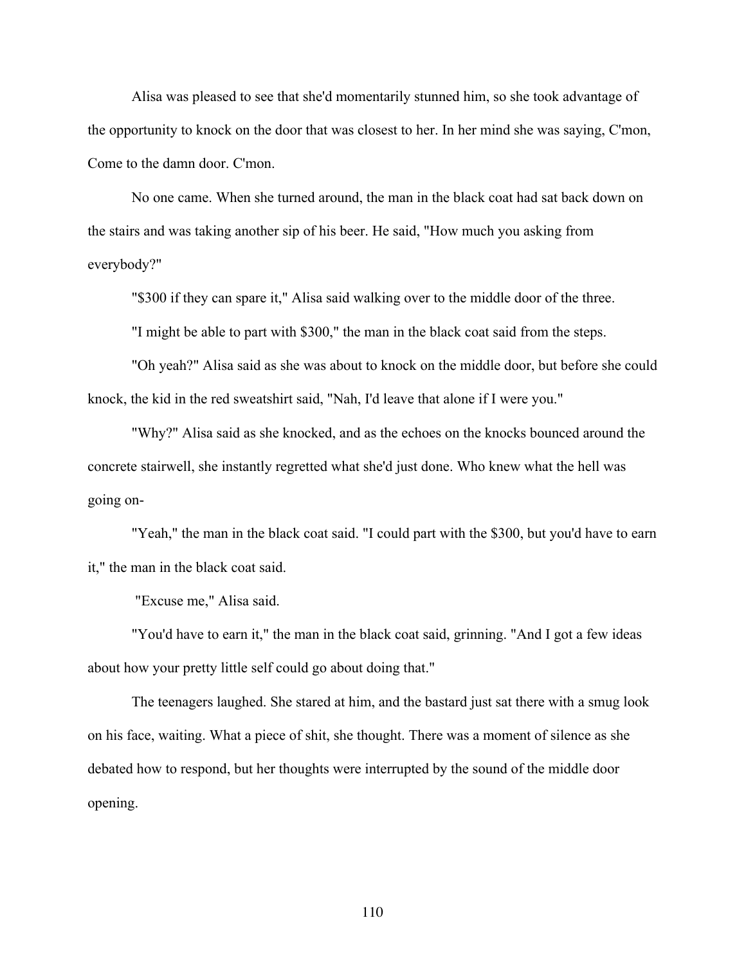Alisa was pleased to see that she'd momentarily stunned him, so she took advantage of the opportunity to knock on the door that was closest to her. In her mind she was saying, C'mon, Come to the damn door. C'mon.

No one came. When she turned around, the man in the black coat had sat back down on the stairs and was taking another sip of his beer. He said, "How much you asking from everybody?"

"\$300 if they can spare it," Alisa said walking over to the middle door of the three.

"I might be able to part with \$300," the man in the black coat said from the steps.

"Oh yeah?" Alisa said as she was about to knock on the middle door, but before she could knock, the kid in the red sweatshirt said, "Nah, I'd leave that alone if I were you."

"Why?" Alisa said as she knocked, and as the echoes on the knocks bounced around the concrete stairwell, she instantly regretted what she'd just done. Who knew what the hell was going on-

"Yeah," the man in the black coat said. "I could part with the \$300, but you'd have to earn it," the man in the black coat said.

"Excuse me," Alisa said.

"You'd have to earn it," the man in the black coat said, grinning. "And I got a few ideas about how your pretty little self could go about doing that."

The teenagers laughed. She stared at him, and the bastard just sat there with a smug look on his face, waiting. What a piece of shit, she thought. There was a moment of silence as she debated how to respond, but her thoughts were interrupted by the sound of the middle door opening.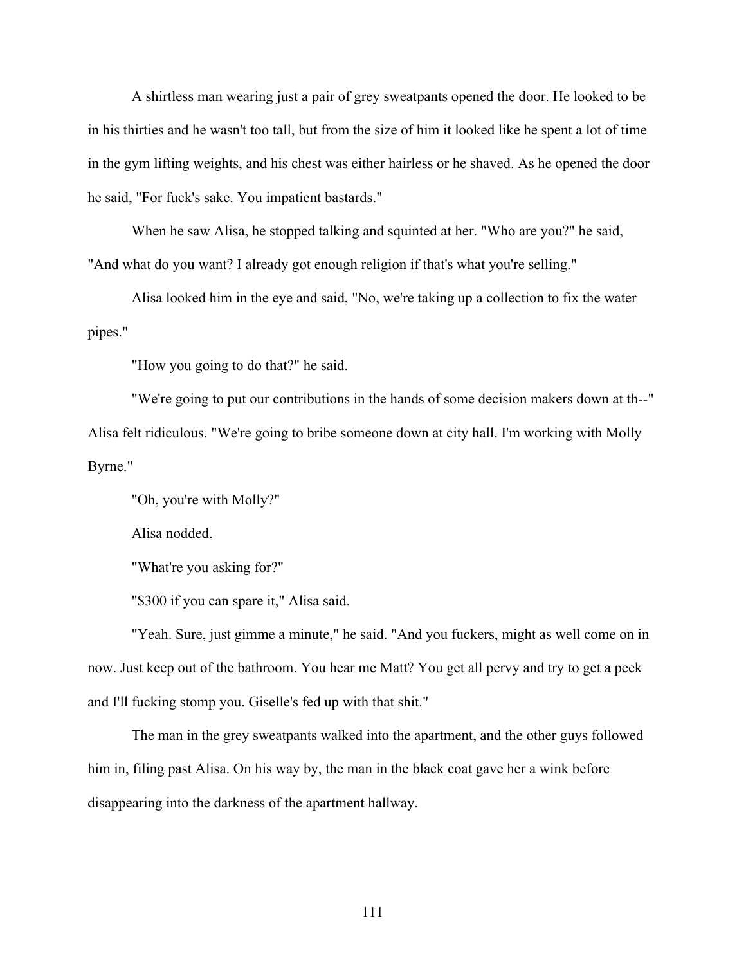A shirtless man wearing just a pair of grey sweatpants opened the door. He looked to be in his thirties and he wasn't too tall, but from the size of him it looked like he spent a lot of time in the gym lifting weights, and his chest was either hairless or he shaved. As he opened the door he said, "For fuck's sake. You impatient bastards."

When he saw Alisa, he stopped talking and squinted at her. "Who are you?" he said, "And what do you want? I already got enough religion if that's what you're selling."

Alisa looked him in the eye and said, "No, we're taking up a collection to fix the water pipes."

"How you going to do that?" he said.

"We're going to put our contributions in the hands of some decision makers down at th--" Alisa felt ridiculous. "We're going to bribe someone down at city hall. I'm working with Molly Byrne."

"Oh, you're with Molly?"

Alisa nodded.

"What're you asking for?"

"\$300 if you can spare it," Alisa said.

"Yeah. Sure, just gimme a minute," he said. "And you fuckers, might as well come on in now. Just keep out of the bathroom. You hear me Matt? You get all pervy and try to get a peek and I'll fucking stomp you. Giselle's fed up with that shit."

The man in the grey sweatpants walked into the apartment, and the other guys followed him in, filing past Alisa. On his way by, the man in the black coat gave her a wink before disappearing into the darkness of the apartment hallway.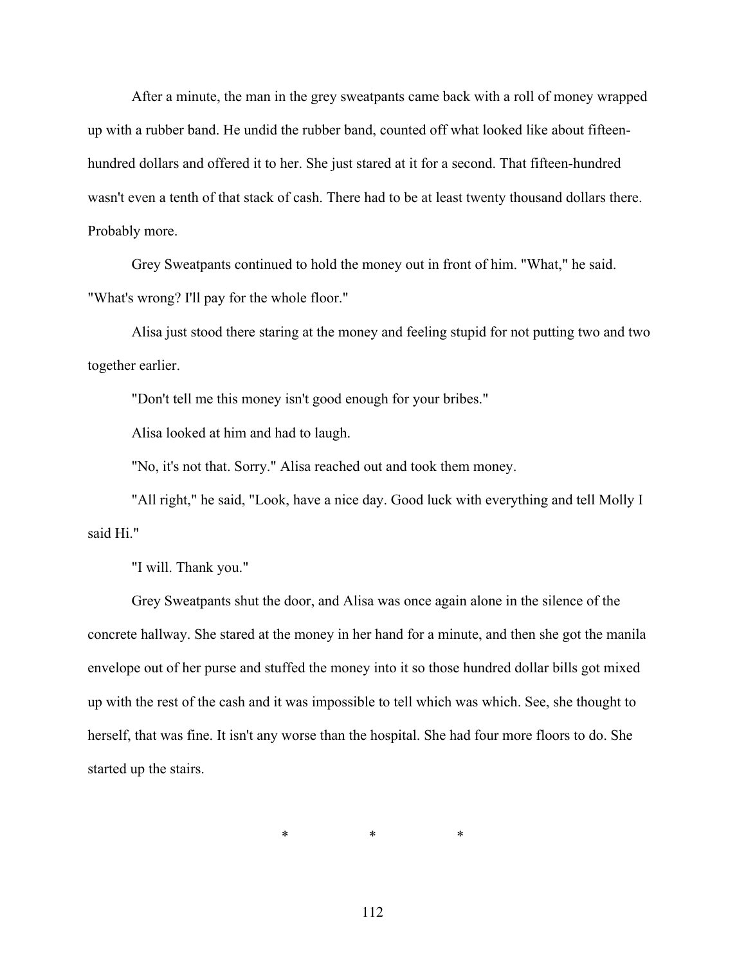After a minute, the man in the grey sweatpants came back with a roll of money wrapped up with a rubber band. He undid the rubber band, counted off what looked like about fifteenhundred dollars and offered it to her. She just stared at it for a second. That fifteen-hundred wasn't even a tenth of that stack of cash. There had to be at least twenty thousand dollars there. Probably more.

Grey Sweatpants continued to hold the money out in front of him. "What," he said. "What's wrong? I'll pay for the whole floor."

Alisa just stood there staring at the money and feeling stupid for not putting two and two together earlier.

"Don't tell me this money isn't good enough for your bribes."

Alisa looked at him and had to laugh.

"No, it's not that. Sorry." Alisa reached out and took them money.

"All right," he said, "Look, have a nice day. Good luck with everything and tell Molly I said Hi."

"I will. Thank you."

Grey Sweatpants shut the door, and Alisa was once again alone in the silence of the concrete hallway. She stared at the money in her hand for a minute, and then she got the manila envelope out of her purse and stuffed the money into it so those hundred dollar bills got mixed up with the rest of the cash and it was impossible to tell which was which. See, she thought to herself, that was fine. It isn't any worse than the hospital. She had four more floors to do. She started up the stairs.

\* \* \* \* \*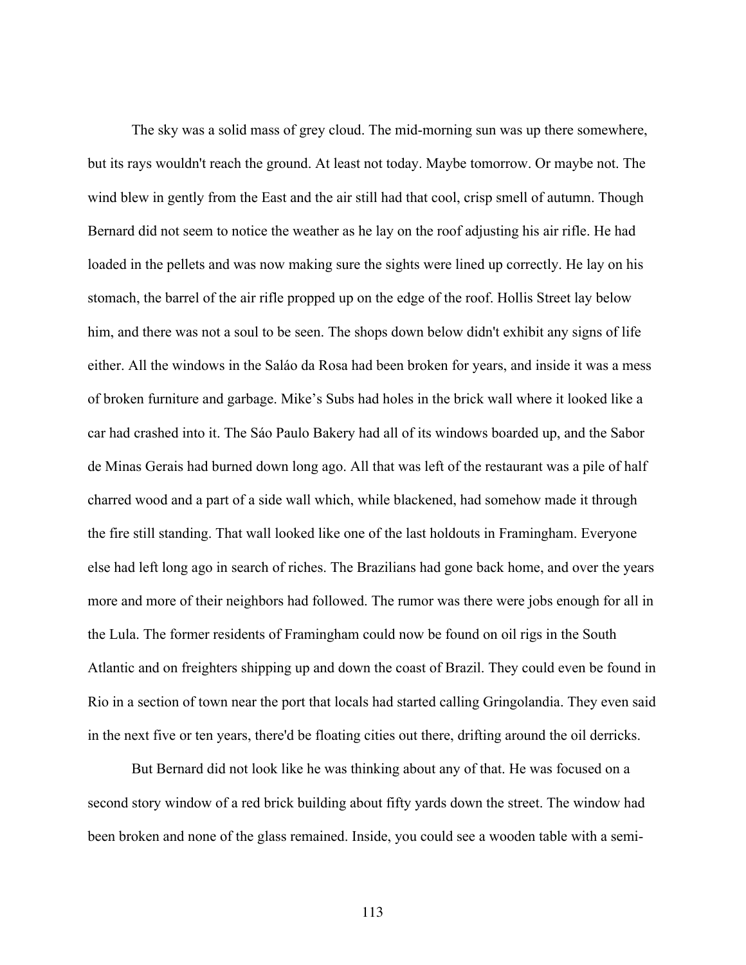The sky was a solid mass of grey cloud. The mid-morning sun was up there somewhere, but its rays wouldn't reach the ground. At least not today. Maybe tomorrow. Or maybe not. The wind blew in gently from the East and the air still had that cool, crisp smell of autumn. Though Bernard did not seem to notice the weather as he lay on the roof adjusting his air rifle. He had loaded in the pellets and was now making sure the sights were lined up correctly. He lay on his stomach, the barrel of the air rifle propped up on the edge of the roof. Hollis Street lay below him, and there was not a soul to be seen. The shops down below didn't exhibit any signs of life either. All the windows in the Saláo da Rosa had been broken for years, and inside it was a mess of broken furniture and garbage. Mike's Subs had holes in the brick wall where it looked like a car had crashed into it. The Sáo Paulo Bakery had all of its windows boarded up, and the Sabor de Minas Gerais had burned down long ago. All that was left of the restaurant was a pile of half charred wood and a part of a side wall which, while blackened, had somehow made it through the fire still standing. That wall looked like one of the last holdouts in Framingham. Everyone else had left long ago in search of riches. The Brazilians had gone back home, and over the years more and more of their neighbors had followed. The rumor was there were jobs enough for all in the Lula. The former residents of Framingham could now be found on oil rigs in the South Atlantic and on freighters shipping up and down the coast of Brazil. They could even be found in Rio in a section of town near the port that locals had started calling Gringolandia. They even said in the next five or ten years, there'd be floating cities out there, drifting around the oil derricks.

But Bernard did not look like he was thinking about any of that. He was focused on a second story window of a red brick building about fifty yards down the street. The window had been broken and none of the glass remained. Inside, you could see a wooden table with a semi-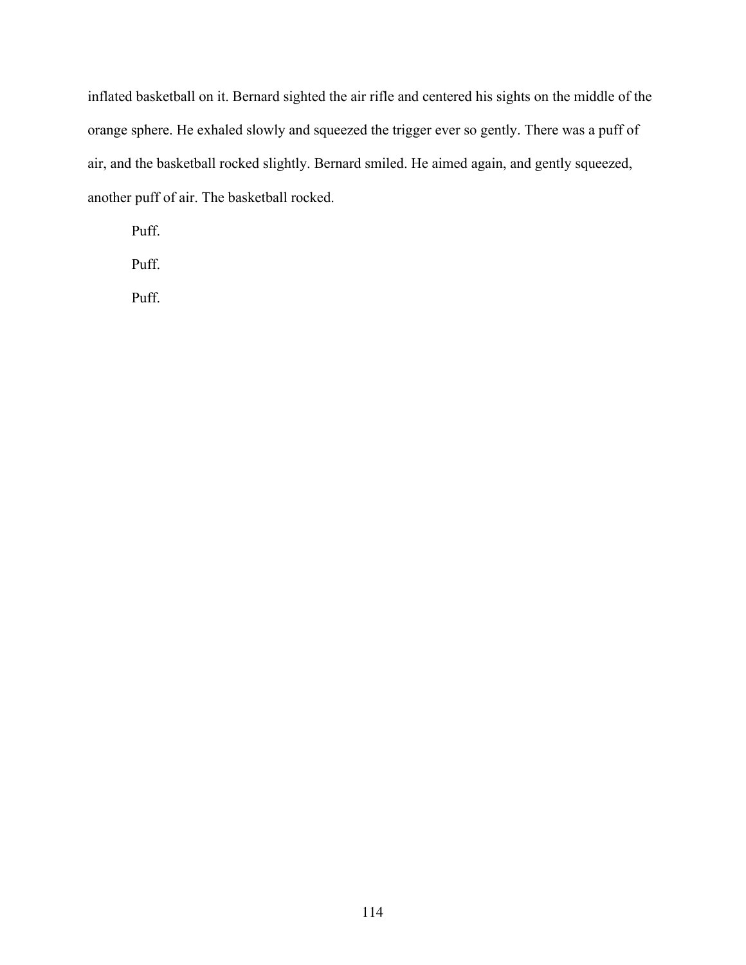inflated basketball on it. Bernard sighted the air rifle and centered his sights on the middle of the orange sphere. He exhaled slowly and squeezed the trigger ever so gently. There was a puff of air, and the basketball rocked slightly. Bernard smiled. He aimed again, and gently squeezed, another puff of air. The basketball rocked.

Puff.

Puff.

Puff.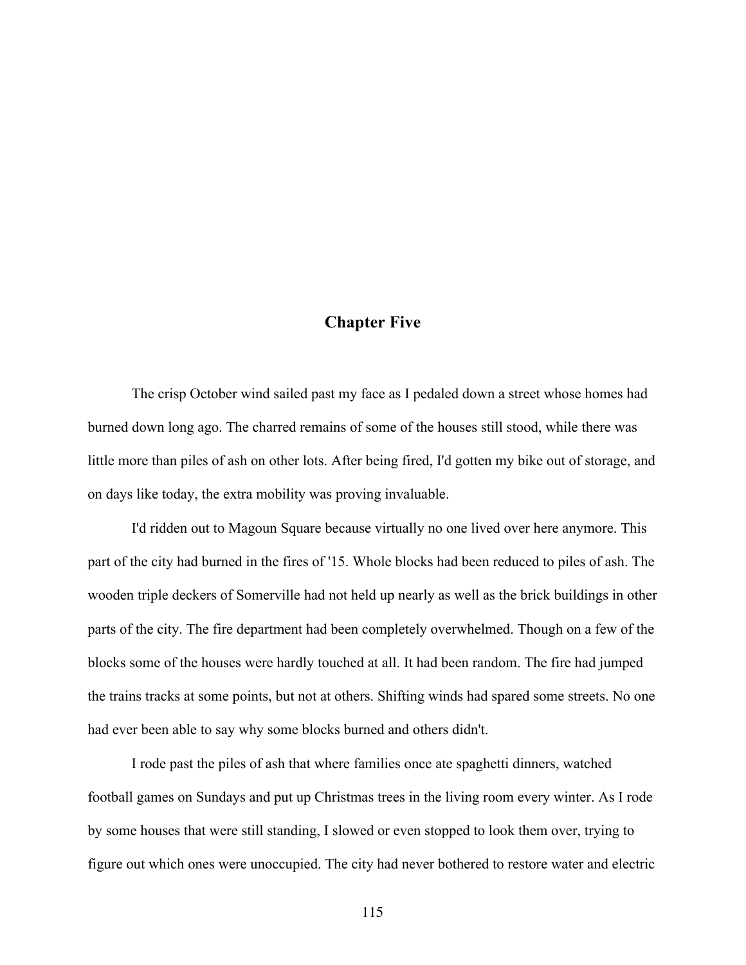## **Chapter Five**

The crisp October wind sailed past my face as I pedaled down a street whose homes had burned down long ago. The charred remains of some of the houses still stood, while there was little more than piles of ash on other lots. After being fired, I'd gotten my bike out of storage, and on days like today, the extra mobility was proving invaluable.

I'd ridden out to Magoun Square because virtually no one lived over here anymore. This part of the city had burned in the fires of '15. Whole blocks had been reduced to piles of ash. The wooden triple deckers of Somerville had not held up nearly as well as the brick buildings in other parts of the city. The fire department had been completely overwhelmed. Though on a few of the blocks some of the houses were hardly touched at all. It had been random. The fire had jumped the trains tracks at some points, but not at others. Shifting winds had spared some streets. No one had ever been able to say why some blocks burned and others didn't.

I rode past the piles of ash that where families once ate spaghetti dinners, watched football games on Sundays and put up Christmas trees in the living room every winter. As I rode by some houses that were still standing, I slowed or even stopped to look them over, trying to figure out which ones were unoccupied. The city had never bothered to restore water and electric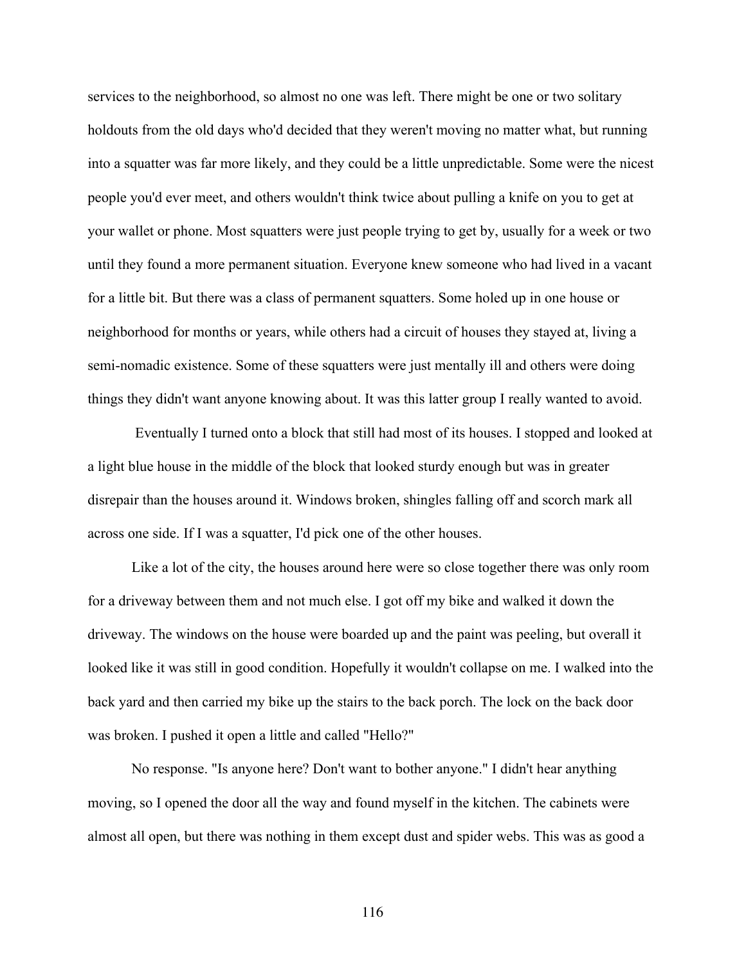services to the neighborhood, so almost no one was left. There might be one or two solitary holdouts from the old days who'd decided that they weren't moving no matter what, but running into a squatter was far more likely, and they could be a little unpredictable. Some were the nicest people you'd ever meet, and others wouldn't think twice about pulling a knife on you to get at your wallet or phone. Most squatters were just people trying to get by, usually for a week or two until they found a more permanent situation. Everyone knew someone who had lived in a vacant for a little bit. But there was a class of permanent squatters. Some holed up in one house or neighborhood for months or years, while others had a circuit of houses they stayed at, living a semi-nomadic existence. Some of these squatters were just mentally ill and others were doing things they didn't want anyone knowing about. It was this latter group I really wanted to avoid.

Eventually I turned onto a block that still had most of its houses. I stopped and looked at a light blue house in the middle of the block that looked sturdy enough but was in greater disrepair than the houses around it. Windows broken, shingles falling off and scorch mark all across one side. If I was a squatter, I'd pick one of the other houses.

Like a lot of the city, the houses around here were so close together there was only room for a driveway between them and not much else. I got off my bike and walked it down the driveway. The windows on the house were boarded up and the paint was peeling, but overall it looked like it was still in good condition. Hopefully it wouldn't collapse on me. I walked into the back yard and then carried my bike up the stairs to the back porch. The lock on the back door was broken. I pushed it open a little and called "Hello?"

No response. "Is anyone here? Don't want to bother anyone." I didn't hear anything moving, so I opened the door all the way and found myself in the kitchen. The cabinets were almost all open, but there was nothing in them except dust and spider webs. This was as good a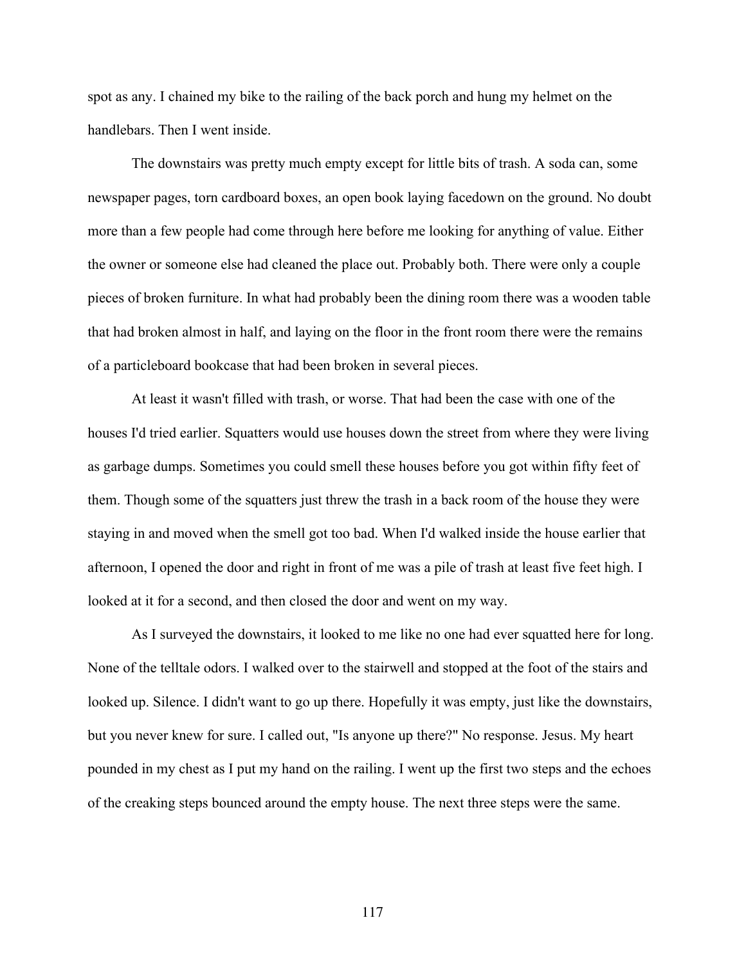spot as any. I chained my bike to the railing of the back porch and hung my helmet on the handlebars. Then I went inside.

The downstairs was pretty much empty except for little bits of trash. A soda can, some newspaper pages, torn cardboard boxes, an open book laying facedown on the ground. No doubt more than a few people had come through here before me looking for anything of value. Either the owner or someone else had cleaned the place out. Probably both. There were only a couple pieces of broken furniture. In what had probably been the dining room there was a wooden table that had broken almost in half, and laying on the floor in the front room there were the remains of a particleboard bookcase that had been broken in several pieces.

At least it wasn't filled with trash, or worse. That had been the case with one of the houses I'd tried earlier. Squatters would use houses down the street from where they were living as garbage dumps. Sometimes you could smell these houses before you got within fifty feet of them. Though some of the squatters just threw the trash in a back room of the house they were staying in and moved when the smell got too bad. When I'd walked inside the house earlier that afternoon, I opened the door and right in front of me was a pile of trash at least five feet high. I looked at it for a second, and then closed the door and went on my way.

As I surveyed the downstairs, it looked to me like no one had ever squatted here for long. None of the telltale odors. I walked over to the stairwell and stopped at the foot of the stairs and looked up. Silence. I didn't want to go up there. Hopefully it was empty, just like the downstairs, but you never knew for sure. I called out, "Is anyone up there?" No response. Jesus. My heart pounded in my chest as I put my hand on the railing. I went up the first two steps and the echoes of the creaking steps bounced around the empty house. The next three steps were the same.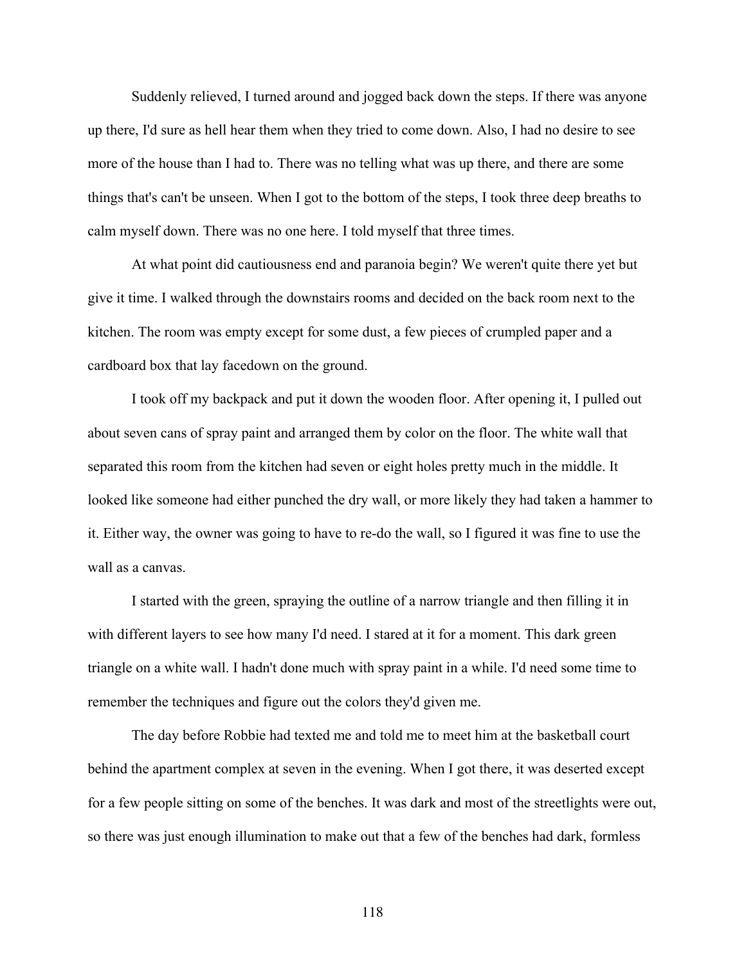Suddenly relieved, I turned around and jogged back down the steps. If there was anyone up there, I'd sure as hell hear them when they tried to come down. Also, I had no desire to see more of the house than I had to. There was no telling what was up there, and there are some things that's can't be unseen. When I got to the bottom of the steps, I took three deep breaths to calm myself down. There was no one here. I told myself that three times.

At what point did cautiousness end and paranoia begin? We weren't quite there yet but give it time. I walked through the downstairs rooms and decided on the back room next to the kitchen. The room was empty except for some dust, a few pieces of crumpled paper and a cardboard box that lay facedown on the ground.

I took off my backpack and put it down the wooden floor. After opening it, I pulled out about seven cans of spray paint and arranged them by color on the floor. The white wall that separated this room from the kitchen had seven or eight holes pretty much in the middle. It looked like someone had either punched the dry wall, or more likely they had taken a hammer to it. Either way, the owner was going to have to re-do the wall, so I figured it was fine to use the wall as a canvas.

I started with the green, spraying the outline of a narrow triangle and then filling it in with different layers to see how many I'd need. I stared at it for a moment. This dark green triangle on a white wall. I hadn't done much with spray paint in a while. I'd need some time to remember the techniques and figure out the colors they'd given me.

The day before Robbie had texted me and told me to meet him at the basketball court behind the apartment complex at seven in the evening. When I got there, it was deserted except for a few people sitting on some of the benches. It was dark and most of the streetlights were out, so there was just enough illumination to make out that a few of the benches had dark, formless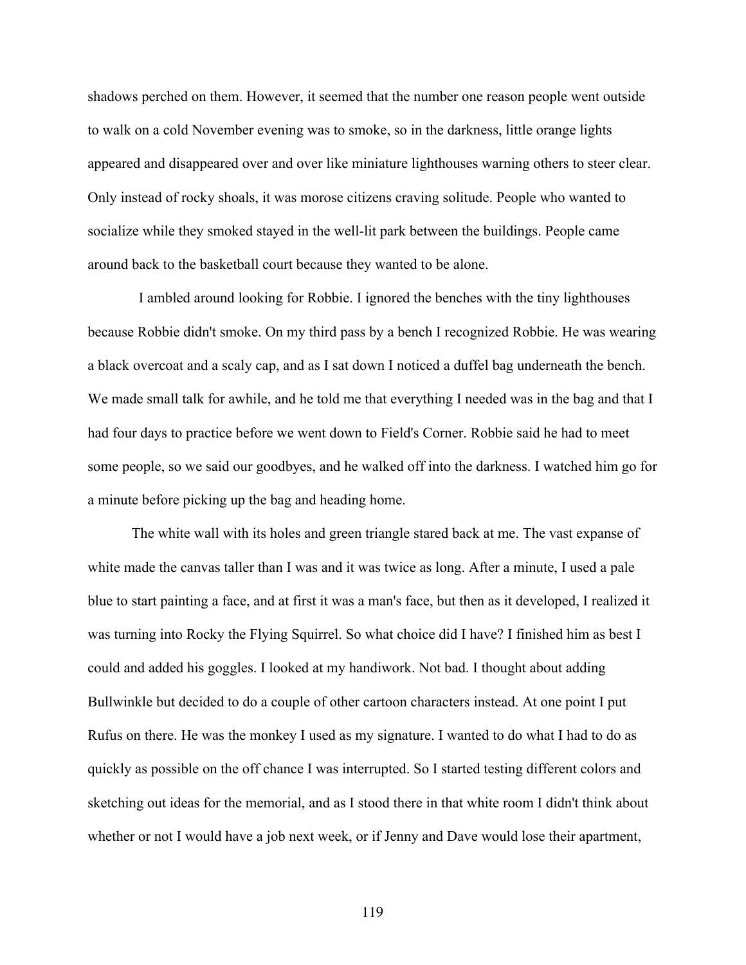shadows perched on them. However, it seemed that the number one reason people went outside to walk on a cold November evening was to smoke, so in the darkness, little orange lights appeared and disappeared over and over like miniature lighthouses warning others to steer clear. Only instead of rocky shoals, it was morose citizens craving solitude. People who wanted to socialize while they smoked stayed in the well-lit park between the buildings. People came around back to the basketball court because they wanted to be alone.

 I ambled around looking for Robbie. I ignored the benches with the tiny lighthouses because Robbie didn't smoke. On my third pass by a bench I recognized Robbie. He was wearing a black overcoat and a scaly cap, and as I sat down I noticed a duffel bag underneath the bench. We made small talk for awhile, and he told me that everything I needed was in the bag and that I had four days to practice before we went down to Field's Corner. Robbie said he had to meet some people, so we said our goodbyes, and he walked off into the darkness. I watched him go for a minute before picking up the bag and heading home.

The white wall with its holes and green triangle stared back at me. The vast expanse of white made the canvas taller than I was and it was twice as long. After a minute, I used a pale blue to start painting a face, and at first it was a man's face, but then as it developed, I realized it was turning into Rocky the Flying Squirrel. So what choice did I have? I finished him as best I could and added his goggles. I looked at my handiwork. Not bad. I thought about adding Bullwinkle but decided to do a couple of other cartoon characters instead. At one point I put Rufus on there. He was the monkey I used as my signature. I wanted to do what I had to do as quickly as possible on the off chance I was interrupted. So I started testing different colors and sketching out ideas for the memorial, and as I stood there in that white room I didn't think about whether or not I would have a job next week, or if Jenny and Dave would lose their apartment,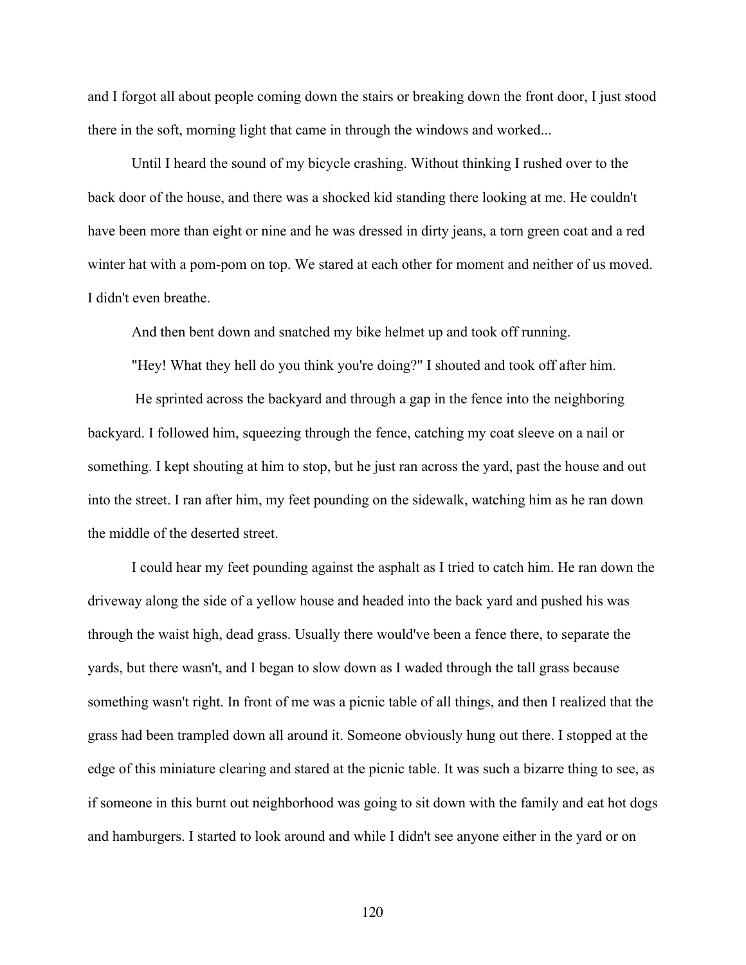and I forgot all about people coming down the stairs or breaking down the front door, I just stood there in the soft, morning light that came in through the windows and worked...

Until I heard the sound of my bicycle crashing. Without thinking I rushed over to the back door of the house, and there was a shocked kid standing there looking at me. He couldn't have been more than eight or nine and he was dressed in dirty jeans, a torn green coat and a red winter hat with a pom-pom on top. We stared at each other for moment and neither of us moved. I didn't even breathe.

And then bent down and snatched my bike helmet up and took off running.

"Hey! What they hell do you think you're doing?" I shouted and took off after him.

 He sprinted across the backyard and through a gap in the fence into the neighboring backyard. I followed him, squeezing through the fence, catching my coat sleeve on a nail or something. I kept shouting at him to stop, but he just ran across the yard, past the house and out into the street. I ran after him, my feet pounding on the sidewalk, watching him as he ran down the middle of the deserted street.

I could hear my feet pounding against the asphalt as I tried to catch him. He ran down the driveway along the side of a yellow house and headed into the back yard and pushed his was through the waist high, dead grass. Usually there would've been a fence there, to separate the yards, but there wasn't, and I began to slow down as I waded through the tall grass because something wasn't right. In front of me was a picnic table of all things, and then I realized that the grass had been trampled down all around it. Someone obviously hung out there. I stopped at the edge of this miniature clearing and stared at the picnic table. It was such a bizarre thing to see, as if someone in this burnt out neighborhood was going to sit down with the family and eat hot dogs and hamburgers. I started to look around and while I didn't see anyone either in the yard or on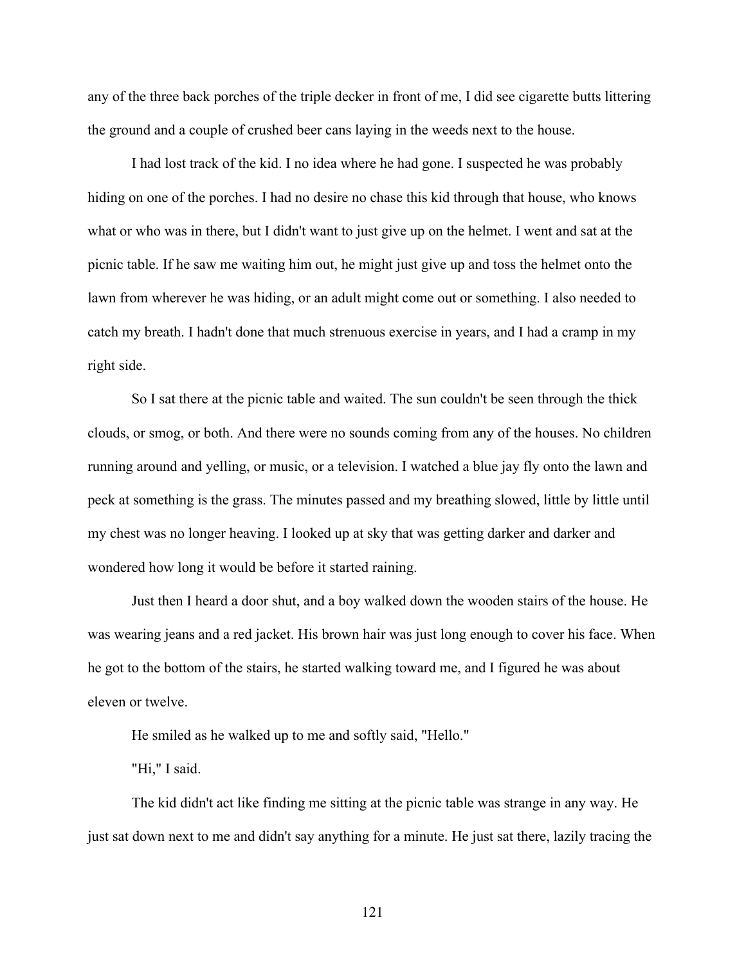any of the three back porches of the triple decker in front of me, I did see cigarette butts littering the ground and a couple of crushed beer cans laying in the weeds next to the house.

I had lost track of the kid. I no idea where he had gone. I suspected he was probably hiding on one of the porches. I had no desire no chase this kid through that house, who knows what or who was in there, but I didn't want to just give up on the helmet. I went and sat at the picnic table. If he saw me waiting him out, he might just give up and toss the helmet onto the lawn from wherever he was hiding, or an adult might come out or something. I also needed to catch my breath. I hadn't done that much strenuous exercise in years, and I had a cramp in my right side.

So I sat there at the picnic table and waited. The sun couldn't be seen through the thick clouds, or smog, or both. And there were no sounds coming from any of the houses. No children running around and yelling, or music, or a television. I watched a blue jay fly onto the lawn and peck at something is the grass. The minutes passed and my breathing slowed, little by little until my chest was no longer heaving. I looked up at sky that was getting darker and darker and wondered how long it would be before it started raining.

Just then I heard a door shut, and a boy walked down the wooden stairs of the house. He was wearing jeans and a red jacket. His brown hair was just long enough to cover his face. When he got to the bottom of the stairs, he started walking toward me, and I figured he was about eleven or twelve.

He smiled as he walked up to me and softly said, "Hello."

"Hi," I said.

The kid didn't act like finding me sitting at the picnic table was strange in any way. He just sat down next to me and didn't say anything for a minute. He just sat there, lazily tracing the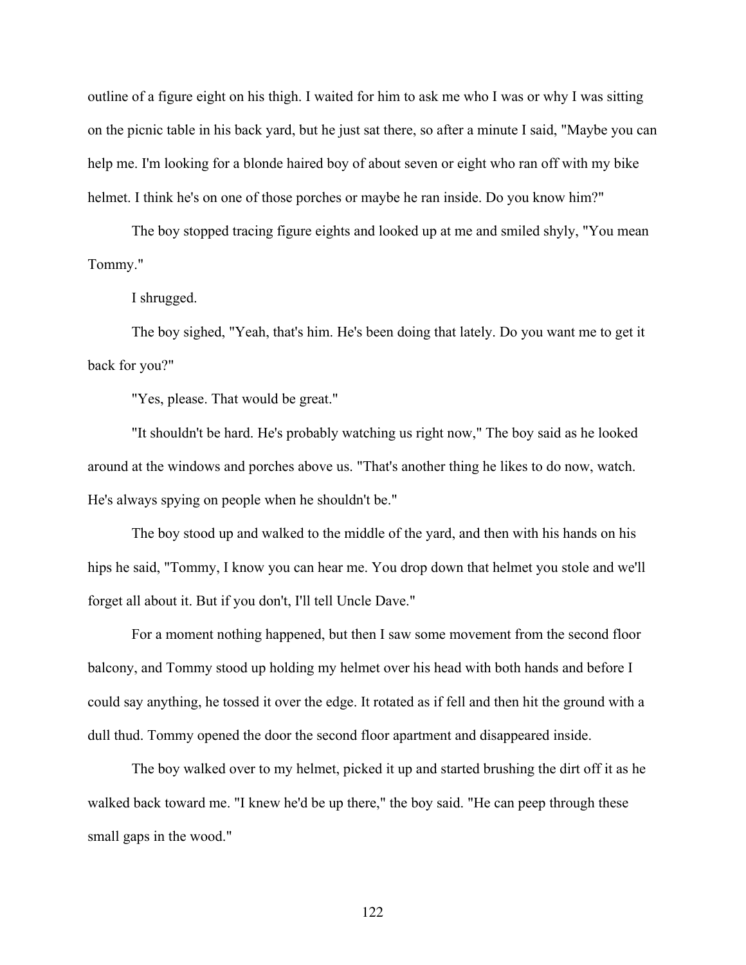outline of a figure eight on his thigh. I waited for him to ask me who I was or why I was sitting on the picnic table in his back yard, but he just sat there, so after a minute I said, "Maybe you can help me. I'm looking for a blonde haired boy of about seven or eight who ran off with my bike helmet. I think he's on one of those porches or maybe he ran inside. Do you know him?"

The boy stopped tracing figure eights and looked up at me and smiled shyly, "You mean Tommy."

I shrugged.

The boy sighed, "Yeah, that's him. He's been doing that lately. Do you want me to get it back for you?"

"Yes, please. That would be great."

"It shouldn't be hard. He's probably watching us right now," The boy said as he looked around at the windows and porches above us. "That's another thing he likes to do now, watch. He's always spying on people when he shouldn't be."

The boy stood up and walked to the middle of the yard, and then with his hands on his hips he said, "Tommy, I know you can hear me. You drop down that helmet you stole and we'll forget all about it. But if you don't, I'll tell Uncle Dave."

For a moment nothing happened, but then I saw some movement from the second floor balcony, and Tommy stood up holding my helmet over his head with both hands and before I could say anything, he tossed it over the edge. It rotated as if fell and then hit the ground with a dull thud. Tommy opened the door the second floor apartment and disappeared inside.

The boy walked over to my helmet, picked it up and started brushing the dirt off it as he walked back toward me. "I knew he'd be up there," the boy said. "He can peep through these small gaps in the wood."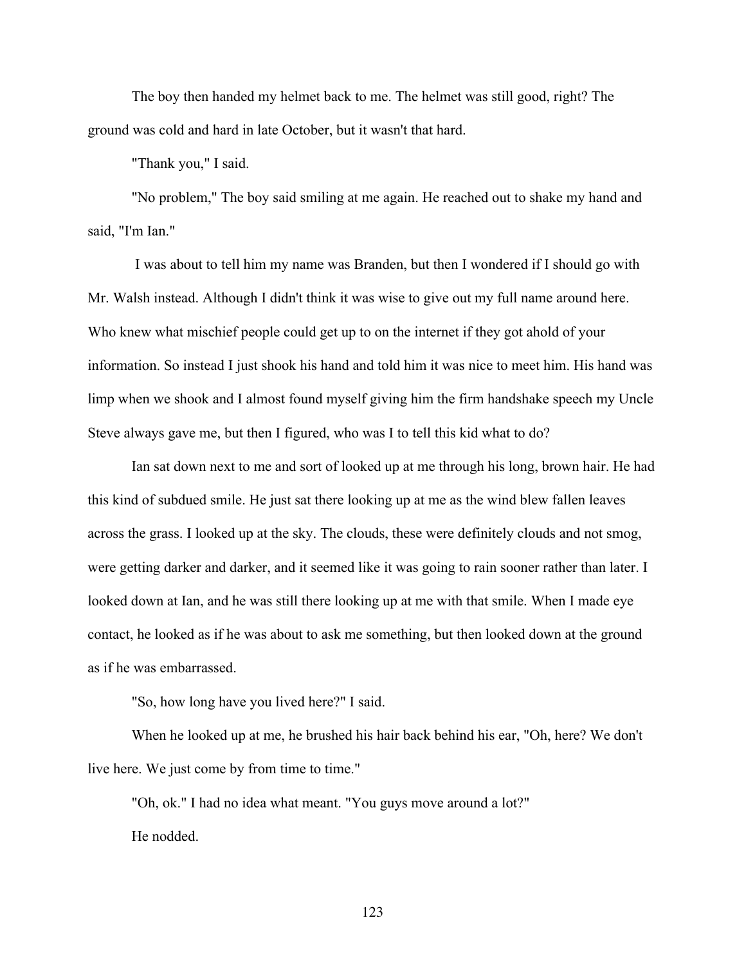The boy then handed my helmet back to me. The helmet was still good, right? The ground was cold and hard in late October, but it wasn't that hard.

"Thank you," I said.

"No problem," The boy said smiling at me again. He reached out to shake my hand and said, "I'm Ian."

I was about to tell him my name was Branden, but then I wondered if I should go with Mr. Walsh instead. Although I didn't think it was wise to give out my full name around here. Who knew what mischief people could get up to on the internet if they got ahold of your information. So instead I just shook his hand and told him it was nice to meet him. His hand was limp when we shook and I almost found myself giving him the firm handshake speech my Uncle Steve always gave me, but then I figured, who was I to tell this kid what to do?

Ian sat down next to me and sort of looked up at me through his long, brown hair. He had this kind of subdued smile. He just sat there looking up at me as the wind blew fallen leaves across the grass. I looked up at the sky. The clouds, these were definitely clouds and not smog, were getting darker and darker, and it seemed like it was going to rain sooner rather than later. I looked down at Ian, and he was still there looking up at me with that smile. When I made eye contact, he looked as if he was about to ask me something, but then looked down at the ground as if he was embarrassed.

"So, how long have you lived here?" I said.

When he looked up at me, he brushed his hair back behind his ear, "Oh, here? We don't live here. We just come by from time to time."

"Oh, ok." I had no idea what meant. "You guys move around a lot?" He nodded.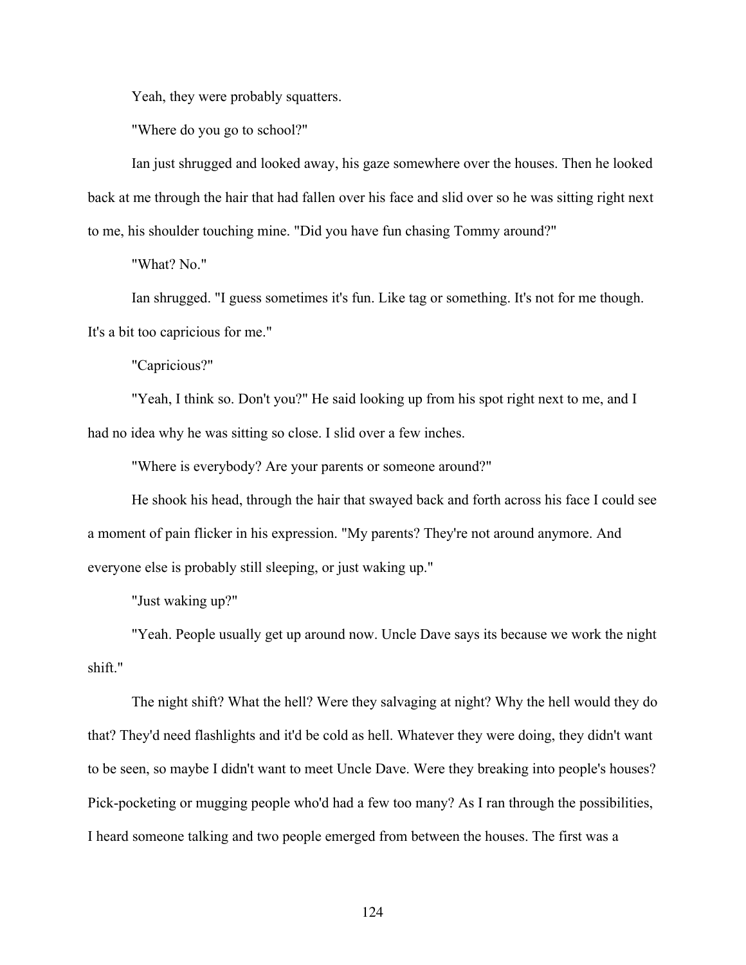Yeah, they were probably squatters.

"Where do you go to school?"

Ian just shrugged and looked away, his gaze somewhere over the houses. Then he looked back at me through the hair that had fallen over his face and slid over so he was sitting right next to me, his shoulder touching mine. "Did you have fun chasing Tommy around?"

"What? No."

Ian shrugged. "I guess sometimes it's fun. Like tag or something. It's not for me though. It's a bit too capricious for me."

"Capricious?"

"Yeah, I think so. Don't you?" He said looking up from his spot right next to me, and I had no idea why he was sitting so close. I slid over a few inches.

"Where is everybody? Are your parents or someone around?"

He shook his head, through the hair that swayed back and forth across his face I could see a moment of pain flicker in his expression. "My parents? They're not around anymore. And everyone else is probably still sleeping, or just waking up."

"Just waking up?"

"Yeah. People usually get up around now. Uncle Dave says its because we work the night shift."

The night shift? What the hell? Were they salvaging at night? Why the hell would they do that? They'd need flashlights and it'd be cold as hell. Whatever they were doing, they didn't want to be seen, so maybe I didn't want to meet Uncle Dave. Were they breaking into people's houses? Pick-pocketing or mugging people who'd had a few too many? As I ran through the possibilities, I heard someone talking and two people emerged from between the houses. The first was a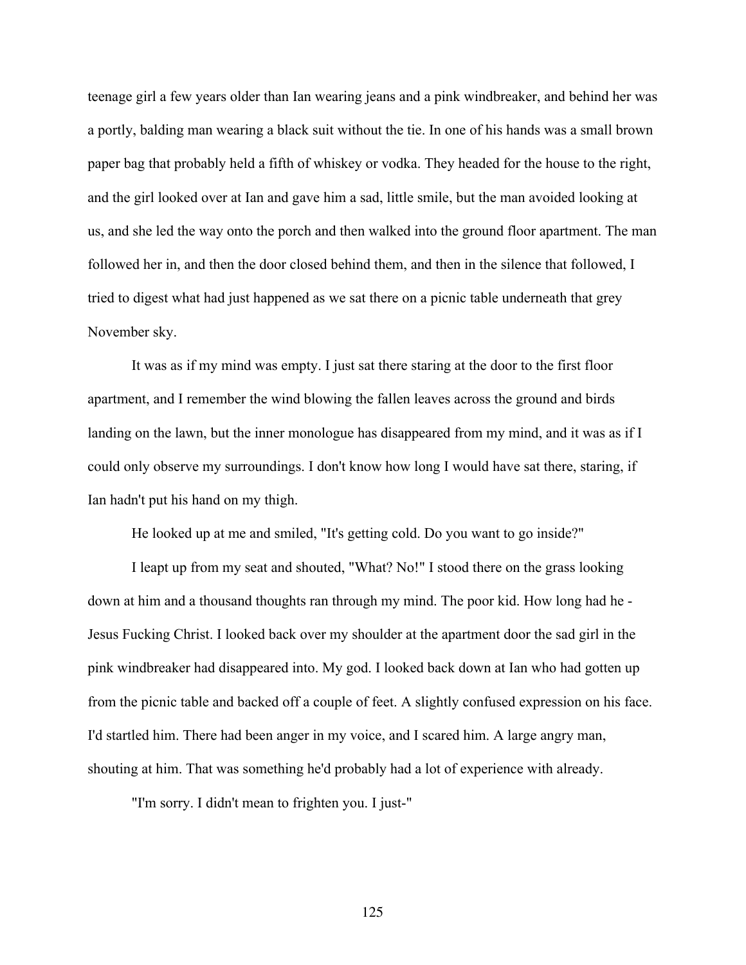teenage girl a few years older than Ian wearing jeans and a pink windbreaker, and behind her was a portly, balding man wearing a black suit without the tie. In one of his hands was a small brown paper bag that probably held a fifth of whiskey or vodka. They headed for the house to the right, and the girl looked over at Ian and gave him a sad, little smile, but the man avoided looking at us, and she led the way onto the porch and then walked into the ground floor apartment. The man followed her in, and then the door closed behind them, and then in the silence that followed, I tried to digest what had just happened as we sat there on a picnic table underneath that grey November sky.

It was as if my mind was empty. I just sat there staring at the door to the first floor apartment, and I remember the wind blowing the fallen leaves across the ground and birds landing on the lawn, but the inner monologue has disappeared from my mind, and it was as if I could only observe my surroundings. I don't know how long I would have sat there, staring, if Ian hadn't put his hand on my thigh.

He looked up at me and smiled, "It's getting cold. Do you want to go inside?"

I leapt up from my seat and shouted, "What? No!" I stood there on the grass looking down at him and a thousand thoughts ran through my mind. The poor kid. How long had he - Jesus Fucking Christ. I looked back over my shoulder at the apartment door the sad girl in the pink windbreaker had disappeared into. My god. I looked back down at Ian who had gotten up from the picnic table and backed off a couple of feet. A slightly confused expression on his face. I'd startled him. There had been anger in my voice, and I scared him. A large angry man, shouting at him. That was something he'd probably had a lot of experience with already.

"I'm sorry. I didn't mean to frighten you. I just-"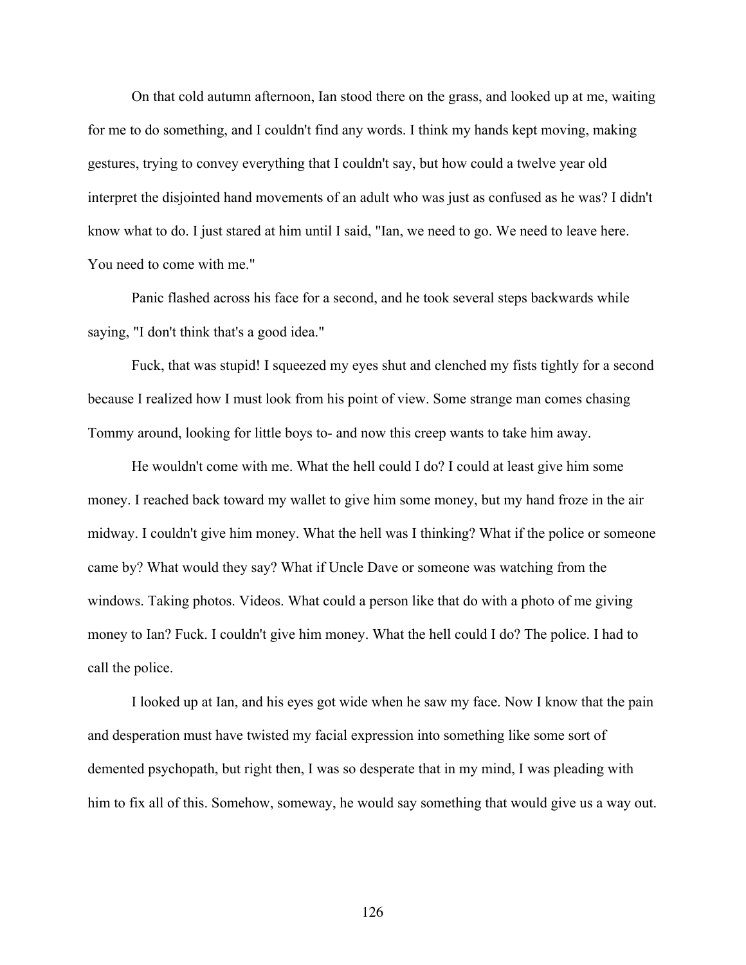On that cold autumn afternoon, Ian stood there on the grass, and looked up at me, waiting for me to do something, and I couldn't find any words. I think my hands kept moving, making gestures, trying to convey everything that I couldn't say, but how could a twelve year old interpret the disjointed hand movements of an adult who was just as confused as he was? I didn't know what to do. I just stared at him until I said, "Ian, we need to go. We need to leave here. You need to come with me."

Panic flashed across his face for a second, and he took several steps backwards while saying, "I don't think that's a good idea."

Fuck, that was stupid! I squeezed my eyes shut and clenched my fists tightly for a second because I realized how I must look from his point of view. Some strange man comes chasing Tommy around, looking for little boys to- and now this creep wants to take him away.

He wouldn't come with me. What the hell could I do? I could at least give him some money. I reached back toward my wallet to give him some money, but my hand froze in the air midway. I couldn't give him money. What the hell was I thinking? What if the police or someone came by? What would they say? What if Uncle Dave or someone was watching from the windows. Taking photos. Videos. What could a person like that do with a photo of me giving money to Ian? Fuck. I couldn't give him money. What the hell could I do? The police. I had to call the police.

I looked up at Ian, and his eyes got wide when he saw my face. Now I know that the pain and desperation must have twisted my facial expression into something like some sort of demented psychopath, but right then, I was so desperate that in my mind, I was pleading with him to fix all of this. Somehow, someway, he would say something that would give us a way out.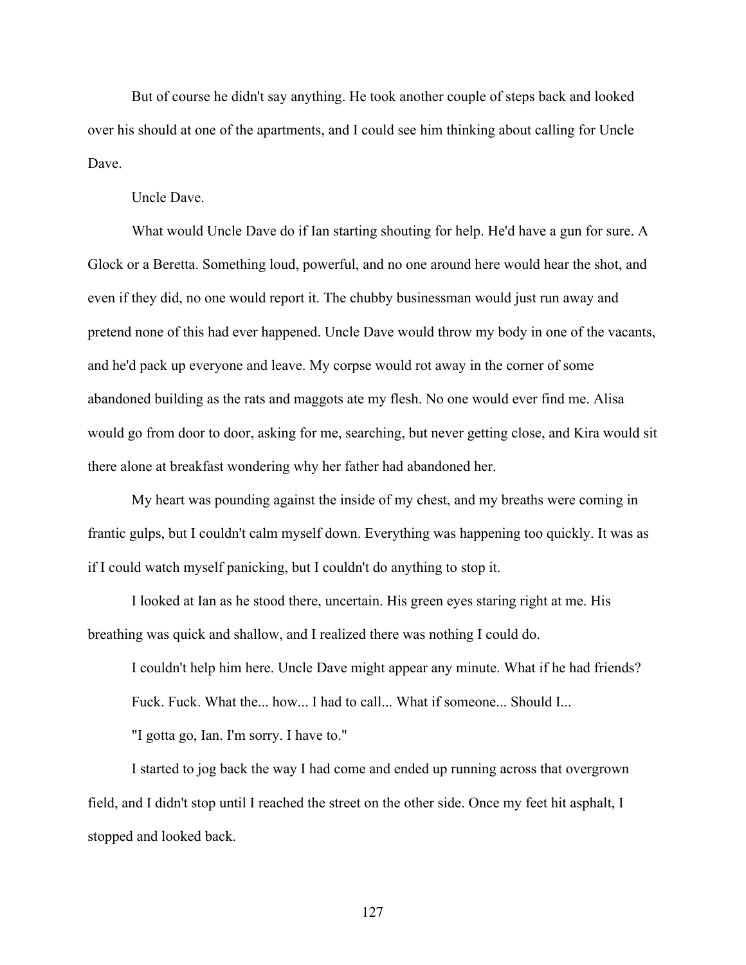But of course he didn't say anything. He took another couple of steps back and looked over his should at one of the apartments, and I could see him thinking about calling for Uncle Dave.

Uncle Dave.

What would Uncle Dave do if Ian starting shouting for help. He'd have a gun for sure. A Glock or a Beretta. Something loud, powerful, and no one around here would hear the shot, and even if they did, no one would report it. The chubby businessman would just run away and pretend none of this had ever happened. Uncle Dave would throw my body in one of the vacants, and he'd pack up everyone and leave. My corpse would rot away in the corner of some abandoned building as the rats and maggots ate my flesh. No one would ever find me. Alisa would go from door to door, asking for me, searching, but never getting close, and Kira would sit there alone at breakfast wondering why her father had abandoned her.

My heart was pounding against the inside of my chest, and my breaths were coming in frantic gulps, but I couldn't calm myself down. Everything was happening too quickly. It was as if I could watch myself panicking, but I couldn't do anything to stop it.

I looked at Ian as he stood there, uncertain. His green eyes staring right at me. His breathing was quick and shallow, and I realized there was nothing I could do.

I couldn't help him here. Uncle Dave might appear any minute. What if he had friends? Fuck. Fuck. What the... how... I had to call... What if someone... Should I...

"I gotta go, Ian. I'm sorry. I have to."

I started to jog back the way I had come and ended up running across that overgrown field, and I didn't stop until I reached the street on the other side. Once my feet hit asphalt, I stopped and looked back.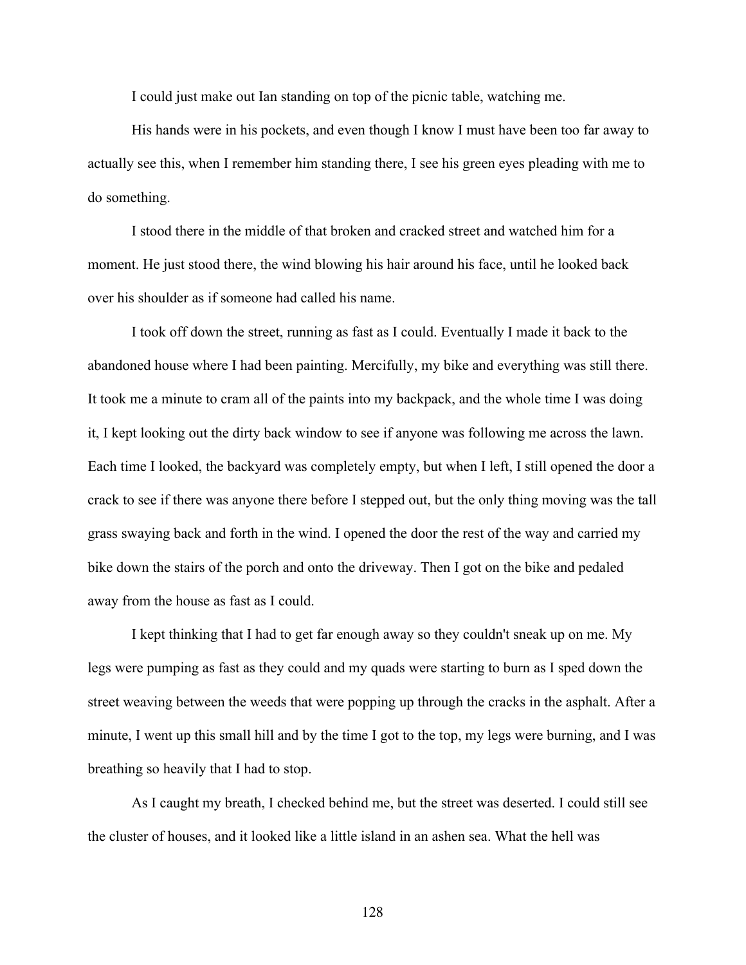I could just make out Ian standing on top of the picnic table, watching me.

His hands were in his pockets, and even though I know I must have been too far away to actually see this, when I remember him standing there, I see his green eyes pleading with me to do something.

I stood there in the middle of that broken and cracked street and watched him for a moment. He just stood there, the wind blowing his hair around his face, until he looked back over his shoulder as if someone had called his name.

I took off down the street, running as fast as I could. Eventually I made it back to the abandoned house where I had been painting. Mercifully, my bike and everything was still there. It took me a minute to cram all of the paints into my backpack, and the whole time I was doing it, I kept looking out the dirty back window to see if anyone was following me across the lawn. Each time I looked, the backyard was completely empty, but when I left, I still opened the door a crack to see if there was anyone there before I stepped out, but the only thing moving was the tall grass swaying back and forth in the wind. I opened the door the rest of the way and carried my bike down the stairs of the porch and onto the driveway. Then I got on the bike and pedaled away from the house as fast as I could.

I kept thinking that I had to get far enough away so they couldn't sneak up on me. My legs were pumping as fast as they could and my quads were starting to burn as I sped down the street weaving between the weeds that were popping up through the cracks in the asphalt. After a minute, I went up this small hill and by the time I got to the top, my legs were burning, and I was breathing so heavily that I had to stop.

As I caught my breath, I checked behind me, but the street was deserted. I could still see the cluster of houses, and it looked like a little island in an ashen sea. What the hell was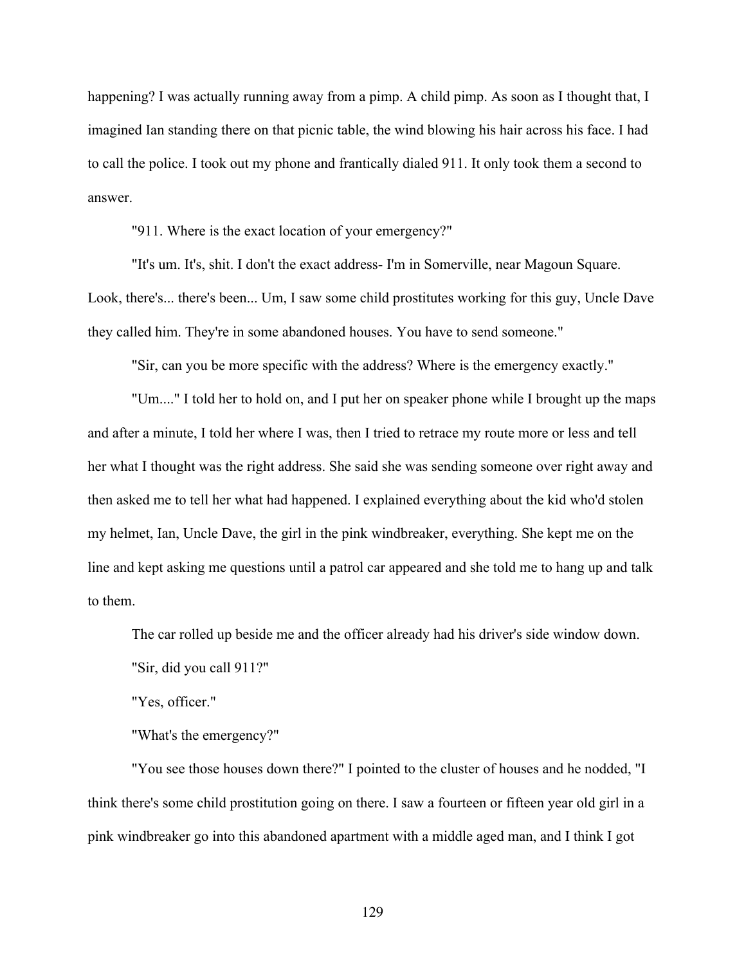happening? I was actually running away from a pimp. A child pimp. As soon as I thought that, I imagined Ian standing there on that picnic table, the wind blowing his hair across his face. I had to call the police. I took out my phone and frantically dialed 911. It only took them a second to answer.

"911. Where is the exact location of your emergency?"

"It's um. It's, shit. I don't the exact address- I'm in Somerville, near Magoun Square. Look, there's... there's been... Um, I saw some child prostitutes working for this guy, Uncle Dave they called him. They're in some abandoned houses. You have to send someone."

"Sir, can you be more specific with the address? Where is the emergency exactly."

"Um...." I told her to hold on, and I put her on speaker phone while I brought up the maps and after a minute, I told her where I was, then I tried to retrace my route more or less and tell her what I thought was the right address. She said she was sending someone over right away and then asked me to tell her what had happened. I explained everything about the kid who'd stolen my helmet, Ian, Uncle Dave, the girl in the pink windbreaker, everything. She kept me on the line and kept asking me questions until a patrol car appeared and she told me to hang up and talk to them.

The car rolled up beside me and the officer already had his driver's side window down.

"Sir, did you call 911?"

"Yes, officer."

"What's the emergency?"

"You see those houses down there?" I pointed to the cluster of houses and he nodded, "I think there's some child prostitution going on there. I saw a fourteen or fifteen year old girl in a pink windbreaker go into this abandoned apartment with a middle aged man, and I think I got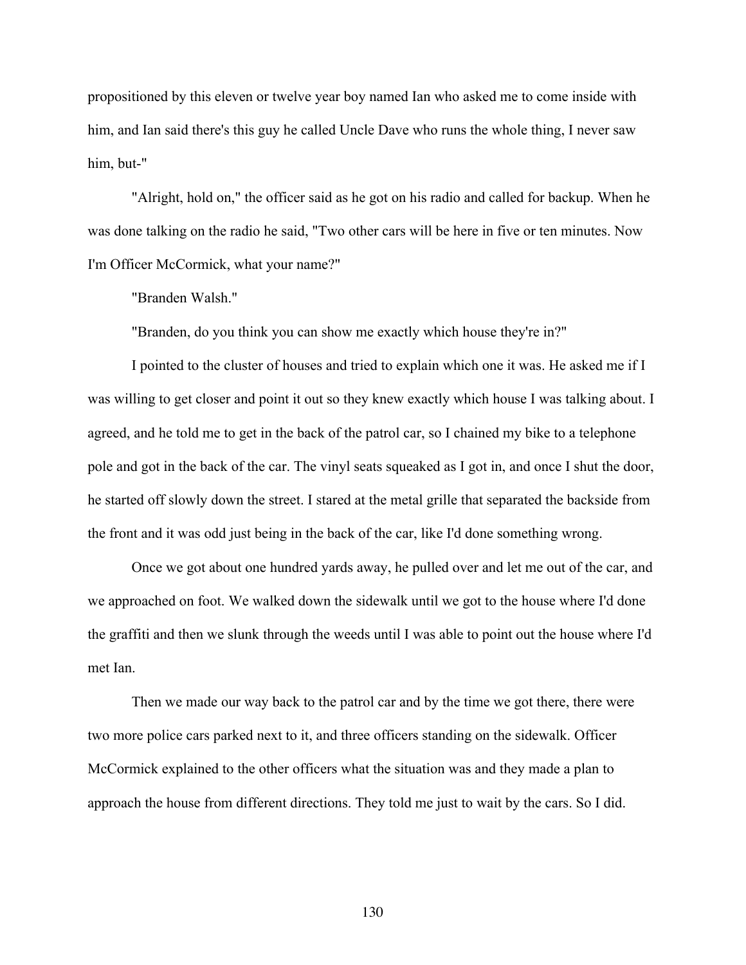propositioned by this eleven or twelve year boy named Ian who asked me to come inside with him, and Ian said there's this guy he called Uncle Dave who runs the whole thing, I never saw him, but-"

"Alright, hold on," the officer said as he got on his radio and called for backup. When he was done talking on the radio he said, "Two other cars will be here in five or ten minutes. Now I'm Officer McCormick, what your name?"

"Branden Walsh."

"Branden, do you think you can show me exactly which house they're in?"

I pointed to the cluster of houses and tried to explain which one it was. He asked me if I was willing to get closer and point it out so they knew exactly which house I was talking about. I agreed, and he told me to get in the back of the patrol car, so I chained my bike to a telephone pole and got in the back of the car. The vinyl seats squeaked as I got in, and once I shut the door, he started off slowly down the street. I stared at the metal grille that separated the backside from the front and it was odd just being in the back of the car, like I'd done something wrong.

Once we got about one hundred yards away, he pulled over and let me out of the car, and we approached on foot. We walked down the sidewalk until we got to the house where I'd done the graffiti and then we slunk through the weeds until I was able to point out the house where I'd met Ian.

Then we made our way back to the patrol car and by the time we got there, there were two more police cars parked next to it, and three officers standing on the sidewalk. Officer McCormick explained to the other officers what the situation was and they made a plan to approach the house from different directions. They told me just to wait by the cars. So I did.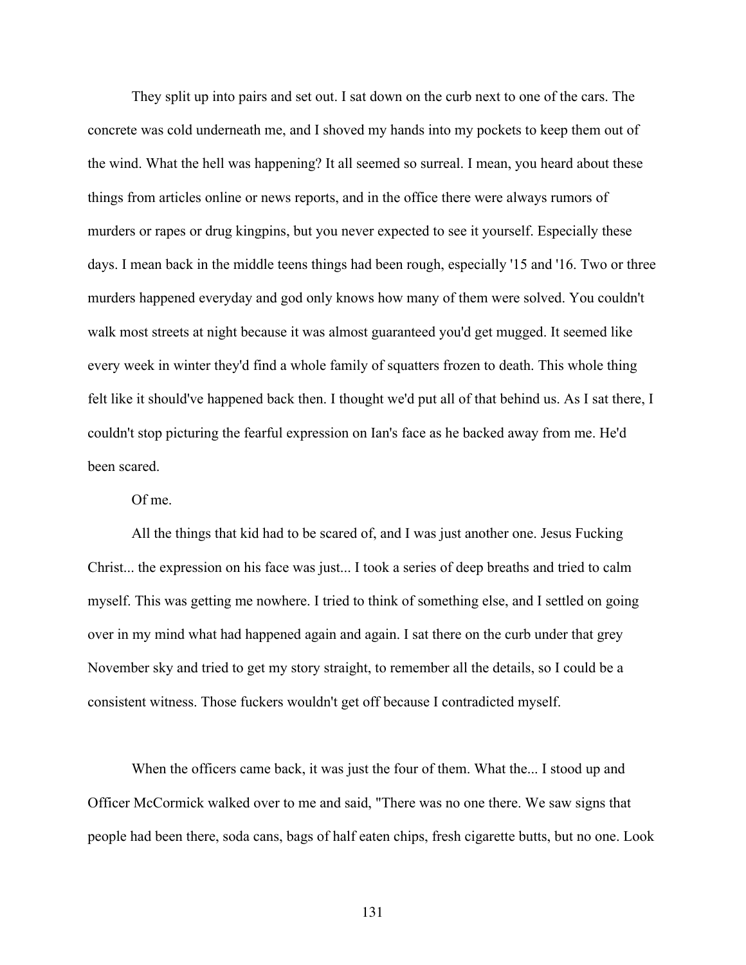They split up into pairs and set out. I sat down on the curb next to one of the cars. The concrete was cold underneath me, and I shoved my hands into my pockets to keep them out of the wind. What the hell was happening? It all seemed so surreal. I mean, you heard about these things from articles online or news reports, and in the office there were always rumors of murders or rapes or drug kingpins, but you never expected to see it yourself. Especially these days. I mean back in the middle teens things had been rough, especially '15 and '16. Two or three murders happened everyday and god only knows how many of them were solved. You couldn't walk most streets at night because it was almost guaranteed you'd get mugged. It seemed like every week in winter they'd find a whole family of squatters frozen to death. This whole thing felt like it should've happened back then. I thought we'd put all of that behind us. As I sat there, I couldn't stop picturing the fearful expression on Ian's face as he backed away from me. He'd been scared.

Of me.

All the things that kid had to be scared of, and I was just another one. Jesus Fucking Christ... the expression on his face was just... I took a series of deep breaths and tried to calm myself. This was getting me nowhere. I tried to think of something else, and I settled on going over in my mind what had happened again and again. I sat there on the curb under that grey November sky and tried to get my story straight, to remember all the details, so I could be a consistent witness. Those fuckers wouldn't get off because I contradicted myself.

When the officers came back, it was just the four of them. What the... I stood up and Officer McCormick walked over to me and said, "There was no one there. We saw signs that people had been there, soda cans, bags of half eaten chips, fresh cigarette butts, but no one. Look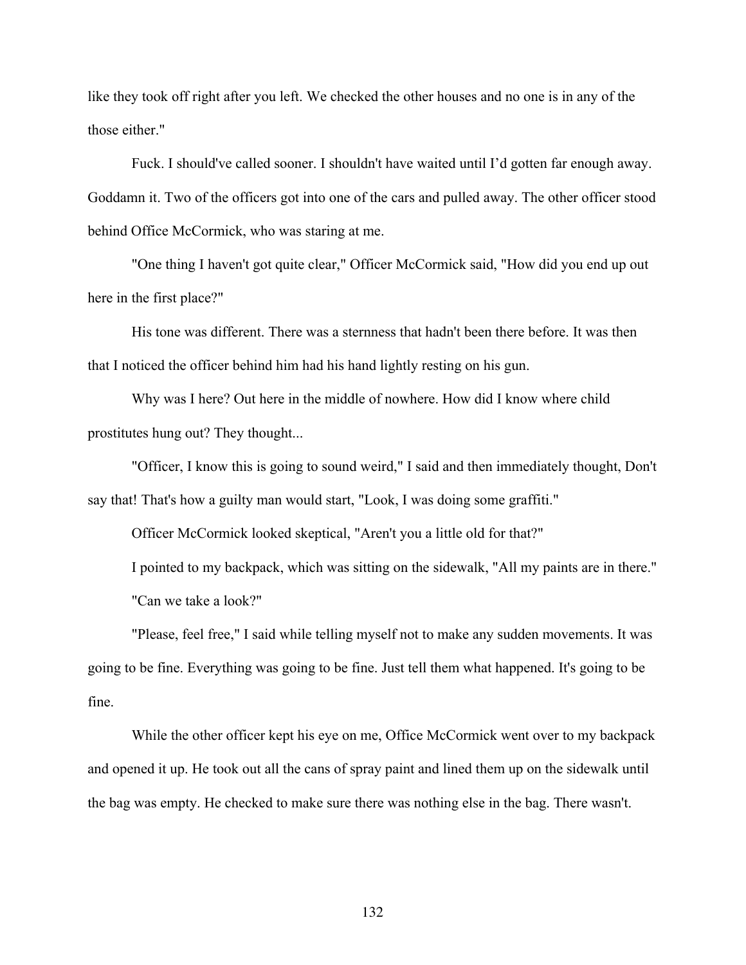like they took off right after you left. We checked the other houses and no one is in any of the those either."

Fuck. I should've called sooner. I shouldn't have waited until I'd gotten far enough away. Goddamn it. Two of the officers got into one of the cars and pulled away. The other officer stood behind Office McCormick, who was staring at me.

"One thing I haven't got quite clear," Officer McCormick said, "How did you end up out here in the first place?"

His tone was different. There was a sternness that hadn't been there before. It was then that I noticed the officer behind him had his hand lightly resting on his gun.

Why was I here? Out here in the middle of nowhere. How did I know where child prostitutes hung out? They thought...

"Officer, I know this is going to sound weird," I said and then immediately thought, Don't say that! That's how a guilty man would start, "Look, I was doing some graffiti."

Officer McCormick looked skeptical, "Aren't you a little old for that?"

I pointed to my backpack, which was sitting on the sidewalk, "All my paints are in there." "Can we take a look?"

"Please, feel free," I said while telling myself not to make any sudden movements. It was going to be fine. Everything was going to be fine. Just tell them what happened. It's going to be fine.

While the other officer kept his eye on me, Office McCormick went over to my backpack and opened it up. He took out all the cans of spray paint and lined them up on the sidewalk until the bag was empty. He checked to make sure there was nothing else in the bag. There wasn't.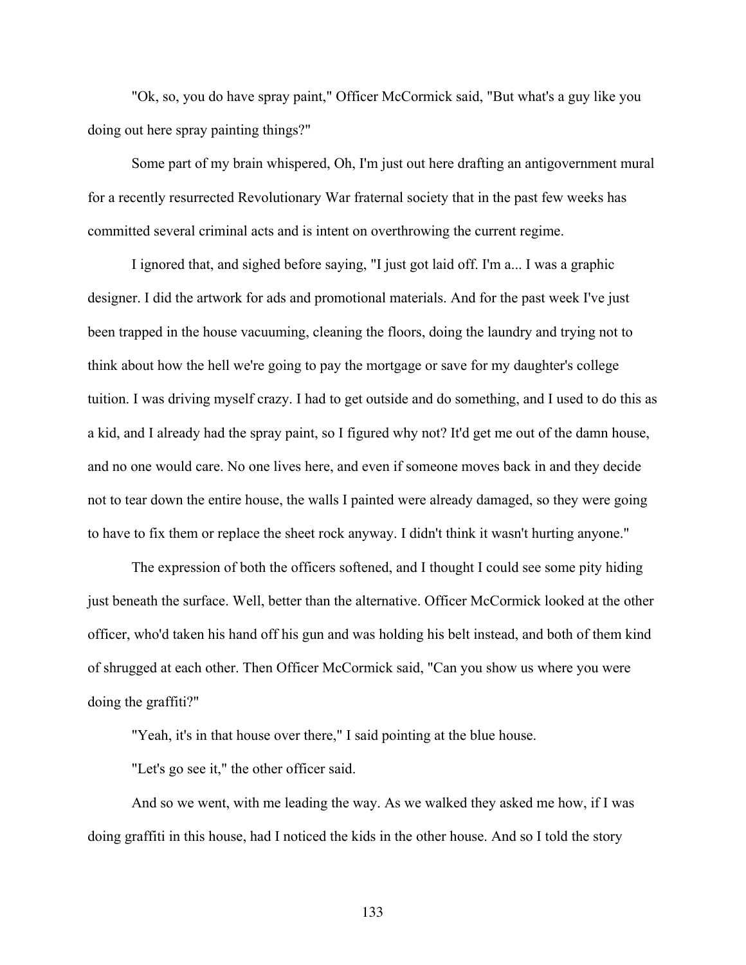"Ok, so, you do have spray paint," Officer McCormick said, "But what's a guy like you doing out here spray painting things?"

Some part of my brain whispered, Oh, I'm just out here drafting an antigovernment mural for a recently resurrected Revolutionary War fraternal society that in the past few weeks has committed several criminal acts and is intent on overthrowing the current regime.

I ignored that, and sighed before saying, "I just got laid off. I'm a... I was a graphic designer. I did the artwork for ads and promotional materials. And for the past week I've just been trapped in the house vacuuming, cleaning the floors, doing the laundry and trying not to think about how the hell we're going to pay the mortgage or save for my daughter's college tuition. I was driving myself crazy. I had to get outside and do something, and I used to do this as a kid, and I already had the spray paint, so I figured why not? It'd get me out of the damn house, and no one would care. No one lives here, and even if someone moves back in and they decide not to tear down the entire house, the walls I painted were already damaged, so they were going to have to fix them or replace the sheet rock anyway. I didn't think it wasn't hurting anyone."

The expression of both the officers softened, and I thought I could see some pity hiding just beneath the surface. Well, better than the alternative. Officer McCormick looked at the other officer, who'd taken his hand off his gun and was holding his belt instead, and both of them kind of shrugged at each other. Then Officer McCormick said, "Can you show us where you were doing the graffiti?"

"Yeah, it's in that house over there," I said pointing at the blue house.

"Let's go see it," the other officer said.

And so we went, with me leading the way. As we walked they asked me how, if I was doing graffiti in this house, had I noticed the kids in the other house. And so I told the story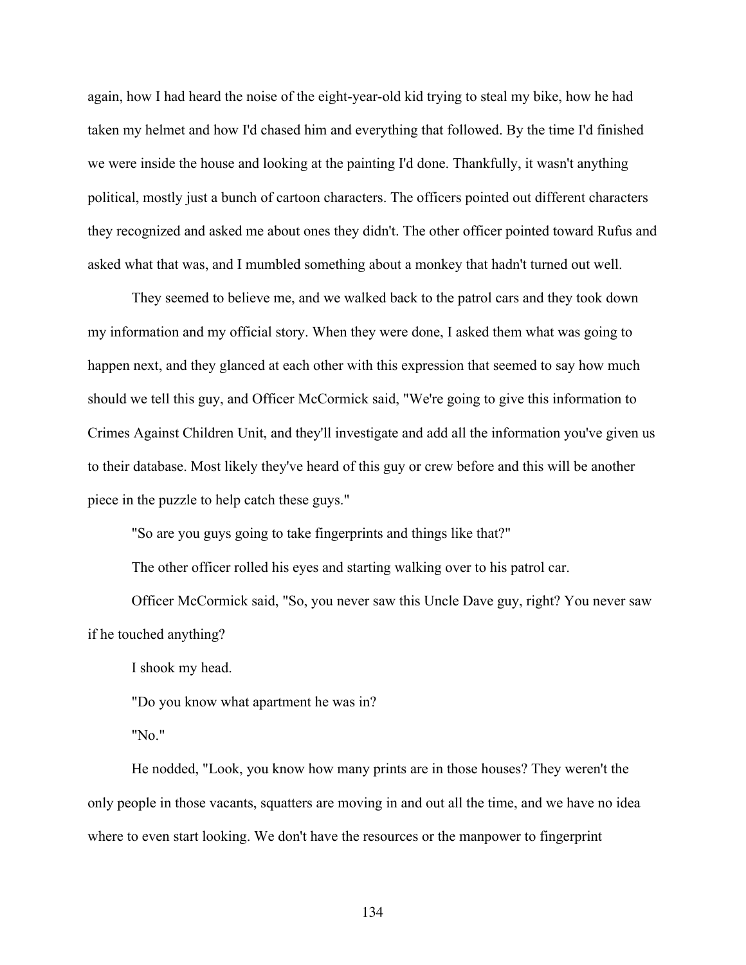again, how I had heard the noise of the eight-year-old kid trying to steal my bike, how he had taken my helmet and how I'd chased him and everything that followed. By the time I'd finished we were inside the house and looking at the painting I'd done. Thankfully, it wasn't anything political, mostly just a bunch of cartoon characters. The officers pointed out different characters they recognized and asked me about ones they didn't. The other officer pointed toward Rufus and asked what that was, and I mumbled something about a monkey that hadn't turned out well.

They seemed to believe me, and we walked back to the patrol cars and they took down my information and my official story. When they were done, I asked them what was going to happen next, and they glanced at each other with this expression that seemed to say how much should we tell this guy, and Officer McCormick said, "We're going to give this information to Crimes Against Children Unit, and they'll investigate and add all the information you've given us to their database. Most likely they've heard of this guy or crew before and this will be another piece in the puzzle to help catch these guys."

"So are you guys going to take fingerprints and things like that?"

The other officer rolled his eyes and starting walking over to his patrol car.

Officer McCormick said, "So, you never saw this Uncle Dave guy, right? You never saw if he touched anything?

I shook my head.

"Do you know what apartment he was in?

"No."

He nodded, "Look, you know how many prints are in those houses? They weren't the only people in those vacants, squatters are moving in and out all the time, and we have no idea where to even start looking. We don't have the resources or the manpower to fingerprint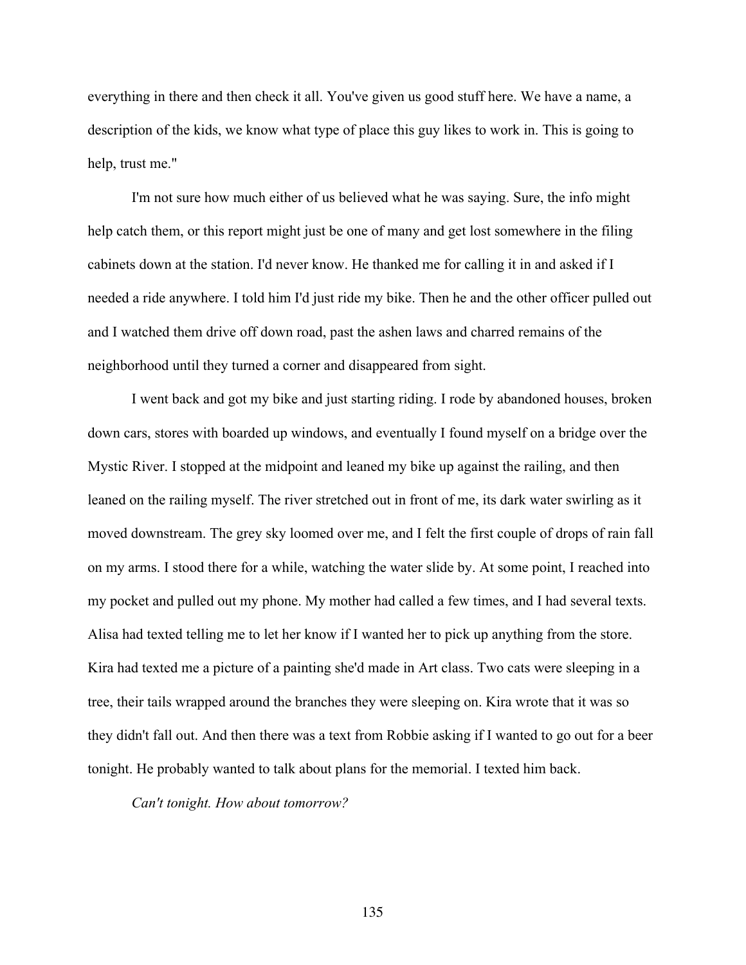everything in there and then check it all. You've given us good stuff here. We have a name, a description of the kids, we know what type of place this guy likes to work in. This is going to help, trust me."

I'm not sure how much either of us believed what he was saying. Sure, the info might help catch them, or this report might just be one of many and get lost somewhere in the filing cabinets down at the station. I'd never know. He thanked me for calling it in and asked if I needed a ride anywhere. I told him I'd just ride my bike. Then he and the other officer pulled out and I watched them drive off down road, past the ashen laws and charred remains of the neighborhood until they turned a corner and disappeared from sight.

 I went back and got my bike and just starting riding. I rode by abandoned houses, broken down cars, stores with boarded up windows, and eventually I found myself on a bridge over the Mystic River. I stopped at the midpoint and leaned my bike up against the railing, and then leaned on the railing myself. The river stretched out in front of me, its dark water swirling as it moved downstream. The grey sky loomed over me, and I felt the first couple of drops of rain fall on my arms. I stood there for a while, watching the water slide by. At some point, I reached into my pocket and pulled out my phone. My mother had called a few times, and I had several texts. Alisa had texted telling me to let her know if I wanted her to pick up anything from the store. Kira had texted me a picture of a painting she'd made in Art class. Two cats were sleeping in a tree, their tails wrapped around the branches they were sleeping on. Kira wrote that it was so they didn't fall out. And then there was a text from Robbie asking if I wanted to go out for a beer tonight. He probably wanted to talk about plans for the memorial. I texted him back.

*Can't tonight. How about tomorrow?*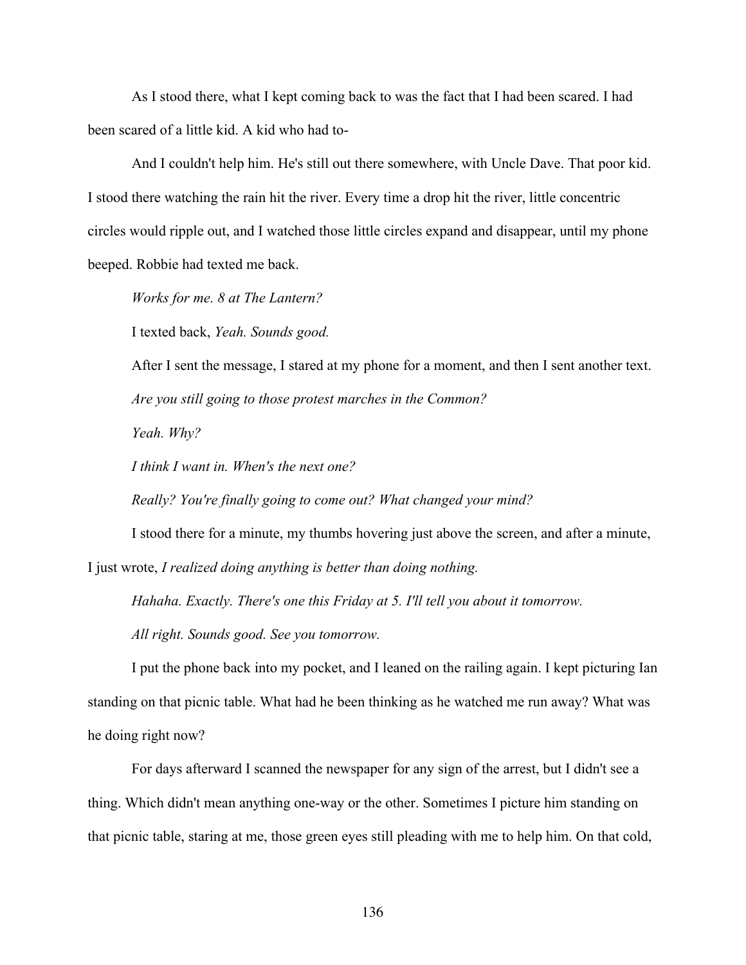As I stood there, what I kept coming back to was the fact that I had been scared. I had been scared of a little kid. A kid who had to-

And I couldn't help him. He's still out there somewhere, with Uncle Dave. That poor kid. I stood there watching the rain hit the river. Every time a drop hit the river, little concentric circles would ripple out, and I watched those little circles expand and disappear, until my phone beeped. Robbie had texted me back.

*Works for me. 8 at The Lantern?*

I texted back, *Yeah. Sounds good.* 

After I sent the message, I stared at my phone for a moment, and then I sent another text. *Are you still going to those protest marches in the Common?*

*Yeah. Why?*

*I think I want in. When's the next one?*

*Really? You're finally going to come out? What changed your mind?*

I stood there for a minute, my thumbs hovering just above the screen, and after a minute,

I just wrote, *I realized doing anything is better than doing nothing.* 

*Hahaha. Exactly. There's one this Friday at 5. I'll tell you about it tomorrow.*

*All right. Sounds good. See you tomorrow.*

I put the phone back into my pocket, and I leaned on the railing again. I kept picturing Ian standing on that picnic table. What had he been thinking as he watched me run away? What was he doing right now?

For days afterward I scanned the newspaper for any sign of the arrest, but I didn't see a thing. Which didn't mean anything one-way or the other. Sometimes I picture him standing on that picnic table, staring at me, those green eyes still pleading with me to help him. On that cold,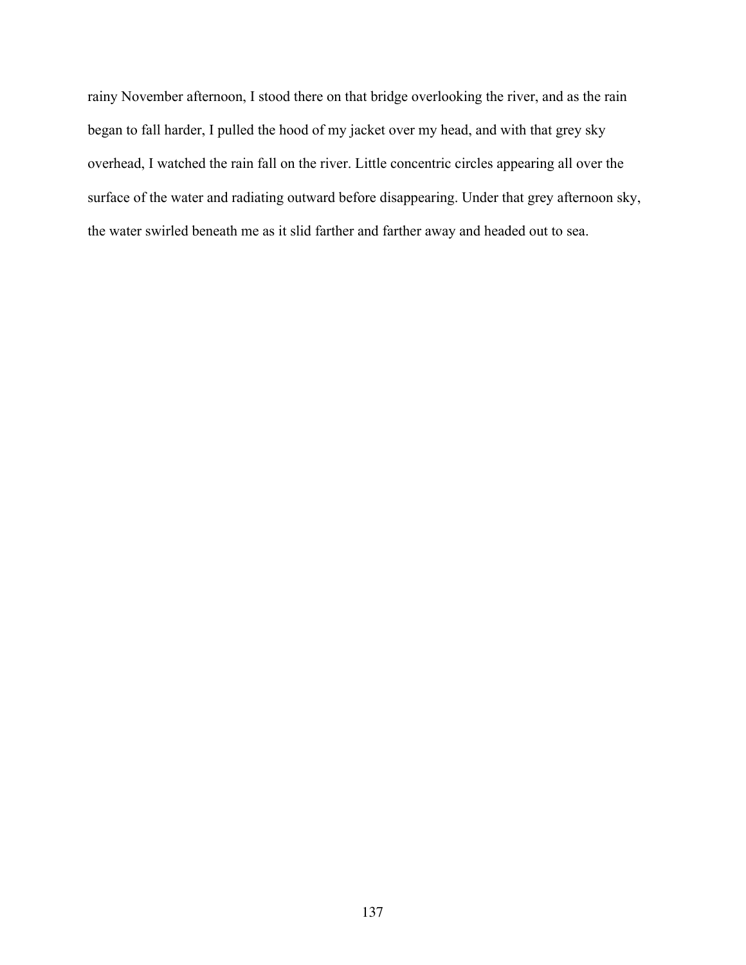rainy November afternoon, I stood there on that bridge overlooking the river, and as the rain began to fall harder, I pulled the hood of my jacket over my head, and with that grey sky overhead, I watched the rain fall on the river. Little concentric circles appearing all over the surface of the water and radiating outward before disappearing. Under that grey afternoon sky, the water swirled beneath me as it slid farther and farther away and headed out to sea.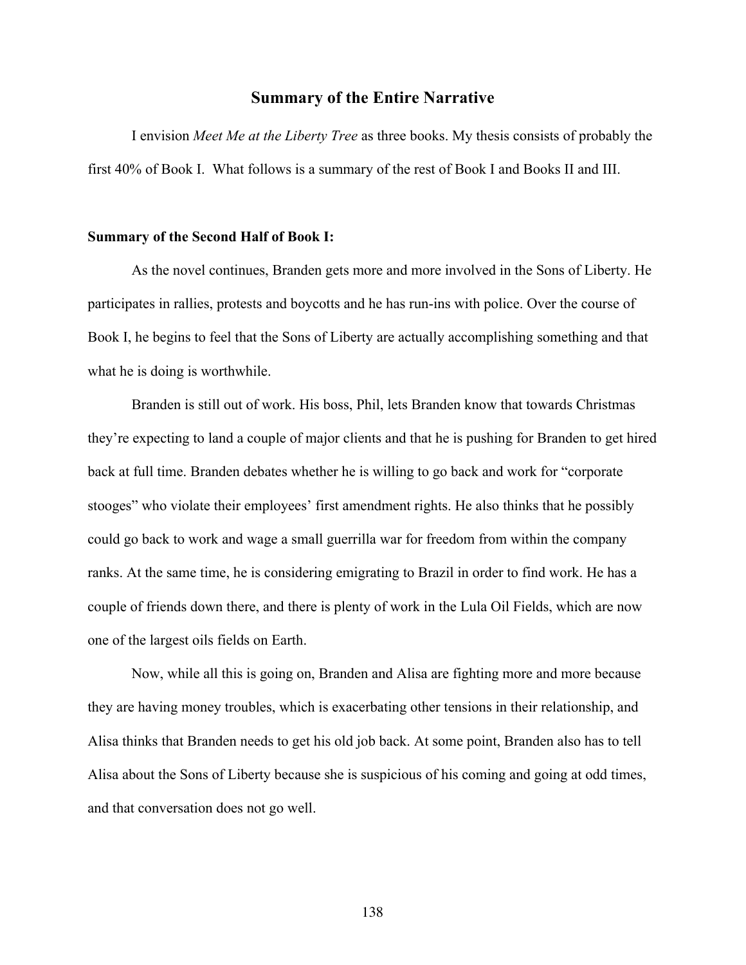## **Summary of the Entire Narrative**

I envision *Meet Me at the Liberty Tree* as three books. My thesis consists of probably the first 40% of Book I. What follows is a summary of the rest of Book I and Books II and III.

## **Summary of the Second Half of Book I:**

As the novel continues, Branden gets more and more involved in the Sons of Liberty. He participates in rallies, protests and boycotts and he has run-ins with police. Over the course of Book I, he begins to feel that the Sons of Liberty are actually accomplishing something and that what he is doing is worthwhile.

Branden is still out of work. His boss, Phil, lets Branden know that towards Christmas they're expecting to land a couple of major clients and that he is pushing for Branden to get hired back at full time. Branden debates whether he is willing to go back and work for "corporate stooges" who violate their employees' first amendment rights. He also thinks that he possibly could go back to work and wage a small guerrilla war for freedom from within the company ranks. At the same time, he is considering emigrating to Brazil in order to find work. He has a couple of friends down there, and there is plenty of work in the Lula Oil Fields, which are now one of the largest oils fields on Earth.

Now, while all this is going on, Branden and Alisa are fighting more and more because they are having money troubles, which is exacerbating other tensions in their relationship, and Alisa thinks that Branden needs to get his old job back. At some point, Branden also has to tell Alisa about the Sons of Liberty because she is suspicious of his coming and going at odd times, and that conversation does not go well.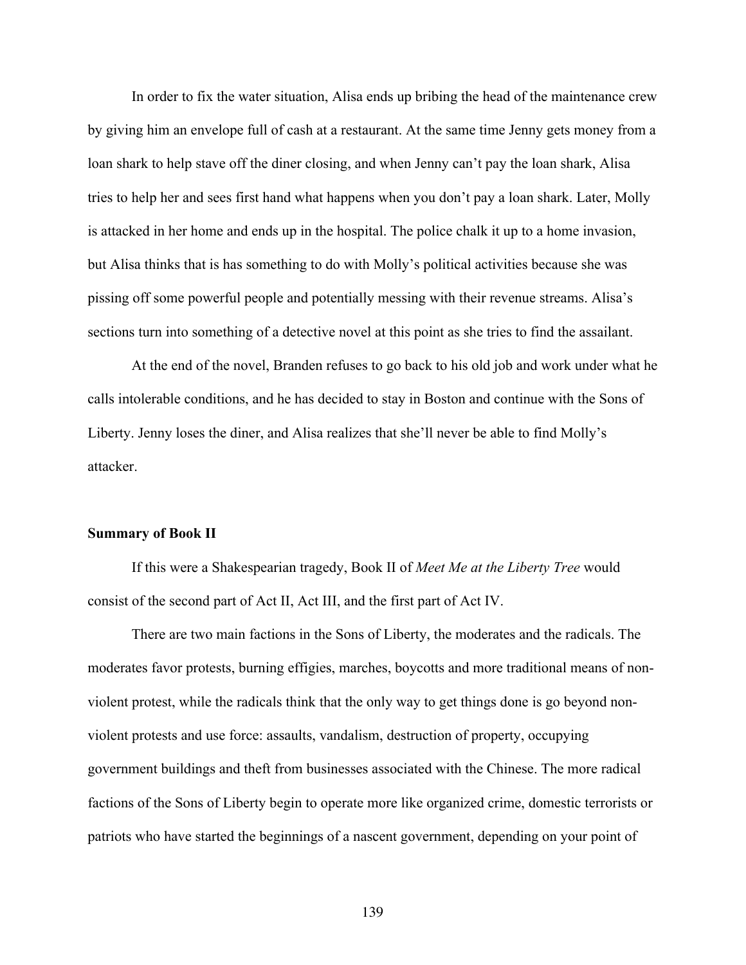In order to fix the water situation, Alisa ends up bribing the head of the maintenance crew by giving him an envelope full of cash at a restaurant. At the same time Jenny gets money from a loan shark to help stave off the diner closing, and when Jenny can't pay the loan shark, Alisa tries to help her and sees first hand what happens when you don't pay a loan shark. Later, Molly is attacked in her home and ends up in the hospital. The police chalk it up to a home invasion, but Alisa thinks that is has something to do with Molly's political activities because she was pissing off some powerful people and potentially messing with their revenue streams. Alisa's sections turn into something of a detective novel at this point as she tries to find the assailant.

At the end of the novel, Branden refuses to go back to his old job and work under what he calls intolerable conditions, and he has decided to stay in Boston and continue with the Sons of Liberty. Jenny loses the diner, and Alisa realizes that she'll never be able to find Molly's attacker.

## **Summary of Book II**

If this were a Shakespearian tragedy, Book II of *Meet Me at the Liberty Tree* would consist of the second part of Act II, Act III, and the first part of Act IV.

There are two main factions in the Sons of Liberty, the moderates and the radicals. The moderates favor protests, burning effigies, marches, boycotts and more traditional means of nonviolent protest, while the radicals think that the only way to get things done is go beyond nonviolent protests and use force: assaults, vandalism, destruction of property, occupying government buildings and theft from businesses associated with the Chinese. The more radical factions of the Sons of Liberty begin to operate more like organized crime, domestic terrorists or patriots who have started the beginnings of a nascent government, depending on your point of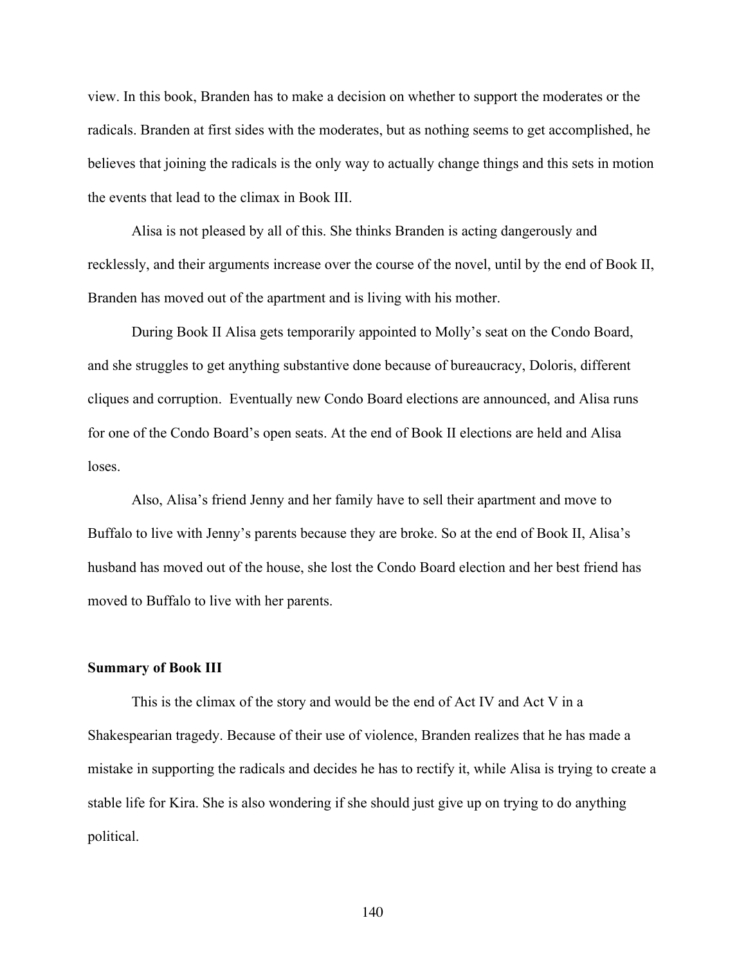view. In this book, Branden has to make a decision on whether to support the moderates or the radicals. Branden at first sides with the moderates, but as nothing seems to get accomplished, he believes that joining the radicals is the only way to actually change things and this sets in motion the events that lead to the climax in Book III.

Alisa is not pleased by all of this. She thinks Branden is acting dangerously and recklessly, and their arguments increase over the course of the novel, until by the end of Book II, Branden has moved out of the apartment and is living with his mother.

During Book II Alisa gets temporarily appointed to Molly's seat on the Condo Board, and she struggles to get anything substantive done because of bureaucracy, Doloris, different cliques and corruption. Eventually new Condo Board elections are announced, and Alisa runs for one of the Condo Board's open seats. At the end of Book II elections are held and Alisa loses.

Also, Alisa's friend Jenny and her family have to sell their apartment and move to Buffalo to live with Jenny's parents because they are broke. So at the end of Book II, Alisa's husband has moved out of the house, she lost the Condo Board election and her best friend has moved to Buffalo to live with her parents.

## **Summary of Book III**

This is the climax of the story and would be the end of Act IV and Act V in a Shakespearian tragedy. Because of their use of violence, Branden realizes that he has made a mistake in supporting the radicals and decides he has to rectify it, while Alisa is trying to create a stable life for Kira. She is also wondering if she should just give up on trying to do anything political.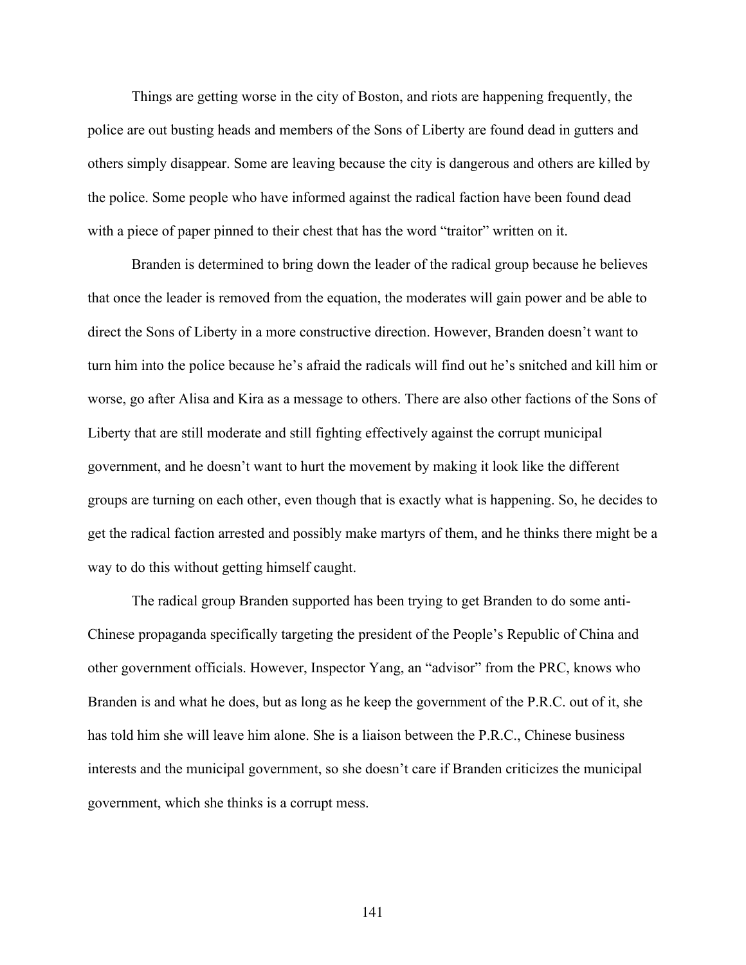Things are getting worse in the city of Boston, and riots are happening frequently, the police are out busting heads and members of the Sons of Liberty are found dead in gutters and others simply disappear. Some are leaving because the city is dangerous and others are killed by the police. Some people who have informed against the radical faction have been found dead with a piece of paper pinned to their chest that has the word "traitor" written on it.

Branden is determined to bring down the leader of the radical group because he believes that once the leader is removed from the equation, the moderates will gain power and be able to direct the Sons of Liberty in a more constructive direction. However, Branden doesn't want to turn him into the police because he's afraid the radicals will find out he's snitched and kill him or worse, go after Alisa and Kira as a message to others. There are also other factions of the Sons of Liberty that are still moderate and still fighting effectively against the corrupt municipal government, and he doesn't want to hurt the movement by making it look like the different groups are turning on each other, even though that is exactly what is happening. So, he decides to get the radical faction arrested and possibly make martyrs of them, and he thinks there might be a way to do this without getting himself caught.

The radical group Branden supported has been trying to get Branden to do some anti-Chinese propaganda specifically targeting the president of the People's Republic of China and other government officials. However, Inspector Yang, an "advisor" from the PRC, knows who Branden is and what he does, but as long as he keep the government of the P.R.C. out of it, she has told him she will leave him alone. She is a liaison between the P.R.C., Chinese business interests and the municipal government, so she doesn't care if Branden criticizes the municipal government, which she thinks is a corrupt mess.

141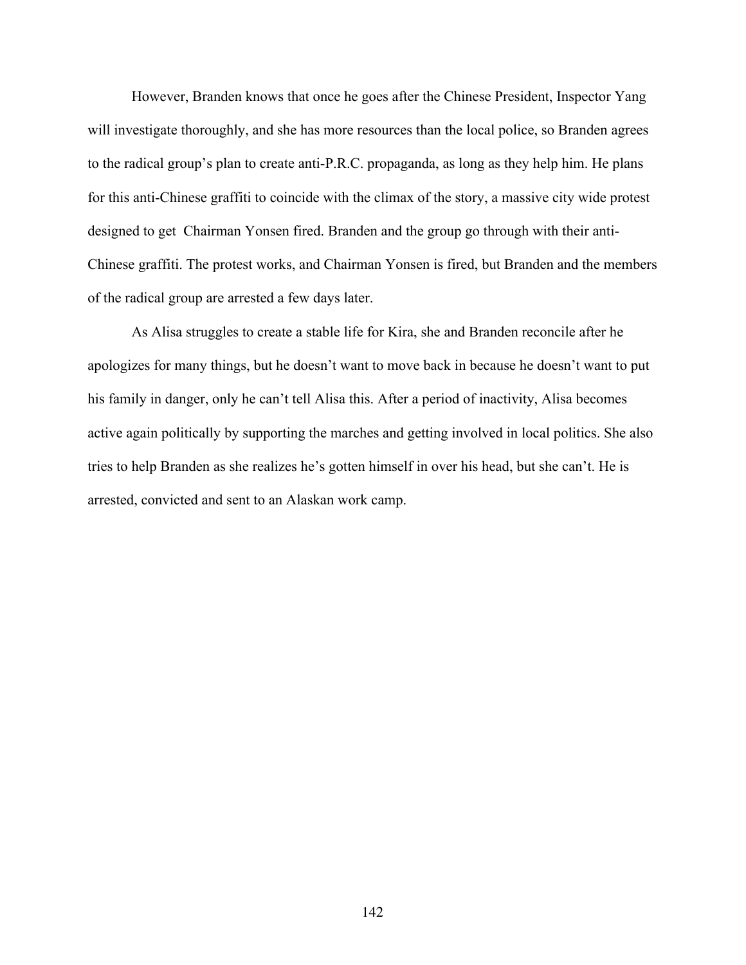However, Branden knows that once he goes after the Chinese President, Inspector Yang will investigate thoroughly, and she has more resources than the local police, so Branden agrees to the radical group's plan to create anti-P.R.C. propaganda, as long as they help him. He plans for this anti-Chinese graffiti to coincide with the climax of the story, a massive city wide protest designed to get Chairman Yonsen fired. Branden and the group go through with their anti-Chinese graffiti. The protest works, and Chairman Yonsen is fired, but Branden and the members of the radical group are arrested a few days later.

As Alisa struggles to create a stable life for Kira, she and Branden reconcile after he apologizes for many things, but he doesn't want to move back in because he doesn't want to put his family in danger, only he can't tell Alisa this. After a period of inactivity, Alisa becomes active again politically by supporting the marches and getting involved in local politics. She also tries to help Branden as she realizes he's gotten himself in over his head, but she can't. He is arrested, convicted and sent to an Alaskan work camp.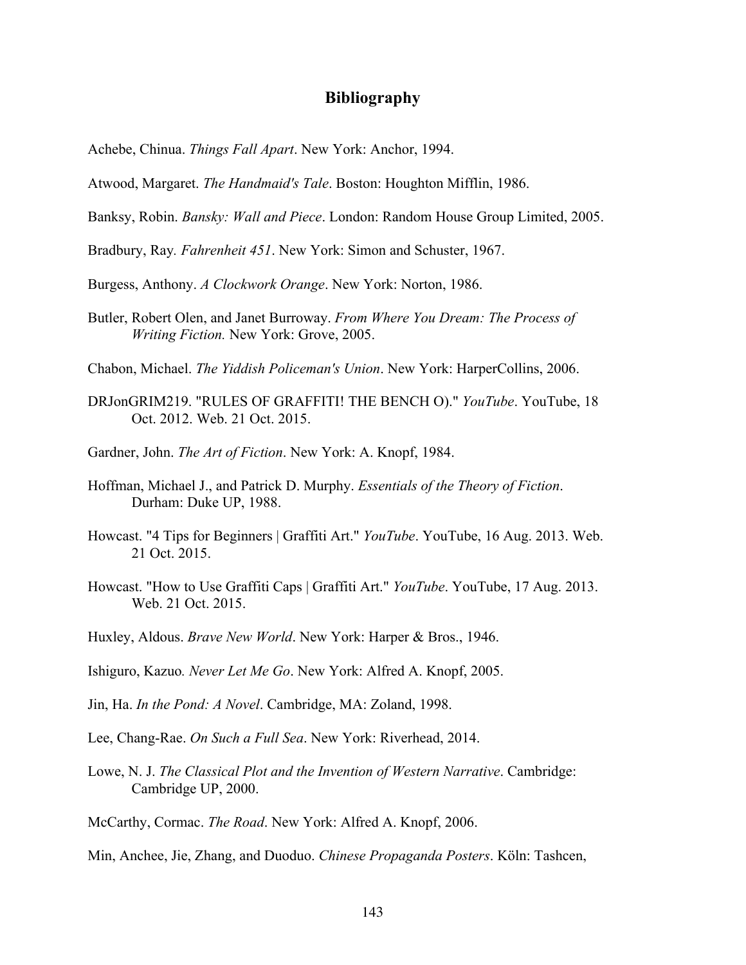## **Bibliography**

Achebe, Chinua. *Things Fall Apart*. New York: Anchor, 1994.

Atwood, Margaret. *The Handmaid's Tale*. Boston: Houghton Mifflin, 1986.

Banksy, Robin. *Bansky: Wall and Piece*. London: Random House Group Limited, 2005.

Bradbury, Ray*. Fahrenheit 451*. New York: Simon and Schuster, 1967.

Burgess, Anthony. *A Clockwork Orange*. New York: Norton, 1986.

Butler, Robert Olen, and Janet Burroway. *From Where You Dream: The Process of Writing Fiction.* New York: Grove, 2005.

Chabon, Michael. *The Yiddish Policeman's Union*. New York: HarperCollins, 2006.

- DRJonGRIM219. "RULES OF GRAFFITI! THE BENCH O)." *YouTube*. YouTube, 18 Oct. 2012. Web. 21 Oct. 2015.
- Gardner, John. *The Art of Fiction*. New York: A. Knopf, 1984.
- Hoffman, Michael J., and Patrick D. Murphy. *Essentials of the Theory of Fiction*. Durham: Duke UP, 1988.
- Howcast. "4 Tips for Beginners | Graffiti Art." *YouTube*. YouTube, 16 Aug. 2013. Web. 21 Oct. 2015.
- Howcast. "How to Use Graffiti Caps | Graffiti Art." *YouTube*. YouTube, 17 Aug. 2013. Web. 21 Oct. 2015.
- Huxley, Aldous. *Brave New World*. New York: Harper & Bros., 1946.
- Ishiguro, Kazuo*. Never Let Me Go*. New York: Alfred A. Knopf, 2005.
- Jin, Ha. *In the Pond: A Novel*. Cambridge, MA: Zoland, 1998.
- Lee, Chang-Rae. *On Such a Full Sea*. New York: Riverhead, 2014.
- Lowe, N. J. *The Classical Plot and the Invention of Western Narrative*. Cambridge: Cambridge UP, 2000.
- McCarthy, Cormac. *The Road*. New York: Alfred A. Knopf, 2006.
- Min, Anchee, Jie, Zhang, and Duoduo. *Chinese Propaganda Posters*. Köln: Tashcen,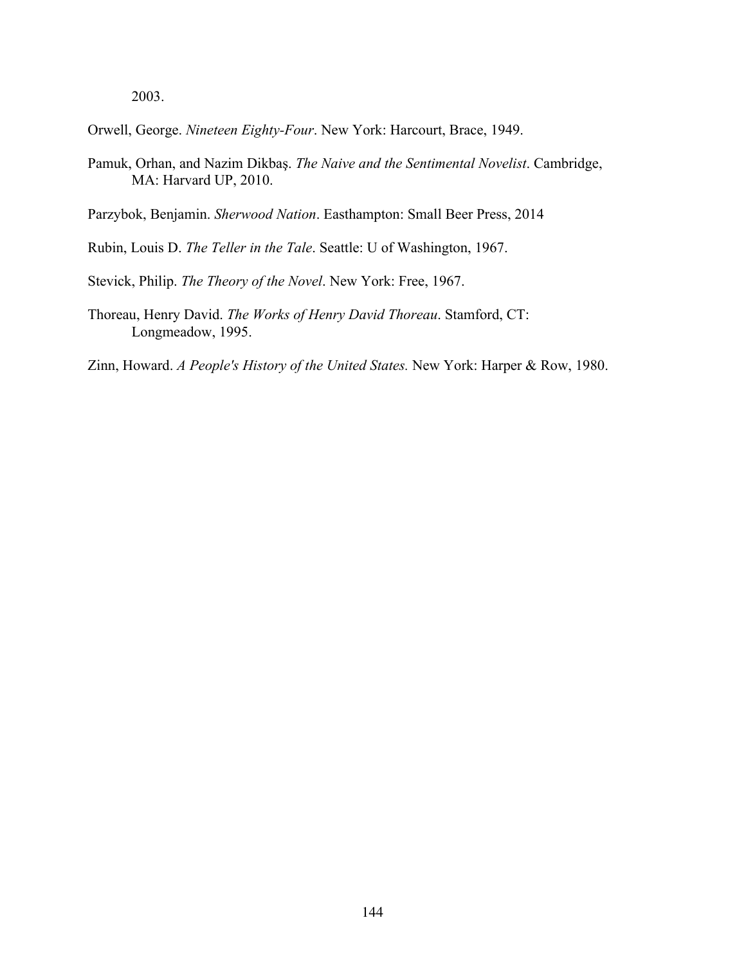2003.

Orwell, George. *Nineteen Eighty-Four*. New York: Harcourt, Brace, 1949.

Pamuk, Orhan, and Nazim Dikbaş. *The Naive and the Sentimental Novelist*. Cambridge, MA: Harvard UP, 2010.

Parzybok, Benjamin. *Sherwood Nation*. Easthampton: Small Beer Press, 2014

Rubin, Louis D. *The Teller in the Tale*. Seattle: U of Washington, 1967.

Stevick, Philip. *The Theory of the Novel*. New York: Free, 1967.

Thoreau, Henry David. *The Works of Henry David Thoreau*. Stamford, CT: Longmeadow, 1995.

Zinn, Howard. *A People's History of the United States.* New York: Harper & Row, 1980.